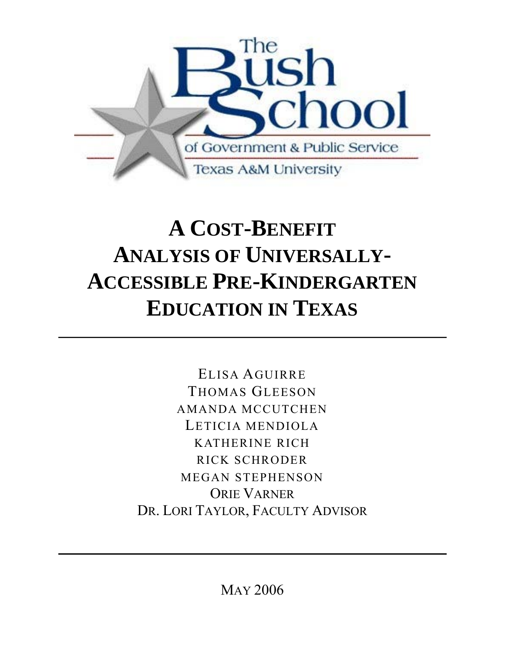

# **A COST-BENEFIT ANALYSIS OF UNIVERSALLY-ACCESSIBLE PRE-KINDERGARTEN EDUCATION IN TEXAS**

ELISA AGUIRRE THOMAS GLEESON AMANDA MCCUTCHEN LETICIA MENDIOLA KATHERINE RICH RICK SCHRODER MEGAN STEPHENSON ORIE VARNER DR. LORI TAYLOR, FACULTY ADVISOR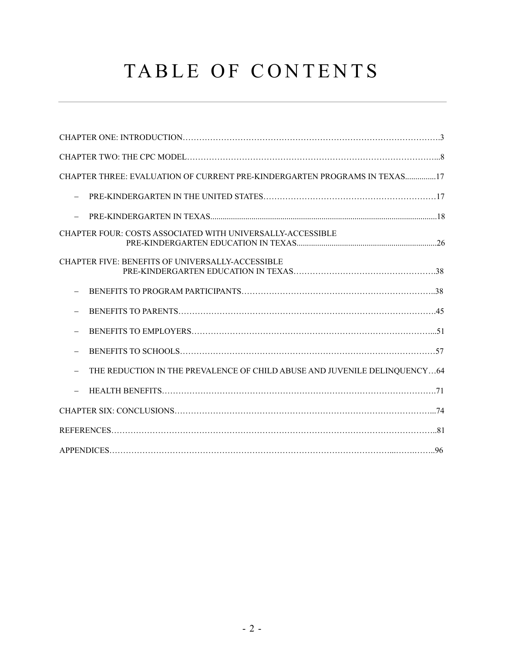# TABLE OF CONTENTS

| CHAPTER THREE: EVALUATION OF CURRENT PRE-KINDERGARTEN PROGRAMS IN TEXAS17 |  |
|---------------------------------------------------------------------------|--|
|                                                                           |  |
|                                                                           |  |
| CHAPTER FOUR: COSTS ASSOCIATED WITH UNIVERSALLY-ACCESSIBLE                |  |
| <b>CHAPTER FIVE: BENEFITS OF UNIVERSALLY-ACCESSIBLE</b>                   |  |
|                                                                           |  |
|                                                                           |  |
|                                                                           |  |
|                                                                           |  |
| THE REDUCTION IN THE PREVALENCE OF CHILD ABUSE AND JUVENILE DELINQUENCY64 |  |
|                                                                           |  |
|                                                                           |  |
|                                                                           |  |
|                                                                           |  |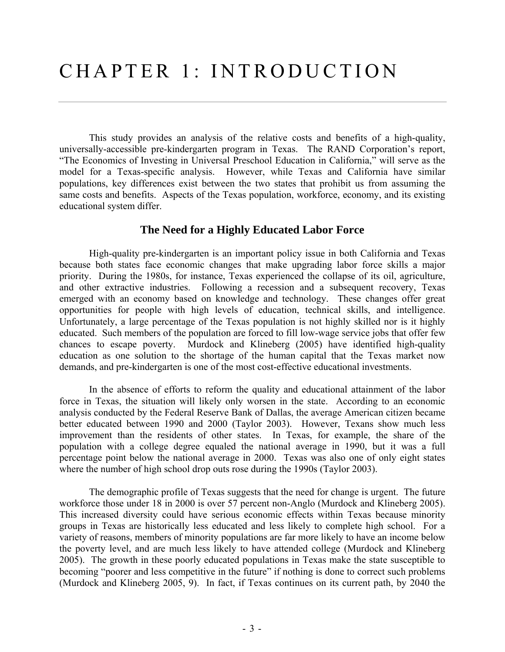This study provides an analysis of the relative costs and benefits of a high-quality, universally-accessible pre-kindergarten program in Texas. The RAND Corporation's report, "The Economics of Investing in Universal Preschool Education in California," will serve as the model for a Texas-specific analysis. However, while Texas and California have similar populations, key differences exist between the two states that prohibit us from assuming the same costs and benefits. Aspects of the Texas population, workforce, economy, and its existing educational system differ.

## **The Need for a Highly Educated Labor Force**

 High-quality pre-kindergarten is an important policy issue in both California and Texas because both states face economic changes that make upgrading labor force skills a major priority. During the 1980s, for instance, Texas experienced the collapse of its oil, agriculture, and other extractive industries. Following a recession and a subsequent recovery, Texas emerged with an economy based on knowledge and technology. These changes offer great opportunities for people with high levels of education, technical skills, and intelligence. Unfortunately, a large percentage of the Texas population is not highly skilled nor is it highly educated. Such members of the population are forced to fill low-wage service jobs that offer few chances to escape poverty. Murdock and Klineberg (2005) have identified high-quality education as one solution to the shortage of the human capital that the Texas market now demands, and pre-kindergarten is one of the most cost-effective educational investments.

 In the absence of efforts to reform the quality and educational attainment of the labor force in Texas, the situation will likely only worsen in the state. According to an economic analysis conducted by the Federal Reserve Bank of Dallas, the average American citizen became better educated between 1990 and 2000 (Taylor 2003). However, Texans show much less improvement than the residents of other states. In Texas, for example, the share of the population with a college degree equaled the national average in 1990, but it was a full percentage point below the national average in 2000. Texas was also one of only eight states where the number of high school drop outs rose during the 1990s (Taylor 2003).

 The demographic profile of Texas suggests that the need for change is urgent. The future workforce those under 18 in 2000 is over 57 percent non-Anglo (Murdock and Klineberg 2005). This increased diversity could have serious economic effects within Texas because minority groups in Texas are historically less educated and less likely to complete high school. For a variety of reasons, members of minority populations are far more likely to have an income below the poverty level, and are much less likely to have attended college (Murdock and Klineberg 2005). The growth in these poorly educated populations in Texas make the state susceptible to becoming "poorer and less competitive in the future" if nothing is done to correct such problems (Murdock and Klineberg 2005, 9). In fact, if Texas continues on its current path, by 2040 the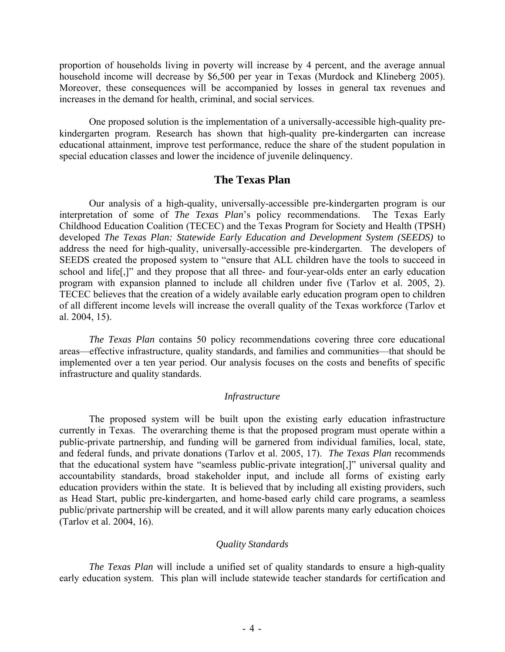proportion of households living in poverty will increase by 4 percent, and the average annual household income will decrease by \$6,500 per year in Texas (Murdock and Klineberg 2005). Moreover, these consequences will be accompanied by losses in general tax revenues and increases in the demand for health, criminal, and social services.

 One proposed solution is the implementation of a universally-accessible high-quality prekindergarten program. Research has shown that high-quality pre-kindergarten can increase educational attainment, improve test performance, reduce the share of the student population in special education classes and lower the incidence of juvenile delinquency.

#### **The Texas Plan**

 Our analysis of a high-quality, universally-accessible pre-kindergarten program is our interpretation of some of *The Texas Plan*'s policy recommendations. The Texas Early Childhood Education Coalition (TECEC) and the Texas Program for Society and Health (TPSH) developed *The Texas Plan: Statewide Early Education and Development System (SEEDS)* to address the need for high-quality, universally-accessible pre-kindergarten. The developers of SEEDS created the proposed system to "ensure that ALL children have the tools to succeed in school and life[,]" and they propose that all three- and four-year-olds enter an early education program with expansion planned to include all children under five (Tarlov et al. 2005, 2). TECEC believes that the creation of a widely available early education program open to children of all different income levels will increase the overall quality of the Texas workforce (Tarlov et al. 2004, 15).

*The Texas Plan* contains 50 policy recommendations covering three core educational areas—effective infrastructure, quality standards, and families and communities—that should be implemented over a ten year period. Our analysis focuses on the costs and benefits of specific infrastructure and quality standards.

#### *Infrastructure*

 The proposed system will be built upon the existing early education infrastructure currently in Texas. The overarching theme is that the proposed program must operate within a public-private partnership, and funding will be garnered from individual families, local, state, and federal funds, and private donations (Tarlov et al. 2005, 17). *The Texas Plan* recommends that the educational system have "seamless public-private integration[,]" universal quality and accountability standards, broad stakeholder input, and include all forms of existing early education providers within the state. It is believed that by including all existing providers, such as Head Start, public pre-kindergarten, and home-based early child care programs, a seamless public/private partnership will be created, and it will allow parents many early education choices (Tarlov et al. 2004, 16).

#### *Quality Standards*

*The Texas Plan* will include a unified set of quality standards to ensure a high-quality early education system. This plan will include statewide teacher standards for certification and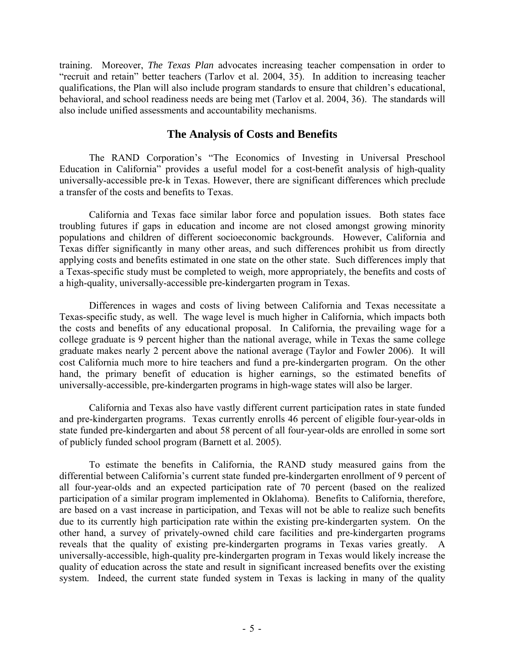training. Moreover, *The Texas Plan* advocates increasing teacher compensation in order to "recruit and retain" better teachers (Tarlov et al. 2004, 35). In addition to increasing teacher qualifications, the Plan will also include program standards to ensure that children's educational, behavioral, and school readiness needs are being met (Tarlov et al. 2004, 36). The standards will also include unified assessments and accountability mechanisms.

### **The Analysis of Costs and Benefits**

The RAND Corporation's "The Economics of Investing in Universal Preschool Education in California" provides a useful model for a cost-benefit analysis of high-quality universally-accessible pre-k in Texas. However, there are significant differences which preclude a transfer of the costs and benefits to Texas.

California and Texas face similar labor force and population issues. Both states face troubling futures if gaps in education and income are not closed amongst growing minority populations and children of different socioeconomic backgrounds. However, California and Texas differ significantly in many other areas, and such differences prohibit us from directly applying costs and benefits estimated in one state on the other state. Such differences imply that a Texas-specific study must be completed to weigh, more appropriately, the benefits and costs of a high-quality, universally-accessible pre-kindergarten program in Texas.

 Differences in wages and costs of living between California and Texas necessitate a Texas-specific study, as well. The wage level is much higher in California, which impacts both the costs and benefits of any educational proposal. In California, the prevailing wage for a college graduate is 9 percent higher than the national average, while in Texas the same college graduate makes nearly 2 percent above the national average (Taylor and Fowler 2006). It will cost California much more to hire teachers and fund a pre-kindergarten program. On the other hand, the primary benefit of education is higher earnings, so the estimated benefits of universally-accessible, pre-kindergarten programs in high-wage states will also be larger.

 California and Texas also have vastly different current participation rates in state funded and pre-kindergarten programs. Texas currently enrolls 46 percent of eligible four-year-olds in state funded pre-kindergarten and about 58 percent of all four-year-olds are enrolled in some sort of publicly funded school program (Barnett et al. 2005).

 To estimate the benefits in California, the RAND study measured gains from the differential between California's current state funded pre-kindergarten enrollment of 9 percent of all four-year-olds and an expected participation rate of 70 percent (based on the realized participation of a similar program implemented in Oklahoma). Benefits to California, therefore, are based on a vast increase in participation, and Texas will not be able to realize such benefits due to its currently high participation rate within the existing pre-kindergarten system. On the other hand, a survey of privately-owned child care facilities and pre-kindergarten programs reveals that the quality of existing pre-kindergarten programs in Texas varies greatly. A universally-accessible, high-quality pre-kindergarten program in Texas would likely increase the quality of education across the state and result in significant increased benefits over the existing system. Indeed, the current state funded system in Texas is lacking in many of the quality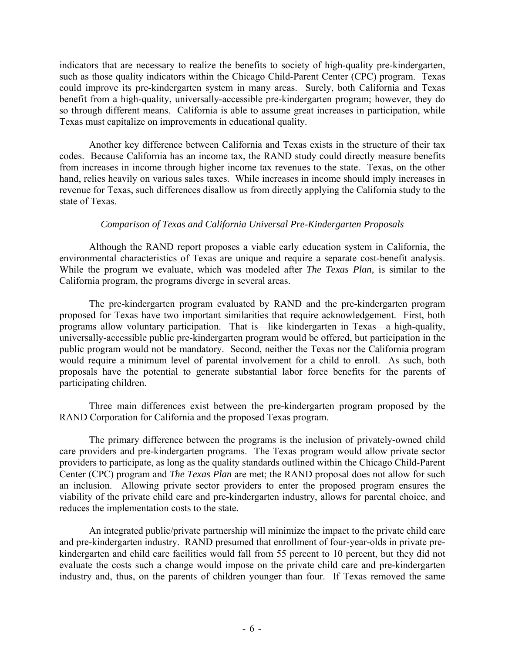indicators that are necessary to realize the benefits to society of high-quality pre-kindergarten, such as those quality indicators within the Chicago Child-Parent Center (CPC) program. Texas could improve its pre-kindergarten system in many areas. Surely, both California and Texas benefit from a high-quality, universally-accessible pre-kindergarten program; however, they do so through different means. California is able to assume great increases in participation, while Texas must capitalize on improvements in educational quality.

Another key difference between California and Texas exists in the structure of their tax codes. Because California has an income tax, the RAND study could directly measure benefits from increases in income through higher income tax revenues to the state. Texas, on the other hand, relies heavily on various sales taxes. While increases in income should imply increases in revenue for Texas, such differences disallow us from directly applying the California study to the state of Texas.

#### *Comparison of Texas and California Universal Pre-Kindergarten Proposals*

Although the RAND report proposes a viable early education system in California, the environmental characteristics of Texas are unique and require a separate cost-benefit analysis. While the program we evaluate, which was modeled after *The Texas Plan,* is similar to the California program, the programs diverge in several areas.

The pre-kindergarten program evaluated by RAND and the pre-kindergarten program proposed for Texas have two important similarities that require acknowledgement. First, both programs allow voluntary participation. That is—like kindergarten in Texas—a high-quality, universally-accessible public pre-kindergarten program would be offered, but participation in the public program would not be mandatory. Second, neither the Texas nor the California program would require a minimum level of parental involvement for a child to enroll. As such, both proposals have the potential to generate substantial labor force benefits for the parents of participating children.

 Three main differences exist between the pre-kindergarten program proposed by the RAND Corporation for California and the proposed Texas program.

The primary difference between the programs is the inclusion of privately-owned child care providers and pre-kindergarten programs. The Texas program would allow private sector providers to participate, as long as the quality standards outlined within the Chicago Child-Parent Center (CPC) program and *The Texas Plan* are met; the RAND proposal does not allow for such an inclusion. Allowing private sector providers to enter the proposed program ensures the viability of the private child care and pre-kindergarten industry, allows for parental choice, and reduces the implementation costs to the state*.*

 An integrated public/private partnership will minimize the impact to the private child care and pre-kindergarten industry. RAND presumed that enrollment of four-year-olds in private prekindergarten and child care facilities would fall from 55 percent to 10 percent, but they did not evaluate the costs such a change would impose on the private child care and pre-kindergarten industry and, thus, on the parents of children younger than four. If Texas removed the same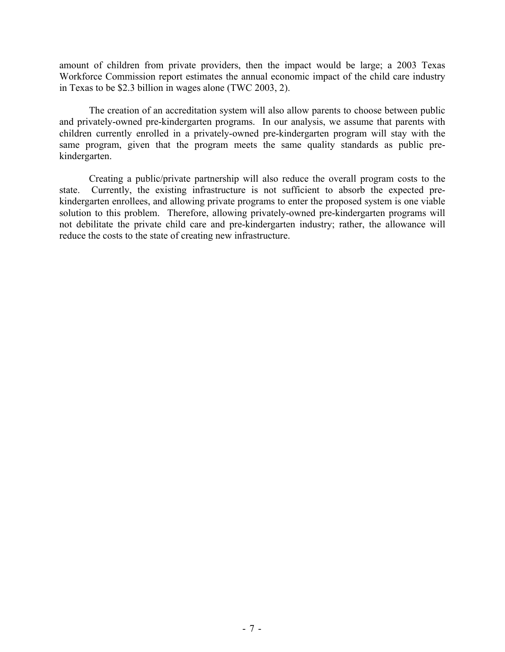amount of children from private providers, then the impact would be large; a 2003 Texas Workforce Commission report estimates the annual economic impact of the child care industry in Texas to be \$2.3 billion in wages alone (TWC 2003, 2).

 The creation of an accreditation system will also allow parents to choose between public and privately-owned pre-kindergarten programs. In our analysis, we assume that parents with children currently enrolled in a privately-owned pre-kindergarten program will stay with the same program, given that the program meets the same quality standards as public prekindergarten.

 Creating a public/private partnership will also reduce the overall program costs to the state. Currently, the existing infrastructure is not sufficient to absorb the expected prekindergarten enrollees, and allowing private programs to enter the proposed system is one viable solution to this problem. Therefore, allowing privately-owned pre-kindergarten programs will not debilitate the private child care and pre-kindergarten industry; rather, the allowance will reduce the costs to the state of creating new infrastructure.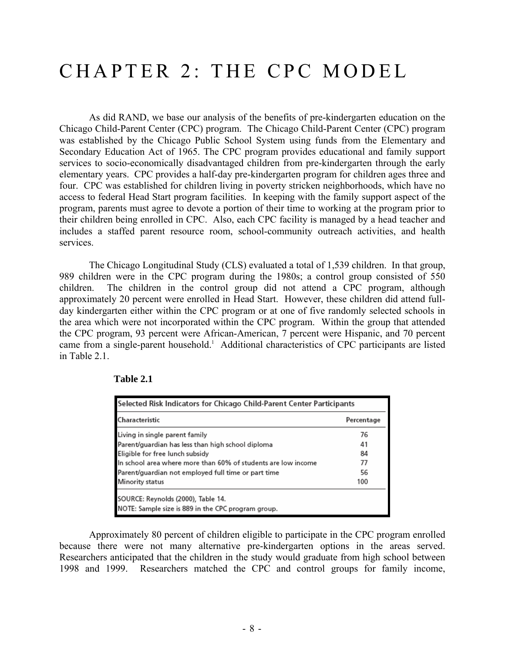## CHAPTER 2: THE CPC MODEL

As did RAND, we base our analysis of the benefits of pre-kindergarten education on the Chicago Child-Parent Center (CPC) program. The Chicago Child-Parent Center (CPC) program was established by the Chicago Public School System using funds from the Elementary and Secondary Education Act of 1965. The CPC program provides educational and family support services to socio-economically disadvantaged children from pre-kindergarten through the early elementary years. CPC provides a half-day pre-kindergarten program for children ages three and four. CPC was established for children living in poverty stricken neighborhoods, which have no access to federal Head Start program facilities. In keeping with the family support aspect of the program, parents must agree to devote a portion of their time to working at the program prior to their children being enrolled in CPC. Also, each CPC facility is managed by a head teacher and includes a staffed parent resource room, school-community outreach activities, and health services.

 The Chicago Longitudinal Study (CLS) evaluated a total of 1,539 children. In that group, 989 children were in the CPC program during the 1980s; a control group consisted of 550 children. The children in the control group did not attend a CPC program, although approximately 20 percent were enrolled in Head Start. However, these children did attend fullday kindergarten either within the CPC program or at one of five randomly selected schools in the area which were not incorporated within the CPC program. Within the group that attended the CPC program, 93 percent were African-American, 7 percent were Hispanic, and 70 percent came from a single-parent household.<sup>1</sup> Additional characteristics of CPC participants are listed in Table 2.1.

| Selected Risk Indicators for Chicago Child-Parent Center Participants                    |            |  |  |
|------------------------------------------------------------------------------------------|------------|--|--|
| Characteristic                                                                           | Percentage |  |  |
| Living in single parent family                                                           | 76         |  |  |
| Parent/guardian has less than high school diploma                                        | 41         |  |  |
| Eligible for free lunch subsidy                                                          | 84         |  |  |
| In school area where more than 60% of students are low income                            | 77         |  |  |
| Parent/guardian not employed full time or part time                                      | 56         |  |  |
| Minority status                                                                          | 100        |  |  |
| SOURCE: Reynolds (2000), Table 14.<br>NOTE: Sample size is 889 in the CPC program group. |            |  |  |

#### **Table 2.1**

 Approximately 80 percent of children eligible to participate in the CPC program enrolled because there were not many alternative pre-kindergarten options in the areas served. Researchers anticipated that the children in the study would graduate from high school between 1998 and 1999. Researchers matched the CPC and control groups for family income,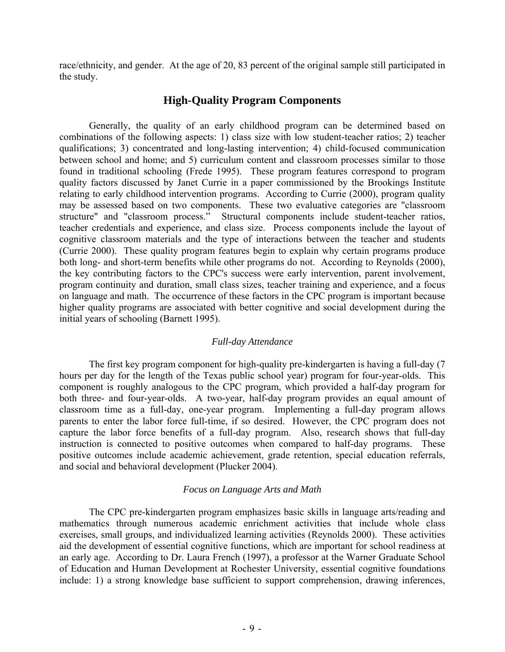race/ethnicity, and gender. At the age of 20, 83 percent of the original sample still participated in the study.

## **High-Quality Program Components**

 Generally, the quality of an early childhood program can be determined based on combinations of the following aspects: 1) class size with low student-teacher ratios; 2) teacher qualifications; 3) concentrated and long-lasting intervention; 4) child-focused communication between school and home; and 5) curriculum content and classroom processes similar to those found in traditional schooling (Frede 1995). These program features correspond to program quality factors discussed by Janet Currie in a paper commissioned by the Brookings Institute relating to early childhood intervention programs. According to Currie (2000), program quality may be assessed based on two components. These two evaluative categories are "classroom structure" and "classroom process." Structural components include student-teacher ratios, teacher credentials and experience, and class size. Process components include the layout of cognitive classroom materials and the type of interactions between the teacher and students (Currie 2000). These quality program features begin to explain why certain programs produce both long- and short-term benefits while other programs do not. According to Reynolds (2000), the key contributing factors to the CPC's success were early intervention, parent involvement, program continuity and duration, small class sizes, teacher training and experience, and a focus on language and math. The occurrence of these factors in the CPC program is important because higher quality programs are associated with better cognitive and social development during the initial years of schooling (Barnett 1995).

#### *Full-day Attendance*

 The first key program component for high-quality pre-kindergarten is having a full-day (7 hours per day for the length of the Texas public school year) program for four-year-olds. This component is roughly analogous to the CPC program, which provided a half-day program for both three- and four-year-olds. A two-year, half-day program provides an equal amount of classroom time as a full-day, one-year program. Implementing a full-day program allows parents to enter the labor force full-time, if so desired. However, the CPC program does not capture the labor force benefits of a full-day program. Also, research shows that full-day instruction is connected to positive outcomes when compared to half-day programs. These positive outcomes include academic achievement, grade retention, special education referrals, and social and behavioral development (Plucker 2004).

#### *Focus on Language Arts and Math*

 The CPC pre-kindergarten program emphasizes basic skills in language arts/reading and mathematics through numerous academic enrichment activities that include whole class exercises, small groups, and individualized learning activities (Reynolds 2000). These activities aid the development of essential cognitive functions, which are important for school readiness at an early age. According to Dr. Laura French (1997), a professor at the Warner Graduate School of Education and Human Development at Rochester University, essential cognitive foundations include: 1) a strong knowledge base sufficient to support comprehension, drawing inferences,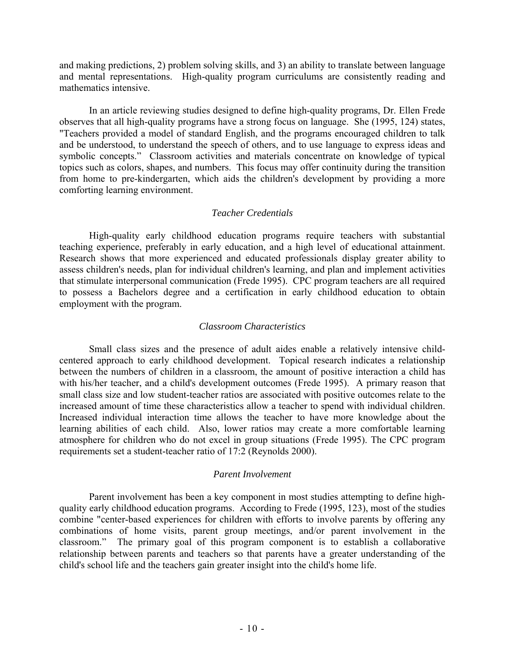and making predictions, 2) problem solving skills, and 3) an ability to translate between language and mental representations. High-quality program curriculums are consistently reading and mathematics intensive.

 In an article reviewing studies designed to define high-quality programs, Dr. Ellen Frede observes that all high-quality programs have a strong focus on language. She (1995, 124) states, "Teachers provided a model of standard English, and the programs encouraged children to talk and be understood, to understand the speech of others, and to use language to express ideas and symbolic concepts." Classroom activities and materials concentrate on knowledge of typical topics such as colors, shapes, and numbers. This focus may offer continuity during the transition from home to pre-kindergarten, which aids the children's development by providing a more comforting learning environment.

#### *Teacher Credentials*

 High-quality early childhood education programs require teachers with substantial teaching experience, preferably in early education, and a high level of educational attainment. Research shows that more experienced and educated professionals display greater ability to assess children's needs, plan for individual children's learning, and plan and implement activities that stimulate interpersonal communication (Frede 1995). CPC program teachers are all required to possess a Bachelors degree and a certification in early childhood education to obtain employment with the program.

#### *Classroom Characteristics*

 Small class sizes and the presence of adult aides enable a relatively intensive childcentered approach to early childhood development. Topical research indicates a relationship between the numbers of children in a classroom, the amount of positive interaction a child has with his/her teacher, and a child's development outcomes (Frede 1995). A primary reason that small class size and low student-teacher ratios are associated with positive outcomes relate to the increased amount of time these characteristics allow a teacher to spend with individual children. Increased individual interaction time allows the teacher to have more knowledge about the learning abilities of each child. Also, lower ratios may create a more comfortable learning atmosphere for children who do not excel in group situations (Frede 1995). The CPC program requirements set a student-teacher ratio of 17:2 (Reynolds 2000).

#### *Parent Involvement*

 Parent involvement has been a key component in most studies attempting to define highquality early childhood education programs. According to Frede (1995, 123), most of the studies combine "center-based experiences for children with efforts to involve parents by offering any combinations of home visits, parent group meetings, and/or parent involvement in the classroom." The primary goal of this program component is to establish a collaborative relationship between parents and teachers so that parents have a greater understanding of the child's school life and the teachers gain greater insight into the child's home life.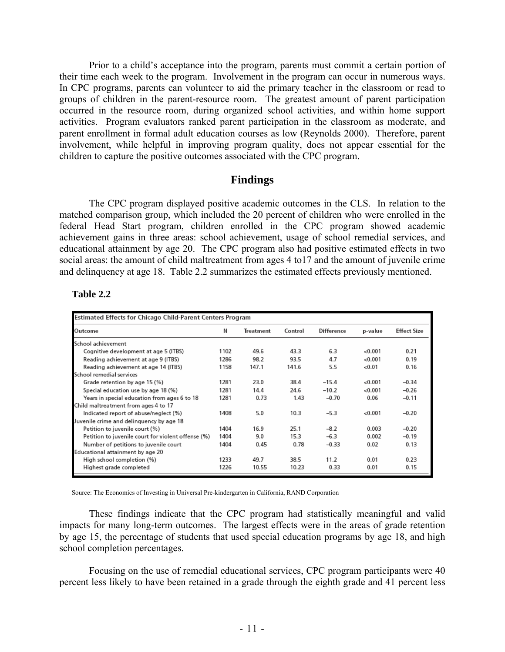Prior to a child's acceptance into the program, parents must commit a certain portion of their time each week to the program. Involvement in the program can occur in numerous ways. In CPC programs, parents can volunteer to aid the primary teacher in the classroom or read to groups of children in the parent-resource room. The greatest amount of parent participation occurred in the resource room, during organized school activities, and within home support activities. Program evaluators ranked parent participation in the classroom as moderate, and parent enrollment in formal adult education courses as low (Reynolds 2000). Therefore, parent involvement, while helpful in improving program quality, does not appear essential for the children to capture the positive outcomes associated with the CPC program.

#### **Findings**

 The CPC program displayed positive academic outcomes in the CLS. In relation to the matched comparison group, which included the 20 percent of children who were enrolled in the federal Head Start program, children enrolled in the CPC program showed academic achievement gains in three areas: school achievement, usage of school remedial services, and educational attainment by age 20. The CPC program also had positive estimated effects in two social areas: the amount of child maltreatment from ages 4 to17 and the amount of juvenile crime and delinquency at age 18. Table 2.2 summarizes the estimated effects previously mentioned.

| <b>Table 2.2</b> |
|------------------|
|------------------|

| Estimated Effects for Chicago Child-Parent Centers Program |      |           |         |                   |          |                    |
|------------------------------------------------------------|------|-----------|---------|-------------------|----------|--------------------|
| Outcome                                                    | Ν    | Treatment | Control | <b>Difference</b> | p-value  | <b>Effect Size</b> |
| School achievement                                         |      |           |         |                   |          |                    |
| Cognitive development at age 5 (ITBS)                      | 1102 | 49.6      | 43.3    | 6.3               | 0.001    | 0.21               |
| Reading achievement at age 9 (ITBS)                        | 1286 | 98.2      | 93.5    | 4.7               | <0.001   | 0.19               |
| Reading achievement at age 14 (ITBS)                       | 1158 | 147.1     | 141.6   | 5.5               | <0.01    | 0.16               |
| School remedial services                                   |      |           |         |                   |          |                    |
| Grade retention by age 15 (%)                              | 1281 | 23.0      | 38.4    | $-15.4$           | $-0.001$ | $-0.34$            |
| Special education use by age 18 (%)                        | 1281 | 14.4      | 24.6    | $-10.2$           | <0.001   | $-0.26$            |
| Years in special education from ages 6 to 18               | 1281 | 0.73      | 1.43    | $-0.70$           | 0.06     | $-0.11$            |
| Child maltreatment from ages 4 to 17                       |      |           |         |                   |          |                    |
| Indicated report of abuse/neglect (%)                      | 1408 | 5.0       | 10.3    | $-5.3$            | <0.001   | $-0.20$            |
| Juvenile crime and delinguency by age 18                   |      |           |         |                   |          |                    |
| Petition to juvenile court (%)                             | 1404 | 16.9      | 25.1    | $-8.2$            | 0.003    | $-0.20$            |
| Petition to juvenile court for violent offense (%)         | 1404 | 9.0       | 15.3    | $-6.3$            | 0.002    | $-0.19$            |
| Number of petitions to juvenile court                      | 1404 | 0.45      | 0.78    | $-0.33$           | 0.02     | 0.13               |
| Educational attainment by age 20                           |      |           |         |                   |          |                    |
| High school completion (%)                                 | 1233 | 49.7      | 38.5    | 11.2              | 0.01     | 0.23               |
| Highest grade completed                                    | 1226 | 10.55     | 10.23   | 0.33              | 0.01     | 0.15               |

Source: The Economics of Investing in Universal Pre-kindergarten in California, RAND Corporation

 These findings indicate that the CPC program had statistically meaningful and valid impacts for many long-term outcomes. The largest effects were in the areas of grade retention by age 15, the percentage of students that used special education programs by age 18, and high school completion percentages.

 Focusing on the use of remedial educational services, CPC program participants were 40 percent less likely to have been retained in a grade through the eighth grade and 41 percent less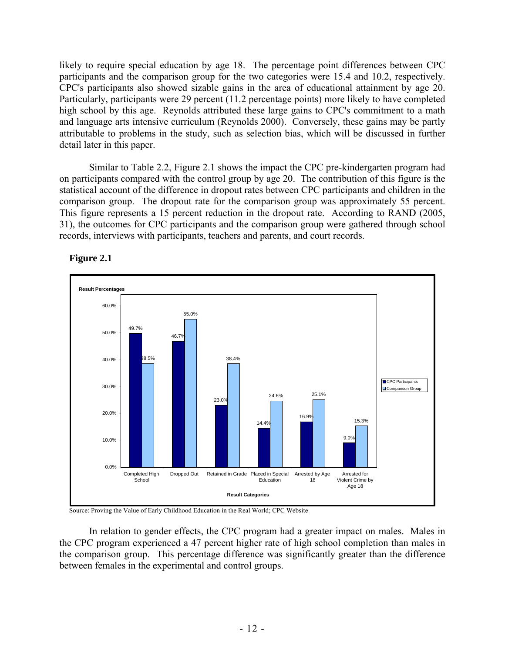likely to require special education by age 18. The percentage point differences between CPC participants and the comparison group for the two categories were 15.4 and 10.2, respectively. CPC's participants also showed sizable gains in the area of educational attainment by age 20. Particularly, participants were 29 percent (11.2 percentage points) more likely to have completed high school by this age. Reynolds attributed these large gains to CPC's commitment to a math and language arts intensive curriculum (Reynolds 2000). Conversely, these gains may be partly attributable to problems in the study, such as selection bias, which will be discussed in further detail later in this paper.

 Similar to Table 2.2, Figure 2.1 shows the impact the CPC pre-kindergarten program had on participants compared with the control group by age 20. The contribution of this figure is the statistical account of the difference in dropout rates between CPC participants and children in the comparison group. The dropout rate for the comparison group was approximately 55 percent. This figure represents a 15 percent reduction in the dropout rate. According to RAND (2005, 31), the outcomes for CPC participants and the comparison group were gathered through school records, interviews with participants, teachers and parents, and court records.





Source: Proving the Value of Early Childhood Education in the Real World; CPC Website

 In relation to gender effects, the CPC program had a greater impact on males. Males in the CPC program experienced a 47 percent higher rate of high school completion than males in the comparison group. This percentage difference was significantly greater than the difference between females in the experimental and control groups.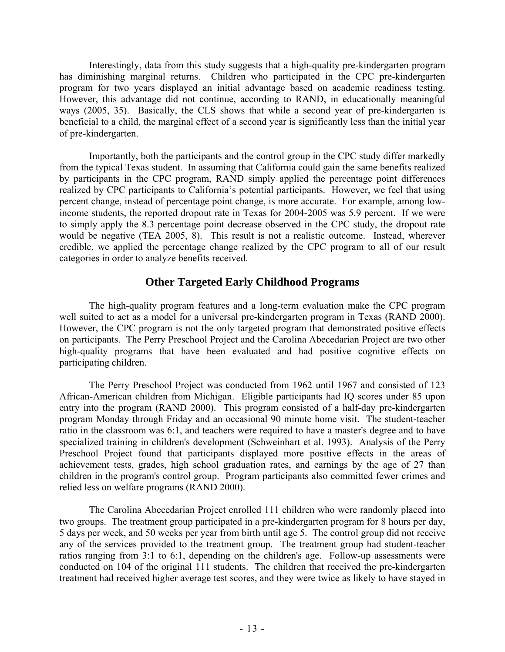Interestingly, data from this study suggests that a high-quality pre-kindergarten program has diminishing marginal returns. Children who participated in the CPC pre-kindergarten program for two years displayed an initial advantage based on academic readiness testing. However, this advantage did not continue, according to RAND, in educationally meaningful ways (2005, 35). Basically, the CLS shows that while a second year of pre-kindergarten is beneficial to a child, the marginal effect of a second year is significantly less than the initial year of pre-kindergarten.

 Importantly, both the participants and the control group in the CPC study differ markedly from the typical Texas student. In assuming that California could gain the same benefits realized by participants in the CPC program, RAND simply applied the percentage point differences realized by CPC participants to California's potential participants. However, we feel that using percent change, instead of percentage point change, is more accurate. For example, among lowincome students, the reported dropout rate in Texas for 2004-2005 was 5.9 percent. If we were to simply apply the 8.3 percentage point decrease observed in the CPC study, the dropout rate would be negative (TEA 2005, 8). This result is not a realistic outcome. Instead, wherever credible, we applied the percentage change realized by the CPC program to all of our result categories in order to analyze benefits received.

## **Other Targeted Early Childhood Programs**

 The high-quality program features and a long-term evaluation make the CPC program well suited to act as a model for a universal pre-kindergarten program in Texas (RAND 2000). However, the CPC program is not the only targeted program that demonstrated positive effects on participants. The Perry Preschool Project and the Carolina Abecedarian Project are two other high-quality programs that have been evaluated and had positive cognitive effects on participating children.

 The Perry Preschool Project was conducted from 1962 until 1967 and consisted of 123 African-American children from Michigan. Eligible participants had IQ scores under 85 upon entry into the program (RAND 2000). This program consisted of a half-day pre-kindergarten program Monday through Friday and an occasional 90 minute home visit. The student-teacher ratio in the classroom was 6:1, and teachers were required to have a master's degree and to have specialized training in children's development (Schweinhart et al. 1993). Analysis of the Perry Preschool Project found that participants displayed more positive effects in the areas of achievement tests, grades, high school graduation rates, and earnings by the age of 27 than children in the program's control group. Program participants also committed fewer crimes and relied less on welfare programs (RAND 2000).

 The Carolina Abecedarian Project enrolled 111 children who were randomly placed into two groups. The treatment group participated in a pre-kindergarten program for 8 hours per day, 5 days per week, and 50 weeks per year from birth until age 5. The control group did not receive any of the services provided to the treatment group. The treatment group had student-teacher ratios ranging from 3:1 to 6:1, depending on the children's age. Follow-up assessments were conducted on 104 of the original 111 students. The children that received the pre-kindergarten treatment had received higher average test scores, and they were twice as likely to have stayed in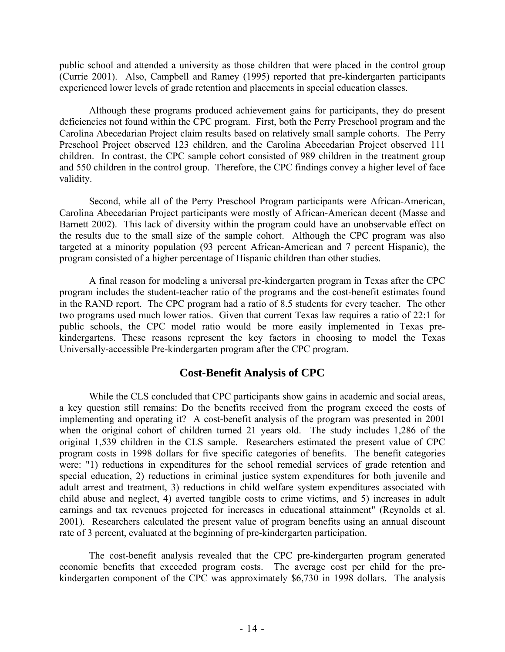public school and attended a university as those children that were placed in the control group (Currie 2001). Also, Campbell and Ramey (1995) reported that pre-kindergarten participants experienced lower levels of grade retention and placements in special education classes.

 Although these programs produced achievement gains for participants, they do present deficiencies not found within the CPC program. First, both the Perry Preschool program and the Carolina Abecedarian Project claim results based on relatively small sample cohorts. The Perry Preschool Project observed 123 children, and the Carolina Abecedarian Project observed 111 children. In contrast, the CPC sample cohort consisted of 989 children in the treatment group and 550 children in the control group. Therefore, the CPC findings convey a higher level of face validity.

 Second, while all of the Perry Preschool Program participants were African-American, Carolina Abecedarian Project participants were mostly of African-American decent (Masse and Barnett 2002). This lack of diversity within the program could have an unobservable effect on the results due to the small size of the sample cohort. Although the CPC program was also targeted at a minority population (93 percent African-American and 7 percent Hispanic), the program consisted of a higher percentage of Hispanic children than other studies.

 A final reason for modeling a universal pre-kindergarten program in Texas after the CPC program includes the student-teacher ratio of the programs and the cost-benefit estimates found in the RAND report. The CPC program had a ratio of 8.5 students for every teacher. The other two programs used much lower ratios. Given that current Texas law requires a ratio of 22:1 for public schools, the CPC model ratio would be more easily implemented in Texas prekindergartens. These reasons represent the key factors in choosing to model the Texas Universally-accessible Pre-kindergarten program after the CPC program.

## **Cost-Benefit Analysis of CPC**

 While the CLS concluded that CPC participants show gains in academic and social areas, a key question still remains: Do the benefits received from the program exceed the costs of implementing and operating it? A cost-benefit analysis of the program was presented in 2001 when the original cohort of children turned 21 years old. The study includes 1,286 of the original 1,539 children in the CLS sample. Researchers estimated the present value of CPC program costs in 1998 dollars for five specific categories of benefits. The benefit categories were: "1) reductions in expenditures for the school remedial services of grade retention and special education, 2) reductions in criminal justice system expenditures for both juvenile and adult arrest and treatment, 3) reductions in child welfare system expenditures associated with child abuse and neglect, 4) averted tangible costs to crime victims, and 5) increases in adult earnings and tax revenues projected for increases in educational attainment" (Reynolds et al. 2001). Researchers calculated the present value of program benefits using an annual discount rate of 3 percent, evaluated at the beginning of pre-kindergarten participation.

 The cost-benefit analysis revealed that the CPC pre-kindergarten program generated economic benefits that exceeded program costs. The average cost per child for the prekindergarten component of the CPC was approximately \$6,730 in 1998 dollars. The analysis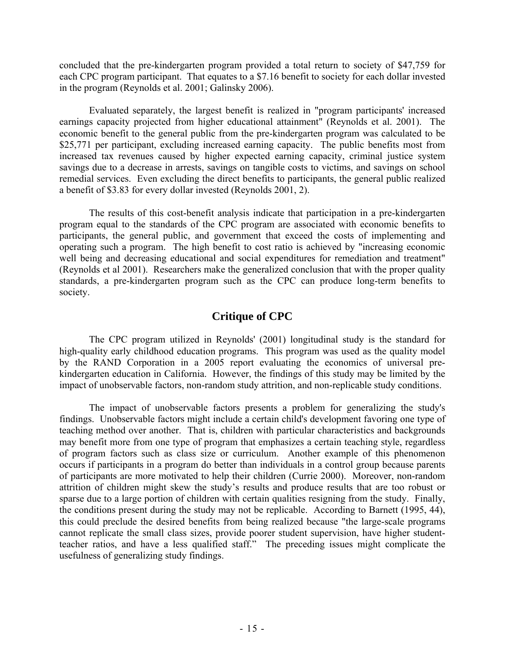concluded that the pre-kindergarten program provided a total return to society of \$47,759 for each CPC program participant. That equates to a \$7.16 benefit to society for each dollar invested in the program (Reynolds et al. 2001; Galinsky 2006).

 Evaluated separately, the largest benefit is realized in "program participants' increased earnings capacity projected from higher educational attainment" (Reynolds et al. 2001). The economic benefit to the general public from the pre-kindergarten program was calculated to be \$25,771 per participant, excluding increased earning capacity. The public benefits most from increased tax revenues caused by higher expected earning capacity, criminal justice system savings due to a decrease in arrests, savings on tangible costs to victims, and savings on school remedial services. Even excluding the direct benefits to participants, the general public realized a benefit of \$3.83 for every dollar invested (Reynolds 2001, 2).

 The results of this cost-benefit analysis indicate that participation in a pre-kindergarten program equal to the standards of the CPC program are associated with economic benefits to participants, the general public, and government that exceed the costs of implementing and operating such a program. The high benefit to cost ratio is achieved by "increasing economic well being and decreasing educational and social expenditures for remediation and treatment" (Reynolds et al 2001). Researchers make the generalized conclusion that with the proper quality standards, a pre-kindergarten program such as the CPC can produce long-term benefits to society.

## **Critique of CPC**

 The CPC program utilized in Reynolds' (2001) longitudinal study is the standard for high-quality early childhood education programs. This program was used as the quality model by the RAND Corporation in a 2005 report evaluating the economics of universal prekindergarten education in California. However, the findings of this study may be limited by the impact of unobservable factors, non-random study attrition, and non-replicable study conditions.

 The impact of unobservable factors presents a problem for generalizing the study's findings. Unobservable factors might include a certain child's development favoring one type of teaching method over another. That is, children with particular characteristics and backgrounds may benefit more from one type of program that emphasizes a certain teaching style, regardless of program factors such as class size or curriculum. Another example of this phenomenon occurs if participants in a program do better than individuals in a control group because parents of participants are more motivated to help their children (Currie 2000). Moreover, non-random attrition of children might skew the study's results and produce results that are too robust or sparse due to a large portion of children with certain qualities resigning from the study. Finally, the conditions present during the study may not be replicable. According to Barnett (1995, 44), this could preclude the desired benefits from being realized because "the large-scale programs cannot replicate the small class sizes, provide poorer student supervision, have higher studentteacher ratios, and have a less qualified staff." The preceding issues might complicate the usefulness of generalizing study findings.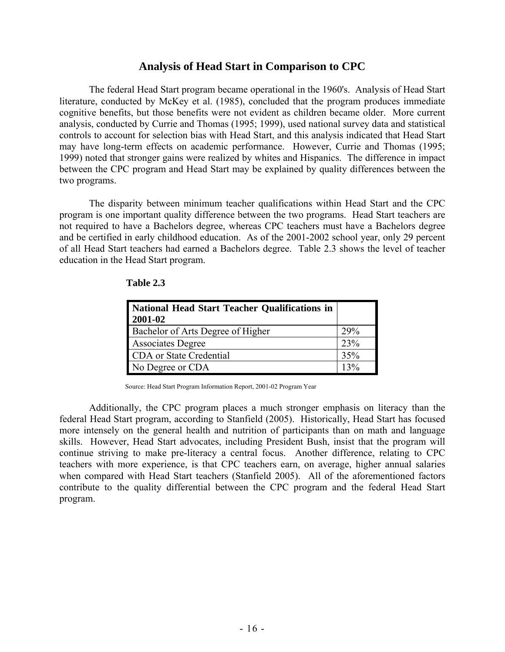### **Analysis of Head Start in Comparison to CPC**

 The federal Head Start program became operational in the 1960's. Analysis of Head Start literature, conducted by McKey et al. (1985), concluded that the program produces immediate cognitive benefits, but those benefits were not evident as children became older. More current analysis, conducted by Currie and Thomas (1995; 1999), used national survey data and statistical controls to account for selection bias with Head Start, and this analysis indicated that Head Start may have long-term effects on academic performance. However, Currie and Thomas (1995; 1999) noted that stronger gains were realized by whites and Hispanics. The difference in impact between the CPC program and Head Start may be explained by quality differences between the two programs.

 The disparity between minimum teacher qualifications within Head Start and the CPC program is one important quality difference between the two programs. Head Start teachers are not required to have a Bachelors degree, whereas CPC teachers must have a Bachelors degree and be certified in early childhood education. As of the 2001-2002 school year, only 29 percent of all Head Start teachers had earned a Bachelors degree. Table 2.3 shows the level of teacher education in the Head Start program.

| National Head Start Teacher Qualifications in<br>2001-02 |                  |
|----------------------------------------------------------|------------------|
| Bachelor of Arts Degree of Higher                        | 29%              |
| <b>Associates Degree</b>                                 | 23%              |
| CDA or State Credential                                  | 35%              |
| No Degree or CDA                                         | 130 <sub>6</sub> |

#### **Table 2.3**

Source: Head Start Program Information Report, 2001-02 Program Year

 Additionally, the CPC program places a much stronger emphasis on literacy than the federal Head Start program, according to Stanfield (2005). Historically, Head Start has focused more intensely on the general health and nutrition of participants than on math and language skills. However, Head Start advocates, including President Bush, insist that the program will continue striving to make pre-literacy a central focus. Another difference, relating to CPC teachers with more experience, is that CPC teachers earn, on average, higher annual salaries when compared with Head Start teachers (Stanfield 2005). All of the aforementioned factors contribute to the quality differential between the CPC program and the federal Head Start program.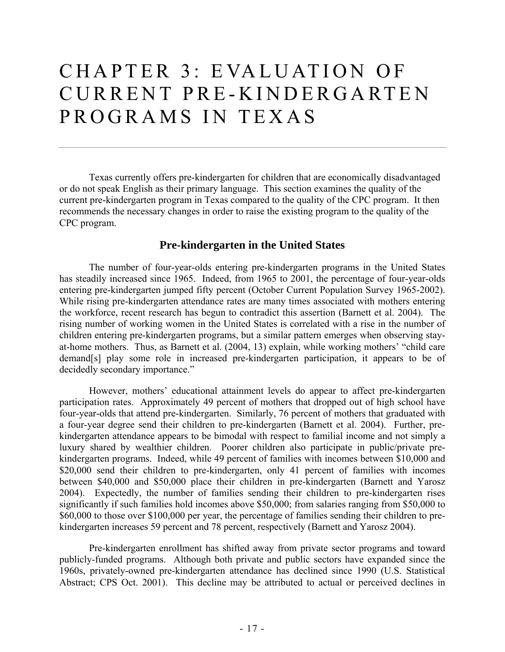## CHAPTER 3: EVALUATION OF CURRENT PRE-KINDERGARTEN PROGRAMS IN TEXAS

 Texas currently offers pre-kindergarten for children that are economically disadvantaged or do not speak English as their primary language. This section examines the quality of the current pre-kindergarten program in Texas compared to the quality of the CPC program. It then recommends the necessary changes in order to raise the existing program to the quality of the CPC program.

### **Pre-kindergarten in the United States**

 The number of four-year-olds entering pre-kindergarten programs in the United States has steadily increased since 1965. Indeed, from 1965 to 2001, the percentage of four-year-olds entering pre-kindergarten jumped fifty percent (October Current Population Survey 1965-2002). While rising pre-kindergarten attendance rates are many times associated with mothers entering the workforce, recent research has begun to contradict this assertion (Barnett et al. 2004). The rising number of working women in the United States is correlated with a rise in the number of children entering pre-kindergarten programs, but a similar pattern emerges when observing stayat-home mothers. Thus, as Barnett et al. (2004, 13) explain, while working mothers' "child care demand[s] play some role in increased pre-kindergarten participation, it appears to be of decidedly secondary importance."

 However, mothers' educational attainment levels do appear to affect pre-kindergarten participation rates. Approximately 49 percent of mothers that dropped out of high school have four-year-olds that attend pre-kindergarten. Similarly, 76 percent of mothers that graduated with a four-year degree send their children to pre-kindergarten (Barnett et al. 2004). Further, prekindergarten attendance appears to be bimodal with respect to familial income and not simply a luxury shared by wealthier children. Poorer children also participate in public/private prekindergarten programs. Indeed, while 49 percent of families with incomes between \$10,000 and \$20,000 send their children to pre-kindergarten, only 41 percent of families with incomes between \$40,000 and \$50,000 place their children in pre-kindergarten (Barnett and Yarosz 2004). Expectedly, the number of families sending their children to pre-kindergarten rises significantly if such families hold incomes above \$50,000; from salaries ranging from \$50,000 to \$60,000 to those over \$100,000 per year, the percentage of families sending their children to prekindergarten increases 59 percent and 78 percent, respectively (Barnett and Yarosz 2004).

 Pre-kindergarten enrollment has shifted away from private sector programs and toward publicly-funded programs. Although both private and public sectors have expanded since the 1960s, privately-owned pre-kindergarten attendance has declined since 1990 (U.S. Statistical Abstract; CPS Oct. 2001). This decline may be attributed to actual or perceived declines in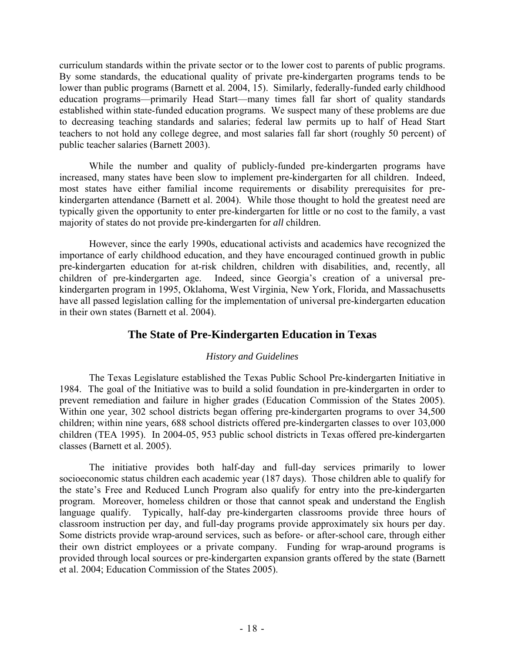curriculum standards within the private sector or to the lower cost to parents of public programs. By some standards, the educational quality of private pre-kindergarten programs tends to be lower than public programs (Barnett et al. 2004, 15). Similarly, federally-funded early childhood education programs—primarily Head Start—many times fall far short of quality standards established within state-funded education programs. We suspect many of these problems are due to decreasing teaching standards and salaries; federal law permits up to half of Head Start teachers to not hold any college degree, and most salaries fall far short (roughly 50 percent) of public teacher salaries (Barnett 2003).

 While the number and quality of publicly-funded pre-kindergarten programs have increased, many states have been slow to implement pre-kindergarten for all children. Indeed, most states have either familial income requirements or disability prerequisites for prekindergarten attendance (Barnett et al. 2004). While those thought to hold the greatest need are typically given the opportunity to enter pre-kindergarten for little or no cost to the family, a vast majority of states do not provide pre-kindergarten for *all* children.

 However, since the early 1990s, educational activists and academics have recognized the importance of early childhood education, and they have encouraged continued growth in public pre-kindergarten education for at-risk children, children with disabilities, and, recently, all children of pre-kindergarten age. Indeed, since Georgia's creation of a universal prekindergarten program in 1995, Oklahoma, West Virginia, New York, Florida, and Massachusetts have all passed legislation calling for the implementation of universal pre-kindergarten education in their own states (Barnett et al. 2004).

## **The State of Pre-Kindergarten Education in Texas**

#### *History and Guidelines*

 The Texas Legislature established the Texas Public School Pre-kindergarten Initiative in 1984. The goal of the Initiative was to build a solid foundation in pre-kindergarten in order to prevent remediation and failure in higher grades (Education Commission of the States 2005). Within one year, 302 school districts began offering pre-kindergarten programs to over 34,500 children; within nine years, 688 school districts offered pre-kindergarten classes to over 103,000 children (TEA 1995). In 2004-05, 953 public school districts in Texas offered pre-kindergarten classes (Barnett et al. 2005).

 The initiative provides both half-day and full-day services primarily to lower socioeconomic status children each academic year (187 days). Those children able to qualify for the state's Free and Reduced Lunch Program also qualify for entry into the pre-kindergarten program. Moreover, homeless children or those that cannot speak and understand the English language qualify. Typically, half-day pre-kindergarten classrooms provide three hours of classroom instruction per day, and full-day programs provide approximately six hours per day. Some districts provide wrap-around services, such as before- or after-school care, through either their own district employees or a private company. Funding for wrap-around programs is provided through local sources or pre-kindergarten expansion grants offered by the state (Barnett et al. 2004; Education Commission of the States 2005).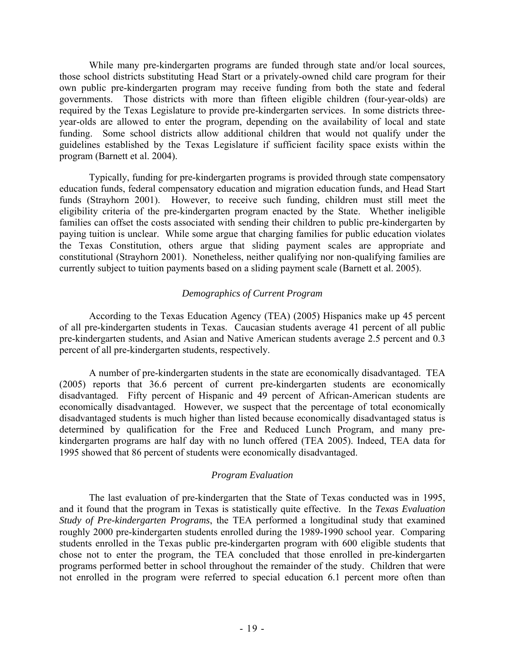While many pre-kindergarten programs are funded through state and/or local sources, those school districts substituting Head Start or a privately-owned child care program for their own public pre-kindergarten program may receive funding from both the state and federal governments. Those districts with more than fifteen eligible children (four-year-olds) are required by the Texas Legislature to provide pre-kindergarten services. In some districts threeyear-olds are allowed to enter the program, depending on the availability of local and state funding. Some school districts allow additional children that would not qualify under the guidelines established by the Texas Legislature if sufficient facility space exists within the program (Barnett et al. 2004).

 Typically, funding for pre-kindergarten programs is provided through state compensatory education funds, federal compensatory education and migration education funds, and Head Start funds (Strayhorn 2001). However, to receive such funding, children must still meet the eligibility criteria of the pre-kindergarten program enacted by the State. Whether ineligible families can offset the costs associated with sending their children to public pre-kindergarten by paying tuition is unclear. While some argue that charging families for public education violates the Texas Constitution, others argue that sliding payment scales are appropriate and constitutional (Strayhorn 2001). Nonetheless, neither qualifying nor non-qualifying families are currently subject to tuition payments based on a sliding payment scale (Barnett et al. 2005).

#### *Demographics of Current Program*

 According to the Texas Education Agency (TEA) (2005) Hispanics make up 45 percent of all pre-kindergarten students in Texas. Caucasian students average 41 percent of all public pre-kindergarten students, and Asian and Native American students average 2.5 percent and 0.3 percent of all pre-kindergarten students, respectively.

 A number of pre-kindergarten students in the state are economically disadvantaged. TEA (2005) reports that 36.6 percent of current pre-kindergarten students are economically disadvantaged. Fifty percent of Hispanic and 49 percent of African-American students are economically disadvantaged. However, we suspect that the percentage of total economically disadvantaged students is much higher than listed because economically disadvantaged status is determined by qualification for the Free and Reduced Lunch Program, and many prekindergarten programs are half day with no lunch offered (TEA 2005). Indeed, TEA data for 1995 showed that 86 percent of students were economically disadvantaged.

#### *Program Evaluation*

 The last evaluation of pre-kindergarten that the State of Texas conducted was in 1995, and it found that the program in Texas is statistically quite effective. In the *Texas Evaluation Study of Pre-kindergarten Programs*, the TEA performed a longitudinal study that examined roughly 2000 pre-kindergarten students enrolled during the 1989-1990 school year. Comparing students enrolled in the Texas public pre-kindergarten program with 600 eligible students that chose not to enter the program, the TEA concluded that those enrolled in pre-kindergarten programs performed better in school throughout the remainder of the study. Children that were not enrolled in the program were referred to special education 6.1 percent more often than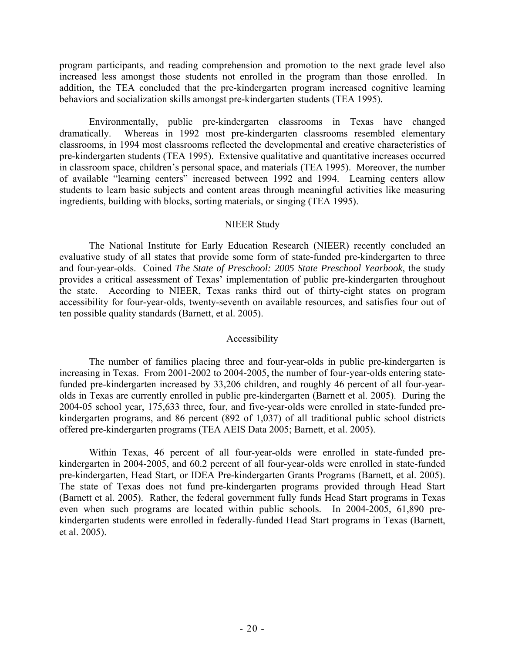program participants, and reading comprehension and promotion to the next grade level also increased less amongst those students not enrolled in the program than those enrolled. In addition, the TEA concluded that the pre-kindergarten program increased cognitive learning behaviors and socialization skills amongst pre-kindergarten students (TEA 1995).

 Environmentally, public pre-kindergarten classrooms in Texas have changed dramatically. Whereas in 1992 most pre-kindergarten classrooms resembled elementary classrooms, in 1994 most classrooms reflected the developmental and creative characteristics of pre-kindergarten students (TEA 1995). Extensive qualitative and quantitative increases occurred in classroom space, children's personal space, and materials (TEA 1995). Moreover, the number of available "learning centers" increased between 1992 and 1994. Learning centers allow students to learn basic subjects and content areas through meaningful activities like measuring ingredients, building with blocks, sorting materials, or singing (TEA 1995).

#### NIEER Study

 The National Institute for Early Education Research (NIEER) recently concluded an evaluative study of all states that provide some form of state-funded pre-kindergarten to three and four-year-olds. Coined *The State of Preschool: 2005 State Preschool Yearbook*, the study provides a critical assessment of Texas' implementation of public pre-kindergarten throughout the state. According to NIEER, Texas ranks third out of thirty-eight states on program accessibility for four-year-olds, twenty-seventh on available resources, and satisfies four out of ten possible quality standards (Barnett, et al. 2005).

#### Accessibility

 The number of families placing three and four-year-olds in public pre-kindergarten is increasing in Texas. From 2001-2002 to 2004-2005, the number of four-year-olds entering statefunded pre-kindergarten increased by 33,206 children, and roughly 46 percent of all four-yearolds in Texas are currently enrolled in public pre-kindergarten (Barnett et al. 2005). During the 2004-05 school year, 175,633 three, four, and five-year-olds were enrolled in state-funded prekindergarten programs, and 86 percent (892 of 1,037) of all traditional public school districts offered pre-kindergarten programs (TEA AEIS Data 2005; Barnett, et al. 2005).

 Within Texas, 46 percent of all four-year-olds were enrolled in state-funded prekindergarten in 2004-2005, and 60.2 percent of all four-year-olds were enrolled in state-funded pre-kindergarten, Head Start, or IDEA Pre-kindergarten Grants Programs (Barnett, et al. 2005). The state of Texas does not fund pre-kindergarten programs provided through Head Start (Barnett et al. 2005). Rather, the federal government fully funds Head Start programs in Texas even when such programs are located within public schools. In 2004-2005, 61,890 prekindergarten students were enrolled in federally-funded Head Start programs in Texas (Barnett, et al. 2005).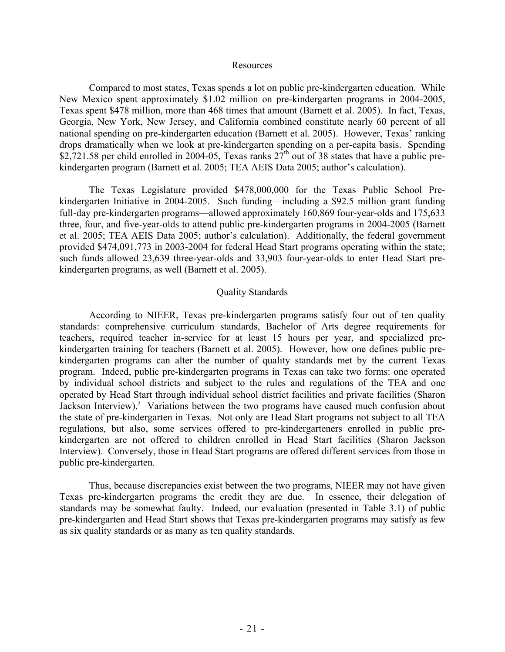#### Resources

 Compared to most states, Texas spends a lot on public pre-kindergarten education. While New Mexico spent approximately \$1.02 million on pre-kindergarten programs in 2004-2005, Texas spent \$478 million, more than 468 times that amount (Barnett et al. 2005). In fact, Texas, Georgia, New York, New Jersey, and California combined constitute nearly 60 percent of all national spending on pre-kindergarten education (Barnett et al. 2005). However, Texas' ranking drops dramatically when we look at pre-kindergarten spending on a per-capita basis. Spending \$2,721.58 per child enrolled in 2004-05, Texas ranks  $27<sup>th</sup>$  out of 38 states that have a public prekindergarten program (Barnett et al. 2005; TEA AEIS Data 2005; author's calculation).

 The Texas Legislature provided \$478,000,000 for the Texas Public School Prekindergarten Initiative in 2004-2005. Such funding—including a \$92.5 million grant funding full-day pre-kindergarten programs—allowed approximately 160,869 four-year-olds and 175,633 three, four, and five-year-olds to attend public pre-kindergarten programs in 2004-2005 (Barnett et al. 2005; TEA AEIS Data 2005; author's calculation). Additionally, the federal government provided \$474,091,773 in 2003-2004 for federal Head Start programs operating within the state; such funds allowed 23,639 three-year-olds and 33,903 four-year-olds to enter Head Start prekindergarten programs, as well (Barnett et al. 2005).

#### Quality Standards

 According to NIEER, Texas pre-kindergarten programs satisfy four out of ten quality standards: comprehensive curriculum standards, Bachelor of Arts degree requirements for teachers, required teacher in-service for at least 15 hours per year, and specialized prekindergarten training for teachers (Barnett et al. 2005). However, how one defines public prekindergarten programs can alter the number of quality standards met by the current Texas program. Indeed, public pre-kindergarten programs in Texas can take two forms: one operated by individual school districts and subject to the rules and regulations of the TEA and one operated by Head Start through individual school district facilities and private facilities (Sharon Jackson Interview).<sup>2</sup> Variations between the two programs have caused much confusion about the state of pre-kindergarten in Texas. Not only are Head Start programs not subject to all TEA regulations, but also, some services offered to pre-kindergarteners enrolled in public prekindergarten are not offered to children enrolled in Head Start facilities (Sharon Jackson Interview). Conversely, those in Head Start programs are offered different services from those in public pre-kindergarten.

 Thus, because discrepancies exist between the two programs, NIEER may not have given Texas pre-kindergarten programs the credit they are due. In essence, their delegation of standards may be somewhat faulty. Indeed, our evaluation (presented in Table 3.1) of public pre-kindergarten and Head Start shows that Texas pre-kindergarten programs may satisfy as few as six quality standards or as many as ten quality standards.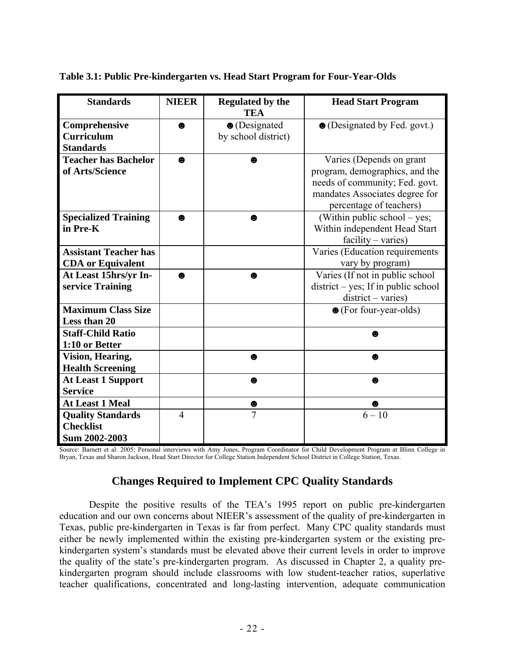| <b>Standards</b>                                              | <b>NIEER</b>   | <b>Regulated by the</b><br><b>TEA</b>        | <b>Head Start Program</b>                                                                                                                                 |
|---------------------------------------------------------------|----------------|----------------------------------------------|-----------------------------------------------------------------------------------------------------------------------------------------------------------|
| Comprehensive<br><b>Curriculum</b><br><b>Standards</b>        | ⊕              | $\bullet$ (Designated<br>by school district) | • (Designated by Fed. govt.)                                                                                                                              |
| <b>Teacher has Bachelor</b><br>of Arts/Science                | ❸              | ❸                                            | Varies (Depends on grant<br>program, demographics, and the<br>needs of community; Fed. govt.<br>mandates Associates degree for<br>percentage of teachers) |
| <b>Specialized Training</b><br>in Pre-K                       | ♠              | $\bullet$                                    | (Within public school – yes;<br>Within independent Head Start<br>$facility - varies)$                                                                     |
| <b>Assistant Teacher has</b><br><b>CDA</b> or Equivalent      |                |                                              | Varies (Education requirements<br>vary by program)                                                                                                        |
| At Least 15hrs/yr In-<br>service Training                     | $\bullet$      | ❸                                            | Varies (If not in public school<br>$district - yes$ ; If in public school<br>$district - varies)$                                                         |
| <b>Maximum Class Size</b><br>Less than 20                     |                |                                              | $\bullet$ (For four-year-olds)                                                                                                                            |
| <b>Staff-Child Ratio</b><br>1:10 or Better                    |                |                                              | ω                                                                                                                                                         |
| <b>Vision, Hearing,</b><br><b>Health Screening</b>            |                | ❸                                            | $\bullet$                                                                                                                                                 |
| <b>At Least 1 Support</b><br><b>Service</b>                   |                | ❸                                            | ❸                                                                                                                                                         |
| <b>At Least 1 Meal</b>                                        |                | ●                                            | ❸                                                                                                                                                         |
| <b>Quality Standards</b><br><b>Checklist</b><br>Sum 2002-2003 | $\overline{4}$ | $\overline{7}$                               | $6 - 10$                                                                                                                                                  |

#### **Table 3.1: Public Pre-kindergarten vs. Head Start Program for Four-Year-Olds**

Source: Barnett et al. 2005; Personal interviews with Amy Jones, Program Coordinator for Child Development Program at Blinn College in Bryan, Texas and Sharon Jackson, Head Start Director for College Station Independent School District in College Station, Texas.

## **Changes Required to Implement CPC Quality Standards**

 Despite the positive results of the TEA's 1995 report on public pre-kindergarten education and our own concerns about NIEER's assessment of the quality of pre-kindergarten in Texas, public pre-kindergarten in Texas is far from perfect. Many CPC quality standards must either be newly implemented within the existing pre-kindergarten system or the existing prekindergarten system's standards must be elevated above their current levels in order to improve the quality of the state's pre-kindergarten program. As discussed in Chapter 2, a quality prekindergarten program should include classrooms with low student-teacher ratios, superlative teacher qualifications, concentrated and long-lasting intervention, adequate communication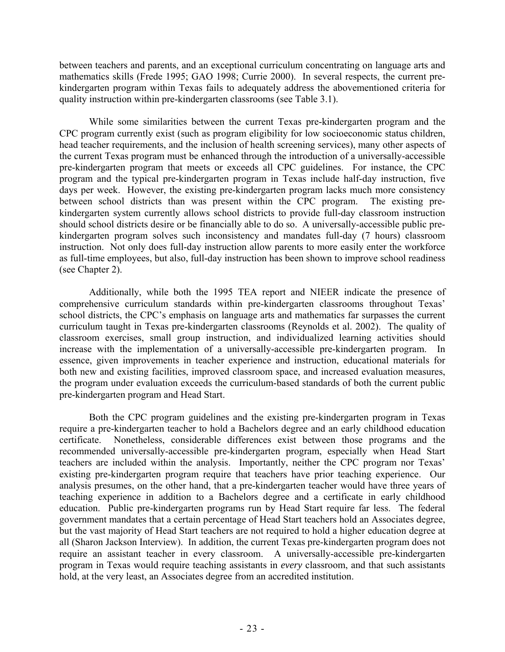between teachers and parents, and an exceptional curriculum concentrating on language arts and mathematics skills (Frede 1995; GAO 1998; Currie 2000). In several respects, the current prekindergarten program within Texas fails to adequately address the abovementioned criteria for quality instruction within pre-kindergarten classrooms (see Table 3.1).

 While some similarities between the current Texas pre-kindergarten program and the CPC program currently exist (such as program eligibility for low socioeconomic status children, head teacher requirements, and the inclusion of health screening services), many other aspects of the current Texas program must be enhanced through the introduction of a universally-accessible pre-kindergarten program that meets or exceeds all CPC guidelines. For instance, the CPC program and the typical pre-kindergarten program in Texas include half-day instruction, five days per week. However, the existing pre-kindergarten program lacks much more consistency between school districts than was present within the CPC program. The existing prekindergarten system currently allows school districts to provide full-day classroom instruction should school districts desire or be financially able to do so. A universally-accessible public prekindergarten program solves such inconsistency and mandates full-day (7 hours) classroom instruction. Not only does full-day instruction allow parents to more easily enter the workforce as full-time employees, but also, full-day instruction has been shown to improve school readiness (see Chapter 2).

 Additionally, while both the 1995 TEA report and NIEER indicate the presence of comprehensive curriculum standards within pre-kindergarten classrooms throughout Texas' school districts, the CPC's emphasis on language arts and mathematics far surpasses the current curriculum taught in Texas pre-kindergarten classrooms (Reynolds et al. 2002). The quality of classroom exercises, small group instruction, and individualized learning activities should increase with the implementation of a universally-accessible pre-kindergarten program. In essence, given improvements in teacher experience and instruction, educational materials for both new and existing facilities, improved classroom space, and increased evaluation measures, the program under evaluation exceeds the curriculum-based standards of both the current public pre-kindergarten program and Head Start.

 Both the CPC program guidelines and the existing pre-kindergarten program in Texas require a pre-kindergarten teacher to hold a Bachelors degree and an early childhood education certificate. Nonetheless, considerable differences exist between those programs and the recommended universally-accessible pre-kindergarten program, especially when Head Start teachers are included within the analysis. Importantly, neither the CPC program nor Texas' existing pre-kindergarten program require that teachers have prior teaching experience. Our analysis presumes, on the other hand, that a pre-kindergarten teacher would have three years of teaching experience in addition to a Bachelors degree and a certificate in early childhood education. Public pre-kindergarten programs run by Head Start require far less. The federal government mandates that a certain percentage of Head Start teachers hold an Associates degree, but the vast majority of Head Start teachers are not required to hold a higher education degree at all (Sharon Jackson Interview). In addition, the current Texas pre-kindergarten program does not require an assistant teacher in every classroom. A universally-accessible pre-kindergarten program in Texas would require teaching assistants in *every* classroom, and that such assistants hold, at the very least, an Associates degree from an accredited institution.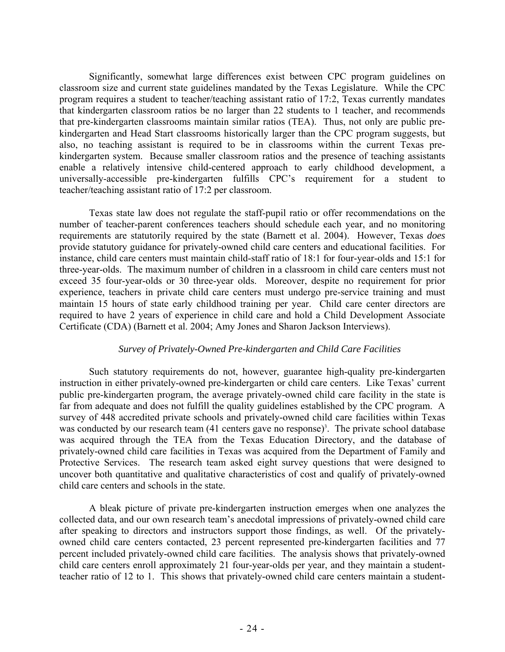Significantly, somewhat large differences exist between CPC program guidelines on classroom size and current state guidelines mandated by the Texas Legislature. While the CPC program requires a student to teacher/teaching assistant ratio of 17:2, Texas currently mandates that kindergarten classroom ratios be no larger than 22 students to 1 teacher, and recommends that pre-kindergarten classrooms maintain similar ratios (TEA). Thus, not only are public prekindergarten and Head Start classrooms historically larger than the CPC program suggests, but also, no teaching assistant is required to be in classrooms within the current Texas prekindergarten system. Because smaller classroom ratios and the presence of teaching assistants enable a relatively intensive child-centered approach to early childhood development, a universally-accessible pre-kindergarten fulfills CPC's requirement for a student to teacher/teaching assistant ratio of 17:2 per classroom.

 Texas state law does not regulate the staff-pupil ratio or offer recommendations on the number of teacher-parent conferences teachers should schedule each year, and no monitoring requirements are statutorily required by the state (Barnett et al. 2004). However, Texas *does* provide statutory guidance for privately-owned child care centers and educational facilities. For instance, child care centers must maintain child-staff ratio of 18:1 for four-year-olds and 15:1 for three-year-olds. The maximum number of children in a classroom in child care centers must not exceed 35 four-year-olds or 30 three-year olds. Moreover, despite no requirement for prior experience, teachers in private child care centers must undergo pre-service training and must maintain 15 hours of state early childhood training per year. Child care center directors are required to have 2 years of experience in child care and hold a Child Development Associate Certificate (CDA) (Barnett et al. 2004; Amy Jones and Sharon Jackson Interviews).

#### *Survey of Privately-Owned Pre-kindergarten and Child Care Facilities*

 Such statutory requirements do not, however, guarantee high-quality pre-kindergarten instruction in either privately-owned pre-kindergarten or child care centers. Like Texas' current public pre-kindergarten program, the average privately-owned child care facility in the state is far from adequate and does not fulfill the quality guidelines established by the CPC program. A survey of 448 accredited private schools and privately-owned child care facilities within Texas was conducted by our research team (41 centers gave no response)<sup>3</sup>. The private school database was acquired through the TEA from the Texas Education Directory, and the database of privately-owned child care facilities in Texas was acquired from the Department of Family and Protective Services. The research team asked eight survey questions that were designed to uncover both quantitative and qualitative characteristics of cost and qualify of privately-owned child care centers and schools in the state.

 A bleak picture of private pre-kindergarten instruction emerges when one analyzes the collected data, and our own research team's anecdotal impressions of privately-owned child care after speaking to directors and instructors support those findings, as well. Of the privatelyowned child care centers contacted, 23 percent represented pre-kindergarten facilities and 77 percent included privately-owned child care facilities. The analysis shows that privately-owned child care centers enroll approximately 21 four-year-olds per year, and they maintain a studentteacher ratio of 12 to 1. This shows that privately-owned child care centers maintain a student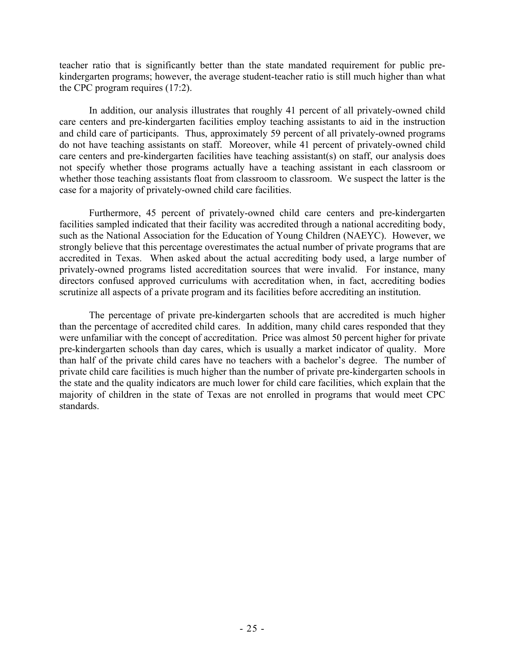teacher ratio that is significantly better than the state mandated requirement for public prekindergarten programs; however, the average student-teacher ratio is still much higher than what the CPC program requires (17:2).

 In addition, our analysis illustrates that roughly 41 percent of all privately-owned child care centers and pre-kindergarten facilities employ teaching assistants to aid in the instruction and child care of participants. Thus, approximately 59 percent of all privately-owned programs do not have teaching assistants on staff. Moreover, while 41 percent of privately-owned child care centers and pre-kindergarten facilities have teaching assistant(s) on staff, our analysis does not specify whether those programs actually have a teaching assistant in each classroom or whether those teaching assistants float from classroom to classroom. We suspect the latter is the case for a majority of privately-owned child care facilities.

 Furthermore, 45 percent of privately-owned child care centers and pre-kindergarten facilities sampled indicated that their facility was accredited through a national accrediting body, such as the National Association for the Education of Young Children (NAEYC). However, we strongly believe that this percentage overestimates the actual number of private programs that are accredited in Texas. When asked about the actual accrediting body used, a large number of privately-owned programs listed accreditation sources that were invalid. For instance, many directors confused approved curriculums with accreditation when, in fact, accrediting bodies scrutinize all aspects of a private program and its facilities before accrediting an institution.

 The percentage of private pre-kindergarten schools that are accredited is much higher than the percentage of accredited child cares. In addition, many child cares responded that they were unfamiliar with the concept of accreditation. Price was almost 50 percent higher for private pre-kindergarten schools than day cares, which is usually a market indicator of quality. More than half of the private child cares have no teachers with a bachelor's degree. The number of private child care facilities is much higher than the number of private pre-kindergarten schools in the state and the quality indicators are much lower for child care facilities, which explain that the majority of children in the state of Texas are not enrolled in programs that would meet CPC standards.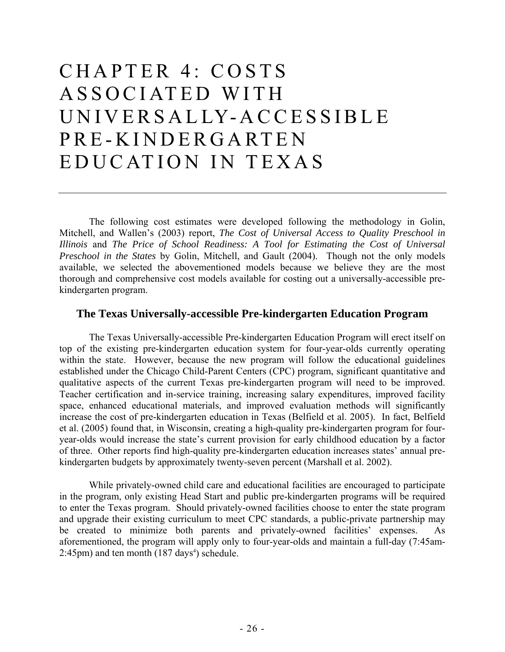## CHAPTER 4: COSTS ASSOCIATED WITH UNIVERSALLY-ACCESSIBLE PRE-KINDERGARTEN EDUCATION IN TEXAS

 The following cost estimates were developed following the methodology in Golin, Mitchell, and Wallen's (2003) report, *The Cost of Universal Access to Quality Preschool in Illinois* and *The Price of School Readiness: A Tool for Estimating the Cost of Universal Preschool in the States* by Golin, Mitchell, and Gault (2004). Though not the only models available, we selected the abovementioned models because we believe they are the most thorough and comprehensive cost models available for costing out a universally-accessible prekindergarten program.

## **The Texas Universally-accessible Pre-kindergarten Education Program**

 The Texas Universally-accessible Pre-kindergarten Education Program will erect itself on top of the existing pre-kindergarten education system for four-year-olds currently operating within the state. However, because the new program will follow the educational guidelines established under the Chicago Child-Parent Centers (CPC) program, significant quantitative and qualitative aspects of the current Texas pre-kindergarten program will need to be improved. Teacher certification and in-service training, increasing salary expenditures, improved facility space, enhanced educational materials, and improved evaluation methods will significantly increase the cost of pre-kindergarten education in Texas (Belfield et al. 2005). In fact, Belfield et al. (2005) found that, in Wisconsin, creating a high-quality pre-kindergarten program for fouryear-olds would increase the state's current provision for early childhood education by a factor of three. Other reports find high-quality pre-kindergarten education increases states' annual prekindergarten budgets by approximately twenty-seven percent (Marshall et al. 2002).

 While privately-owned child care and educational facilities are encouraged to participate in the program, only existing Head Start and public pre-kindergarten programs will be required to enter the Texas program. Should privately-owned facilities choose to enter the state program and upgrade their existing curriculum to meet CPC standards, a public-private partnership may be created to minimize both parents and privately-owned facilities' expenses. As aforementioned, the program will apply only to four-year-olds and maintain a full-day (7:45am- $2:45$ pm) and ten month  $(187 \text{ days}^4)$  schedule.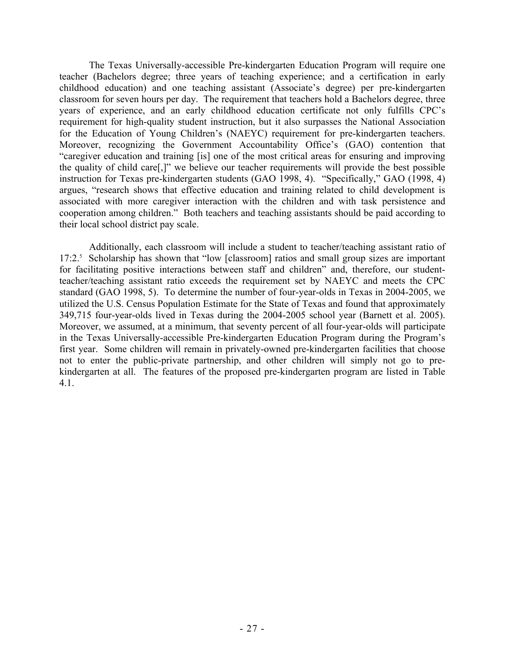The Texas Universally-accessible Pre-kindergarten Education Program will require one teacher (Bachelors degree; three years of teaching experience; and a certification in early childhood education) and one teaching assistant (Associate's degree) per pre-kindergarten classroom for seven hours per day. The requirement that teachers hold a Bachelors degree, three years of experience, and an early childhood education certificate not only fulfills CPC's requirement for high-quality student instruction, but it also surpasses the National Association for the Education of Young Children's (NAEYC) requirement for pre-kindergarten teachers. Moreover, recognizing the Government Accountability Office's (GAO) contention that "caregiver education and training [is] one of the most critical areas for ensuring and improving the quality of child care[,]" we believe our teacher requirements will provide the best possible instruction for Texas pre-kindergarten students (GAO 1998, 4). "Specifically," GAO (1998, 4) argues, "research shows that effective education and training related to child development is associated with more caregiver interaction with the children and with task persistence and cooperation among children." Both teachers and teaching assistants should be paid according to their local school district pay scale.

 Additionally, each classroom will include a student to teacher/teaching assistant ratio of 17:2.<sup>5</sup> Scholarship has shown that "low [classroom] ratios and small group sizes are important for facilitating positive interactions between staff and children" and, therefore, our studentteacher/teaching assistant ratio exceeds the requirement set by NAEYC and meets the CPC standard (GAO 1998, 5). To determine the number of four-year-olds in Texas in 2004-2005, we utilized the U.S. Census Population Estimate for the State of Texas and found that approximately 349,715 four-year-olds lived in Texas during the 2004-2005 school year (Barnett et al. 2005). Moreover, we assumed, at a minimum, that seventy percent of all four-year-olds will participate in the Texas Universally-accessible Pre-kindergarten Education Program during the Program's first year. Some children will remain in privately-owned pre-kindergarten facilities that choose not to enter the public-private partnership, and other children will simply not go to prekindergarten at all. The features of the proposed pre-kindergarten program are listed in Table 4.1.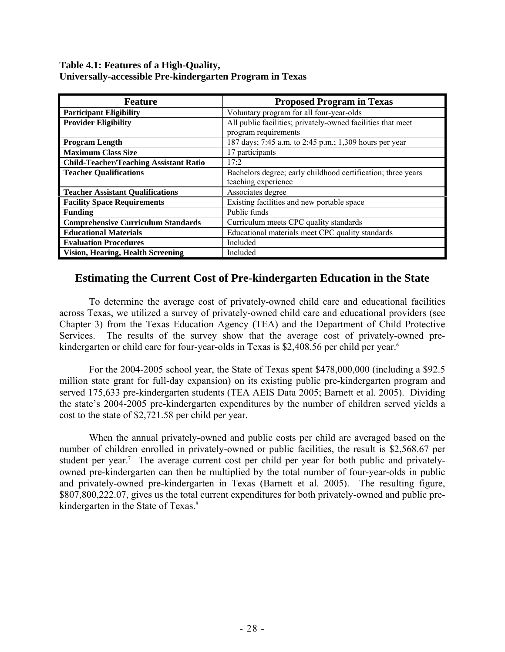#### **Table 4.1: Features of a High-Quality, Universally-accessible Pre-kindergarten Program in Texas**

| <b>Feature</b>                                | <b>Proposed Program in Texas</b>                             |  |
|-----------------------------------------------|--------------------------------------------------------------|--|
| <b>Participant Eligibility</b>                | Voluntary program for all four-year-olds                     |  |
| <b>Provider Eligibility</b>                   | All public facilities; privately-owned facilities that meet  |  |
|                                               | program requirements                                         |  |
| <b>Program Length</b>                         | 187 days; 7:45 a.m. to 2:45 p.m.; 1,309 hours per year       |  |
| <b>Maximum Class Size</b>                     | 17 participants                                              |  |
| <b>Child-Teacher/Teaching Assistant Ratio</b> | 17:2                                                         |  |
| <b>Teacher Qualifications</b>                 | Bachelors degree; early childhood certification; three years |  |
|                                               | teaching experience                                          |  |
| <b>Teacher Assistant Qualifications</b>       | Associates degree                                            |  |
| <b>Facility Space Requirements</b>            | Existing facilities and new portable space                   |  |
| <b>Funding</b>                                | Public funds                                                 |  |
| <b>Comprehensive Curriculum Standards</b>     | Curriculum meets CPC quality standards                       |  |
| <b>Educational Materials</b>                  | Educational materials meet CPC quality standards             |  |
| <b>Evaluation Procedures</b>                  | Included                                                     |  |
| <b>Vision, Hearing, Health Screening</b>      | Included                                                     |  |

## **Estimating the Current Cost of Pre-kindergarten Education in the State**

 To determine the average cost of privately-owned child care and educational facilities across Texas, we utilized a survey of privately-owned child care and educational providers (see Chapter 3) from the Texas Education Agency (TEA) and the Department of Child Protective Services. The results of the survey show that the average cost of privately-owned prekindergarten or child care for four-year-olds in Texas is \$2,408.56 per child per year.<sup>6</sup>

 For the 2004-2005 school year, the State of Texas spent \$478,000,000 (including a \$92.5 million state grant for full-day expansion) on its existing public pre-kindergarten program and served 175,633 pre-kindergarten students (TEA AEIS Data 2005; Barnett et al. 2005). Dividing the state's 2004-2005 pre-kindergarten expenditures by the number of children served yields a cost to the state of \$2,721.58 per child per year.

 When the annual privately-owned and public costs per child are averaged based on the number of children enrolled in privately-owned or public facilities, the result is \$2,568.67 per student per year.<sup>7</sup> The average current cost per child per year for both public and privatelyowned pre-kindergarten can then be multiplied by the total number of four-year-olds in public and privately-owned pre-kindergarten in Texas (Barnett et al. 2005). The resulting figure, \$807,800,222.07, gives us the total current expenditures for both privately-owned and public prekindergarten in the State of Texas.<sup>8</sup>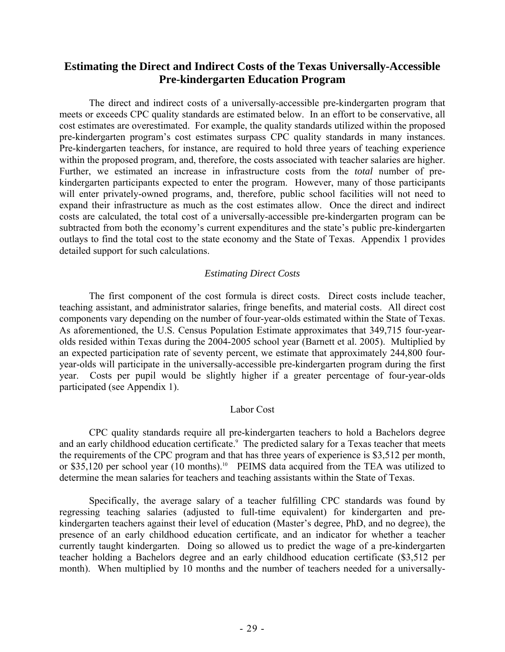## **Estimating the Direct and Indirect Costs of the Texas Universally-Accessible Pre-kindergarten Education Program**

 The direct and indirect costs of a universally-accessible pre-kindergarten program that meets or exceeds CPC quality standards are estimated below. In an effort to be conservative, all cost estimates are overestimated. For example, the quality standards utilized within the proposed pre-kindergarten program's cost estimates surpass CPC quality standards in many instances. Pre-kindergarten teachers, for instance, are required to hold three years of teaching experience within the proposed program, and, therefore, the costs associated with teacher salaries are higher. Further, we estimated an increase in infrastructure costs from the *total* number of prekindergarten participants expected to enter the program. However, many of those participants will enter privately-owned programs, and, therefore, public school facilities will not need to expand their infrastructure as much as the cost estimates allow. Once the direct and indirect costs are calculated, the total cost of a universally-accessible pre-kindergarten program can be subtracted from both the economy's current expenditures and the state's public pre-kindergarten outlays to find the total cost to the state economy and the State of Texas. Appendix 1 provides detailed support for such calculations.

#### *Estimating Direct Costs*

 The first component of the cost formula is direct costs. Direct costs include teacher, teaching assistant, and administrator salaries, fringe benefits, and material costs. All direct cost components vary depending on the number of four-year-olds estimated within the State of Texas. As aforementioned, the U.S. Census Population Estimate approximates that 349,715 four-yearolds resided within Texas during the 2004-2005 school year (Barnett et al. 2005). Multiplied by an expected participation rate of seventy percent, we estimate that approximately 244,800 fouryear-olds will participate in the universally-accessible pre-kindergarten program during the first year. Costs per pupil would be slightly higher if a greater percentage of four-year-olds participated (see Appendix 1).

#### Labor Cost

 CPC quality standards require all pre-kindergarten teachers to hold a Bachelors degree and an early childhood education certificate.<sup>9</sup> The predicted salary for a Texas teacher that meets the requirements of the CPC program and that has three years of experience is \$3,512 per month, or \$35,120 per school year (10 months).<sup>10</sup> PEIMS data acquired from the TEA was utilized to determine the mean salaries for teachers and teaching assistants within the State of Texas.

 Specifically, the average salary of a teacher fulfilling CPC standards was found by regressing teaching salaries (adjusted to full-time equivalent) for kindergarten and prekindergarten teachers against their level of education (Master's degree, PhD, and no degree), the presence of an early childhood education certificate, and an indicator for whether a teacher currently taught kindergarten. Doing so allowed us to predict the wage of a pre-kindergarten teacher holding a Bachelors degree and an early childhood education certificate (\$3,512 per month). When multiplied by 10 months and the number of teachers needed for a universally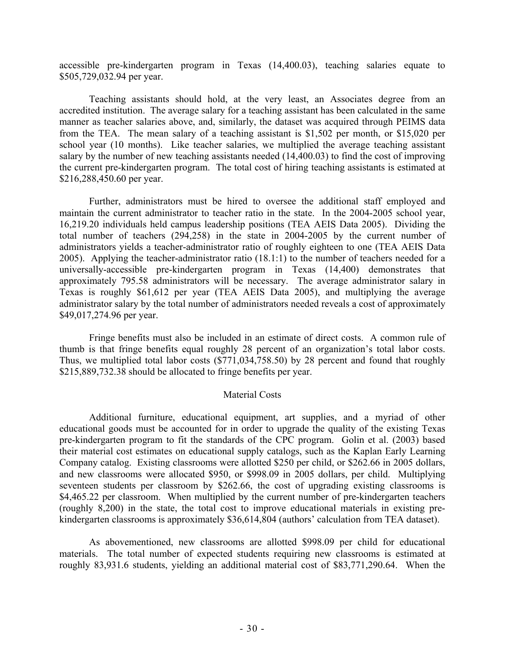accessible pre-kindergarten program in Texas (14,400.03), teaching salaries equate to \$505,729,032.94 per year.

 Teaching assistants should hold, at the very least, an Associates degree from an accredited institution. The average salary for a teaching assistant has been calculated in the same manner as teacher salaries above, and, similarly, the dataset was acquired through PEIMS data from the TEA. The mean salary of a teaching assistant is \$1,502 per month, or \$15,020 per school year (10 months). Like teacher salaries, we multiplied the average teaching assistant salary by the number of new teaching assistants needed (14,400.03) to find the cost of improving the current pre-kindergarten program. The total cost of hiring teaching assistants is estimated at \$216,288,450.60 per year.

 Further, administrators must be hired to oversee the additional staff employed and maintain the current administrator to teacher ratio in the state. In the 2004-2005 school year, 16,219.20 individuals held campus leadership positions (TEA AEIS Data 2005). Dividing the total number of teachers (294,258) in the state in 2004-2005 by the current number of administrators yields a teacher-administrator ratio of roughly eighteen to one (TEA AEIS Data 2005). Applying the teacher-administrator ratio (18.1:1) to the number of teachers needed for a universally-accessible pre-kindergarten program in Texas (14,400) demonstrates that approximately 795.58 administrators will be necessary. The average administrator salary in Texas is roughly \$61,612 per year (TEA AEIS Data 2005), and multiplying the average administrator salary by the total number of administrators needed reveals a cost of approximately \$49,017,274.96 per year.

 Fringe benefits must also be included in an estimate of direct costs. A common rule of thumb is that fringe benefits equal roughly 28 percent of an organization's total labor costs. Thus, we multiplied total labor costs (\$771,034,758.50) by 28 percent and found that roughly \$215,889,732.38 should be allocated to fringe benefits per year.

#### Material Costs

 Additional furniture, educational equipment, art supplies, and a myriad of other educational goods must be accounted for in order to upgrade the quality of the existing Texas pre-kindergarten program to fit the standards of the CPC program. Golin et al. (2003) based their material cost estimates on educational supply catalogs, such as the Kaplan Early Learning Company catalog. Existing classrooms were allotted \$250 per child, or \$262.66 in 2005 dollars, and new classrooms were allocated \$950, or \$998.09 in 2005 dollars, per child. Multiplying seventeen students per classroom by \$262.66, the cost of upgrading existing classrooms is \$4,465.22 per classroom. When multiplied by the current number of pre-kindergarten teachers (roughly 8,200) in the state, the total cost to improve educational materials in existing prekindergarten classrooms is approximately \$36,614,804 (authors' calculation from TEA dataset).

 As abovementioned, new classrooms are allotted \$998.09 per child for educational materials. The total number of expected students requiring new classrooms is estimated at roughly 83,931.6 students, yielding an additional material cost of \$83,771,290.64. When the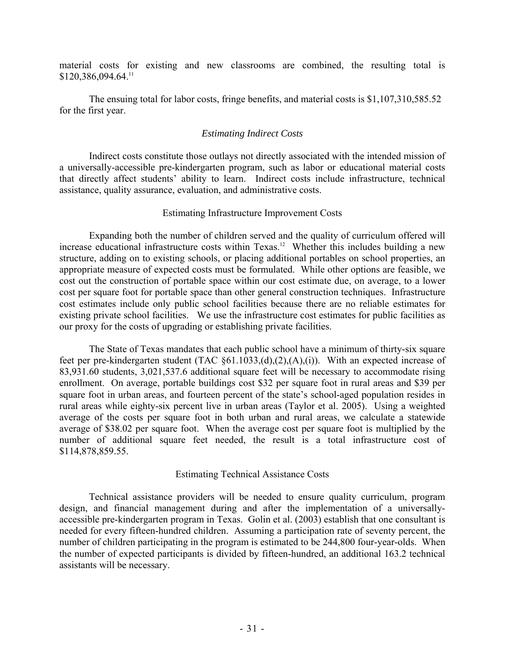material costs for existing and new classrooms are combined, the resulting total is \$120,386,094.64.11

 The ensuing total for labor costs, fringe benefits, and material costs is \$1,107,310,585.52 for the first year.

#### *Estimating Indirect Costs*

 Indirect costs constitute those outlays not directly associated with the intended mission of a universally-accessible pre-kindergarten program, such as labor or educational material costs that directly affect students' ability to learn. Indirect costs include infrastructure, technical assistance, quality assurance, evaluation, and administrative costs.

#### Estimating Infrastructure Improvement Costs

 Expanding both the number of children served and the quality of curriculum offered will increase educational infrastructure costs within Texas.<sup>12</sup> Whether this includes building a new structure, adding on to existing schools, or placing additional portables on school properties, an appropriate measure of expected costs must be formulated. While other options are feasible, we cost out the construction of portable space within our cost estimate due, on average, to a lower cost per square foot for portable space than other general construction techniques. Infrastructure cost estimates include only public school facilities because there are no reliable estimates for existing private school facilities. We use the infrastructure cost estimates for public facilities as our proxy for the costs of upgrading or establishing private facilities.

 The State of Texas mandates that each public school have a minimum of thirty-six square feet per pre-kindergarten student (TAC §61.1033,(d),(2),(A),(i)). With an expected increase of 83,931.60 students, 3,021,537.6 additional square feet will be necessary to accommodate rising enrollment. On average, portable buildings cost \$32 per square foot in rural areas and \$39 per square foot in urban areas, and fourteen percent of the state's school-aged population resides in rural areas while eighty-six percent live in urban areas (Taylor et al. 2005). Using a weighted average of the costs per square foot in both urban and rural areas, we calculate a statewide average of \$38.02 per square foot. When the average cost per square foot is multiplied by the number of additional square feet needed, the result is a total infrastructure cost of \$114,878,859.55.

#### Estimating Technical Assistance Costs

 Technical assistance providers will be needed to ensure quality curriculum, program design, and financial management during and after the implementation of a universallyaccessible pre-kindergarten program in Texas. Golin et al. (2003) establish that one consultant is needed for every fifteen-hundred children. Assuming a participation rate of seventy percent, the number of children participating in the program is estimated to be 244,800 four-year-olds. When the number of expected participants is divided by fifteen-hundred, an additional 163.2 technical assistants will be necessary.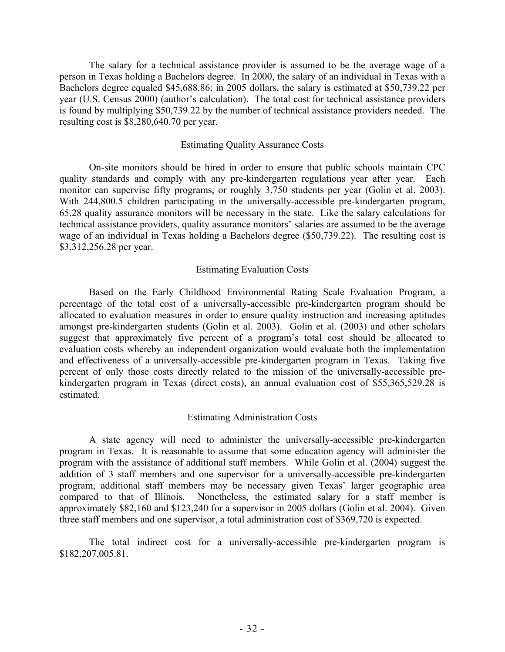The salary for a technical assistance provider is assumed to be the average wage of a person in Texas holding a Bachelors degree. In 2000, the salary of an individual in Texas with a Bachelors degree equaled \$45,688.86; in 2005 dollars, the salary is estimated at \$50,739.22 per year (U.S. Census 2000) (author's calculation). The total cost for technical assistance providers is found by multiplying \$50,739.22 by the number of technical assistance providers needed. The resulting cost is \$8,280,640.70 per year.

#### Estimating Quality Assurance Costs

 On-site monitors should be hired in order to ensure that public schools maintain CPC quality standards and comply with any pre-kindergarten regulations year after year. Each monitor can supervise fifty programs, or roughly 3,750 students per year (Golin et al. 2003). With 244,800.5 children participating in the universally-accessible pre-kindergarten program, 65.28 quality assurance monitors will be necessary in the state. Like the salary calculations for technical assistance providers, quality assurance monitors' salaries are assumed to be the average wage of an individual in Texas holding a Bachelors degree (\$50,739.22). The resulting cost is \$3,312,256.28 per year.

#### Estimating Evaluation Costs

 Based on the Early Childhood Environmental Rating Scale Evaluation Program, a percentage of the total cost of a universally-accessible pre-kindergarten program should be allocated to evaluation measures in order to ensure quality instruction and increasing aptitudes amongst pre-kindergarten students (Golin et al. 2003). Golin et al. (2003) and other scholars suggest that approximately five percent of a program's total cost should be allocated to evaluation costs whereby an independent organization would evaluate both the implementation and effectiveness of a universally-accessible pre-kindergarten program in Texas. Taking five percent of only those costs directly related to the mission of the universally-accessible prekindergarten program in Texas (direct costs), an annual evaluation cost of \$55,365,529.28 is estimated.

#### Estimating Administration Costs

 A state agency will need to administer the universally-accessible pre-kindergarten program in Texas. It is reasonable to assume that some education agency will administer the program with the assistance of additional staff members. While Golin et al. (2004) suggest the addition of 3 staff members and one supervisor for a universally-accessible pre-kindergarten program, additional staff members may be necessary given Texas' larger geographic area compared to that of Illinois. Nonetheless, the estimated salary for a staff member is approximately \$82,160 and \$123,240 for a supervisor in 2005 dollars (Golin et al. 2004). Given three staff members and one supervisor, a total administration cost of \$369,720 is expected.

 The total indirect cost for a universally-accessible pre-kindergarten program is \$182,207,005.81.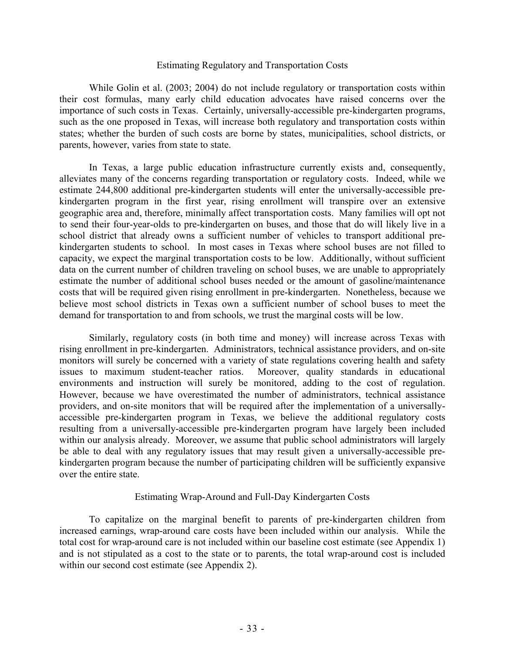#### Estimating Regulatory and Transportation Costs

While Golin et al. (2003; 2004) do not include regulatory or transportation costs within their cost formulas, many early child education advocates have raised concerns over the importance of such costs in Texas. Certainly, universally-accessible pre-kindergarten programs, such as the one proposed in Texas, will increase both regulatory and transportation costs within states; whether the burden of such costs are borne by states, municipalities, school districts, or parents, however, varies from state to state.

 In Texas, a large public education infrastructure currently exists and, consequently, alleviates many of the concerns regarding transportation or regulatory costs. Indeed, while we estimate 244,800 additional pre-kindergarten students will enter the universally-accessible prekindergarten program in the first year, rising enrollment will transpire over an extensive geographic area and, therefore, minimally affect transportation costs. Many families will opt not to send their four-year-olds to pre-kindergarten on buses, and those that do will likely live in a school district that already owns a sufficient number of vehicles to transport additional prekindergarten students to school. In most cases in Texas where school buses are not filled to capacity, we expect the marginal transportation costs to be low. Additionally, without sufficient data on the current number of children traveling on school buses, we are unable to appropriately estimate the number of additional school buses needed or the amount of gasoline/maintenance costs that will be required given rising enrollment in pre-kindergarten. Nonetheless, because we believe most school districts in Texas own a sufficient number of school buses to meet the demand for transportation to and from schools, we trust the marginal costs will be low.

 Similarly, regulatory costs (in both time and money) will increase across Texas with rising enrollment in pre-kindergarten. Administrators, technical assistance providers, and on-site monitors will surely be concerned with a variety of state regulations covering health and safety issues to maximum student-teacher ratios. Moreover, quality standards in educational environments and instruction will surely be monitored, adding to the cost of regulation. However, because we have overestimated the number of administrators, technical assistance providers, and on-site monitors that will be required after the implementation of a universallyaccessible pre-kindergarten program in Texas, we believe the additional regulatory costs resulting from a universally-accessible pre-kindergarten program have largely been included within our analysis already. Moreover, we assume that public school administrators will largely be able to deal with any regulatory issues that may result given a universally-accessible prekindergarten program because the number of participating children will be sufficiently expansive over the entire state.

#### Estimating Wrap-Around and Full-Day Kindergarten Costs

 To capitalize on the marginal benefit to parents of pre-kindergarten children from increased earnings, wrap-around care costs have been included within our analysis. While the total cost for wrap-around care is not included within our baseline cost estimate (see Appendix 1) and is not stipulated as a cost to the state or to parents, the total wrap-around cost is included within our second cost estimate (see Appendix 2).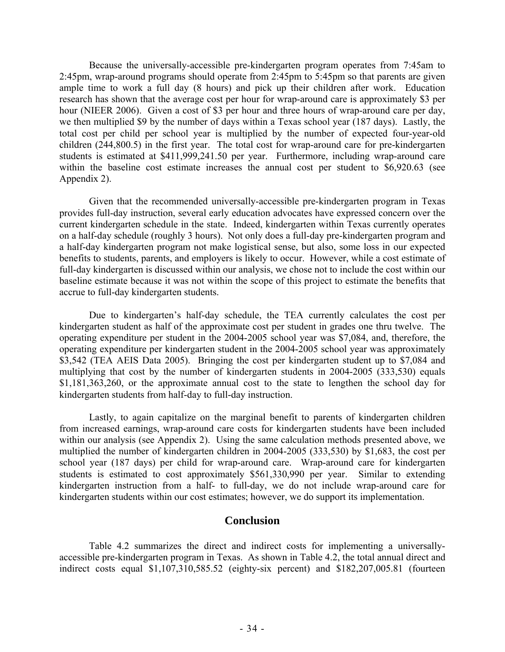Because the universally-accessible pre-kindergarten program operates from 7:45am to 2:45pm, wrap-around programs should operate from 2:45pm to 5:45pm so that parents are given ample time to work a full day (8 hours) and pick up their children after work. Education research has shown that the average cost per hour for wrap-around care is approximately \$3 per hour (NIEER 2006). Given a cost of \$3 per hour and three hours of wrap-around care per day, we then multiplied \$9 by the number of days within a Texas school year (187 days). Lastly, the total cost per child per school year is multiplied by the number of expected four-year-old children (244,800.5) in the first year. The total cost for wrap-around care for pre-kindergarten students is estimated at \$411,999,241.50 per year. Furthermore, including wrap-around care within the baseline cost estimate increases the annual cost per student to \$6,920.63 (see Appendix 2).

 Given that the recommended universally-accessible pre-kindergarten program in Texas provides full-day instruction, several early education advocates have expressed concern over the current kindergarten schedule in the state. Indeed, kindergarten within Texas currently operates on a half-day schedule (roughly 3 hours). Not only does a full-day pre-kindergarten program and a half-day kindergarten program not make logistical sense, but also, some loss in our expected benefits to students, parents, and employers is likely to occur. However, while a cost estimate of full-day kindergarten is discussed within our analysis, we chose not to include the cost within our baseline estimate because it was not within the scope of this project to estimate the benefits that accrue to full-day kindergarten students.

 Due to kindergarten's half-day schedule, the TEA currently calculates the cost per kindergarten student as half of the approximate cost per student in grades one thru twelve. The operating expenditure per student in the 2004-2005 school year was \$7,084, and, therefore, the operating expenditure per kindergarten student in the 2004-2005 school year was approximately \$3,542 (TEA AEIS Data 2005). Bringing the cost per kindergarten student up to \$7,084 and multiplying that cost by the number of kindergarten students in 2004-2005 (333,530) equals \$1,181,363,260, or the approximate annual cost to the state to lengthen the school day for kindergarten students from half-day to full-day instruction.

 Lastly, to again capitalize on the marginal benefit to parents of kindergarten children from increased earnings, wrap-around care costs for kindergarten students have been included within our analysis (see Appendix 2). Using the same calculation methods presented above, we multiplied the number of kindergarten children in 2004-2005 (333,530) by \$1,683, the cost per school year (187 days) per child for wrap-around care. Wrap-around care for kindergarten students is estimated to cost approximately \$561,330,990 per year. Similar to extending kindergarten instruction from a half- to full-day, we do not include wrap-around care for kindergarten students within our cost estimates; however, we do support its implementation.

#### **Conclusion**

 Table 4.2 summarizes the direct and indirect costs for implementing a universallyaccessible pre-kindergarten program in Texas. As shown in Table 4.2, the total annual direct and indirect costs equal \$1,107,310,585.52 (eighty-six percent) and \$182,207,005.81 (fourteen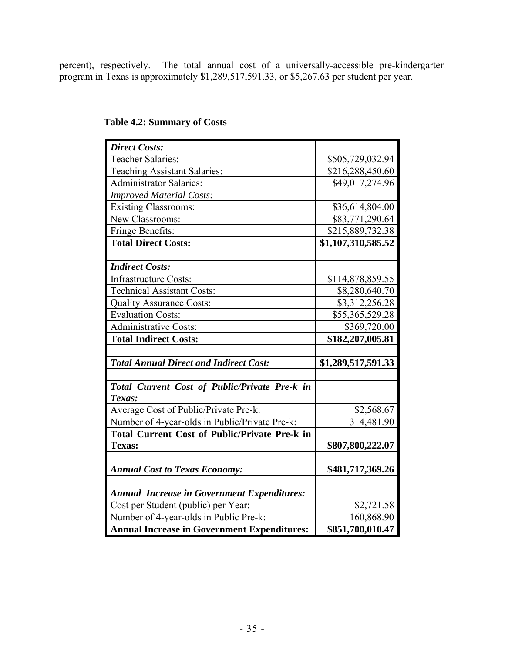percent), respectively. The total annual cost of a universally-accessible pre-kindergarten program in Texas is approximately \$1,289,517,591.33, or \$5,267.63 per student per year.

| <b>Direct Costs:</b>                                 |                    |
|------------------------------------------------------|--------------------|
| <b>Teacher Salaries:</b>                             | \$505,729,032.94   |
| <b>Teaching Assistant Salaries:</b>                  | \$216,288,450.60   |
| <b>Administrator Salaries:</b>                       | \$49,017,274.96    |
| <b>Improved Material Costs:</b>                      |                    |
| <b>Existing Classrooms:</b>                          | \$36,614,804.00    |
| New Classrooms:                                      | \$83,771,290.64    |
| Fringe Benefits:                                     | \$215,889,732.38   |
| <b>Total Direct Costs:</b>                           | \$1,107,310,585.52 |
|                                                      |                    |
| <b>Indirect Costs:</b>                               |                    |
| <b>Infrastructure Costs:</b>                         | \$114,878,859.55   |
| <b>Technical Assistant Costs:</b>                    | \$8,280,640.70     |
| <b>Quality Assurance Costs:</b>                      | \$3,312,256.28     |
| <b>Evaluation Costs:</b>                             | \$55,365,529.28    |
| <b>Administrative Costs:</b>                         | \$369,720.00       |
| <b>Total Indirect Costs:</b>                         | \$182,207,005.81   |
|                                                      |                    |
| <b>Total Annual Direct and Indirect Cost:</b>        | \$1,289,517,591.33 |
|                                                      |                    |
| Total Current Cost of Public/Private Pre-k in        |                    |
| Texas:                                               |                    |
| Average Cost of Public/Private Pre-k:                | \$2,568.67         |
| Number of 4-year-olds in Public/Private Pre-k:       | 314,481.90         |
| <b>Total Current Cost of Public/Private Pre-k in</b> |                    |
| <b>Texas:</b>                                        | \$807,800,222.07   |
|                                                      |                    |
| <b>Annual Cost to Texas Economy:</b>                 | \$481,717,369.26   |
|                                                      |                    |
| <b>Annual Increase in Government Expenditures:</b>   |                    |
| Cost per Student (public) per Year:                  | \$2,721.58         |
| Number of 4-year-olds in Public Pre-k:               | 160,868.90         |
| <b>Annual Increase in Government Expenditures:</b>   | \$851,700,010.47   |

## **Table 4.2: Summary of Costs**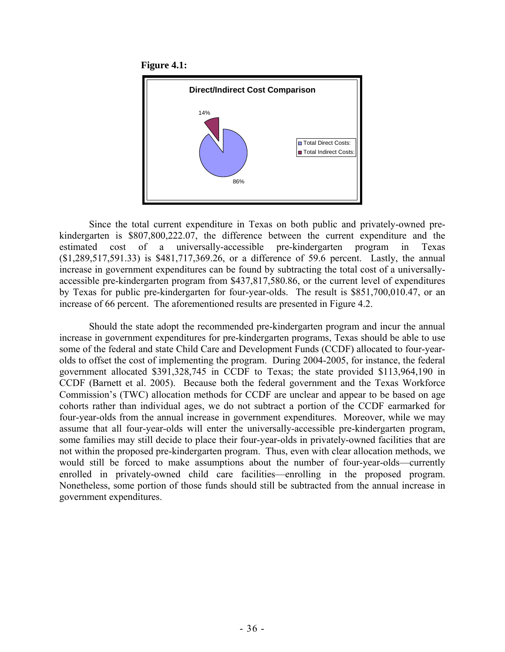**Figure 4.1:** 



 Since the total current expenditure in Texas on both public and privately-owned prekindergarten is \$807,800,222.07, the difference between the current expenditure and the estimated cost of a universally-accessible pre-kindergarten program in Texas (\$1,289,517,591.33) is \$481,717,369.26, or a difference of 59.6 percent. Lastly, the annual increase in government expenditures can be found by subtracting the total cost of a universallyaccessible pre-kindergarten program from \$437,817,580.86, or the current level of expenditures by Texas for public pre-kindergarten for four-year-olds. The result is \$851,700,010.47, or an increase of 66 percent. The aforementioned results are presented in Figure 4.2.

 Should the state adopt the recommended pre-kindergarten program and incur the annual increase in government expenditures for pre-kindergarten programs, Texas should be able to use some of the federal and state Child Care and Development Funds (CCDF) allocated to four-yearolds to offset the cost of implementing the program. During 2004-2005, for instance, the federal government allocated \$391,328,745 in CCDF to Texas; the state provided \$113,964,190 in CCDF (Barnett et al. 2005). Because both the federal government and the Texas Workforce Commission's (TWC) allocation methods for CCDF are unclear and appear to be based on age cohorts rather than individual ages, we do not subtract a portion of the CCDF earmarked for four-year-olds from the annual increase in government expenditures. Moreover, while we may assume that all four-year-olds will enter the universally-accessible pre-kindergarten program, some families may still decide to place their four-year-olds in privately-owned facilities that are not within the proposed pre-kindergarten program. Thus, even with clear allocation methods, we would still be forced to make assumptions about the number of four-year-olds—currently enrolled in privately-owned child care facilities—enrolling in the proposed program. Nonetheless, some portion of those funds should still be subtracted from the annual increase in government expenditures.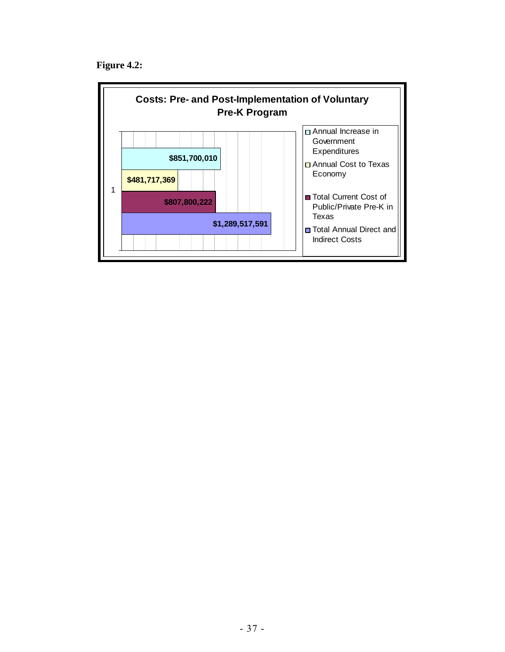**Figure 4.2:** 

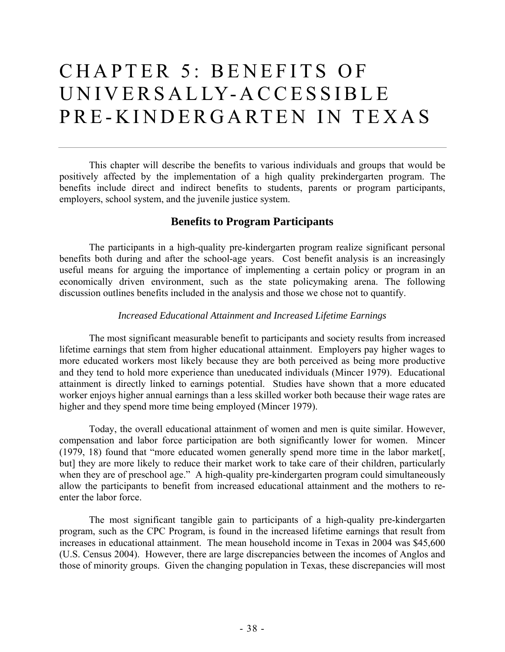# CHAPTER 5: BENEFITS OF UNIVERSALLY-ACCESSIBLE PRE-KINDERGARTEN IN TEXAS

 This chapter will describe the benefits to various individuals and groups that would be positively affected by the implementation of a high quality prekindergarten program. The benefits include direct and indirect benefits to students, parents or program participants, employers, school system, and the juvenile justice system.

# **Benefits to Program Participants**

The participants in a high-quality pre-kindergarten program realize significant personal benefits both during and after the school-age years. Cost benefit analysis is an increasingly useful means for arguing the importance of implementing a certain policy or program in an economically driven environment, such as the state policymaking arena. The following discussion outlines benefits included in the analysis and those we chose not to quantify.

# *Increased Educational Attainment and Increased Lifetime Earnings*

The most significant measurable benefit to participants and society results from increased lifetime earnings that stem from higher educational attainment. Employers pay higher wages to more educated workers most likely because they are both perceived as being more productive and they tend to hold more experience than uneducated individuals (Mincer 1979). Educational attainment is directly linked to earnings potential. Studies have shown that a more educated worker enjoys higher annual earnings than a less skilled worker both because their wage rates are higher and they spend more time being employed (Mincer 1979).

Today, the overall educational attainment of women and men is quite similar. However, compensation and labor force participation are both significantly lower for women. Mincer (1979, 18) found that "more educated women generally spend more time in the labor market[, but] they are more likely to reduce their market work to take care of their children, particularly when they are of preschool age." A high-quality pre-kindergarten program could simultaneously allow the participants to benefit from increased educational attainment and the mothers to reenter the labor force.

The most significant tangible gain to participants of a high-quality pre-kindergarten program, such as the CPC Program, is found in the increased lifetime earnings that result from increases in educational attainment. The mean household income in Texas in 2004 was \$45,600 (U.S. Census 2004). However, there are large discrepancies between the incomes of Anglos and those of minority groups. Given the changing population in Texas, these discrepancies will most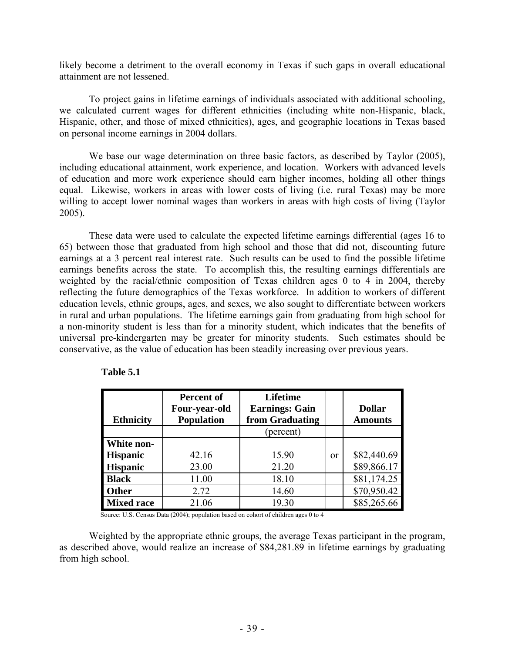likely become a detriment to the overall economy in Texas if such gaps in overall educational attainment are not lessened.

 To project gains in lifetime earnings of individuals associated with additional schooling, we calculated current wages for different ethnicities (including white non-Hispanic, black, Hispanic, other, and those of mixed ethnicities), ages, and geographic locations in Texas based on personal income earnings in 2004 dollars.

 We base our wage determination on three basic factors, as described by Taylor (2005), including educational attainment, work experience, and location. Workers with advanced levels of education and more work experience should earn higher incomes, holding all other things equal. Likewise, workers in areas with lower costs of living (i.e. rural Texas) may be more willing to accept lower nominal wages than workers in areas with high costs of living (Taylor 2005).

These data were used to calculate the expected lifetime earnings differential (ages 16 to 65) between those that graduated from high school and those that did not, discounting future earnings at a 3 percent real interest rate. Such results can be used to find the possible lifetime earnings benefits across the state. To accomplish this, the resulting earnings differentials are weighted by the racial/ethnic composition of Texas children ages 0 to 4 in 2004, thereby reflecting the future demographics of the Texas workforce. In addition to workers of different education levels, ethnic groups, ages, and sexes, we also sought to differentiate between workers in rural and urban populations. The lifetime earnings gain from graduating from high school for a non-minority student is less than for a minority student, which indicates that the benefits of universal pre-kindergarten may be greater for minority students. Such estimates should be conservative, as the value of education has been steadily increasing over previous years.

| <b>Ethnicity</b>  | <b>Percent of</b><br>Four-year-old<br><b>Population</b> | <b>Lifetime</b><br><b>Earnings: Gain</b><br>from Graduating |          | <b>Dollar</b><br><b>Amounts</b> |
|-------------------|---------------------------------------------------------|-------------------------------------------------------------|----------|---------------------------------|
|                   |                                                         | (percent)                                                   |          |                                 |
| White non-        |                                                         |                                                             |          |                                 |
| <b>Hispanic</b>   | 42.16                                                   | 15.90                                                       | $\alpha$ | \$82,440.69                     |
| <b>Hispanic</b>   | 23.00                                                   | 21.20                                                       |          | \$89,866.17                     |
| <b>Black</b>      | 11.00                                                   | 18.10                                                       |          | \$81,174.25                     |
| <b>Other</b>      | 2.72                                                    | 14.60                                                       |          | \$70,950.42                     |
| <b>Mixed race</b> | 21.06                                                   | 19.30                                                       |          | \$85,265.66                     |

| <b>Table 5.1</b> |
|------------------|
|------------------|

Source: U.S. Census Data (2004); population based on cohort of children ages 0 to 4

 Weighted by the appropriate ethnic groups, the average Texas participant in the program, as described above, would realize an increase of \$84,281.89 in lifetime earnings by graduating from high school.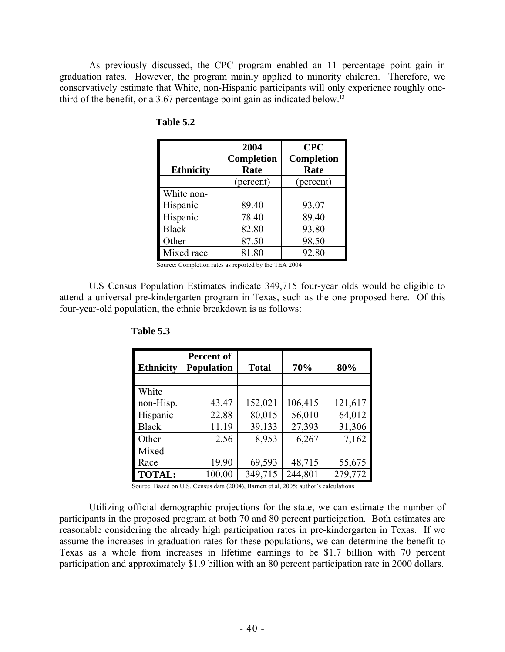As previously discussed, the CPC program enabled an 11 percentage point gain in graduation rates. However, the program mainly applied to minority children. Therefore, we conservatively estimate that White, non-Hispanic participants will only experience roughly onethird of the benefit, or a 3.67 percentage point gain as indicated below.<sup>13</sup>

|                  | 2004              | <b>CPC</b>        |
|------------------|-------------------|-------------------|
|                  | <b>Completion</b> | <b>Completion</b> |
| <b>Ethnicity</b> | Rate              | Rate              |
|                  | (percent)         | (percent)         |
| White non-       |                   |                   |
| Hispanic         | 89.40             | 93.07             |
| Hispanic         | 78.40             | 89.40             |
| <b>Black</b>     | 82.80             | 93.80             |
| Other            | 87.50             | 98.50             |
| Mixed race       | 81.80             | 92.80             |

 **Table 5.2** 

Source: Completion rates as reported by the TEA 2004

U.S Census Population Estimates indicate 349,715 four-year olds would be eligible to attend a universal pre-kindergarten program in Texas, such as the one proposed here. Of this four-year-old population, the ethnic breakdown is as follows:

| <b>Ethnicity</b> | <b>Percent of</b><br><b>Population</b> | <b>Total</b> | 70%     | 80%     |
|------------------|----------------------------------------|--------------|---------|---------|
|                  |                                        |              |         |         |
| White            |                                        |              |         |         |
| non-Hisp.        | 43.47                                  | 152,021      | 106,415 | 121,617 |
| Hispanic         | 22.88                                  | 80,015       | 56,010  | 64,012  |
| <b>Black</b>     | 11.19                                  | 39,133       | 27,393  | 31,306  |
| Other            | 2.56                                   | 8,953        | 6,267   | 7,162   |
| Mixed            |                                        |              |         |         |
| Race             | 19.90                                  | 69,593       | 48,715  | 55,675  |
| <b>TOTAL:</b>    | 100.00                                 | 349,715      | 244,801 | 279,772 |

 **Table 5.3** 

Source: Based on U.S. Census data (2004), Barnett et al, 2005; author's calculations

Utilizing official demographic projections for the state, we can estimate the number of participants in the proposed program at both 70 and 80 percent participation. Both estimates are reasonable considering the already high participation rates in pre-kindergarten in Texas. If we assume the increases in graduation rates for these populations, we can determine the benefit to Texas as a whole from increases in lifetime earnings to be \$1.7 billion with 70 percent participation and approximately \$1.9 billion with an 80 percent participation rate in 2000 dollars.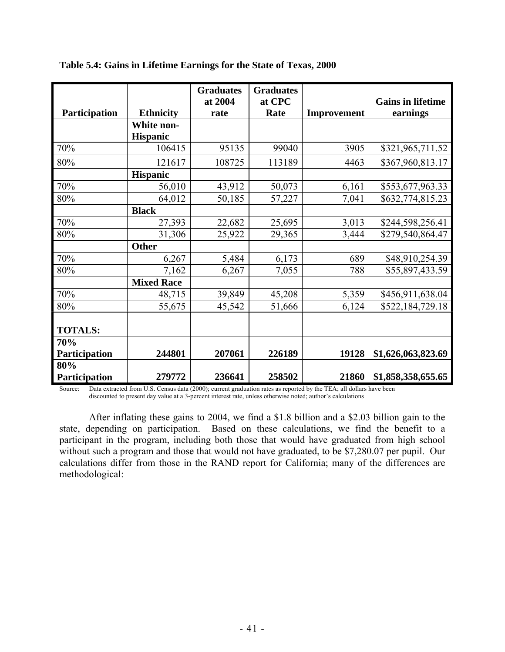|                      |                   | <b>Graduates</b> | <b>Graduates</b> |             |                          |
|----------------------|-------------------|------------------|------------------|-------------|--------------------------|
|                      |                   | at 2004          | at CPC           |             | <b>Gains in lifetime</b> |
| Participation        | <b>Ethnicity</b>  | rate             | Rate             | Improvement | earnings                 |
|                      | White non-        |                  |                  |             |                          |
|                      | <b>Hispanic</b>   |                  |                  |             |                          |
| 70%                  | 106415            | 95135            | 99040            | 3905        | \$321,965,711.52         |
| 80%                  | 121617            | 108725           | 113189           | 4463        | \$367,960,813.17         |
|                      | <b>Hispanic</b>   |                  |                  |             |                          |
| 70%                  | 56,010            | 43,912           | 50,073           | 6,161       | \$553,677,963.33         |
| 80%                  | 64,012            | 50,185           | 57,227           | 7,041       | \$632,774,815.23         |
|                      | <b>Black</b>      |                  |                  |             |                          |
| 70%                  | 27,393            | 22,682           | 25,695           | 3,013       | \$244,598,256.41         |
| 80%                  | 31,306            | 25,922           | 29,365           | 3,444       | \$279,540,864.47         |
|                      | <b>Other</b>      |                  |                  |             |                          |
| 70%                  | 6,267             | 5,484            | 6,173            | 689         | \$48,910,254.39          |
| 80%                  | 7,162             | 6,267            | 7,055            | 788         | \$55,897,433.59          |
|                      | <b>Mixed Race</b> |                  |                  |             |                          |
| 70%                  | 48,715            | 39,849           | 45,208           | 5,359       | \$456,911,638.04         |
| 80%                  | 55,675            | 45,542           | 51,666           | 6,124       | \$522,184,729.18         |
|                      |                   |                  |                  |             |                          |
| <b>TOTALS:</b>       |                   |                  |                  |             |                          |
| 70%                  |                   |                  |                  |             |                          |
| <b>Participation</b> | 244801            | 207061           | 226189           | 19128       | \$1,626,063,823.69       |
| 80%                  |                   |                  |                  |             |                          |
| Participation        | 279772            | 236641           | 258502           | 21860       | \$1,858,358,655.65       |

**Table 5.4: Gains in Lifetime Earnings for the State of Texas, 2000** 

Source: Data extracted from U.S. Census data (2000); current graduation rates as reported by the TEA; all dollars have been discounted to present day value at a 3-percent interest rate, unless otherwise noted; author's calculations

After inflating these gains to 2004, we find a \$1.8 billion and a \$2.03 billion gain to the state, depending on participation. Based on these calculations, we find the benefit to a participant in the program, including both those that would have graduated from high school without such a program and those that would not have graduated, to be \$7,280.07 per pupil. Our calculations differ from those in the RAND report for California; many of the differences are methodological: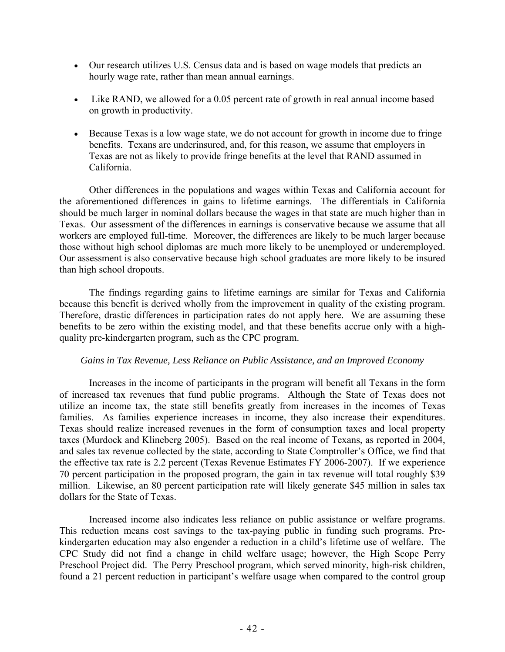- Our research utilizes U.S. Census data and is based on wage models that predicts an hourly wage rate, rather than mean annual earnings.
- Like RAND, we allowed for a 0.05 percent rate of growth in real annual income based on growth in productivity.
- Because Texas is a low wage state, we do not account for growth in income due to fringe benefits. Texans are underinsured, and, for this reason, we assume that employers in Texas are not as likely to provide fringe benefits at the level that RAND assumed in California.

 Other differences in the populations and wages within Texas and California account for the aforementioned differences in gains to lifetime earnings. The differentials in California should be much larger in nominal dollars because the wages in that state are much higher than in Texas. Our assessment of the differences in earnings is conservative because we assume that all workers are employed full-time. Moreover, the differences are likely to be much larger because those without high school diplomas are much more likely to be unemployed or underemployed. Our assessment is also conservative because high school graduates are more likely to be insured than high school dropouts.

 The findings regarding gains to lifetime earnings are similar for Texas and California because this benefit is derived wholly from the improvement in quality of the existing program. Therefore, drastic differences in participation rates do not apply here. We are assuming these benefits to be zero within the existing model, and that these benefits accrue only with a highquality pre-kindergarten program, such as the CPC program.

# *Gains in Tax Revenue, Less Reliance on Public Assistance, and an Improved Economy*

Increases in the income of participants in the program will benefit all Texans in the form of increased tax revenues that fund public programs. Although the State of Texas does not utilize an income tax, the state still benefits greatly from increases in the incomes of Texas families. As families experience increases in income, they also increase their expenditures. Texas should realize increased revenues in the form of consumption taxes and local property taxes (Murdock and Klineberg 2005). Based on the real income of Texans, as reported in 2004, and sales tax revenue collected by the state, according to State Comptroller's Office, we find that the effective tax rate is 2.2 percent (Texas Revenue Estimates FY 2006-2007). If we experience 70 percent participation in the proposed program, the gain in tax revenue will total roughly \$39 million. Likewise, an 80 percent participation rate will likely generate \$45 million in sales tax dollars for the State of Texas.

Increased income also indicates less reliance on public assistance or welfare programs. This reduction means cost savings to the tax-paying public in funding such programs. Prekindergarten education may also engender a reduction in a child's lifetime use of welfare. The CPC Study did not find a change in child welfare usage; however, the High Scope Perry Preschool Project did. The Perry Preschool program, which served minority, high-risk children, found a 21 percent reduction in participant's welfare usage when compared to the control group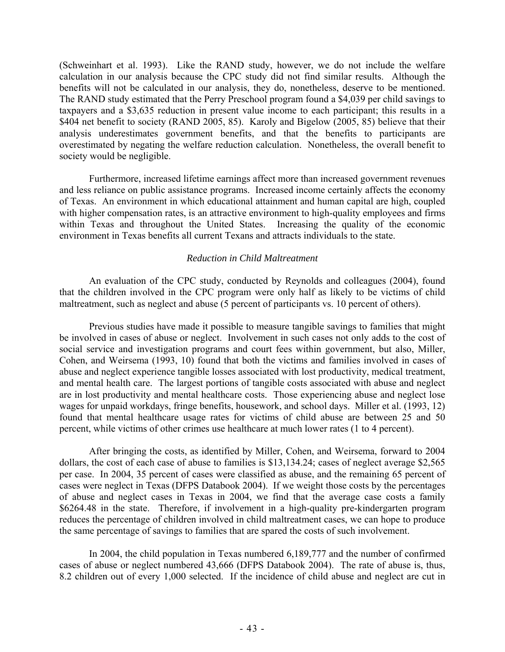(Schweinhart et al. 1993). Like the RAND study, however, we do not include the welfare calculation in our analysis because the CPC study did not find similar results. Although the benefits will not be calculated in our analysis, they do, nonetheless, deserve to be mentioned. The RAND study estimated that the Perry Preschool program found a \$4,039 per child savings to taxpayers and a \$3,635 reduction in present value income to each participant; this results in a \$404 net benefit to society (RAND 2005, 85). Karoly and Bigelow (2005, 85) believe that their analysis underestimates government benefits, and that the benefits to participants are overestimated by negating the welfare reduction calculation. Nonetheless, the overall benefit to society would be negligible.

Furthermore, increased lifetime earnings affect more than increased government revenues and less reliance on public assistance programs. Increased income certainly affects the economy of Texas. An environment in which educational attainment and human capital are high, coupled with higher compensation rates, is an attractive environment to high-quality employees and firms within Texas and throughout the United States. Increasing the quality of the economic environment in Texas benefits all current Texans and attracts individuals to the state.

# *Reduction in Child Maltreatment*

An evaluation of the CPC study, conducted by Reynolds and colleagues (2004), found that the children involved in the CPC program were only half as likely to be victims of child maltreatment, such as neglect and abuse (5 percent of participants vs. 10 percent of others).

Previous studies have made it possible to measure tangible savings to families that might be involved in cases of abuse or neglect. Involvement in such cases not only adds to the cost of social service and investigation programs and court fees within government, but also, Miller, Cohen, and Weirsema (1993, 10) found that both the victims and families involved in cases of abuse and neglect experience tangible losses associated with lost productivity, medical treatment, and mental health care. The largest portions of tangible costs associated with abuse and neglect are in lost productivity and mental healthcare costs. Those experiencing abuse and neglect lose wages for unpaid workdays, fringe benefits, housework, and school days. Miller et al. (1993, 12) found that mental healthcare usage rates for victims of child abuse are between 25 and 50 percent, while victims of other crimes use healthcare at much lower rates (1 to 4 percent).

After bringing the costs, as identified by Miller, Cohen, and Weirsema, forward to 2004 dollars, the cost of each case of abuse to families is \$13,134.24; cases of neglect average \$2,565 per case. In 2004, 35 percent of cases were classified as abuse, and the remaining 65 percent of cases were neglect in Texas (DFPS Databook 2004). If we weight those costs by the percentages of abuse and neglect cases in Texas in 2004, we find that the average case costs a family \$6264.48 in the state. Therefore, if involvement in a high-quality pre-kindergarten program reduces the percentage of children involved in child maltreatment cases, we can hope to produce the same percentage of savings to families that are spared the costs of such involvement.

In 2004, the child population in Texas numbered 6,189,777 and the number of confirmed cases of abuse or neglect numbered 43,666 (DFPS Databook 2004). The rate of abuse is, thus, 8.2 children out of every 1,000 selected. If the incidence of child abuse and neglect are cut in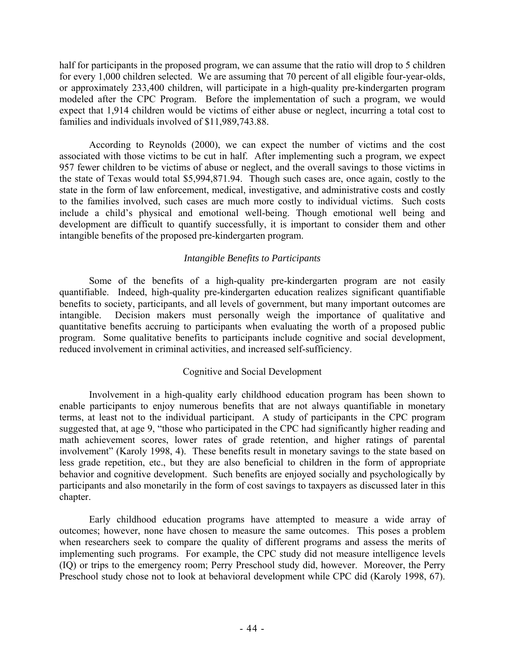half for participants in the proposed program, we can assume that the ratio will drop to 5 children for every 1,000 children selected. We are assuming that 70 percent of all eligible four-year-olds, or approximately 233,400 children, will participate in a high-quality pre-kindergarten program modeled after the CPC Program. Before the implementation of such a program, we would expect that 1,914 children would be victims of either abuse or neglect, incurring a total cost to families and individuals involved of \$11,989,743.88.

According to Reynolds (2000), we can expect the number of victims and the cost associated with those victims to be cut in half. After implementing such a program, we expect 957 fewer children to be victims of abuse or neglect, and the overall savings to those victims in the state of Texas would total \$5,994,871.94. Though such cases are, once again, costly to the state in the form of law enforcement, medical, investigative, and administrative costs and costly to the families involved, such cases are much more costly to individual victims. Such costs include a child's physical and emotional well-being. Though emotional well being and development are difficult to quantify successfully, it is important to consider them and other intangible benefits of the proposed pre-kindergarten program.

# *Intangible Benefits to Participants*

Some of the benefits of a high-quality pre-kindergarten program are not easily quantifiable. Indeed, high-quality pre-kindergarten education realizes significant quantifiable benefits to society, participants, and all levels of government, but many important outcomes are intangible. Decision makers must personally weigh the importance of qualitative and quantitative benefits accruing to participants when evaluating the worth of a proposed public program. Some qualitative benefits to participants include cognitive and social development, reduced involvement in criminal activities, and increased self-sufficiency.

# Cognitive and Social Development

Involvement in a high-quality early childhood education program has been shown to enable participants to enjoy numerous benefits that are not always quantifiable in monetary terms, at least not to the individual participant. A study of participants in the CPC program suggested that, at age 9, "those who participated in the CPC had significantly higher reading and math achievement scores, lower rates of grade retention, and higher ratings of parental involvement" (Karoly 1998, 4). These benefits result in monetary savings to the state based on less grade repetition, etc., but they are also beneficial to children in the form of appropriate behavior and cognitive development. Such benefits are enjoyed socially and psychologically by participants and also monetarily in the form of cost savings to taxpayers as discussed later in this chapter.

Early childhood education programs have attempted to measure a wide array of outcomes; however, none have chosen to measure the same outcomes. This poses a problem when researchers seek to compare the quality of different programs and assess the merits of implementing such programs. For example, the CPC study did not measure intelligence levels (IQ) or trips to the emergency room; Perry Preschool study did, however. Moreover, the Perry Preschool study chose not to look at behavioral development while CPC did (Karoly 1998, 67).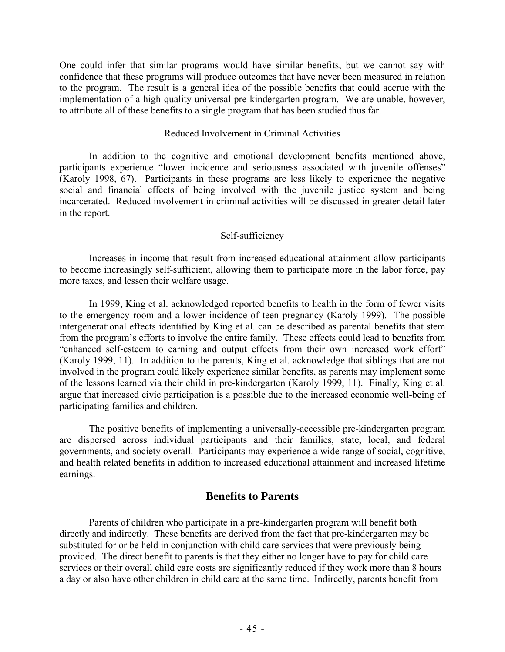One could infer that similar programs would have similar benefits, but we cannot say with confidence that these programs will produce outcomes that have never been measured in relation to the program. The result is a general idea of the possible benefits that could accrue with the implementation of a high-quality universal pre-kindergarten program. We are unable, however, to attribute all of these benefits to a single program that has been studied thus far.

# Reduced Involvement in Criminal Activities

In addition to the cognitive and emotional development benefits mentioned above, participants experience "lower incidence and seriousness associated with juvenile offenses" (Karoly 1998, 67). Participants in these programs are less likely to experience the negative social and financial effects of being involved with the juvenile justice system and being incarcerated. Reduced involvement in criminal activities will be discussed in greater detail later in the report.

# Self-sufficiency

Increases in income that result from increased educational attainment allow participants to become increasingly self-sufficient, allowing them to participate more in the labor force, pay more taxes, and lessen their welfare usage.

In 1999, King et al. acknowledged reported benefits to health in the form of fewer visits to the emergency room and a lower incidence of teen pregnancy (Karoly 1999). The possible intergenerational effects identified by King et al. can be described as parental benefits that stem from the program's efforts to involve the entire family. These effects could lead to benefits from "enhanced self-esteem to earning and output effects from their own increased work effort" (Karoly 1999, 11). In addition to the parents, King et al. acknowledge that siblings that are not involved in the program could likely experience similar benefits, as parents may implement some of the lessons learned via their child in pre-kindergarten (Karoly 1999, 11). Finally, King et al. argue that increased civic participation is a possible due to the increased economic well-being of participating families and children.

The positive benefits of implementing a universally-accessible pre-kindergarten program are dispersed across individual participants and their families, state, local, and federal governments, and society overall. Participants may experience a wide range of social, cognitive, and health related benefits in addition to increased educational attainment and increased lifetime earnings.

# **Benefits to Parents**

 Parents of children who participate in a pre-kindergarten program will benefit both directly and indirectly. These benefits are derived from the fact that pre-kindergarten may be substituted for or be held in conjunction with child care services that were previously being provided. The direct benefit to parents is that they either no longer have to pay for child care services or their overall child care costs are significantly reduced if they work more than 8 hours a day or also have other children in child care at the same time. Indirectly, parents benefit from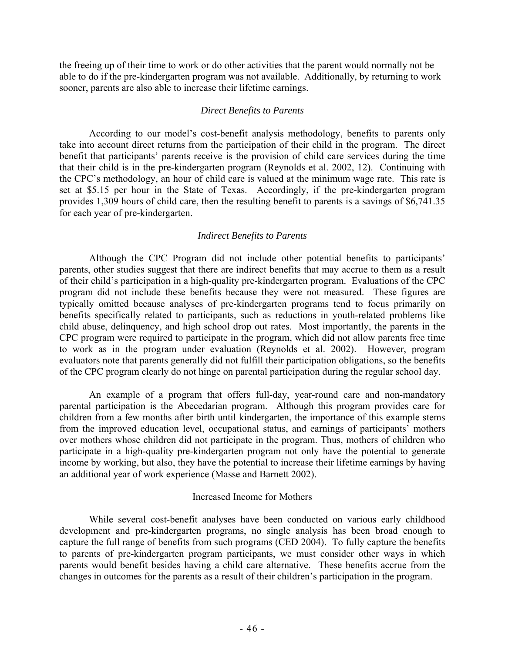the freeing up of their time to work or do other activities that the parent would normally not be able to do if the pre-kindergarten program was not available. Additionally, by returning to work sooner, parents are also able to increase their lifetime earnings.

#### *Direct Benefits to Parents*

 According to our model's cost-benefit analysis methodology, benefits to parents only take into account direct returns from the participation of their child in the program. The direct benefit that participants' parents receive is the provision of child care services during the time that their child is in the pre-kindergarten program (Reynolds et al. 2002, 12). Continuing with the CPC's methodology, an hour of child care is valued at the minimum wage rate. This rate is set at \$5.15 per hour in the State of Texas. Accordingly, if the pre-kindergarten program provides 1,309 hours of child care, then the resulting benefit to parents is a savings of \$6,741.35 for each year of pre-kindergarten.

#### *Indirect Benefits to Parents*

 Although the CPC Program did not include other potential benefits to participants' parents, other studies suggest that there are indirect benefits that may accrue to them as a result of their child's participation in a high-quality pre-kindergarten program. Evaluations of the CPC program did not include these benefits because they were not measured. These figures are typically omitted because analyses of pre-kindergarten programs tend to focus primarily on benefits specifically related to participants, such as reductions in youth-related problems like child abuse, delinquency, and high school drop out rates. Most importantly, the parents in the CPC program were required to participate in the program, which did not allow parents free time to work as in the program under evaluation (Reynolds et al. 2002). However, program evaluators note that parents generally did not fulfill their participation obligations, so the benefits of the CPC program clearly do not hinge on parental participation during the regular school day.

 An example of a program that offers full-day, year-round care and non-mandatory parental participation is the Abecedarian program. Although this program provides care for children from a few months after birth until kindergarten, the importance of this example stems from the improved education level, occupational status, and earnings of participants' mothers over mothers whose children did not participate in the program. Thus, mothers of children who participate in a high-quality pre-kindergarten program not only have the potential to generate income by working, but also, they have the potential to increase their lifetime earnings by having an additional year of work experience (Masse and Barnett 2002).

#### Increased Income for Mothers

 While several cost-benefit analyses have been conducted on various early childhood development and pre-kindergarten programs, no single analysis has been broad enough to capture the full range of benefits from such programs (CED 2004). To fully capture the benefits to parents of pre-kindergarten program participants, we must consider other ways in which parents would benefit besides having a child care alternative. These benefits accrue from the changes in outcomes for the parents as a result of their children's participation in the program.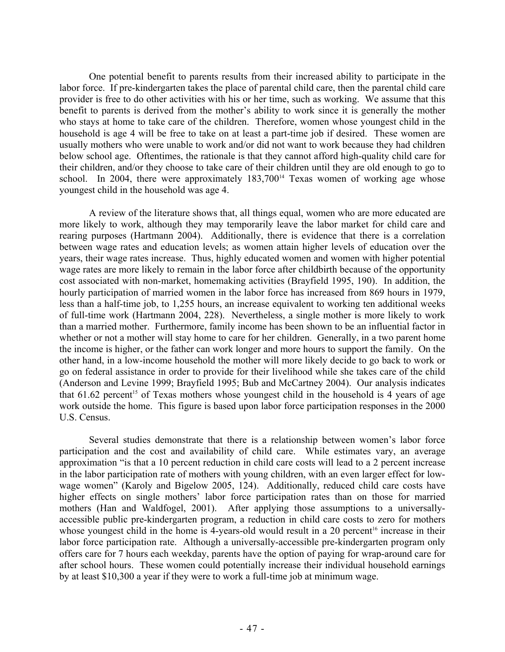One potential benefit to parents results from their increased ability to participate in the labor force. If pre-kindergarten takes the place of parental child care, then the parental child care provider is free to do other activities with his or her time, such as working. We assume that this benefit to parents is derived from the mother's ability to work since it is generally the mother who stays at home to take care of the children. Therefore, women whose youngest child in the household is age 4 will be free to take on at least a part-time job if desired. These women are usually mothers who were unable to work and/or did not want to work because they had children below school age. Oftentimes, the rationale is that they cannot afford high-quality child care for their children, and/or they choose to take care of their children until they are old enough to go to school. In 2004, there were approximately  $183,700^{14}$  Texas women of working age whose youngest child in the household was age 4.

 A review of the literature shows that, all things equal, women who are more educated are more likely to work, although they may temporarily leave the labor market for child care and rearing purposes (Hartmann 2004). Additionally, there is evidence that there is a correlation between wage rates and education levels; as women attain higher levels of education over the years, their wage rates increase. Thus, highly educated women and women with higher potential wage rates are more likely to remain in the labor force after childbirth because of the opportunity cost associated with non-market, homemaking activities (Brayfield 1995, 190). In addition, the hourly participation of married women in the labor force has increased from 869 hours in 1979, less than a half-time job, to 1,255 hours, an increase equivalent to working ten additional weeks of full-time work (Hartmann 2004, 228). Nevertheless, a single mother is more likely to work than a married mother. Furthermore, family income has been shown to be an influential factor in whether or not a mother will stay home to care for her children. Generally, in a two parent home the income is higher, or the father can work longer and more hours to support the family. On the other hand, in a low-income household the mother will more likely decide to go back to work or go on federal assistance in order to provide for their livelihood while she takes care of the child (Anderson and Levine 1999; Brayfield 1995; Bub and McCartney 2004). Our analysis indicates that  $61.62$  percent<sup>15</sup> of Texas mothers whose youngest child in the household is 4 years of age work outside the home. This figure is based upon labor force participation responses in the 2000 U.S. Census.

 Several studies demonstrate that there is a relationship between women's labor force participation and the cost and availability of child care. While estimates vary, an average approximation "is that a 10 percent reduction in child care costs will lead to a 2 percent increase in the labor participation rate of mothers with young children, with an even larger effect for lowwage women" (Karoly and Bigelow 2005, 124). Additionally, reduced child care costs have higher effects on single mothers' labor force participation rates than on those for married mothers (Han and Waldfogel, 2001). After applying those assumptions to a universallyaccessible public pre-kindergarten program, a reduction in child care costs to zero for mothers whose youngest child in the home is 4-years-old would result in a 20 percent<sup>16</sup> increase in their labor force participation rate. Although a universally-accessible pre-kindergarten program only offers care for 7 hours each weekday, parents have the option of paying for wrap-around care for after school hours. These women could potentially increase their individual household earnings by at least \$10,300 a year if they were to work a full-time job at minimum wage.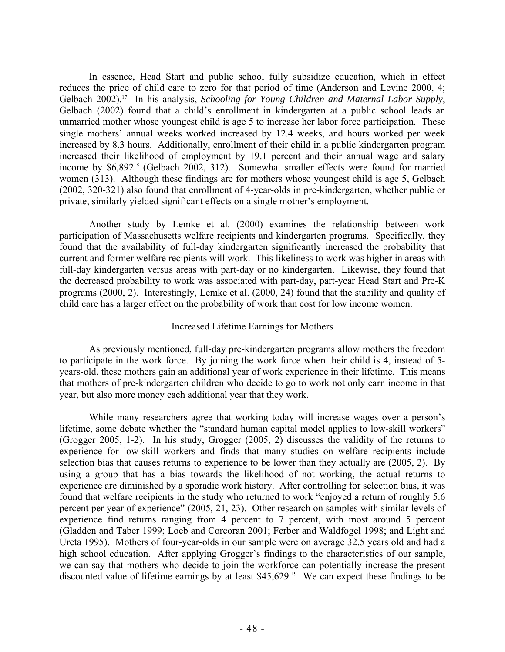In essence, Head Start and public school fully subsidize education, which in effect reduces the price of child care to zero for that period of time (Anderson and Levine 2000, 4; Gelbach 2002).<sup>17</sup> In his analysis, *Schooling for Young Children and Maternal Labor Supply*, Gelbach (2002) found that a child's enrollment in kindergarten at a public school leads an unmarried mother whose youngest child is age 5 to increase her labor force participation. These single mothers' annual weeks worked increased by 12.4 weeks, and hours worked per week increased by 8.3 hours. Additionally, enrollment of their child in a public kindergarten program increased their likelihood of employment by 19.1 percent and their annual wage and salary income by \$6,892<sup>18</sup> (Gelbach 2002, 312). Somewhat smaller effects were found for married women (313). Although these findings are for mothers whose youngest child is age 5, Gelbach (2002, 320-321) also found that enrollment of 4-year-olds in pre-kindergarten, whether public or private, similarly yielded significant effects on a single mother's employment.

 Another study by Lemke et al. (2000) examines the relationship between work participation of Massachusetts welfare recipients and kindergarten programs. Specifically, they found that the availability of full-day kindergarten significantly increased the probability that current and former welfare recipients will work. This likeliness to work was higher in areas with full-day kindergarten versus areas with part-day or no kindergarten. Likewise, they found that the decreased probability to work was associated with part-day, part-year Head Start and Pre-K programs (2000, 2). Interestingly, Lemke et al. (2000, 24) found that the stability and quality of child care has a larger effect on the probability of work than cost for low income women.

## Increased Lifetime Earnings for Mothers

 As previously mentioned, full-day pre-kindergarten programs allow mothers the freedom to participate in the work force. By joining the work force when their child is 4, instead of 5 years-old, these mothers gain an additional year of work experience in their lifetime. This means that mothers of pre-kindergarten children who decide to go to work not only earn income in that year, but also more money each additional year that they work.

 While many researchers agree that working today will increase wages over a person's lifetime, some debate whether the "standard human capital model applies to low-skill workers" (Grogger 2005, 1-2). In his study, Grogger (2005, 2) discusses the validity of the returns to experience for low-skill workers and finds that many studies on welfare recipients include selection bias that causes returns to experience to be lower than they actually are (2005, 2). By using a group that has a bias towards the likelihood of not working, the actual returns to experience are diminished by a sporadic work history. After controlling for selection bias, it was found that welfare recipients in the study who returned to work "enjoyed a return of roughly 5.6 percent per year of experience" (2005, 21, 23). Other research on samples with similar levels of experience find returns ranging from 4 percent to 7 percent, with most around 5 percent (Gladden and Taber 1999; Loeb and Corcoran 2001; Ferber and Waldfogel 1998; and Light and Ureta 1995). Mothers of four-year-olds in our sample were on average 32.5 years old and had a high school education. After applying Grogger's findings to the characteristics of our sample, we can say that mothers who decide to join the workforce can potentially increase the present discounted value of lifetime earnings by at least \$45,629.<sup>19</sup> We can expect these findings to be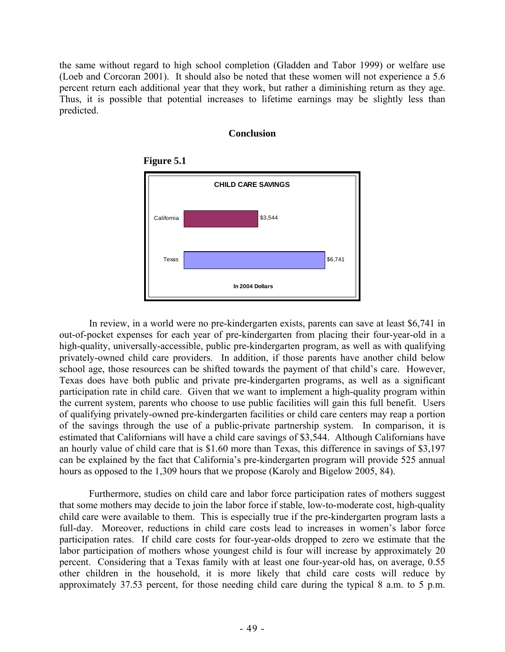the same without regard to high school completion (Gladden and Tabor 1999) or welfare use (Loeb and Corcoran 2001). It should also be noted that these women will not experience a 5.6 percent return each additional year that they work, but rather a diminishing return as they age. Thus, it is possible that potential increases to lifetime earnings may be slightly less than predicted.

## **Conclusion**





 In review, in a world were no pre-kindergarten exists, parents can save at least \$6,741 in out-of-pocket expenses for each year of pre-kindergarten from placing their four-year-old in a high-quality, universally-accessible, public pre-kindergarten program, as well as with qualifying privately-owned child care providers. In addition, if those parents have another child below school age, those resources can be shifted towards the payment of that child's care. However, Texas does have both public and private pre-kindergarten programs, as well as a significant participation rate in child care. Given that we want to implement a high-quality program within the current system, parents who choose to use public facilities will gain this full benefit. Users of qualifying privately-owned pre-kindergarten facilities or child care centers may reap a portion of the savings through the use of a public-private partnership system. In comparison, it is estimated that Californians will have a child care savings of \$3,544. Although Californians have an hourly value of child care that is \$1.60 more than Texas, this difference in savings of \$3,197 can be explained by the fact that California's pre-kindergarten program will provide 525 annual hours as opposed to the 1,309 hours that we propose (Karoly and Bigelow 2005, 84).

 Furthermore, studies on child care and labor force participation rates of mothers suggest that some mothers may decide to join the labor force if stable, low-to-moderate cost, high-quality child care were available to them. This is especially true if the pre-kindergarten program lasts a full-day. Moreover, reductions in child care costs lead to increases in women's labor force participation rates. If child care costs for four-year-olds dropped to zero we estimate that the labor participation of mothers whose youngest child is four will increase by approximately 20 percent. Considering that a Texas family with at least one four-year-old has, on average, 0.55 other children in the household, it is more likely that child care costs will reduce by approximately 37.53 percent, for those needing child care during the typical 8 a.m. to 5 p.m.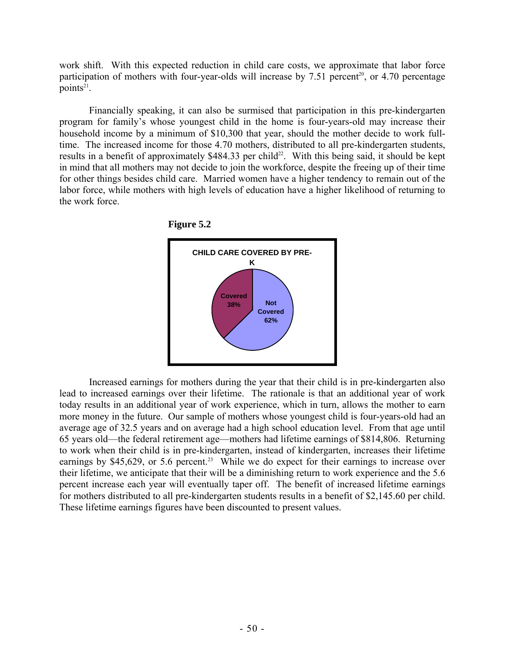work shift. With this expected reduction in child care costs, we approximate that labor force participation of mothers with four-year-olds will increase by 7.51 percent<sup>20</sup>, or 4.70 percentage points $21$ .

 Financially speaking, it can also be surmised that participation in this pre-kindergarten program for family's whose youngest child in the home is four-years-old may increase their household income by a minimum of \$10,300 that year, should the mother decide to work fulltime. The increased income for those 4.70 mothers, distributed to all pre-kindergarten students, results in a benefit of approximately \$484.33 per child<sup>22</sup>. With this being said, it should be kept in mind that all mothers may not decide to join the workforce, despite the freeing up of their time for other things besides child care. Married women have a higher tendency to remain out of the labor force, while mothers with high levels of education have a higher likelihood of returning to the work force.





 Increased earnings for mothers during the year that their child is in pre-kindergarten also lead to increased earnings over their lifetime. The rationale is that an additional year of work today results in an additional year of work experience, which in turn, allows the mother to earn more money in the future. Our sample of mothers whose youngest child is four-years-old had an average age of 32.5 years and on average had a high school education level. From that age until 65 years old—the federal retirement age—mothers had lifetime earnings of \$814,806. Returning to work when their child is in pre-kindergarten, instead of kindergarten, increases their lifetime earnings by \$45,629, or 5.6 percent.<sup>23</sup> While we do expect for their earnings to increase over their lifetime, we anticipate that their will be a diminishing return to work experience and the 5.6 percent increase each year will eventually taper off. The benefit of increased lifetime earnings for mothers distributed to all pre-kindergarten students results in a benefit of \$2,145.60 per child. These lifetime earnings figures have been discounted to present values.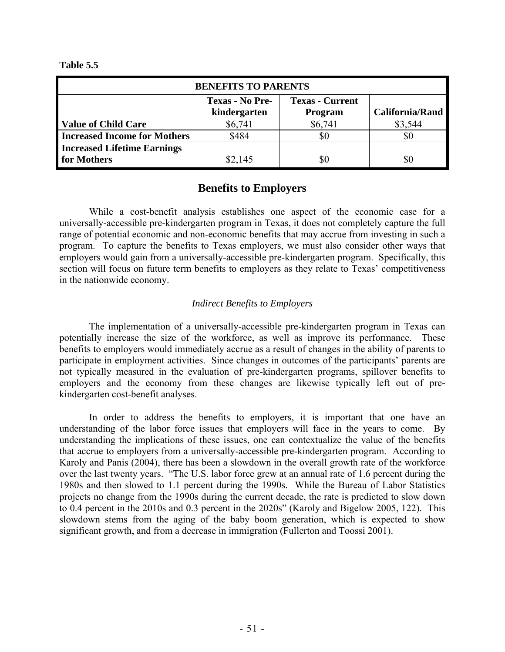**Table 5.5** 

| <b>BENEFITS TO PARENTS</b>          |                        |                        |                        |  |  |
|-------------------------------------|------------------------|------------------------|------------------------|--|--|
|                                     | <b>Texas - No Pre-</b> | <b>Texas - Current</b> |                        |  |  |
|                                     | kindergarten           | <b>Program</b>         | <b>California/Rand</b> |  |  |
| <b>Value of Child Care</b>          | \$6,741                | \$6,741                | \$3,544                |  |  |
| <b>Increased Income for Mothers</b> | \$484                  |                        | \$0                    |  |  |
| <b>Increased Lifetime Earnings</b>  |                        |                        |                        |  |  |
| for Mothers                         | \$2,145                |                        |                        |  |  |

# **Benefits to Employers**

 While a cost-benefit analysis establishes one aspect of the economic case for a universally-accessible pre-kindergarten program in Texas, it does not completely capture the full range of potential economic and non-economic benefits that may accrue from investing in such a program. To capture the benefits to Texas employers, we must also consider other ways that employers would gain from a universally-accessible pre-kindergarten program. Specifically, this section will focus on future term benefits to employers as they relate to Texas' competitiveness in the nationwide economy.

# *Indirect Benefits to Employers*

 The implementation of a universally-accessible pre-kindergarten program in Texas can potentially increase the size of the workforce, as well as improve its performance. These benefits to employers would immediately accrue as a result of changes in the ability of parents to participate in employment activities. Since changes in outcomes of the participants' parents are not typically measured in the evaluation of pre-kindergarten programs, spillover benefits to employers and the economy from these changes are likewise typically left out of prekindergarten cost-benefit analyses.

 In order to address the benefits to employers, it is important that one have an understanding of the labor force issues that employers will face in the years to come. By understanding the implications of these issues, one can contextualize the value of the benefits that accrue to employers from a universally-accessible pre-kindergarten program. According to Karoly and Panis (2004), there has been a slowdown in the overall growth rate of the workforce over the last twenty years. "The U.S. labor force grew at an annual rate of 1.6 percent during the 1980s and then slowed to 1.1 percent during the 1990s. While the Bureau of Labor Statistics projects no change from the 1990s during the current decade, the rate is predicted to slow down to 0.4 percent in the 2010s and 0.3 percent in the 2020s" (Karoly and Bigelow 2005, 122). This slowdown stems from the aging of the baby boom generation, which is expected to show significant growth, and from a decrease in immigration (Fullerton and Toossi 2001).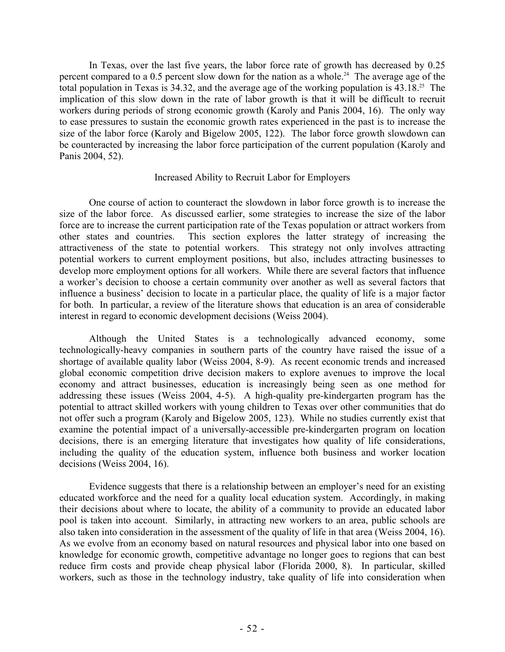In Texas, over the last five years, the labor force rate of growth has decreased by 0.25 percent compared to a 0.5 percent slow down for the nation as a whole.<sup>24</sup> The average age of the total population in Texas is 34.32, and the average age of the working population is  $43.18^{25}$  The implication of this slow down in the rate of labor growth is that it will be difficult to recruit workers during periods of strong economic growth (Karoly and Panis 2004, 16). The only way to ease pressures to sustain the economic growth rates experienced in the past is to increase the size of the labor force (Karoly and Bigelow 2005, 122). The labor force growth slowdown can be counteracted by increasing the labor force participation of the current population (Karoly and Panis 2004, 52).

## Increased Ability to Recruit Labor for Employers

 One course of action to counteract the slowdown in labor force growth is to increase the size of the labor force. As discussed earlier, some strategies to increase the size of the labor force are to increase the current participation rate of the Texas population or attract workers from other states and countries. This section explores the latter strategy of increasing the attractiveness of the state to potential workers. This strategy not only involves attracting potential workers to current employment positions, but also, includes attracting businesses to develop more employment options for all workers. While there are several factors that influence a worker's decision to choose a certain community over another as well as several factors that influence a business' decision to locate in a particular place, the quality of life is a major factor for both. In particular, a review of the literature shows that education is an area of considerable interest in regard to economic development decisions (Weiss 2004).

 Although the United States is a technologically advanced economy, some technologically-heavy companies in southern parts of the country have raised the issue of a shortage of available quality labor (Weiss 2004, 8-9). As recent economic trends and increased global economic competition drive decision makers to explore avenues to improve the local economy and attract businesses, education is increasingly being seen as one method for addressing these issues (Weiss 2004, 4-5). A high-quality pre-kindergarten program has the potential to attract skilled workers with young children to Texas over other communities that do not offer such a program (Karoly and Bigelow 2005, 123). While no studies currently exist that examine the potential impact of a universally-accessible pre-kindergarten program on location decisions, there is an emerging literature that investigates how quality of life considerations, including the quality of the education system, influence both business and worker location decisions (Weiss 2004, 16).

 Evidence suggests that there is a relationship between an employer's need for an existing educated workforce and the need for a quality local education system. Accordingly, in making their decisions about where to locate, the ability of a community to provide an educated labor pool is taken into account. Similarly, in attracting new workers to an area, public schools are also taken into consideration in the assessment of the quality of life in that area (Weiss 2004, 16). As we evolve from an economy based on natural resources and physical labor into one based on knowledge for economic growth, competitive advantage no longer goes to regions that can best reduce firm costs and provide cheap physical labor (Florida 2000, 8). In particular, skilled workers, such as those in the technology industry, take quality of life into consideration when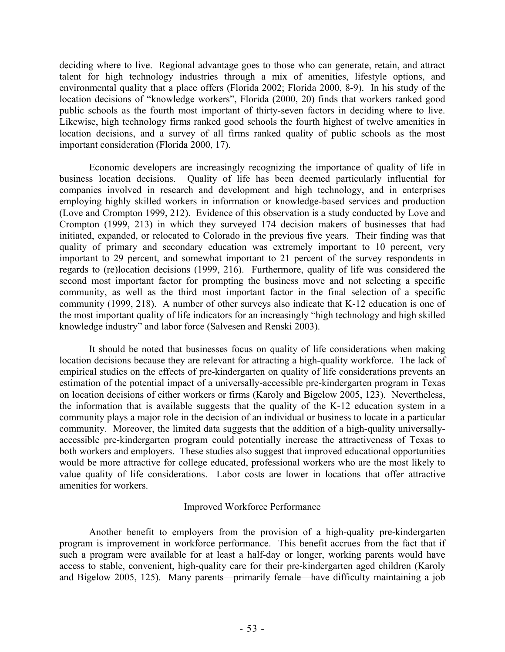deciding where to live. Regional advantage goes to those who can generate, retain, and attract talent for high technology industries through a mix of amenities, lifestyle options, and environmental quality that a place offers (Florida 2002; Florida 2000, 8-9). In his study of the location decisions of "knowledge workers", Florida (2000, 20) finds that workers ranked good public schools as the fourth most important of thirty-seven factors in deciding where to live. Likewise, high technology firms ranked good schools the fourth highest of twelve amenities in location decisions, and a survey of all firms ranked quality of public schools as the most important consideration (Florida 2000, 17).

 Economic developers are increasingly recognizing the importance of quality of life in business location decisions. Quality of life has been deemed particularly influential for companies involved in research and development and high technology, and in enterprises employing highly skilled workers in information or knowledge-based services and production (Love and Crompton 1999, 212). Evidence of this observation is a study conducted by Love and Crompton (1999, 213) in which they surveyed 174 decision makers of businesses that had initiated, expanded, or relocated to Colorado in the previous five years. Their finding was that quality of primary and secondary education was extremely important to 10 percent, very important to 29 percent, and somewhat important to 21 percent of the survey respondents in regards to (re)location decisions (1999, 216). Furthermore, quality of life was considered the second most important factor for prompting the business move and not selecting a specific community, as well as the third most important factor in the final selection of a specific community (1999, 218). A number of other surveys also indicate that K-12 education is one of the most important quality of life indicators for an increasingly "high technology and high skilled knowledge industry" and labor force (Salvesen and Renski 2003).

 It should be noted that businesses focus on quality of life considerations when making location decisions because they are relevant for attracting a high-quality workforce. The lack of empirical studies on the effects of pre-kindergarten on quality of life considerations prevents an estimation of the potential impact of a universally-accessible pre-kindergarten program in Texas on location decisions of either workers or firms (Karoly and Bigelow 2005, 123). Nevertheless, the information that is available suggests that the quality of the K-12 education system in a community plays a major role in the decision of an individual or business to locate in a particular community. Moreover, the limited data suggests that the addition of a high-quality universallyaccessible pre-kindergarten program could potentially increase the attractiveness of Texas to both workers and employers. These studies also suggest that improved educational opportunities would be more attractive for college educated, professional workers who are the most likely to value quality of life considerations. Labor costs are lower in locations that offer attractive amenities for workers.

# Improved Workforce Performance

 Another benefit to employers from the provision of a high-quality pre-kindergarten program is improvement in workforce performance. This benefit accrues from the fact that if such a program were available for at least a half-day or longer, working parents would have access to stable, convenient, high-quality care for their pre-kindergarten aged children (Karoly and Bigelow 2005, 125). Many parents—primarily female—have difficulty maintaining a job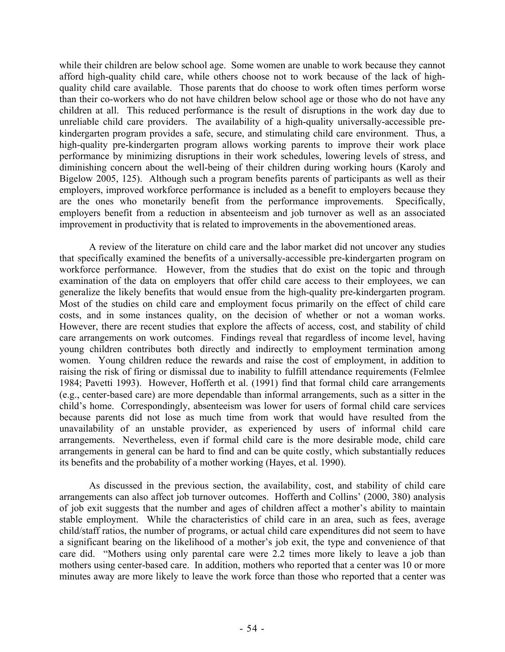while their children are below school age. Some women are unable to work because they cannot afford high-quality child care, while others choose not to work because of the lack of highquality child care available. Those parents that do choose to work often times perform worse than their co-workers who do not have children below school age or those who do not have any children at all. This reduced performance is the result of disruptions in the work day due to unreliable child care providers. The availability of a high-quality universally-accessible prekindergarten program provides a safe, secure, and stimulating child care environment. Thus, a high-quality pre-kindergarten program allows working parents to improve their work place performance by minimizing disruptions in their work schedules, lowering levels of stress, and diminishing concern about the well-being of their children during working hours (Karoly and Bigelow 2005, 125). Although such a program benefits parents of participants as well as their employers, improved workforce performance is included as a benefit to employers because they are the ones who monetarily benefit from the performance improvements. Specifically, employers benefit from a reduction in absenteeism and job turnover as well as an associated improvement in productivity that is related to improvements in the abovementioned areas.

 A review of the literature on child care and the labor market did not uncover any studies that specifically examined the benefits of a universally-accessible pre-kindergarten program on workforce performance. However, from the studies that do exist on the topic and through examination of the data on employers that offer child care access to their employees, we can generalize the likely benefits that would ensue from the high-quality pre-kindergarten program. Most of the studies on child care and employment focus primarily on the effect of child care costs, and in some instances quality, on the decision of whether or not a woman works. However, there are recent studies that explore the affects of access, cost, and stability of child care arrangements on work outcomes. Findings reveal that regardless of income level, having young children contributes both directly and indirectly to employment termination among women. Young children reduce the rewards and raise the cost of employment, in addition to raising the risk of firing or dismissal due to inability to fulfill attendance requirements (Felmlee 1984; Pavetti 1993). However, Hofferth et al. (1991) find that formal child care arrangements (e.g., center-based care) are more dependable than informal arrangements, such as a sitter in the child's home. Correspondingly, absenteeism was lower for users of formal child care services because parents did not lose as much time from work that would have resulted from the unavailability of an unstable provider, as experienced by users of informal child care arrangements. Nevertheless, even if formal child care is the more desirable mode, child care arrangements in general can be hard to find and can be quite costly, which substantially reduces its benefits and the probability of a mother working (Hayes, et al. 1990).

 As discussed in the previous section, the availability, cost, and stability of child care arrangements can also affect job turnover outcomes. Hofferth and Collins' (2000, 380) analysis of job exit suggests that the number and ages of children affect a mother's ability to maintain stable employment. While the characteristics of child care in an area, such as fees, average child/staff ratios, the number of programs, or actual child care expenditures did not seem to have a significant bearing on the likelihood of a mother's job exit, the type and convenience of that care did. "Mothers using only parental care were 2.2 times more likely to leave a job than mothers using center-based care. In addition, mothers who reported that a center was 10 or more minutes away are more likely to leave the work force than those who reported that a center was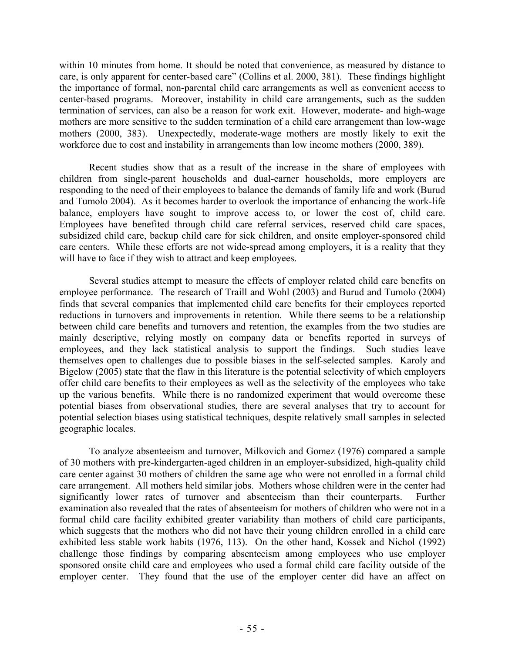within 10 minutes from home. It should be noted that convenience, as measured by distance to care, is only apparent for center-based care" (Collins et al. 2000, 381). These findings highlight the importance of formal, non-parental child care arrangements as well as convenient access to center-based programs. Moreover, instability in child care arrangements, such as the sudden termination of services, can also be a reason for work exit. However, moderate- and high-wage mothers are more sensitive to the sudden termination of a child care arrangement than low-wage mothers (2000, 383). Unexpectedly, moderate-wage mothers are mostly likely to exit the workforce due to cost and instability in arrangements than low income mothers (2000, 389).

 Recent studies show that as a result of the increase in the share of employees with children from single-parent households and dual-earner households, more employers are responding to the need of their employees to balance the demands of family life and work (Burud and Tumolo 2004). As it becomes harder to overlook the importance of enhancing the work-life balance, employers have sought to improve access to, or lower the cost of, child care. Employees have benefited through child care referral services, reserved child care spaces, subsidized child care, backup child care for sick children, and onsite employer-sponsored child care centers. While these efforts are not wide-spread among employers, it is a reality that they will have to face if they wish to attract and keep employees.

 Several studies attempt to measure the effects of employer related child care benefits on employee performance. The research of Traill and Wohl (2003) and Burud and Tumolo (2004) finds that several companies that implemented child care benefits for their employees reported reductions in turnovers and improvements in retention. While there seems to be a relationship between child care benefits and turnovers and retention, the examples from the two studies are mainly descriptive, relying mostly on company data or benefits reported in surveys of employees, and they lack statistical analysis to support the findings. Such studies leave themselves open to challenges due to possible biases in the self-selected samples. Karoly and Bigelow (2005) state that the flaw in this literature is the potential selectivity of which employers offer child care benefits to their employees as well as the selectivity of the employees who take up the various benefits. While there is no randomized experiment that would overcome these potential biases from observational studies, there are several analyses that try to account for potential selection biases using statistical techniques, despite relatively small samples in selected geographic locales.

 To analyze absenteeism and turnover, Milkovich and Gomez (1976) compared a sample of 30 mothers with pre-kindergarten-aged children in an employer-subsidized, high-quality child care center against 30 mothers of children the same age who were not enrolled in a formal child care arrangement. All mothers held similar jobs. Mothers whose children were in the center had significantly lower rates of turnover and absenteeism than their counterparts. Further examination also revealed that the rates of absenteeism for mothers of children who were not in a formal child care facility exhibited greater variability than mothers of child care participants, which suggests that the mothers who did not have their young children enrolled in a child care exhibited less stable work habits (1976, 113). On the other hand, Kossek and Nichol (1992) challenge those findings by comparing absenteeism among employees who use employer sponsored onsite child care and employees who used a formal child care facility outside of the employer center. They found that the use of the employer center did have an affect on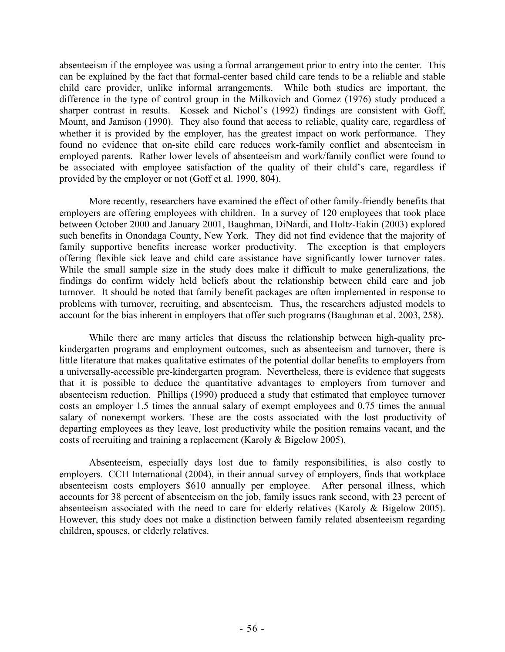absenteeism if the employee was using a formal arrangement prior to entry into the center. This can be explained by the fact that formal-center based child care tends to be a reliable and stable child care provider, unlike informal arrangements. While both studies are important, the difference in the type of control group in the Milkovich and Gomez (1976) study produced a sharper contrast in results. Kossek and Nichol's (1992) findings are consistent with Goff, Mount, and Jamison (1990). They also found that access to reliable, quality care, regardless of whether it is provided by the employer, has the greatest impact on work performance. They found no evidence that on-site child care reduces work-family conflict and absenteeism in employed parents. Rather lower levels of absenteeism and work/family conflict were found to be associated with employee satisfaction of the quality of their child's care, regardless if provided by the employer or not (Goff et al. 1990, 804).

 More recently, researchers have examined the effect of other family-friendly benefits that employers are offering employees with children. In a survey of 120 employees that took place between October 2000 and January 2001, Baughman, DiNardi, and Holtz-Eakin (2003) explored such benefits in Onondaga County, New York. They did not find evidence that the majority of family supportive benefits increase worker productivity. The exception is that employers offering flexible sick leave and child care assistance have significantly lower turnover rates. While the small sample size in the study does make it difficult to make generalizations, the findings do confirm widely held beliefs about the relationship between child care and job turnover. It should be noted that family benefit packages are often implemented in response to problems with turnover, recruiting, and absenteeism. Thus, the researchers adjusted models to account for the bias inherent in employers that offer such programs (Baughman et al. 2003, 258).

 While there are many articles that discuss the relationship between high-quality prekindergarten programs and employment outcomes, such as absenteeism and turnover, there is little literature that makes qualitative estimates of the potential dollar benefits to employers from a universally-accessible pre-kindergarten program. Nevertheless, there is evidence that suggests that it is possible to deduce the quantitative advantages to employers from turnover and absenteeism reduction. Phillips (1990) produced a study that estimated that employee turnover costs an employer 1.5 times the annual salary of exempt employees and 0.75 times the annual salary of nonexempt workers. These are the costs associated with the lost productivity of departing employees as they leave, lost productivity while the position remains vacant, and the costs of recruiting and training a replacement (Karoly & Bigelow 2005).

 Absenteeism, especially days lost due to family responsibilities, is also costly to employers. CCH International (2004), in their annual survey of employers, finds that workplace absenteeism costs employers \$610 annually per employee. After personal illness, which accounts for 38 percent of absenteeism on the job, family issues rank second, with 23 percent of absenteeism associated with the need to care for elderly relatives (Karoly & Bigelow 2005). However, this study does not make a distinction between family related absenteeism regarding children, spouses, or elderly relatives.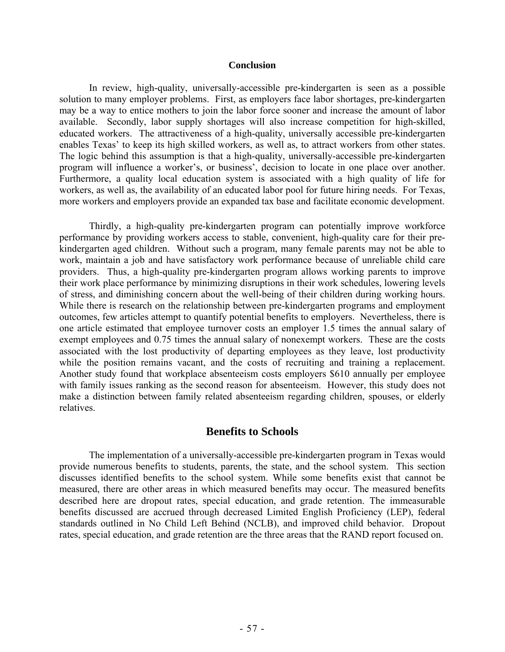#### **Conclusion**

 In review, high-quality, universally-accessible pre-kindergarten is seen as a possible solution to many employer problems. First, as employers face labor shortages, pre-kindergarten may be a way to entice mothers to join the labor force sooner and increase the amount of labor available. Secondly, labor supply shortages will also increase competition for high-skilled, educated workers. The attractiveness of a high-quality, universally accessible pre-kindergarten enables Texas' to keep its high skilled workers, as well as, to attract workers from other states. The logic behind this assumption is that a high-quality, universally-accessible pre-kindergarten program will influence a worker's, or business', decision to locate in one place over another. Furthermore, a quality local education system is associated with a high quality of life for workers, as well as, the availability of an educated labor pool for future hiring needs. For Texas, more workers and employers provide an expanded tax base and facilitate economic development.

 Thirdly, a high-quality pre-kindergarten program can potentially improve workforce performance by providing workers access to stable, convenient, high-quality care for their prekindergarten aged children. Without such a program, many female parents may not be able to work, maintain a job and have satisfactory work performance because of unreliable child care providers. Thus, a high-quality pre-kindergarten program allows working parents to improve their work place performance by minimizing disruptions in their work schedules, lowering levels of stress, and diminishing concern about the well-being of their children during working hours. While there is research on the relationship between pre-kindergarten programs and employment outcomes, few articles attempt to quantify potential benefits to employers. Nevertheless, there is one article estimated that employee turnover costs an employer 1.5 times the annual salary of exempt employees and 0.75 times the annual salary of nonexempt workers. These are the costs associated with the lost productivity of departing employees as they leave, lost productivity while the position remains vacant, and the costs of recruiting and training a replacement. Another study found that workplace absenteeism costs employers \$610 annually per employee with family issues ranking as the second reason for absenteeism. However, this study does not make a distinction between family related absenteeism regarding children, spouses, or elderly relatives.

# **Benefits to Schools**

 The implementation of a universally-accessible pre-kindergarten program in Texas would provide numerous benefits to students, parents, the state, and the school system. This section discusses identified benefits to the school system. While some benefits exist that cannot be measured, there are other areas in which measured benefits may occur. The measured benefits described here are dropout rates, special education, and grade retention. The immeasurable benefits discussed are accrued through decreased Limited English Proficiency (LEP), federal standards outlined in No Child Left Behind (NCLB), and improved child behavior. Dropout rates, special education, and grade retention are the three areas that the RAND report focused on.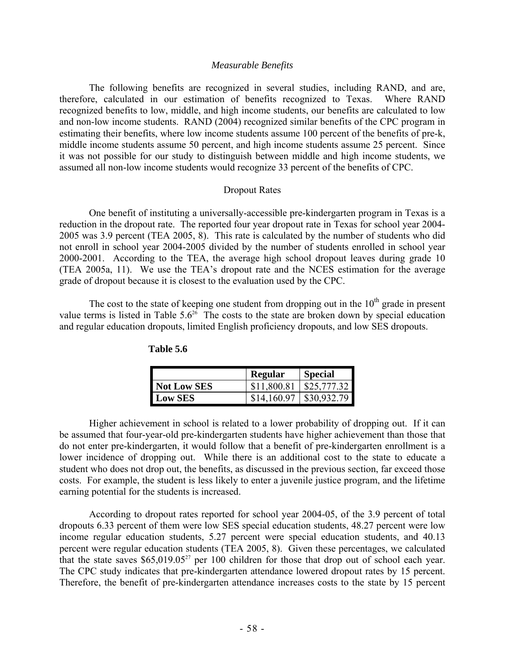#### *Measurable Benefits*

The following benefits are recognized in several studies, including RAND, and are, therefore, calculated in our estimation of benefits recognized to Texas. Where RAND recognized benefits to low, middle, and high income students, our benefits are calculated to low and non-low income students. RAND (2004) recognized similar benefits of the CPC program in estimating their benefits, where low income students assume 100 percent of the benefits of pre-k, middle income students assume 50 percent, and high income students assume 25 percent. Since it was not possible for our study to distinguish between middle and high income students, we assumed all non-low income students would recognize 33 percent of the benefits of CPC.

#### Dropout Rates

 One benefit of instituting a universally-accessible pre-kindergarten program in Texas is a reduction in the dropout rate. The reported four year dropout rate in Texas for school year 2004- 2005 was 3.9 percent (TEA 2005, 8). This rate is calculated by the number of students who did not enroll in school year 2004-2005 divided by the number of students enrolled in school year 2000-2001. According to the TEA, the average high school dropout leaves during grade 10 (TEA 2005a, 11). We use the TEA's dropout rate and the NCES estimation for the average grade of dropout because it is closest to the evaluation used by the CPC.

The cost to the state of keeping one student from dropping out in the  $10<sup>th</sup>$  grade in present value terms is listed in Table  $5.6^{26}$  The costs to the state are broken down by special education and regular education dropouts, limited English proficiency dropouts, and low SES dropouts.

|             | <b>Regular</b> | <b>Special</b>               |
|-------------|----------------|------------------------------|
| Not Low SES | \$11,800.81    | $\frac{1}{2}$ \$25,777.32    |
| Low SES     |                | $$14,160.97 \mid $30,932.79$ |

**Table 5.6** 

 Higher achievement in school is related to a lower probability of dropping out. If it can be assumed that four-year-old pre-kindergarten students have higher achievement than those that do not enter pre-kindergarten, it would follow that a benefit of pre-kindergarten enrollment is a lower incidence of dropping out. While there is an additional cost to the state to educate a student who does not drop out, the benefits, as discussed in the previous section, far exceed those costs. For example, the student is less likely to enter a juvenile justice program, and the lifetime earning potential for the students is increased.

According to dropout rates reported for school year 2004-05, of the 3.9 percent of total dropouts 6.33 percent of them were low SES special education students, 48.27 percent were low income regular education students, 5.27 percent were special education students, and 40.13 percent were regular education students (TEA 2005, 8). Given these percentages, we calculated that the state saves  $$65,019.05^{27}$  per 100 children for those that drop out of school each year. The CPC study indicates that pre-kindergarten attendance lowered dropout rates by 15 percent. Therefore, the benefit of pre-kindergarten attendance increases costs to the state by 15 percent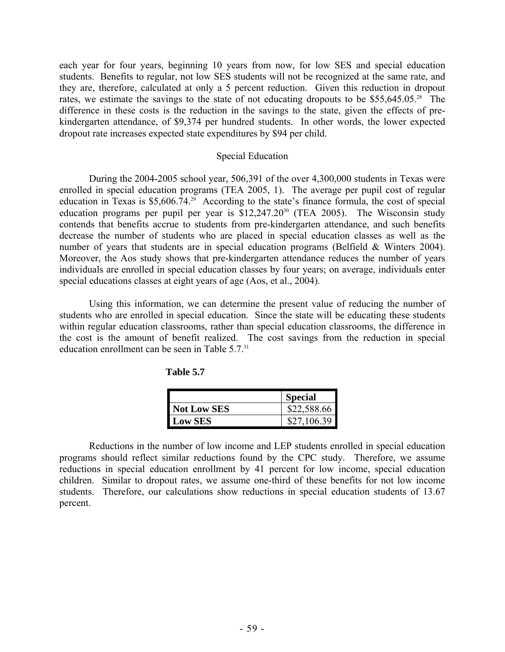each year for four years, beginning 10 years from now, for low SES and special education students. Benefits to regular, not low SES students will not be recognized at the same rate, and they are, therefore, calculated at only a 5 percent reduction. Given this reduction in dropout rates, we estimate the savings to the state of not educating dropouts to be  $$55,645.05<sup>28</sup>$  The difference in these costs is the reduction in the savings to the state, given the effects of prekindergarten attendance, of \$9,374 per hundred students. In other words, the lower expected dropout rate increases expected state expenditures by \$94 per child.

## Special Education

 During the 2004-2005 school year, 506,391 of the over 4,300,000 students in Texas were enrolled in special education programs (TEA 2005, 1). The average per pupil cost of regular education in Texas is  $$5,606.74.^{29}$  According to the state's finance formula, the cost of special education programs per pupil per year is  $$12,247.20^{30}$  (TEA 2005). The Wisconsin study contends that benefits accrue to students from pre-kindergarten attendance, and such benefits decrease the number of students who are placed in special education classes as well as the number of years that students are in special education programs (Belfield & Winters 2004). Moreover, the Aos study shows that pre-kindergarten attendance reduces the number of years individuals are enrolled in special education classes by four years; on average, individuals enter special educations classes at eight years of age (Aos, et al., 2004).

 Using this information, we can determine the present value of reducing the number of students who are enrolled in special education. Since the state will be educating these students within regular education classrooms, rather than special education classrooms, the difference in the cost is the amount of benefit realized. The cost savings from the reduction in special education enrollment can be seen in Table 5.7.<sup>31</sup>

|                    | <b>Special</b> |
|--------------------|----------------|
| <b>Not Low SES</b> | \$22,588.66    |
| <b>Low SES</b>     | \$27,106.39    |

 Reductions in the number of low income and LEP students enrolled in special education programs should reflect similar reductions found by the CPC study. Therefore, we assume reductions in special education enrollment by 41 percent for low income, special education children. Similar to dropout rates, we assume one-third of these benefits for not low income students. Therefore, our calculations show reductions in special education students of 13.67 percent.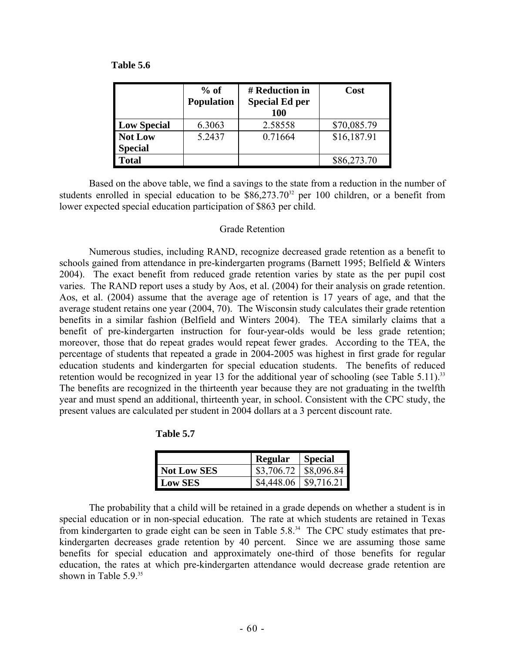| Table 5.6 |  |
|-----------|--|
|-----------|--|

|                           | $%$ of<br><b>Population</b> | # Reduction in<br><b>Special Ed per</b><br><b>100</b> | Cost        |
|---------------------------|-----------------------------|-------------------------------------------------------|-------------|
| <b>Low Special</b>        | 6.3063                      | 2.58558                                               | \$70,085.79 |
| Not Low<br><b>Special</b> | 5.2437                      | 0.71664                                               | \$16,187.91 |
| <b>Total</b>              |                             |                                                       | \$86,273.70 |

 Based on the above table, we find a savings to the state from a reduction in the number of students enrolled in special education to be  $$86,273.70^{32}$  per 100 children, or a benefit from lower expected special education participation of \$863 per child.

#### Grade Retention

 Numerous studies, including RAND, recognize decreased grade retention as a benefit to schools gained from attendance in pre-kindergarten programs (Barnett 1995; Belfield & Winters 2004). The exact benefit from reduced grade retention varies by state as the per pupil cost varies. The RAND report uses a study by Aos, et al. (2004) for their analysis on grade retention. Aos, et al. (2004) assume that the average age of retention is 17 years of age, and that the average student retains one year (2004, 70). The Wisconsin study calculates their grade retention benefits in a similar fashion (Belfield and Winters 2004). The TEA similarly claims that a benefit of pre-kindergarten instruction for four-year-olds would be less grade retention; moreover, those that do repeat grades would repeat fewer grades. According to the TEA, the percentage of students that repeated a grade in 2004-2005 was highest in first grade for regular education students and kindergarten for special education students. The benefits of reduced retention would be recognized in year 13 for the additional year of schooling (see Table 5.11).<sup>33</sup> The benefits are recognized in the thirteenth year because they are not graduating in the twelfth year and must spend an additional, thirteenth year, in school. Consistent with the CPC study, the present values are calculated per student in 2004 dollars at a 3 percent discount rate.

**Table 5.7** 

|                    | <b>Regular</b> | <b>Special</b>                |
|--------------------|----------------|-------------------------------|
| <b>Not Low SES</b> |                | $$3,706.72 \;   \; $8,096.84$ |
| <b>Low SES</b>     | \$4,448.06     | $\frac{1}{9}$ \$9,716.21      |

 The probability that a child will be retained in a grade depends on whether a student is in special education or in non-special education. The rate at which students are retained in Texas from kindergarten to grade eight can be seen in Table 5.8.<sup>34</sup> The CPC study estimates that prekindergarten decreases grade retention by 40 percent. Since we are assuming those same benefits for special education and approximately one-third of those benefits for regular education, the rates at which pre-kindergarten attendance would decrease grade retention are shown in Table 5.9.<sup>35</sup>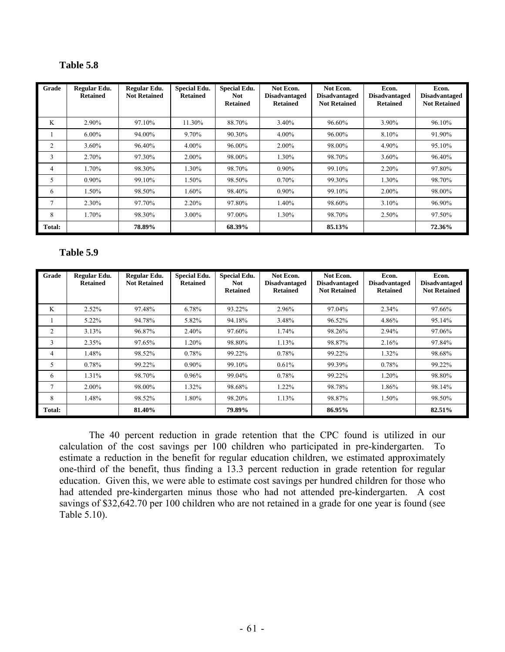| Grade  | Regular Edu.<br><b>Retained</b> | Regular Edu.<br><b>Not Retained</b> | <b>Special Edu.</b><br><b>Retained</b> | <b>Special Edu.</b><br><b>Not</b><br><b>Retained</b> | Not Econ.<br><b>Disadvantaged</b><br><b>Retained</b> | Not Econ.<br><b>Disadvantaged</b><br><b>Not Retained</b> | Econ.<br><b>Disadvantaged</b><br><b>Retained</b> | Econ.<br><b>Disadvantaged</b><br><b>Not Retained</b> |
|--------|---------------------------------|-------------------------------------|----------------------------------------|------------------------------------------------------|------------------------------------------------------|----------------------------------------------------------|--------------------------------------------------|------------------------------------------------------|
| K      | 2.90%                           | 97.10%                              | 11.30%                                 | 88.70%                                               | 3.40%                                                | 96.60%                                                   | 3.90%                                            | 96.10%                                               |
|        | $6.00\%$                        | 94.00%                              | 9.70%                                  | 90.30%                                               | $4.00\%$                                             | 96.00%                                                   | 8.10%                                            | 91.90%                                               |
| 2      | 3.60%                           | 96.40%                              | $4.00\%$                               | 96.00%                                               | $2.00\%$                                             | 98.00%                                                   | 4.90%                                            | 95.10%                                               |
| 3      | 2.70%                           | 97.30%                              | 2.00%                                  | 98.00%                                               | 1.30%                                                | 98.70%                                                   | 3.60%                                            | 96.40%                                               |
| 4      | 1.70%                           | 98.30%                              | 1.30%                                  | 98.70%                                               | $0.90\%$                                             | 99.10%                                                   | 2.20%                                            | 97.80%                                               |
| 5      | $0.90\%$                        | 99.10%                              | 1.50%                                  | 98.50%                                               | 0.70%                                                | 99.30%                                                   | 1.30%                                            | 98.70%                                               |
| 6      | 1.50%                           | 98.50%                              | 1.60%                                  | 98.40%                                               | $0.90\%$                                             | 99.10%                                                   | $2.00\%$                                         | 98.00%                                               |
|        | 2.30%                           | 97.70%                              | 2.20%                                  | 97.80%                                               | 1.40%                                                | 98.60%                                                   | 3.10%                                            | 96.90%                                               |
| 8      | 1.70%                           | 98.30%                              | $3.00\%$                               | 97.00%                                               | 1.30%                                                | 98.70%                                                   | 2.50%                                            | 97.50%                                               |
| Total: |                                 | 78.89%                              |                                        | 68.39%                                               |                                                      | 85.13%                                                   |                                                  | 72.36%                                               |

#### **Table 5.9**

| Grade          | Regular Edu.<br><b>Retained</b> | Regular Edu.<br><b>Not Retained</b> | <b>Special Edu.</b><br><b>Retained</b> | <b>Special Edu.</b><br><b>Not</b><br><b>Retained</b> | Not Econ.<br><b>Disadvantaged</b><br><b>Retained</b> | Not Econ.<br><b>Disadvantaged</b><br><b>Not Retained</b> | Econ.<br><b>Disadvantaged</b><br><b>Retained</b> | Econ.<br><b>Disadvantaged</b><br><b>Not Retained</b> |
|----------------|---------------------------------|-------------------------------------|----------------------------------------|------------------------------------------------------|------------------------------------------------------|----------------------------------------------------------|--------------------------------------------------|------------------------------------------------------|
| K              | $2.52\%$                        | 97.48%                              | 6.78%                                  | 93.22%                                               | 2.96%                                                | 97.04%                                                   | 2.34%                                            | 97.66%                                               |
|                | 5.22%                           | 94.78%                              | 5.82%                                  | 94.18%                                               | 3.48%                                                | 96.52%                                                   | 4.86%                                            | 95.14%                                               |
| $\overline{c}$ | 3.13%                           | 96.87%                              | 2.40%                                  | 97.60%                                               | 1.74%                                                | 98.26%                                                   | 2.94%                                            | 97.06%                                               |
| 3              | 2.35%                           | 97.65%                              | 1.20%                                  | 98.80%                                               | 1.13%                                                | 98.87%                                                   | 2.16%                                            | 97.84%                                               |
| 4              | 1.48%                           | 98.52%                              | 0.78%                                  | 99.22%                                               | 0.78%                                                | 99.22%                                                   | 1.32%                                            | 98.68%                                               |
| 5              | 0.78%                           | 99.22%                              | $0.90\%$                               | 99.10%                                               | 0.61%                                                | 99.39%                                                   | 0.78%                                            | 99.22%                                               |
| 6              | 1.31%                           | 98.70%                              | 0.96%                                  | 99.04%                                               | 0.78%                                                | 99.22%                                                   | 1.20%                                            | 98.80%                                               |
| $\overline{7}$ | $2.00\%$                        | 98.00%                              | 1.32%                                  | 98.68%                                               | 1.22%                                                | 98.78%                                                   | 1.86%                                            | 98.14%                                               |
| 8              | 1.48%                           | 98.52%                              | 1.80%                                  | 98.20%                                               | 1.13%                                                | 98.87%                                                   | 1.50%                                            | 98.50%                                               |
| Total:         |                                 | 81.40%                              |                                        | 79.89%                                               |                                                      | 86.95%                                                   |                                                  | 82.51%                                               |

 The 40 percent reduction in grade retention that the CPC found is utilized in our calculation of the cost savings per 100 children who participated in pre-kindergarten. To estimate a reduction in the benefit for regular education children, we estimated approximately one-third of the benefit, thus finding a 13.3 percent reduction in grade retention for regular education. Given this, we were able to estimate cost savings per hundred children for those who had attended pre-kindergarten minus those who had not attended pre-kindergarten. A cost savings of \$32,642.70 per 100 children who are not retained in a grade for one year is found (see Table 5.10).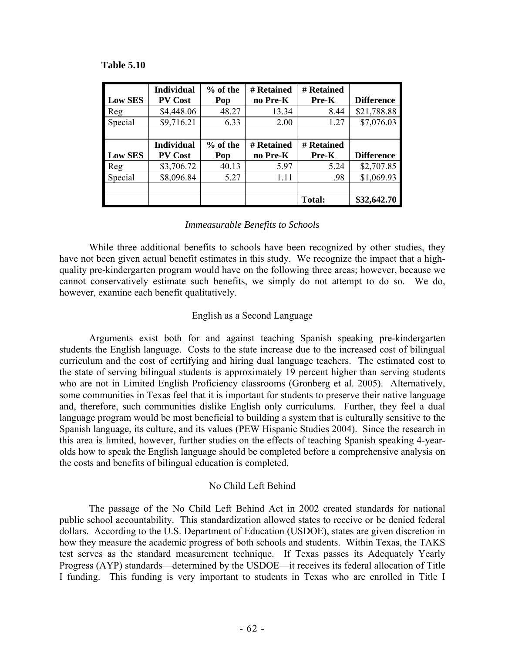#### **Table 5.10**

|                | <b>Individual</b> | % of the | # Retained | # Retained    |                   |
|----------------|-------------------|----------|------------|---------------|-------------------|
| <b>Low SES</b> | <b>PV Cost</b>    | Pop      | no Pre-K   | Pre-K         | <b>Difference</b> |
| Reg            | \$4,448.06        | 48.27    | 13.34      | 8.44          | \$21,788.88       |
| Special        | \$9,716.21        | 6.33     | 2.00       | 1.27          | \$7,076.03        |
|                |                   |          |            |               |                   |
|                | <b>Individual</b> | % of the | # Retained | # Retained    |                   |
| <b>Low SES</b> | <b>PV Cost</b>    | Pop      | no Pre-K   | Pre-K         | <b>Difference</b> |
| Reg            | \$3,706.72        | 40.13    | 5.97       | 5.24          | \$2,707.85        |
| Special        | \$8,096.84        | 5.27     | 1.11       | .98           | \$1,069.93        |
|                |                   |          |            |               |                   |
|                |                   |          |            | <b>Total:</b> | \$32,642.70       |

## *Immeasurable Benefits to Schools*

 While three additional benefits to schools have been recognized by other studies, they have not been given actual benefit estimates in this study. We recognize the impact that a highquality pre-kindergarten program would have on the following three areas; however, because we cannot conservatively estimate such benefits, we simply do not attempt to do so. We do, however, examine each benefit qualitatively.

# English as a Second Language

 Arguments exist both for and against teaching Spanish speaking pre-kindergarten students the English language. Costs to the state increase due to the increased cost of bilingual curriculum and the cost of certifying and hiring dual language teachers. The estimated cost to the state of serving bilingual students is approximately 19 percent higher than serving students who are not in Limited English Proficiency classrooms (Gronberg et al. 2005). Alternatively, some communities in Texas feel that it is important for students to preserve their native language and, therefore, such communities dislike English only curriculums. Further, they feel a dual language program would be most beneficial to building a system that is culturally sensitive to the Spanish language, its culture, and its values (PEW Hispanic Studies 2004). Since the research in this area is limited, however, further studies on the effects of teaching Spanish speaking 4-yearolds how to speak the English language should be completed before a comprehensive analysis on the costs and benefits of bilingual education is completed.

# No Child Left Behind

 The passage of the No Child Left Behind Act in 2002 created standards for national public school accountability. This standardization allowed states to receive or be denied federal dollars. According to the U.S. Department of Education (USDOE), states are given discretion in how they measure the academic progress of both schools and students. Within Texas, the TAKS test serves as the standard measurement technique. If Texas passes its Adequately Yearly Progress (AYP) standards—determined by the USDOE—it receives its federal allocation of Title I funding. This funding is very important to students in Texas who are enrolled in Title I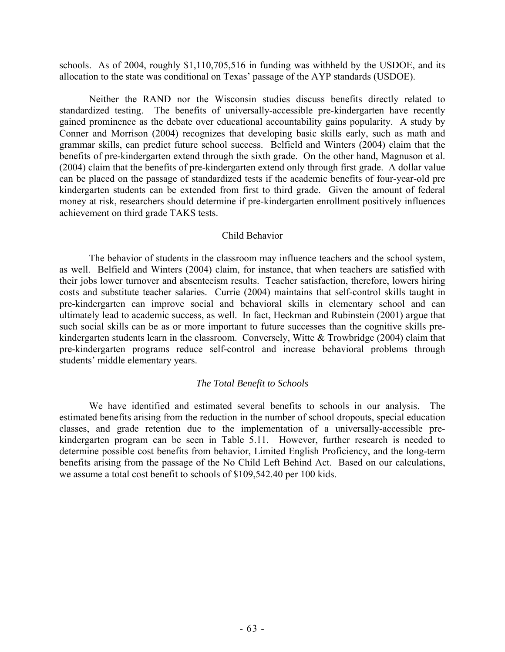schools. As of 2004, roughly \$1,110,705,516 in funding was withheld by the USDOE, and its allocation to the state was conditional on Texas' passage of the AYP standards (USDOE).

 Neither the RAND nor the Wisconsin studies discuss benefits directly related to standardized testing. The benefits of universally-accessible pre-kindergarten have recently gained prominence as the debate over educational accountability gains popularity. A study by Conner and Morrison (2004) recognizes that developing basic skills early, such as math and grammar skills, can predict future school success. Belfield and Winters (2004) claim that the benefits of pre-kindergarten extend through the sixth grade. On the other hand, Magnuson et al. (2004) claim that the benefits of pre-kindergarten extend only through first grade. A dollar value can be placed on the passage of standardized tests if the academic benefits of four-year-old pre kindergarten students can be extended from first to third grade. Given the amount of federal money at risk, researchers should determine if pre-kindergarten enrollment positively influences achievement on third grade TAKS tests.

#### Child Behavior

 The behavior of students in the classroom may influence teachers and the school system, as well. Belfield and Winters (2004) claim, for instance, that when teachers are satisfied with their jobs lower turnover and absenteeism results. Teacher satisfaction, therefore, lowers hiring costs and substitute teacher salaries. Currie (2004) maintains that self-control skills taught in pre-kindergarten can improve social and behavioral skills in elementary school and can ultimately lead to academic success, as well. In fact, Heckman and Rubinstein (2001) argue that such social skills can be as or more important to future successes than the cognitive skills prekindergarten students learn in the classroom. Conversely, Witte & Trowbridge (2004) claim that pre-kindergarten programs reduce self-control and increase behavioral problems through students' middle elementary years.

#### *The Total Benefit to Schools*

 We have identified and estimated several benefits to schools in our analysis. The estimated benefits arising from the reduction in the number of school dropouts, special education classes, and grade retention due to the implementation of a universally-accessible prekindergarten program can be seen in Table 5.11. However, further research is needed to determine possible cost benefits from behavior, Limited English Proficiency, and the long-term benefits arising from the passage of the No Child Left Behind Act. Based on our calculations, we assume a total cost benefit to schools of \$109,542.40 per 100 kids.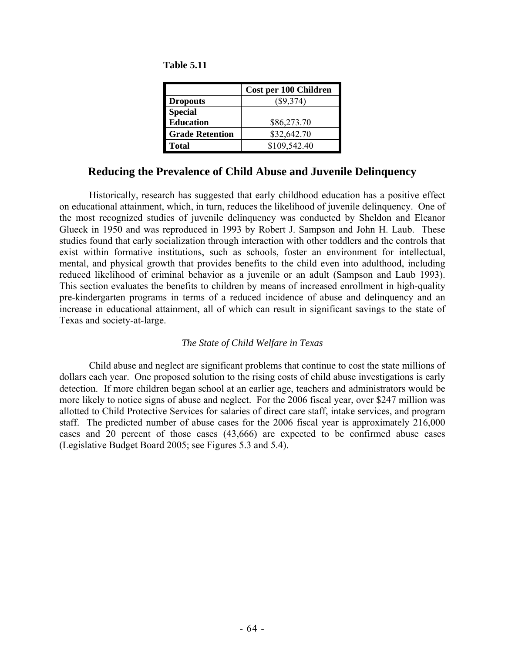|                  | Cost per 100 Children |
|------------------|-----------------------|
| <b>Dropouts</b>  | $(\$9,374)$           |
| <b>Special</b>   |                       |
| <b>Education</b> | \$86,273.70           |

**Grade Retention | \$32,642.70 Total** \$109,542.40

**Table 5.11** 

# **Reducing the Prevalence of Child Abuse and Juvenile Delinquency**

 Historically, research has suggested that early childhood education has a positive effect on educational attainment, which, in turn, reduces the likelihood of juvenile delinquency. One of the most recognized studies of juvenile delinquency was conducted by Sheldon and Eleanor Glueck in 1950 and was reproduced in 1993 by Robert J. Sampson and John H. Laub. These studies found that early socialization through interaction with other toddlers and the controls that exist within formative institutions, such as schools, foster an environment for intellectual, mental, and physical growth that provides benefits to the child even into adulthood, including reduced likelihood of criminal behavior as a juvenile or an adult (Sampson and Laub 1993). This section evaluates the benefits to children by means of increased enrollment in high-quality pre-kindergarten programs in terms of a reduced incidence of abuse and delinquency and an increase in educational attainment, all of which can result in significant savings to the state of Texas and society-at-large.

# *The State of Child Welfare in Texas*

 Child abuse and neglect are significant problems that continue to cost the state millions of dollars each year. One proposed solution to the rising costs of child abuse investigations is early detection. If more children began school at an earlier age, teachers and administrators would be more likely to notice signs of abuse and neglect. For the 2006 fiscal year, over \$247 million was allotted to Child Protective Services for salaries of direct care staff, intake services, and program staff. The predicted number of abuse cases for the 2006 fiscal year is approximately 216,000 cases and 20 percent of those cases (43,666) are expected to be confirmed abuse cases (Legislative Budget Board 2005; see Figures 5.3 and 5.4).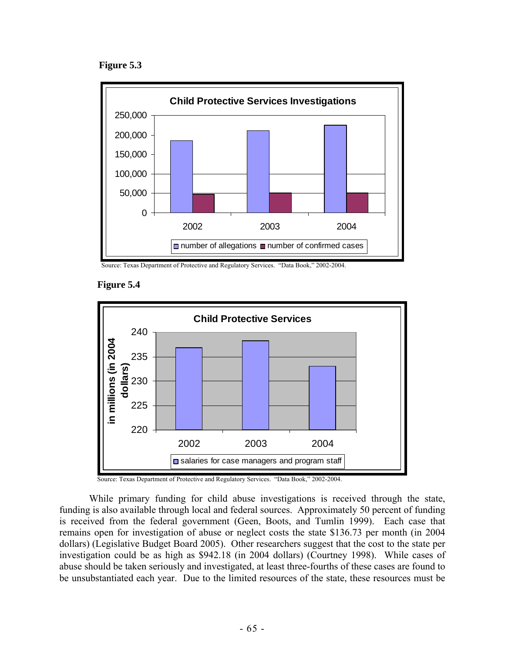**Figure 5.3** 



Source: Texas Department of Protective and Regulatory Services. "Data Book," 2002-2004.





Source: Texas Department of Protective and Regulatory Services. "Data Book," 2002-2004.

 While primary funding for child abuse investigations is received through the state, funding is also available through local and federal sources. Approximately 50 percent of funding is received from the federal government (Geen, Boots, and Tumlin 1999). Each case that remains open for investigation of abuse or neglect costs the state \$136.73 per month (in 2004 dollars) (Legislative Budget Board 2005). Other researchers suggest that the cost to the state per investigation could be as high as \$942.18 (in 2004 dollars) (Courtney 1998). While cases of abuse should be taken seriously and investigated, at least three-fourths of these cases are found to be unsubstantiated each year. Due to the limited resources of the state, these resources must be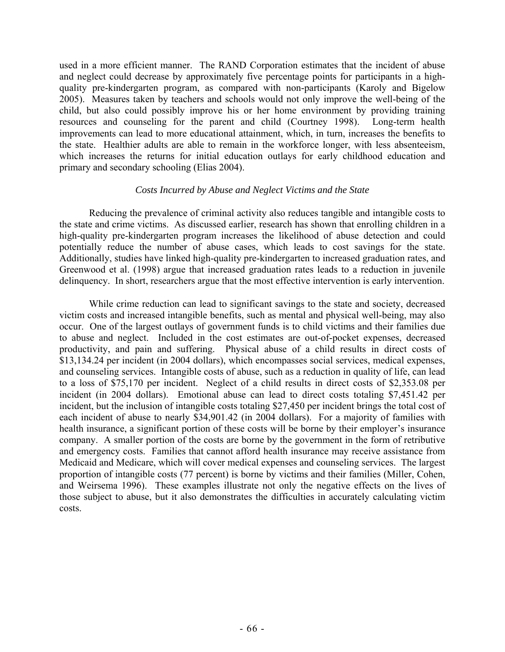used in a more efficient manner. The RAND Corporation estimates that the incident of abuse and neglect could decrease by approximately five percentage points for participants in a highquality pre-kindergarten program, as compared with non-participants (Karoly and Bigelow 2005). Measures taken by teachers and schools would not only improve the well-being of the child, but also could possibly improve his or her home environment by providing training resources and counseling for the parent and child (Courtney 1998). Long-term health improvements can lead to more educational attainment, which, in turn, increases the benefits to the state. Healthier adults are able to remain in the workforce longer, with less absenteeism, which increases the returns for initial education outlays for early childhood education and primary and secondary schooling (Elias 2004).

## *Costs Incurred by Abuse and Neglect Victims and the State*

 Reducing the prevalence of criminal activity also reduces tangible and intangible costs to the state and crime victims. As discussed earlier, research has shown that enrolling children in a high-quality pre-kindergarten program increases the likelihood of abuse detection and could potentially reduce the number of abuse cases, which leads to cost savings for the state. Additionally, studies have linked high-quality pre-kindergarten to increased graduation rates, and Greenwood et al. (1998) argue that increased graduation rates leads to a reduction in juvenile delinquency. In short, researchers argue that the most effective intervention is early intervention.

 While crime reduction can lead to significant savings to the state and society, decreased victim costs and increased intangible benefits, such as mental and physical well-being, may also occur. One of the largest outlays of government funds is to child victims and their families due to abuse and neglect. Included in the cost estimates are out-of-pocket expenses, decreased productivity, and pain and suffering. Physical abuse of a child results in direct costs of \$13,134.24 per incident (in 2004 dollars), which encompasses social services, medical expenses, and counseling services. Intangible costs of abuse, such as a reduction in quality of life, can lead to a loss of \$75,170 per incident. Neglect of a child results in direct costs of \$2,353.08 per incident (in 2004 dollars). Emotional abuse can lead to direct costs totaling \$7,451.42 per incident, but the inclusion of intangible costs totaling \$27,450 per incident brings the total cost of each incident of abuse to nearly \$34,901.42 (in 2004 dollars). For a majority of families with health insurance, a significant portion of these costs will be borne by their employer's insurance company. A smaller portion of the costs are borne by the government in the form of retributive and emergency costs. Families that cannot afford health insurance may receive assistance from Medicaid and Medicare, which will cover medical expenses and counseling services. The largest proportion of intangible costs (77 percent) is borne by victims and their families (Miller, Cohen, and Weirsema 1996). These examples illustrate not only the negative effects on the lives of those subject to abuse, but it also demonstrates the difficulties in accurately calculating victim costs.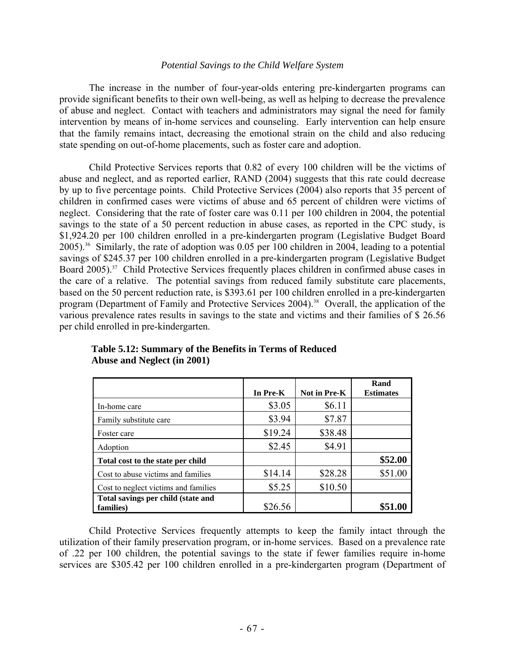#### *Potential Savings to the Child Welfare System*

The increase in the number of four-year-olds entering pre-kindergarten programs can provide significant benefits to their own well-being, as well as helping to decrease the prevalence of abuse and neglect. Contact with teachers and administrators may signal the need for family intervention by means of in-home services and counseling. Early intervention can help ensure that the family remains intact, decreasing the emotional strain on the child and also reducing state spending on out-of-home placements, such as foster care and adoption.

 Child Protective Services reports that 0.82 of every 100 children will be the victims of abuse and neglect, and as reported earlier, RAND (2004) suggests that this rate could decrease by up to five percentage points. Child Protective Services (2004) also reports that 35 percent of children in confirmed cases were victims of abuse and 65 percent of children were victims of neglect. Considering that the rate of foster care was 0.11 per 100 children in 2004, the potential savings to the state of a 50 percent reduction in abuse cases, as reported in the CPC study, is \$1,924.20 per 100 children enrolled in a pre-kindergarten program (Legislative Budget Board 2005).36 Similarly, the rate of adoption was 0.05 per 100 children in 2004, leading to a potential savings of \$245.37 per 100 children enrolled in a pre-kindergarten program (Legislative Budget Board 2005).<sup>37</sup> Child Protective Services frequently places children in confirmed abuse cases in the care of a relative. The potential savings from reduced family substitute care placements, based on the 50 percent reduction rate, is \$393.61 per 100 children enrolled in a pre-kindergarten program (Department of Family and Protective Services 2004).<sup>38</sup> Overall, the application of the various prevalence rates results in savings to the state and victims and their families of \$ 26.56 per child enrolled in pre-kindergarten.

|                                      |          |                     | Rand             |
|--------------------------------------|----------|---------------------|------------------|
|                                      | In Pre-K | <b>Not in Pre-K</b> | <b>Estimates</b> |
| In-home care                         | \$3.05   | \$6.11              |                  |
| Family substitute care               | \$3.94   | \$7.87              |                  |
| Foster care                          | \$19.24  | \$38.48             |                  |
| Adoption                             | \$2.45   | \$4.91              |                  |
| Total cost to the state per child    |          |                     | \$52.00          |
| Cost to abuse victims and families   | \$14.14  | \$28.28             | \$51.00          |
| Cost to neglect victims and families | \$5.25   | \$10.50             |                  |
| Total savings per child (state and   |          |                     |                  |
| families)                            | \$26.56  |                     | \$51.00          |

# **Table 5.12: Summary of the Benefits in Terms of Reduced Abuse and Neglect (in 2001)**

 Child Protective Services frequently attempts to keep the family intact through the utilization of their family preservation program, or in-home services. Based on a prevalence rate of .22 per 100 children, the potential savings to the state if fewer families require in-home services are \$305.42 per 100 children enrolled in a pre-kindergarten program (Department of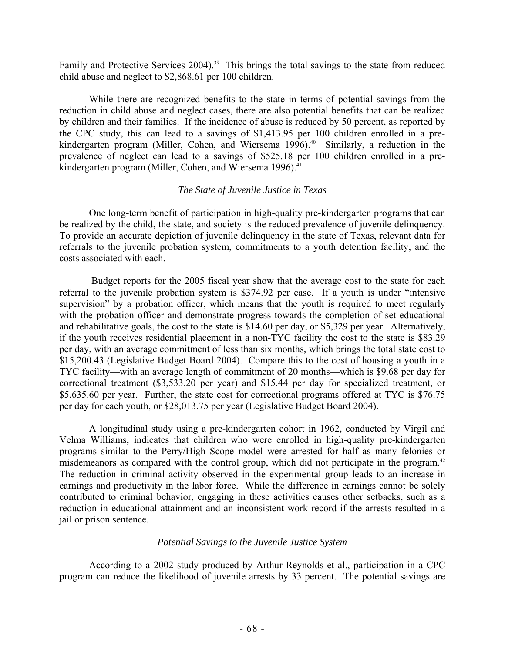Family and Protective Services 2004).<sup>39</sup> This brings the total savings to the state from reduced child abuse and neglect to \$2,868.61 per 100 children.

While there are recognized benefits to the state in terms of potential savings from the reduction in child abuse and neglect cases, there are also potential benefits that can be realized by children and their families. If the incidence of abuse is reduced by 50 percent, as reported by the CPC study, this can lead to a savings of \$1,413.95 per 100 children enrolled in a prekindergarten program (Miller, Cohen, and Wiersema 1996).<sup>40</sup> Similarly, a reduction in the prevalence of neglect can lead to a savings of \$525.18 per 100 children enrolled in a prekindergarten program (Miller, Cohen, and Wiersema 1996).<sup>41</sup>

# *The State of Juvenile Justice in Texas*

 One long-term benefit of participation in high-quality pre-kindergarten programs that can be realized by the child, the state, and society is the reduced prevalence of juvenile delinquency. To provide an accurate depiction of juvenile delinquency in the state of Texas, relevant data for referrals to the juvenile probation system, commitments to a youth detention facility, and the costs associated with each.

Budget reports for the 2005 fiscal year show that the average cost to the state for each referral to the juvenile probation system is \$374.92 per case. If a youth is under "intensive supervision" by a probation officer, which means that the youth is required to meet regularly with the probation officer and demonstrate progress towards the completion of set educational and rehabilitative goals, the cost to the state is \$14.60 per day, or \$5,329 per year. Alternatively, if the youth receives residential placement in a non-TYC facility the cost to the state is \$83.29 per day, with an average commitment of less than six months, which brings the total state cost to \$15,200.43 (Legislative Budget Board 2004). Compare this to the cost of housing a youth in a TYC facility—with an average length of commitment of 20 months—which is \$9.68 per day for correctional treatment (\$3,533.20 per year) and \$15.44 per day for specialized treatment, or \$5,635.60 per year. Further, the state cost for correctional programs offered at TYC is \$76.75 per day for each youth, or \$28,013.75 per year (Legislative Budget Board 2004).

 A longitudinal study using a pre-kindergarten cohort in 1962, conducted by Virgil and Velma Williams, indicates that children who were enrolled in high-quality pre-kindergarten programs similar to the Perry/High Scope model were arrested for half as many felonies or misdemeanors as compared with the control group, which did not participate in the program.<sup>42</sup> The reduction in criminal activity observed in the experimental group leads to an increase in earnings and productivity in the labor force. While the difference in earnings cannot be solely contributed to criminal behavior, engaging in these activities causes other setbacks, such as a reduction in educational attainment and an inconsistent work record if the arrests resulted in a jail or prison sentence.

#### *Potential Savings to the Juvenile Justice System*

 According to a 2002 study produced by Arthur Reynolds et al., participation in a CPC program can reduce the likelihood of juvenile arrests by 33 percent. The potential savings are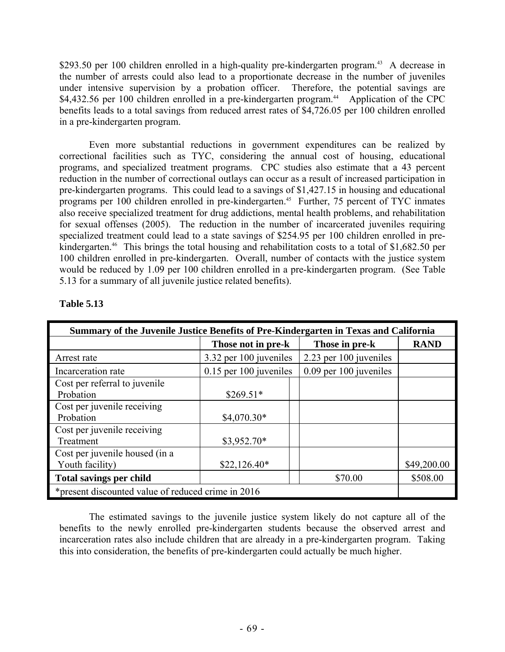\$293.50 per 100 children enrolled in a high-quality pre-kindergarten program.<sup>43</sup> A decrease in the number of arrests could also lead to a proportionate decrease in the number of juveniles under intensive supervision by a probation officer. Therefore, the potential savings are \$4,432.56 per 100 children enrolled in a pre-kindergarten program.<sup>44</sup> Application of the CPC benefits leads to a total savings from reduced arrest rates of \$4,726.05 per 100 children enrolled in a pre-kindergarten program.

 Even more substantial reductions in government expenditures can be realized by correctional facilities such as TYC, considering the annual cost of housing, educational programs, and specialized treatment programs. CPC studies also estimate that a 43 percent reduction in the number of correctional outlays can occur as a result of increased participation in pre-kindergarten programs. This could lead to a savings of \$1,427.15 in housing and educational programs per 100 children enrolled in pre-kindergarten.<sup>45</sup> Further, 75 percent of TYC inmates also receive specialized treatment for drug addictions, mental health problems, and rehabilitation for sexual offenses (2005). The reduction in the number of incarcerated juveniles requiring specialized treatment could lead to a state savings of \$254.95 per 100 children enrolled in prekindergarten.<sup>46</sup> This brings the total housing and rehabilitation costs to a total of \$1,682.50 per 100 children enrolled in pre-kindergarten. Overall, number of contacts with the justice system would be reduced by 1.09 per 100 children enrolled in a pre-kindergarten program. (See Table 5.13 for a summary of all juvenile justice related benefits).

| Summary of the Juvenile Justice Benefits of Pre-Kindergarten in Texas and California |                          |                        |             |  |  |
|--------------------------------------------------------------------------------------|--------------------------|------------------------|-------------|--|--|
|                                                                                      | Those not in pre-k       | Those in pre-k         | <b>RAND</b> |  |  |
| Arrest rate                                                                          | 3.32 per 100 juveniles   | 2.23 per 100 juveniles |             |  |  |
| Incarceration rate                                                                   | $0.15$ per 100 juveniles | 0.09 per 100 juveniles |             |  |  |
| Cost per referral to juvenile<br>Probation                                           | $$269.51*$               |                        |             |  |  |
| Cost per juvenile receiving<br>Probation                                             | $$4,070.30*$             |                        |             |  |  |
| Cost per juvenile receiving<br>Treatment                                             | $$3,952.70*$             |                        |             |  |  |
| Cost per juvenile housed (in a<br>Youth facility)                                    | $$22,126.40*$            |                        | \$49,200.00 |  |  |
| <b>Total savings per child</b>                                                       |                          | \$70.00                | \$508.00    |  |  |
| *present discounted value of reduced crime in 2016                                   |                          |                        |             |  |  |

# **Table 5.13**

 The estimated savings to the juvenile justice system likely do not capture all of the benefits to the newly enrolled pre-kindergarten students because the observed arrest and incarceration rates also include children that are already in a pre-kindergarten program. Taking this into consideration, the benefits of pre-kindergarten could actually be much higher.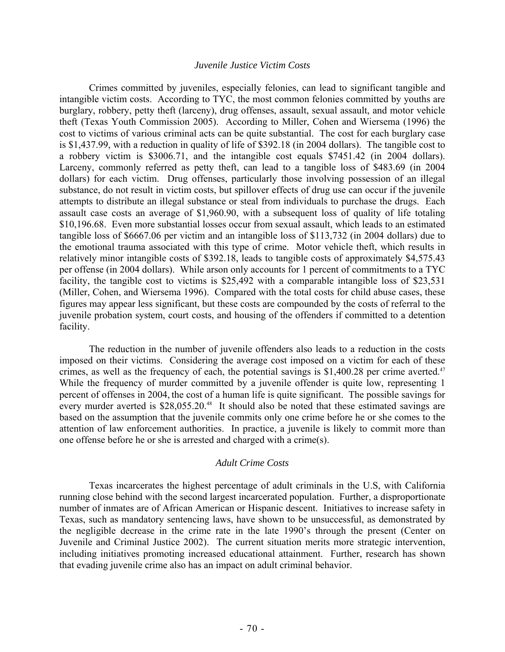#### *Juvenile Justice Victim Costs*

 Crimes committed by juveniles, especially felonies, can lead to significant tangible and intangible victim costs. According to TYC, the most common felonies committed by youths are burglary, robbery, petty theft (larceny), drug offenses, assault, sexual assault, and motor vehicle theft (Texas Youth Commission 2005). According to Miller, Cohen and Wiersema (1996) the cost to victims of various criminal acts can be quite substantial. The cost for each burglary case is \$1,437.99, with a reduction in quality of life of \$392.18 (in 2004 dollars). The tangible cost to a robbery victim is \$3006.71, and the intangible cost equals \$7451.42 (in 2004 dollars). Larceny, commonly referred as petty theft, can lead to a tangible loss of \$483.69 (in 2004 dollars) for each victim. Drug offenses, particularly those involving possession of an illegal substance, do not result in victim costs, but spillover effects of drug use can occur if the juvenile attempts to distribute an illegal substance or steal from individuals to purchase the drugs. Each assault case costs an average of \$1,960.90, with a subsequent loss of quality of life totaling \$10,196.68. Even more substantial losses occur from sexual assault, which leads to an estimated tangible loss of \$6667.06 per victim and an intangible loss of \$113,732 (in 2004 dollars) due to the emotional trauma associated with this type of crime. Motor vehicle theft, which results in relatively minor intangible costs of \$392.18, leads to tangible costs of approximately \$4,575.43 per offense (in 2004 dollars). While arson only accounts for 1 percent of commitments to a TYC facility, the tangible cost to victims is \$25,492 with a comparable intangible loss of \$23,531 (Miller, Cohen, and Wiersema 1996). Compared with the total costs for child abuse cases, these figures may appear less significant, but these costs are compounded by the costs of referral to the juvenile probation system, court costs, and housing of the offenders if committed to a detention facility.

 The reduction in the number of juvenile offenders also leads to a reduction in the costs imposed on their victims. Considering the average cost imposed on a victim for each of these crimes, as well as the frequency of each, the potential savings is  $$1,400.28$  per crime averted.<sup>47</sup> While the frequency of murder committed by a juvenile offender is quite low, representing 1 percent of offenses in 2004, the cost of a human life is quite significant. The possible savings for every murder averted is  $$28,055.20$ <sup>48</sup> It should also be noted that these estimated savings are based on the assumption that the juvenile commits only one crime before he or she comes to the attention of law enforcement authorities. In practice, a juvenile is likely to commit more than one offense before he or she is arrested and charged with a crime(s).

## *Adult Crime Costs*

Texas incarcerates the highest percentage of adult criminals in the U.S, with California running close behind with the second largest incarcerated population. Further, a disproportionate number of inmates are of African American or Hispanic descent. Initiatives to increase safety in Texas, such as mandatory sentencing laws, have shown to be unsuccessful, as demonstrated by the negligible decrease in the crime rate in the late 1990's through the present (Center on Juvenile and Criminal Justice 2002). The current situation merits more strategic intervention, including initiatives promoting increased educational attainment. Further, research has shown that evading juvenile crime also has an impact on adult criminal behavior.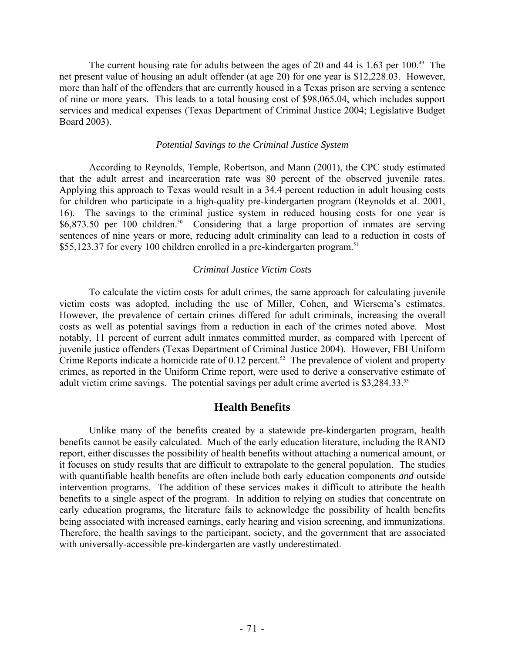The current housing rate for adults between the ages of 20 and 44 is 1.63 per  $100.^{49}$  The net present value of housing an adult offender (at age 20) for one year is \$12,228.03. However, more than half of the offenders that are currently housed in a Texas prison are serving a sentence of nine or more years. This leads to a total housing cost of \$98,065.04, which includes support services and medical expenses (Texas Department of Criminal Justice 2004; Legislative Budget Board 2003).

## *Potential Savings to the Criminal Justice System*

 According to Reynolds, Temple, Robertson, and Mann (2001), the CPC study estimated that the adult arrest and incarceration rate was 80 percent of the observed juvenile rates. Applying this approach to Texas would result in a 34.4 percent reduction in adult housing costs for children who participate in a high-quality pre-kindergarten program (Reynolds et al. 2001, 16). The savings to the criminal justice system in reduced housing costs for one year is \$6,873.50 per 100 children.<sup>50</sup> Considering that a large proportion of inmates are serving sentences of nine years or more, reducing adult criminality can lead to a reduction in costs of \$55,123.37 for every 100 children enrolled in a pre-kindergarten program.<sup>51</sup>

# *Criminal Justice Victim Costs*

 To calculate the victim costs for adult crimes, the same approach for calculating juvenile victim costs was adopted, including the use of Miller, Cohen, and Wiersema's estimates. However, the prevalence of certain crimes differed for adult criminals, increasing the overall costs as well as potential savings from a reduction in each of the crimes noted above. Most notably, 11 percent of current adult inmates committed murder, as compared with 1percent of juvenile justice offenders (Texas Department of Criminal Justice 2004). However, FBI Uniform Crime Reports indicate a homicide rate of 0.12 percent.<sup>52</sup> The prevalence of violent and property crimes, as reported in the Uniform Crime report, were used to derive a conservative estimate of adult victim crime savings. The potential savings per adult crime averted is \$3,284.33.<sup>53</sup>

# **Health Benefits**

 Unlike many of the benefits created by a statewide pre-kindergarten program, health benefits cannot be easily calculated. Much of the early education literature, including the RAND report, either discusses the possibility of health benefits without attaching a numerical amount, or it focuses on study results that are difficult to extrapolate to the general population. The studies with quantifiable health benefits are often include both early education components *and* outside intervention programs. The addition of these services makes it difficult to attribute the health benefits to a single aspect of the program. In addition to relying on studies that concentrate on early education programs, the literature fails to acknowledge the possibility of health benefits being associated with increased earnings, early hearing and vision screening, and immunizations. Therefore, the health savings to the participant, society, and the government that are associated with universally-accessible pre-kindergarten are vastly underestimated.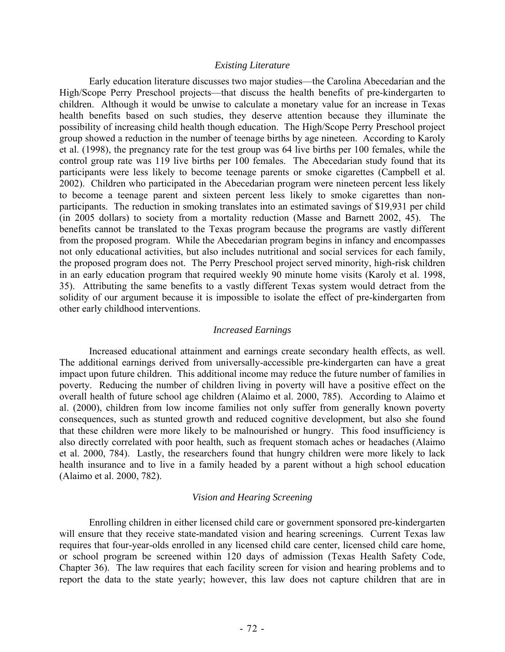#### *Existing Literature*

 Early education literature discusses two major studies—the Carolina Abecedarian and the High/Scope Perry Preschool projects—that discuss the health benefits of pre-kindergarten to children. Although it would be unwise to calculate a monetary value for an increase in Texas health benefits based on such studies, they deserve attention because they illuminate the possibility of increasing child health though education. The High/Scope Perry Preschool project group showed a reduction in the number of teenage births by age nineteen. According to Karoly et al. (1998), the pregnancy rate for the test group was 64 live births per 100 females, while the control group rate was 119 live births per 100 females. The Abecedarian study found that its participants were less likely to become teenage parents or smoke cigarettes (Campbell et al. 2002). Children who participated in the Abecedarian program were nineteen percent less likely to become a teenage parent and sixteen percent less likely to smoke cigarettes than nonparticipants. The reduction in smoking translates into an estimated savings of \$19,931 per child (in 2005 dollars) to society from a mortality reduction (Masse and Barnett 2002, 45). The benefits cannot be translated to the Texas program because the programs are vastly different from the proposed program. While the Abecedarian program begins in infancy and encompasses not only educational activities, but also includes nutritional and social services for each family, the proposed program does not. The Perry Preschool project served minority, high-risk children in an early education program that required weekly 90 minute home visits (Karoly et al. 1998, 35). Attributing the same benefits to a vastly different Texas system would detract from the solidity of our argument because it is impossible to isolate the effect of pre-kindergarten from other early childhood interventions.

#### *Increased Earnings*

 Increased educational attainment and earnings create secondary health effects, as well. The additional earnings derived from universally-accessible pre-kindergarten can have a great impact upon future children. This additional income may reduce the future number of families in poverty. Reducing the number of children living in poverty will have a positive effect on the overall health of future school age children (Alaimo et al. 2000, 785). According to Alaimo et al. (2000), children from low income families not only suffer from generally known poverty consequences, such as stunted growth and reduced cognitive development, but also she found that these children were more likely to be malnourished or hungry. This food insufficiency is also directly correlated with poor health, such as frequent stomach aches or headaches (Alaimo et al. 2000, 784). Lastly, the researchers found that hungry children were more likely to lack health insurance and to live in a family headed by a parent without a high school education (Alaimo et al. 2000, 782).

#### *Vision and Hearing Screening*

 Enrolling children in either licensed child care or government sponsored pre-kindergarten will ensure that they receive state-mandated vision and hearing screenings. Current Texas law requires that four-year-olds enrolled in any licensed child care center, licensed child care home, or school program be screened within 120 days of admission (Texas Health Safety Code, Chapter 36). The law requires that each facility screen for vision and hearing problems and to report the data to the state yearly; however, this law does not capture children that are in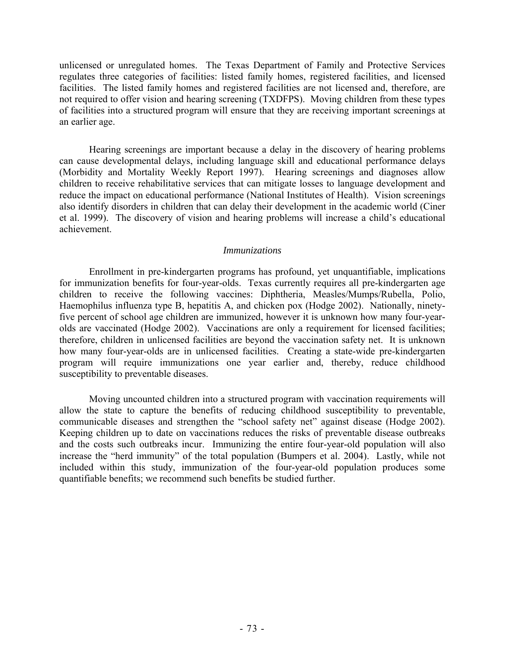unlicensed or unregulated homes. The Texas Department of Family and Protective Services regulates three categories of facilities: listed family homes, registered facilities, and licensed facilities. The listed family homes and registered facilities are not licensed and, therefore, are not required to offer vision and hearing screening (TXDFPS). Moving children from these types of facilities into a structured program will ensure that they are receiving important screenings at an earlier age.

 Hearing screenings are important because a delay in the discovery of hearing problems can cause developmental delays, including language skill and educational performance delays (Morbidity and Mortality Weekly Report 1997). Hearing screenings and diagnoses allow children to receive rehabilitative services that can mitigate losses to language development and reduce the impact on educational performance (National Institutes of Health). Vision screenings also identify disorders in children that can delay their development in the academic world (Ciner et al. 1999). The discovery of vision and hearing problems will increase a child's educational achievement.

#### *Immunizations*

 Enrollment in pre-kindergarten programs has profound, yet unquantifiable, implications for immunization benefits for four-year-olds. Texas currently requires all pre-kindergarten age children to receive the following vaccines: Diphtheria, Measles/Mumps/Rubella, Polio, Haemophilus influenza type B, hepatitis A, and chicken pox (Hodge 2002). Nationally, ninetyfive percent of school age children are immunized, however it is unknown how many four-yearolds are vaccinated (Hodge 2002). Vaccinations are only a requirement for licensed facilities; therefore, children in unlicensed facilities are beyond the vaccination safety net. It is unknown how many four-year-olds are in unlicensed facilities. Creating a state-wide pre-kindergarten program will require immunizations one year earlier and, thereby, reduce childhood susceptibility to preventable diseases.

 Moving uncounted children into a structured program with vaccination requirements will allow the state to capture the benefits of reducing childhood susceptibility to preventable, communicable diseases and strengthen the "school safety net" against disease (Hodge 2002). Keeping children up to date on vaccinations reduces the risks of preventable disease outbreaks and the costs such outbreaks incur. Immunizing the entire four-year-old population will also increase the "herd immunity" of the total population (Bumpers et al. 2004). Lastly, while not included within this study, immunization of the four-year-old population produces some quantifiable benefits; we recommend such benefits be studied further.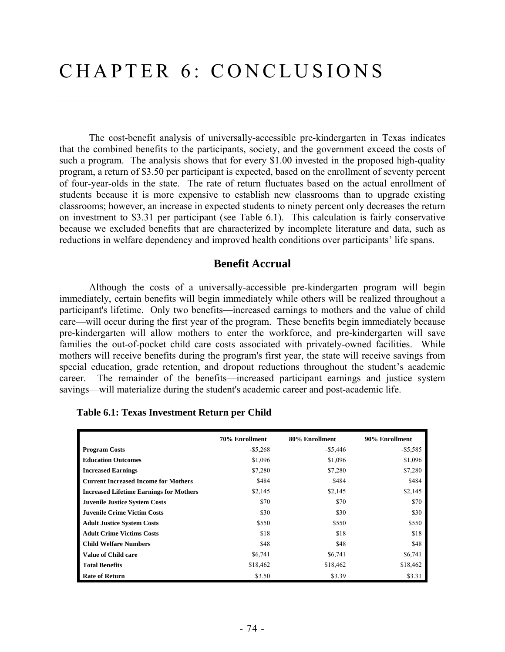The cost-benefit analysis of universally-accessible pre-kindergarten in Texas indicates that the combined benefits to the participants, society, and the government exceed the costs of such a program. The analysis shows that for every \$1.00 invested in the proposed high-quality program, a return of \$3.50 per participant is expected, based on the enrollment of seventy percent of four-year-olds in the state. The rate of return fluctuates based on the actual enrollment of students because it is more expensive to establish new classrooms than to upgrade existing classrooms; however, an increase in expected students to ninety percent only decreases the return on investment to \$3.31 per participant (see Table 6.1). This calculation is fairly conservative because we excluded benefits that are characterized by incomplete literature and data, such as reductions in welfare dependency and improved health conditions over participants' life spans.

### **Benefit Accrual**

Although the costs of a universally-accessible pre-kindergarten program will begin immediately, certain benefits will begin immediately while others will be realized throughout a participant's lifetime. Only two benefits—increased earnings to mothers and the value of child care—will occur during the first year of the program. These benefits begin immediately because pre-kindergarten will allow mothers to enter the workforce, and pre-kindergarten will save families the out-of-pocket child care costs associated with privately-owned facilities. While mothers will receive benefits during the program's first year, the state will receive savings from special education, grade retention, and dropout reductions throughout the student's academic career. The remainder of the benefits—increased participant earnings and justice system savings—will materialize during the student's academic career and post-academic life.

|                                                | 70% Enrollment | 80% Enrollment | 90% Enrollment |
|------------------------------------------------|----------------|----------------|----------------|
| <b>Program Costs</b>                           | $-$ \$5,268    | $-$ \$5,446    | $-$ \$5,585    |
| <b>Education Outcomes</b>                      | \$1,096        | \$1,096        | \$1,096        |
| <b>Increased Earnings</b>                      | \$7,280        | \$7,280        | \$7,280        |
| <b>Current Increased Income for Mothers</b>    | \$484          | \$484          | \$484          |
| <b>Increased Lifetime Earnings for Mothers</b> | \$2,145        | \$2,145        | \$2,145        |
| <b>Juvenile Justice System Costs</b>           | \$70           | \$70           | \$70           |
| <b>Juvenile Crime Victim Costs</b>             | \$30           | \$30           | \$30           |
| <b>Adult Justice System Costs</b>              | \$550          | \$550          | \$550          |
| <b>Adult Crime Victims Costs</b>               | \$18           | \$18           | \$18           |
| <b>Child Welfare Numbers</b>                   | \$48           | \$48           | \$48           |
| <b>Value of Child care</b>                     | \$6,741        | \$6,741        | \$6,741        |
| <b>Total Benefits</b>                          | \$18,462       | \$18,462       | \$18,462       |
| <b>Rate of Return</b>                          | \$3.50         | \$3.39         | \$3.31         |

 **Table 6.1: Texas Investment Return per Child**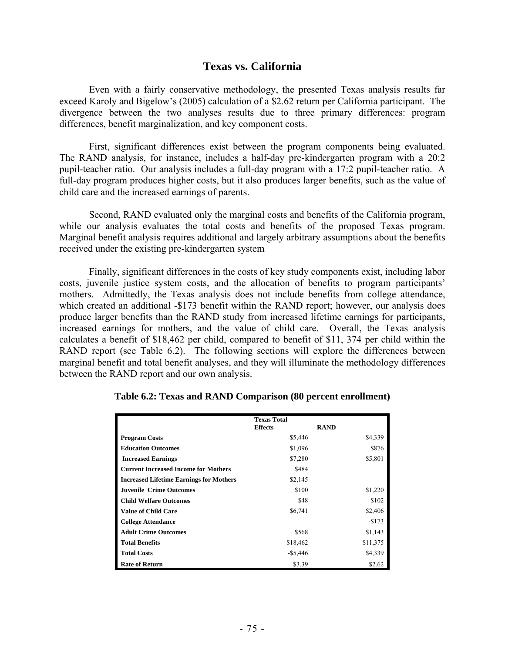#### **Texas vs. California**

Even with a fairly conservative methodology, the presented Texas analysis results far exceed Karoly and Bigelow's (2005) calculation of a \$2.62 return per California participant. The divergence between the two analyses results due to three primary differences: program differences, benefit marginalization, and key component costs.

First, significant differences exist between the program components being evaluated. The RAND analysis, for instance, includes a half-day pre-kindergarten program with a 20:2 pupil-teacher ratio. Our analysis includes a full-day program with a 17:2 pupil-teacher ratio. A full-day program produces higher costs, but it also produces larger benefits, such as the value of child care and the increased earnings of parents.

Second, RAND evaluated only the marginal costs and benefits of the California program, while our analysis evaluates the total costs and benefits of the proposed Texas program. Marginal benefit analysis requires additional and largely arbitrary assumptions about the benefits received under the existing pre-kindergarten system

Finally, significant differences in the costs of key study components exist, including labor costs, juvenile justice system costs, and the allocation of benefits to program participants' mothers. Admittedly, the Texas analysis does not include benefits from college attendance, which created an additional -\$173 benefit within the RAND report; however, our analysis does produce larger benefits than the RAND study from increased lifetime earnings for participants, increased earnings for mothers, and the value of child care. Overall, the Texas analysis calculates a benefit of \$18,462 per child, compared to benefit of \$11, 374 per child within the RAND report (see Table 6.2). The following sections will explore the differences between marginal benefit and total benefit analyses, and they will illuminate the methodology differences between the RAND report and our own analysis.

|                                                | <b>Texas Total</b> |             |
|------------------------------------------------|--------------------|-------------|
|                                                | <b>Effects</b>     | <b>RAND</b> |
| <b>Program Costs</b>                           | $-$ \$5,446        | $-$ \$4,339 |
| <b>Education Outcomes</b>                      | \$1,096            | \$876       |
| <b>Increased Earnings</b>                      | \$7,280            | \$5,801     |
| <b>Current Increased Income for Mothers</b>    | \$484              |             |
| <b>Increased Lifetime Earnings for Mothers</b> | \$2,145            |             |
| <b>Juvenile Crime Outcomes</b>                 | \$100              | \$1,220     |
| <b>Child Welfare Outcomes</b>                  | \$48               | \$102       |
| <b>Value of Child Care</b>                     | \$6,741            | \$2,406     |
| <b>College Attendance</b>                      |                    | $-$173$     |
| <b>Adult Crime Outcomes</b>                    | \$568              | \$1,143     |
| <b>Total Benefits</b>                          | \$18,462           | \$11,375    |
| <b>Total Costs</b>                             | $-$ \$5,446        | \$4,339     |
| <b>Rate of Return</b>                          | \$3.39             | \$2.62      |

**Table 6.2: Texas and RAND Comparison (80 percent enrollment)**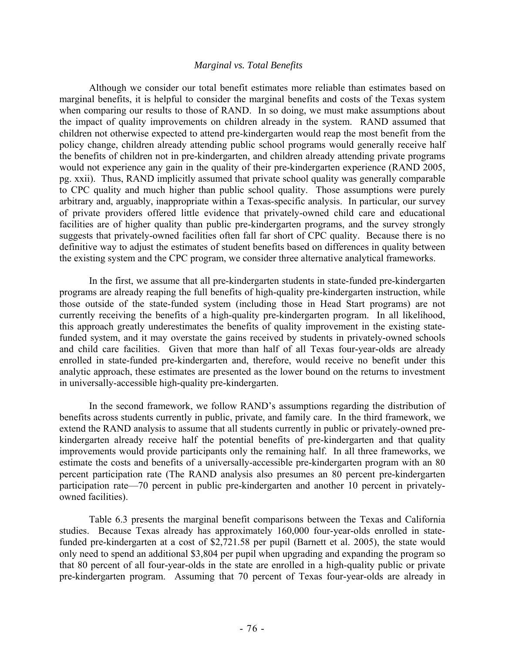#### *Marginal vs. Total Benefits*

 Although we consider our total benefit estimates more reliable than estimates based on marginal benefits, it is helpful to consider the marginal benefits and costs of the Texas system when comparing our results to those of RAND. In so doing, we must make assumptions about the impact of quality improvements on children already in the system. RAND assumed that children not otherwise expected to attend pre-kindergarten would reap the most benefit from the policy change, children already attending public school programs would generally receive half the benefits of children not in pre-kindergarten, and children already attending private programs would not experience any gain in the quality of their pre-kindergarten experience (RAND 2005, pg. xxii). Thus, RAND implicitly assumed that private school quality was generally comparable to CPC quality and much higher than public school quality. Those assumptions were purely arbitrary and, arguably, inappropriate within a Texas-specific analysis. In particular, our survey of private providers offered little evidence that privately-owned child care and educational facilities are of higher quality than public pre-kindergarten programs, and the survey strongly suggests that privately-owned facilities often fall far short of CPC quality. Because there is no definitive way to adjust the estimates of student benefits based on differences in quality between the existing system and the CPC program, we consider three alternative analytical frameworks.

 In the first, we assume that all pre-kindergarten students in state-funded pre-kindergarten programs are already reaping the full benefits of high-quality pre-kindergarten instruction, while those outside of the state-funded system (including those in Head Start programs) are not currently receiving the benefits of a high-quality pre-kindergarten program. In all likelihood, this approach greatly underestimates the benefits of quality improvement in the existing statefunded system, and it may overstate the gains received by students in privately-owned schools and child care facilities. Given that more than half of all Texas four-year-olds are already enrolled in state-funded pre-kindergarten and, therefore, would receive no benefit under this analytic approach, these estimates are presented as the lower bound on the returns to investment in universally-accessible high-quality pre-kindergarten.

 In the second framework, we follow RAND's assumptions regarding the distribution of benefits across students currently in public, private, and family care. In the third framework, we extend the RAND analysis to assume that all students currently in public or privately-owned prekindergarten already receive half the potential benefits of pre-kindergarten and that quality improvements would provide participants only the remaining half. In all three frameworks, we estimate the costs and benefits of a universally-accessible pre-kindergarten program with an 80 percent participation rate (The RAND analysis also presumes an 80 percent pre-kindergarten participation rate—70 percent in public pre-kindergarten and another 10 percent in privatelyowned facilities).

 Table 6.3 presents the marginal benefit comparisons between the Texas and California studies. Because Texas already has approximately 160,000 four-year-olds enrolled in statefunded pre-kindergarten at a cost of \$2,721.58 per pupil (Barnett et al. 2005), the state would only need to spend an additional \$3,804 per pupil when upgrading and expanding the program so that 80 percent of all four-year-olds in the state are enrolled in a high-quality public or private pre-kindergarten program. Assuming that 70 percent of Texas four-year-olds are already in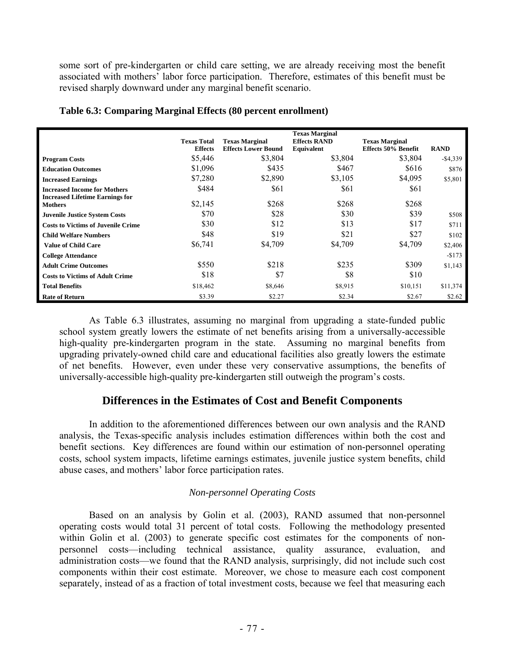some sort of pre-kindergarten or child care setting, we are already receiving most the benefit associated with mothers' labor force participation. Therefore, estimates of this benefit must be revised sharply downward under any marginal benefit scenario.

|                                                          | <b>Texas Total</b><br><b>Effects</b> | <b>Texas Marginal</b><br><b>Effects Lower Bound</b> | <b>Texas Marginal</b><br><b>Effects RAND</b><br>Equivalent | <b>Texas Marginal</b><br>Effects 50% Benefit | <b>RAND</b> |
|----------------------------------------------------------|--------------------------------------|-----------------------------------------------------|------------------------------------------------------------|----------------------------------------------|-------------|
| <b>Program Costs</b>                                     | \$5,446                              | \$3,804                                             | \$3,804                                                    | \$3,804                                      | $-$ \$4,339 |
| <b>Education Outcomes</b>                                | \$1,096                              | \$435                                               | \$467                                                      | \$616                                        | \$876       |
| <b>Increased Earnings</b>                                | \$7,280                              | \$2,890                                             | \$3,105                                                    | \$4,095                                      | \$5,801     |
| <b>Increased Income for Mothers</b>                      | \$484                                | \$61                                                | \$61                                                       | \$61                                         |             |
| <b>Increased Lifetime Earnings for</b><br><b>Mothers</b> | \$2,145                              | \$268                                               | \$268                                                      | \$268                                        |             |
| <b>Juvenile Justice System Costs</b>                     | \$70                                 | \$28                                                | \$30                                                       | \$39                                         | \$508       |
| <b>Costs to Victims of Juvenile Crime</b>                | \$30                                 | \$12                                                | \$13                                                       | \$17                                         | \$711       |
| <b>Child Welfare Numbers</b>                             | \$48                                 | \$19                                                | \$21                                                       | \$27                                         | \$102       |
| <b>Value of Child Care</b>                               | \$6,741                              | \$4,709                                             | \$4,709                                                    | \$4,709                                      | \$2,406     |
| <b>College Attendance</b>                                |                                      |                                                     |                                                            |                                              | $-$173$     |
| <b>Adult Crime Outcomes</b>                              | \$550                                | \$218                                               | \$235                                                      | \$309                                        | \$1,143     |
| <b>Costs to Victims of Adult Crime</b>                   | \$18                                 | \$7                                                 | \$8                                                        | \$10                                         |             |
| <b>Total Benefits</b>                                    | \$18,462                             | \$8,646                                             | \$8,915                                                    | \$10,151                                     | \$11,374    |
| <b>Rate of Return</b>                                    | \$3.39                               | \$2.27                                              | \$2.34                                                     | \$2.67                                       | \$2.62      |

**Table 6.3: Comparing Marginal Effects (80 percent enrollment)** 

 As Table 6.3 illustrates, assuming no marginal from upgrading a state-funded public school system greatly lowers the estimate of net benefits arising from a universally-accessible high-quality pre-kindergarten program in the state. Assuming no marginal benefits from upgrading privately-owned child care and educational facilities also greatly lowers the estimate of net benefits. However, even under these very conservative assumptions, the benefits of universally-accessible high-quality pre-kindergarten still outweigh the program's costs.

## **Differences in the Estimates of Cost and Benefit Components**

 In addition to the aforementioned differences between our own analysis and the RAND analysis, the Texas-specific analysis includes estimation differences within both the cost and benefit sections. Key differences are found within our estimation of non-personnel operating costs, school system impacts, lifetime earnings estimates, juvenile justice system benefits, child abuse cases, and mothers' labor force participation rates.

#### *Non-personnel Operating Costs*

 Based on an analysis by Golin et al. (2003), RAND assumed that non-personnel operating costs would total 31 percent of total costs. Following the methodology presented within Golin et al. (2003) to generate specific cost estimates for the components of nonpersonnel costs—including technical assistance, quality assurance, evaluation, and administration costs—we found that the RAND analysis, surprisingly, did not include such cost components within their cost estimate. Moreover, we chose to measure each cost component separately, instead of as a fraction of total investment costs, because we feel that measuring each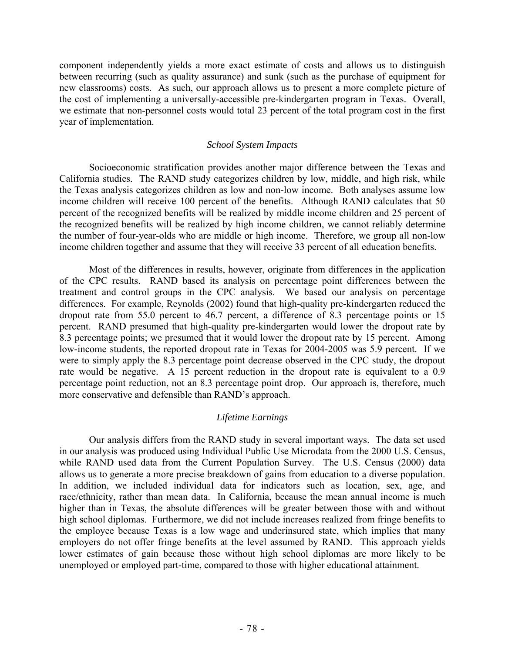component independently yields a more exact estimate of costs and allows us to distinguish between recurring (such as quality assurance) and sunk (such as the purchase of equipment for new classrooms) costs. As such, our approach allows us to present a more complete picture of the cost of implementing a universally-accessible pre-kindergarten program in Texas. Overall, we estimate that non-personnel costs would total 23 percent of the total program cost in the first year of implementation.

#### *School System Impacts*

 Socioeconomic stratification provides another major difference between the Texas and California studies. The RAND study categorizes children by low, middle, and high risk, while the Texas analysis categorizes children as low and non-low income. Both analyses assume low income children will receive 100 percent of the benefits. Although RAND calculates that 50 percent of the recognized benefits will be realized by middle income children and 25 percent of the recognized benefits will be realized by high income children, we cannot reliably determine the number of four-year-olds who are middle or high income. Therefore, we group all non-low income children together and assume that they will receive 33 percent of all education benefits.

 Most of the differences in results, however, originate from differences in the application of the CPC results. RAND based its analysis on percentage point differences between the treatment and control groups in the CPC analysis. We based our analysis on percentage differences. For example, Reynolds (2002) found that high-quality pre-kindergarten reduced the dropout rate from 55.0 percent to 46.7 percent, a difference of 8.3 percentage points or 15 percent. RAND presumed that high-quality pre-kindergarten would lower the dropout rate by 8.3 percentage points; we presumed that it would lower the dropout rate by 15 percent. Among low-income students, the reported dropout rate in Texas for 2004-2005 was 5.9 percent. If we were to simply apply the 8.3 percentage point decrease observed in the CPC study, the dropout rate would be negative. A 15 percent reduction in the dropout rate is equivalent to a 0.9 percentage point reduction, not an 8.3 percentage point drop. Our approach is, therefore, much more conservative and defensible than RAND's approach.

#### *Lifetime Earnings*

 Our analysis differs from the RAND study in several important ways. The data set used in our analysis was produced using Individual Public Use Microdata from the 2000 U.S. Census, while RAND used data from the Current Population Survey. The U.S. Census (2000) data allows us to generate a more precise breakdown of gains from education to a diverse population. In addition, we included individual data for indicators such as location, sex, age, and race/ethnicity, rather than mean data. In California, because the mean annual income is much higher than in Texas, the absolute differences will be greater between those with and without high school diplomas. Furthermore, we did not include increases realized from fringe benefits to the employee because Texas is a low wage and underinsured state, which implies that many employers do not offer fringe benefits at the level assumed by RAND. This approach yields lower estimates of gain because those without high school diplomas are more likely to be unemployed or employed part-time, compared to those with higher educational attainment.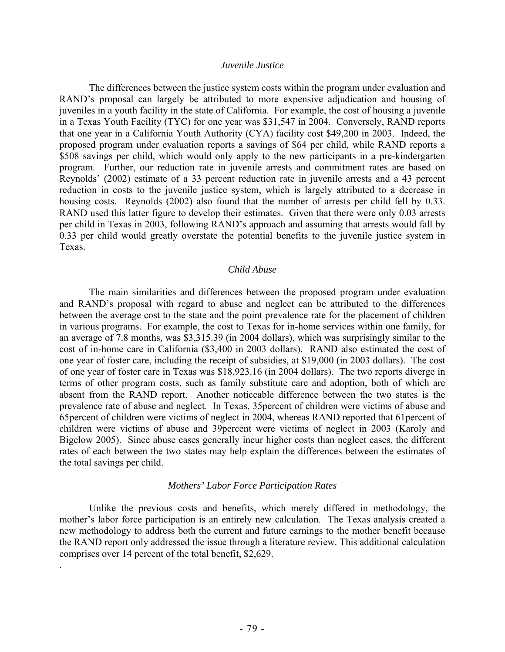#### *Juvenile Justice*

 The differences between the justice system costs within the program under evaluation and RAND's proposal can largely be attributed to more expensive adjudication and housing of juveniles in a youth facility in the state of California. For example, the cost of housing a juvenile in a Texas Youth Facility (TYC) for one year was \$31,547 in 2004. Conversely, RAND reports that one year in a California Youth Authority (CYA) facility cost \$49,200 in 2003. Indeed, the proposed program under evaluation reports a savings of \$64 per child, while RAND reports a \$508 savings per child, which would only apply to the new participants in a pre-kindergarten program. Further, our reduction rate in juvenile arrests and commitment rates are based on Reynolds' (2002) estimate of a 33 percent reduction rate in juvenile arrests and a 43 percent reduction in costs to the juvenile justice system, which is largely attributed to a decrease in housing costs. Reynolds (2002) also found that the number of arrests per child fell by 0.33. RAND used this latter figure to develop their estimates. Given that there were only 0.03 arrests per child in Texas in 2003, following RAND's approach and assuming that arrests would fall by 0.33 per child would greatly overstate the potential benefits to the juvenile justice system in Texas.

#### *Child Abuse*

 The main similarities and differences between the proposed program under evaluation and RAND's proposal with regard to abuse and neglect can be attributed to the differences between the average cost to the state and the point prevalence rate for the placement of children in various programs. For example, the cost to Texas for in-home services within one family, for an average of 7.8 months, was \$3,315.39 (in 2004 dollars), which was surprisingly similar to the cost of in-home care in California (\$3,400 in 2003 dollars). RAND also estimated the cost of one year of foster care, including the receipt of subsidies, at \$19,000 (in 2003 dollars). The cost of one year of foster care in Texas was \$18,923.16 (in 2004 dollars). The two reports diverge in terms of other program costs, such as family substitute care and adoption, both of which are absent from the RAND report. Another noticeable difference between the two states is the prevalence rate of abuse and neglect. In Texas, 35percent of children were victims of abuse and 65percent of children were victims of neglect in 2004, whereas RAND reported that 61percent of children were victims of abuse and 39percent were victims of neglect in 2003 (Karoly and Bigelow 2005). Since abuse cases generally incur higher costs than neglect cases, the different rates of each between the two states may help explain the differences between the estimates of the total savings per child.

#### *Mothers' Labor Force Participation Rates*

 Unlike the previous costs and benefits, which merely differed in methodology, the mother's labor force participation is an entirely new calculation. The Texas analysis created a new methodology to address both the current and future earnings to the mother benefit because the RAND report only addressed the issue through a literature review. This additional calculation comprises over 14 percent of the total benefit, \$2,629.

.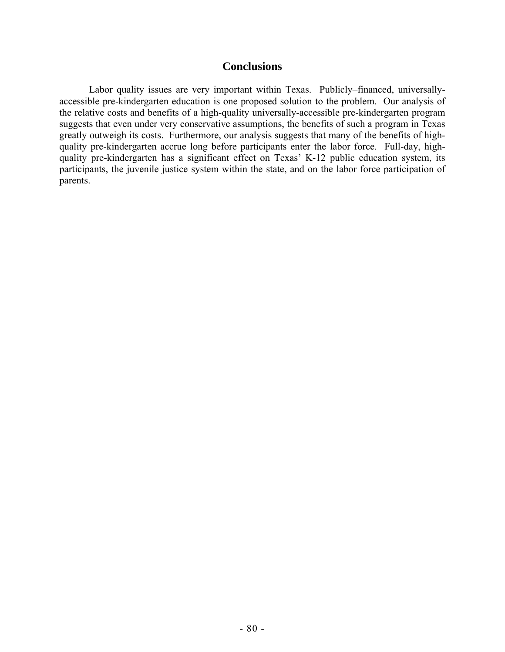#### **Conclusions**

 Labor quality issues are very important within Texas. Publicly–financed, universallyaccessible pre-kindergarten education is one proposed solution to the problem. Our analysis of the relative costs and benefits of a high-quality universally-accessible pre-kindergarten program suggests that even under very conservative assumptions, the benefits of such a program in Texas greatly outweigh its costs. Furthermore, our analysis suggests that many of the benefits of highquality pre-kindergarten accrue long before participants enter the labor force. Full-day, highquality pre-kindergarten has a significant effect on Texas' K-12 public education system, its participants, the juvenile justice system within the state, and on the labor force participation of parents.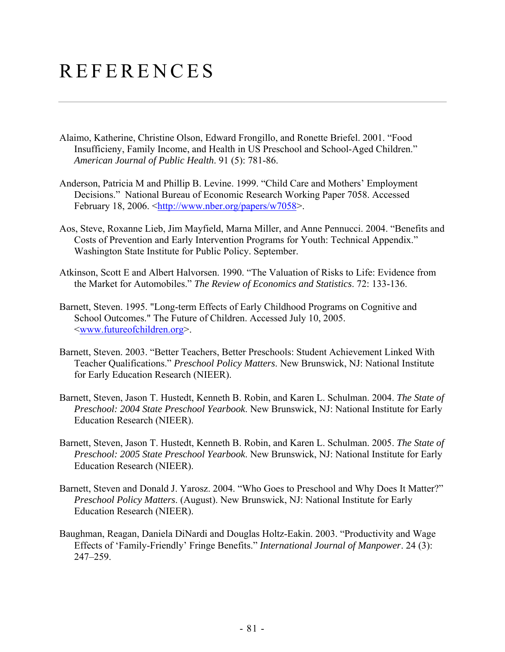# REFERENCES

- Alaimo, Katherine, Christine Olson, Edward Frongillo, and Ronette Briefel. 2001. "Food Insufficieny, Family Income, and Health in US Preschool and School-Aged Children." *American Journal of Public Health*. 91 (5): 781-86.
- Anderson, Patricia M and Phillip B. Levine. 1999. "Child Care and Mothers' Employment Decisions." National Bureau of Economic Research Working Paper 7058. Accessed February 18, 2006. <http://www.nber.org/papers/w7058>.
- Aos, Steve, Roxanne Lieb, Jim Mayfield, Marna Miller, and Anne Pennucci. 2004. "Benefits and Costs of Prevention and Early Intervention Programs for Youth: Technical Appendix." Washington State Institute for Public Policy. September.
- Atkinson, Scott E and Albert Halvorsen. 1990. "The Valuation of Risks to Life: Evidence from the Market for Automobiles." *The Review of Economics and Statistics*. 72: 133-136.
- Barnett, Steven. 1995. "Long-term Effects of Early Childhood Programs on Cognitive and School Outcomes." The Future of Children. Accessed July 10, 2005. <www.futureofchildren.org>.
- Barnett, Steven. 2003. "Better Teachers, Better Preschools: Student Achievement Linked With Teacher Qualifications." *Preschool Policy Matters*. New Brunswick, NJ: National Institute for Early Education Research (NIEER).
- Barnett, Steven, Jason T. Hustedt, Kenneth B. Robin, and Karen L. Schulman. 2004. *The State of Preschool: 2004 State Preschool Yearbook*. New Brunswick, NJ: National Institute for Early Education Research (NIEER).
- Barnett, Steven, Jason T. Hustedt, Kenneth B. Robin, and Karen L. Schulman. 2005. *The State of Preschool: 2005 State Preschool Yearbook*. New Brunswick, NJ: National Institute for Early Education Research (NIEER).
- Barnett, Steven and Donald J. Yarosz. 2004. "Who Goes to Preschool and Why Does It Matter?" *Preschool Policy Matters*. (August). New Brunswick, NJ: National Institute for Early Education Research (NIEER).
- Baughman, Reagan, Daniela DiNardi and Douglas Holtz-Eakin. 2003. "Productivity and Wage Effects of 'Family-Friendly' Fringe Benefits." *International Journal of Manpower*. 24 (3): 247–259.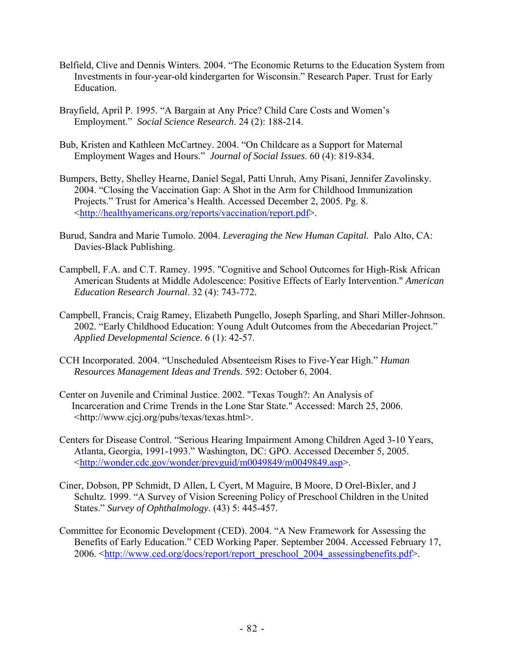- Belfield, Clive and Dennis Winters. 2004. "The Economic Returns to the Education System from Investments in four-year-old kindergarten for Wisconsin." Research Paper. Trust for Early Education.
- Brayfield, April P. 1995. "A Bargain at Any Price? Child Care Costs and Women's Employment." *Social Science Research*. 24 (2): 188-214.
- Bub, Kristen and Kathleen McCartney. 2004. "On Childcare as a Support for Maternal Employment Wages and Hours." *Journal of Social Issues*. 60 (4): 819-834.
- Bumpers, Betty, Shelley Hearne, Daniel Segal, Patti Unruh, Amy Pisani, Jennifer Zavolinsky. 2004. "Closing the Vaccination Gap: A Shot in the Arm for Childhood Immunization Projects." Trust for America's Health. Accessed December 2, 2005. Pg. 8. <http://healthyamericans.org/reports/vaccination/report.pdf>.
- Burud, Sandra and Marie Tumolo. 2004. *Leveraging the New Human Capital.* Palo Alto, CA: Davies-Black Publishing.
- Campbell, F.A. and C.T. Ramey. 1995. "Cognitive and School Outcomes for High-Risk African American Students at Middle Adolescence: Positive Effects of Early Intervention." *American Education Research Journal*. 32 (4): 743-772.
- Campbell, Francis, Craig Ramey, Elizabeth Pungello, Joseph Sparling, and Shari Miller-Johnson. 2002. "Early Childhood Education: Young Adult Outcomes from the Abecedarian Project." *Applied Developmental Science*. 6 (1): 42-57.
- CCH Incorporated. 2004. "Unscheduled Absenteeism Rises to Five-Year High." *Human Resources Management Ideas and Trends*. 592: October 6, 2004.
- Center on Juvenile and Criminal Justice. 2002. "Texas Tough?: An Analysis of Incarceration and Crime Trends in the Lone Star State." Accessed: March 25, 2006. <http://www.cjcj.org/pubs/texas/texas.html>.
- Centers for Disease Control. "Serious Hearing Impairment Among Children Aged 3-10 Years, Atlanta, Georgia, 1991-1993." Washington, DC: GPO. Accessed December 5, 2005. <http://wonder.cdc.gov/wonder/prevguid/m0049849/m0049849.asp>.
- Ciner, Dobson, PP Schmidt, D Allen, L Cyert, M Maguire, B Moore, D Orel-Bixler, and J Schultz. 1999. "A Survey of Vision Screening Policy of Preschool Children in the United States." *Survey of Ophthalmology*. (43) 5: 445-457.
- Committee for Economic Development (CED). 2004. "A New Framework for Assessing the Benefits of Early Education." CED Working Paper. September 2004. Accessed February 17, 2006. <http://www.ced.org/docs/report/report\_preschool\_2004\_assessingbenefits.pdf>.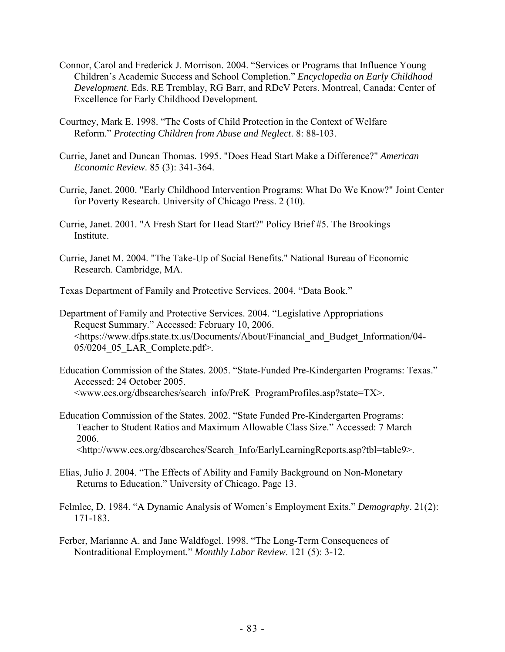- Connor, Carol and Frederick J. Morrison. 2004. "Services or Programs that Influence Young Children's Academic Success and School Completion." *Encyclopedia on Early Childhood Development*. Eds. RE Tremblay, RG Barr, and RDeV Peters. Montreal, Canada: Center of Excellence for Early Childhood Development.
- Courtney, Mark E. 1998. "The Costs of Child Protection in the Context of Welfare Reform." *Protecting Children from Abuse and Neglect*. 8: 88-103.
- Currie, Janet and Duncan Thomas. 1995. "Does Head Start Make a Difference?" *American Economic Review*. 85 (3): 341-364.
- Currie, Janet. 2000. "Early Childhood Intervention Programs: What Do We Know?" Joint Center for Poverty Research. University of Chicago Press. 2 (10).
- Currie, Janet. 2001. "A Fresh Start for Head Start?" Policy Brief #5. The Brookings Institute.
- Currie, Janet M. 2004. "The Take-Up of Social Benefits." National Bureau of Economic Research. Cambridge, MA.
- Texas Department of Family and Protective Services. 2004. "Data Book."
- Department of Family and Protective Services. 2004. "Legislative Appropriations Request Summary." Accessed: February 10, 2006. <https://www.dfps.state.tx.us/Documents/About/Financial\_and\_Budget\_Information/04- 05/0204\_05\_LAR\_Complete.pdf>.
- Education Commission of the States. 2005. "State-Funded Pre-Kindergarten Programs: Texas." Accessed: 24 October 2005. <www.ecs.org/dbsearches/search\_info/PreK\_ProgramProfiles.asp?state=TX>.
- Education Commission of the States. 2002. "State Funded Pre-Kindergarten Programs: Teacher to Student Ratios and Maximum Allowable Class Size." Accessed: 7 March 2006.
	- <http://www.ecs.org/dbsearches/Search\_Info/EarlyLearningReports.asp?tbl=table9>.
- Elias, Julio J. 2004. "The Effects of Ability and Family Background on Non-Monetary Returns to Education." University of Chicago. Page 13.
- Felmlee, D. 1984. "A Dynamic Analysis of Women's Employment Exits." *Demography*. 21(2): 171-183.
- Ferber, Marianne A. and Jane Waldfogel. 1998. "The Long-Term Consequences of Nontraditional Employment." *Monthly Labor Review*. 121 (5): 3-12.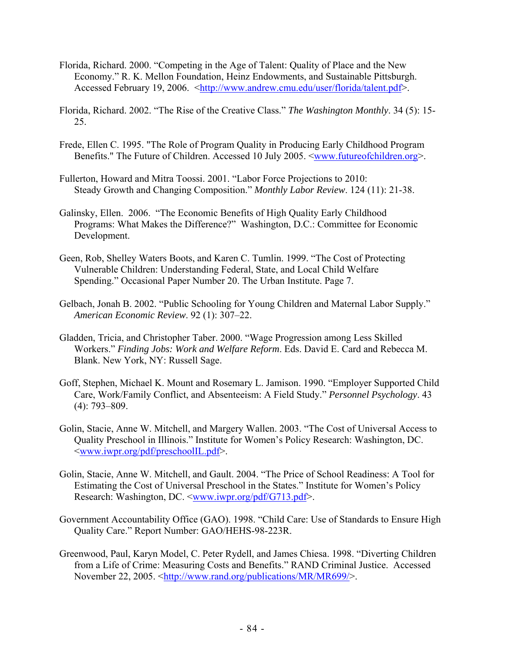- Florida, Richard. 2000. "Competing in the Age of Talent: Quality of Place and the New Economy." R. K. Mellon Foundation, Heinz Endowments, and Sustainable Pittsburgh. Accessed February 19, 2006. <http://www.andrew.cmu.edu/user/florida/talent.pdf>.
- Florida, Richard. 2002. "The Rise of the Creative Class." *The Washington Monthly*. 34 (5): 15- 25.
- Frede, Ellen C. 1995. "The Role of Program Quality in Producing Early Childhood Program Benefits." The Future of Children. Accessed 10 July 2005. <www.futureofchildren.org>.
- Fullerton, Howard and Mitra Toossi. 2001. "Labor Force Projections to 2010: Steady Growth and Changing Composition." *Monthly Labor Review*. 124 (11): 21-38.
- Galinsky, Ellen. 2006. "The Economic Benefits of High Quality Early Childhood Programs: What Makes the Difference?" Washington, D.C.: Committee for Economic Development.
- Geen, Rob, Shelley Waters Boots, and Karen C. Tumlin. 1999. "The Cost of Protecting Vulnerable Children: Understanding Federal, State, and Local Child Welfare Spending." Occasional Paper Number 20. The Urban Institute. Page 7.
- Gelbach, Jonah B. 2002. "Public Schooling for Young Children and Maternal Labor Supply." *American Economic Review*. 92 (1): 307–22.
- Gladden, Tricia, and Christopher Taber. 2000. "Wage Progression among Less Skilled Workers." *Finding Jobs: Work and Welfare Reform*. Eds. David E. Card and Rebecca M. Blank. New York, NY: Russell Sage.
- Goff, Stephen, Michael K. Mount and Rosemary L. Jamison. 1990. "Employer Supported Child Care, Work/Family Conflict, and Absenteeism: A Field Study." *Personnel Psychology*. 43 (4): 793–809.
- Golin, Stacie, Anne W. Mitchell, and Margery Wallen. 2003. "The Cost of Universal Access to Quality Preschool in Illinois." Institute for Women's Policy Research: Washington, DC. <www.iwpr.org/pdf/preschoolIL.pdf>.
- Golin, Stacie, Anne W. Mitchell, and Gault. 2004. "The Price of School Readiness: A Tool for Estimating the Cost of Universal Preschool in the States." Institute for Women's Policy Research: Washington, DC. <www.iwpr.org/pdf/G713.pdf>.
- Government Accountability Office (GAO). 1998. "Child Care: Use of Standards to Ensure High Quality Care." Report Number: GAO/HEHS-98-223R.
- Greenwood, Paul, Karyn Model, C. Peter Rydell, and James Chiesa. 1998. "Diverting Children from a Life of Crime: Measuring Costs and Benefits." RAND Criminal Justice. Accessed November 22, 2005. <http://www.rand.org/publications/MR/MR699/>.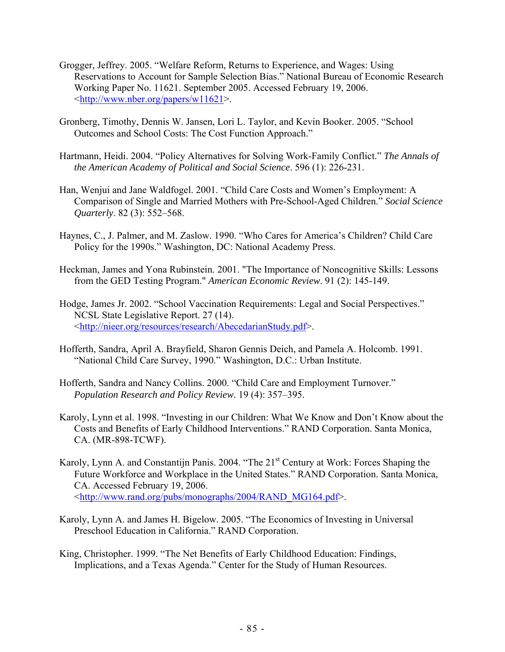- Grogger, Jeffrey. 2005. "Welfare Reform, Returns to Experience, and Wages: Using Reservations to Account for Sample Selection Bias." National Bureau of Economic Research Working Paper No. 11621. September 2005. Accessed February 19, 2006.  $\frac{\text{http://www.nber.org/papers/w11621>}}{$ .
- Gronberg, Timothy, Dennis W. Jansen, Lori L. Taylor, and Kevin Booker. 2005. "School Outcomes and School Costs: The Cost Function Approach."
- Hartmann, Heidi. 2004. "Policy Alternatives for Solving Work-Family Conflict." *The Annals of the American Academy of Political and Social Science*. 596 (1): 226-231.
- Han, Wenjui and Jane Waldfogel. 2001. "Child Care Costs and Women's Employment: A Comparison of Single and Married Mothers with Pre-School-Aged Children." *Social Science Quarterly*. 82 (3): 552–568.
- Haynes, C., J. Palmer, and M. Zaslow. 1990. "Who Cares for America's Children? Child Care Policy for the 1990s." Washington, DC: National Academy Press.
- Heckman, James and Yona Rubinstein. 2001. "The Importance of Noncognitive Skills: Lessons from the GED Testing Program." *American Economic Review*. 91 (2): 145-149.
- Hodge, James Jr. 2002. "School Vaccination Requirements: Legal and Social Perspectives." NCSL State Legislative Report. 27 (14). <http://nieer.org/resources/research/AbecedarianStudy.pdf>.
- Hofferth, Sandra, April A. Brayfield, Sharon Gennis Deich, and Pamela A. Holcomb. 1991. "National Child Care Survey, 1990*.*" Washington, D.C.: Urban Institute.
- Hofferth, Sandra and Nancy Collins. 2000. "Child Care and Employment Turnover."  *Population Research and Policy Review*. 19 (4): 357–395.
- Karoly, Lynn et al. 1998. "Investing in our Children: What We Know and Don't Know about the Costs and Benefits of Early Childhood Interventions." RAND Corporation. Santa Monica, CA. (MR-898-TCWF).
- Karoly, Lynn A. and Constantijn Panis. 2004. "The 21<sup>st</sup> Century at Work: Forces Shaping the Future Workforce and Workplace in the United States." RAND Corporation. Santa Monica, CA. Accessed February 19, 2006. <http://www.rand.org/pubs/monographs/2004/RAND\_MG164.pdf>.
- Karoly, Lynn A. and James H. Bigelow. 2005. "The Economics of Investing in Universal Preschool Education in California." RAND Corporation.
- King, Christopher. 1999. "The Net Benefits of Early Childhood Education: Findings, Implications, and a Texas Agenda." Center for the Study of Human Resources.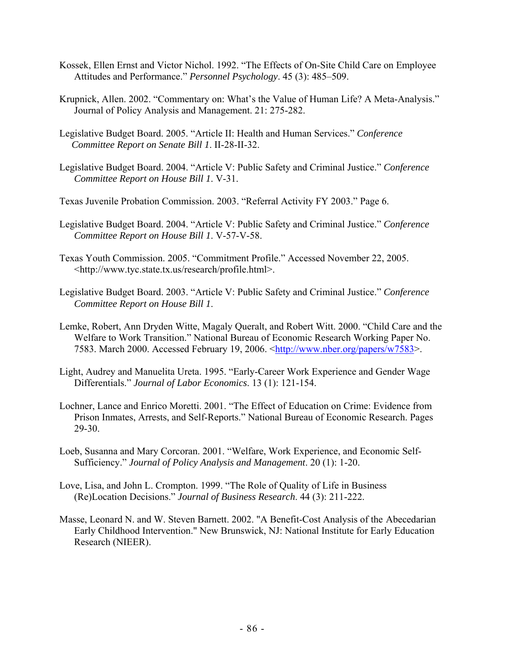- Kossek, Ellen Ernst and Victor Nichol. 1992. "The Effects of On-Site Child Care on Employee Attitudes and Performance." *Personnel Psychology*. 45 (3): 485–509.
- Krupnick, Allen. 2002. "Commentary on: What's the Value of Human Life? A Meta-Analysis." Journal of Policy Analysis and Management. 21: 275-282.
- Legislative Budget Board. 2005. "Article II: Health and Human Services." *Conference Committee Report on Senate Bill 1*. II-28-II-32.
- Legislative Budget Board. 2004. "Article V: Public Safety and Criminal Justice." *Conference Committee Report on House Bill 1*. V-31.
- Texas Juvenile Probation Commission. 2003. "Referral Activity FY 2003." Page 6.
- Legislative Budget Board. 2004. "Article V: Public Safety and Criminal Justice." *Conference Committee Report on House Bill 1*. V-57-V-58.
- Texas Youth Commission. 2005. "Commitment Profile." Accessed November 22, 2005. <http://www.tyc.state.tx.us/research/profile.html>.
- Legislative Budget Board. 2003. "Article V: Public Safety and Criminal Justice." *Conference Committee Report on House Bill 1*.
- Lemke, Robert, Ann Dryden Witte, Magaly Queralt, and Robert Witt. 2000. "Child Care and the Welfare to Work Transition." National Bureau of Economic Research Working Paper No. 7583. March 2000. Accessed February 19, 2006. <http://www.nber.org/papers/w7583>.
- Light, Audrey and Manuelita Ureta. 1995. "Early-Career Work Experience and Gender Wage Differentials." *Journal of Labor Economics*. 13 (1): 121-154.
- Lochner, Lance and Enrico Moretti. 2001. "The Effect of Education on Crime: Evidence from Prison Inmates, Arrests, and Self-Reports." National Bureau of Economic Research. Pages 29-30.
- Loeb, Susanna and Mary Corcoran. 2001. "Welfare, Work Experience, and Economic Self-Sufficiency." *Journal of Policy Analysis and Management*. 20 (1): 1-20.
- Love, Lisa, and John L. Crompton. 1999. "The Role of Quality of Life in Business (Re)Location Decisions." *Journal of Business Research*. 44 (3): 211-222.
- Masse, Leonard N. and W. Steven Barnett. 2002. "A Benefit-Cost Analysis of the Abecedarian Early Childhood Intervention." New Brunswick, NJ: National Institute for Early Education Research (NIEER).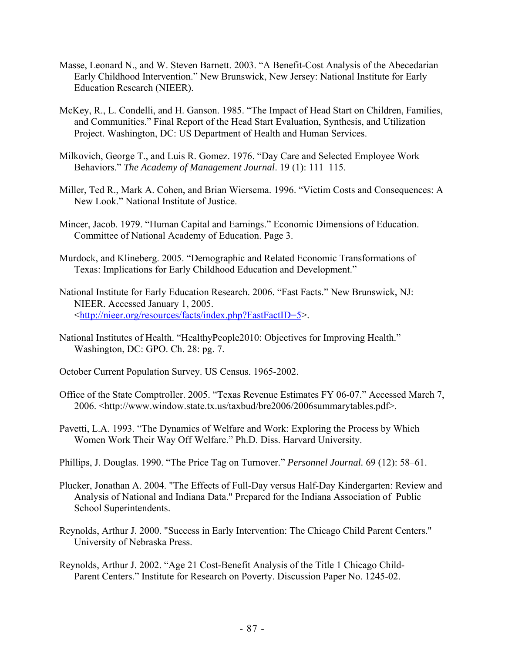- Masse, Leonard N., and W. Steven Barnett. 2003. "A Benefit-Cost Analysis of the Abecedarian Early Childhood Intervention." New Brunswick, New Jersey: National Institute for Early Education Research (NIEER).
- McKey, R., L. Condelli, and H. Ganson. 1985. "The Impact of Head Start on Children, Families, and Communities." Final Report of the Head Start Evaluation, Synthesis, and Utilization Project. Washington, DC: US Department of Health and Human Services.
- Milkovich, George T., and Luis R. Gomez. 1976. "Day Care and Selected Employee Work Behaviors." *The Academy of Management Journal*. 19 (1): 111–115.
- Miller, Ted R., Mark A. Cohen, and Brian Wiersema. 1996. "Victim Costs and Consequences: A New Look." National Institute of Justice.
- Mincer, Jacob. 1979. "Human Capital and Earnings." Economic Dimensions of Education. Committee of National Academy of Education. Page 3.
- Murdock, and Klineberg. 2005. "Demographic and Related Economic Transformations of Texas: Implications for Early Childhood Education and Development."
- National Institute for Early Education Research. 2006. "Fast Facts." New Brunswick, NJ: NIEER. Accessed January 1, 2005. <http://nieer.org/resources/facts/index.php?FastFactID=5>.
- National Institutes of Health. "HealthyPeople2010: Objectives for Improving Health." Washington, DC: GPO. Ch. 28: pg. 7.
- October Current Population Survey. US Census. 1965-2002.
- Office of the State Comptroller. 2005. "Texas Revenue Estimates FY 06-07." Accessed March 7, 2006. <http://www.window.state.tx.us/taxbud/bre2006/2006summarytables.pdf>.
- Pavetti, L.A. 1993. "The Dynamics of Welfare and Work: Exploring the Process by Which Women Work Their Way Off Welfare." Ph.D. Diss. Harvard University.
- Phillips, J. Douglas. 1990. "The Price Tag on Turnover." *Personnel Journal.* 69 (12): 58–61.
- Plucker, Jonathan A. 2004. "The Effects of Full-Day versus Half-Day Kindergarten: Review and Analysis of National and Indiana Data." Prepared for the Indiana Association of Public School Superintendents.
- Reynolds, Arthur J. 2000. "Success in Early Intervention: The Chicago Child Parent Centers." University of Nebraska Press.
- Reynolds, Arthur J. 2002. "Age 21 Cost-Benefit Analysis of the Title 1 Chicago Child- Parent Centers." Institute for Research on Poverty. Discussion Paper No. 1245-02.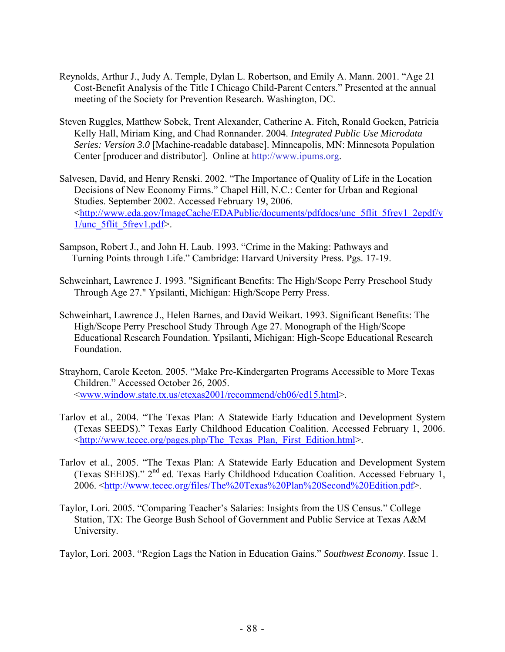- Reynolds, Arthur J., Judy A. Temple, Dylan L. Robertson, and Emily A. Mann. 2001. "Age 21 Cost-Benefit Analysis of the Title I Chicago Child-Parent Centers." Presented at the annual meeting of the Society for Prevention Research. Washington, DC.
- Steven Ruggles, Matthew Sobek, Trent Alexander, Catherine A. Fitch, Ronald Goeken, Patricia Kelly Hall, Miriam King, and Chad Ronnander. 2004. *Integrated Public Use Microdata Series: Version 3.0* [Machine-readable database]. Minneapolis, MN: Minnesota Population Center [producer and distributor]. Online at http://www.ipums.org.
- Salvesen, David, and Henry Renski. 2002. "The Importance of Quality of Life in the Location Decisions of New Economy Firms." Chapel Hill, N.C.: Center for Urban and Regional Studies. September 2002. Accessed February 19, 2006. <http://www.eda.gov/ImageCache/EDAPublic/documents/pdfdocs/unc\_5flit\_5frev1\_2epdf/v 1/unc\_5flit\_5frev1.pdf>.
- Sampson, Robert J., and John H. Laub. 1993. "Crime in the Making: Pathways and Turning Points through Life." Cambridge: Harvard University Press. Pgs. 17-19.
- Schweinhart, Lawrence J. 1993. "Significant Benefits: The High/Scope Perry Preschool Study Through Age 27." Ypsilanti, Michigan: High/Scope Perry Press.
- Schweinhart, Lawrence J., Helen Barnes, and David Weikart. 1993. Significant Benefits: The High/Scope Perry Preschool Study Through Age 27. Monograph of the High/Scope Educational Research Foundation. Ypsilanti, Michigan: High-Scope Educational Research Foundation.
- Strayhorn, Carole Keeton. 2005. "Make Pre-Kindergarten Programs Accessible to More Texas Children." Accessed October 26, 2005. <www.window.state.tx.us/etexas2001/recommend/ch06/ed15.html>.
- Tarlov et al., 2004. "The Texas Plan: A Statewide Early Education and Development System (Texas SEEDS)*.*" Texas Early Childhood Education Coalition. Accessed February 1, 2006. <http://www.tecec.org/pages.php/The\_Texas\_Plan,\_First\_Edition.html>.
- Tarlov et al., 2005. "The Texas Plan: A Statewide Early Education and Development System (Texas SEEDS)." 2nd ed. Texas Early Childhood Education Coalition. Accessed February 1, 2006. <http://www.tecec.org/files/The%20Texas%20Plan%20Second%20Edition.pdf>.
- Taylor, Lori. 2005. "Comparing Teacher's Salaries: Insights from the US Census." College Station, TX: The George Bush School of Government and Public Service at Texas A&M University.
- Taylor, Lori. 2003. "Region Lags the Nation in Education Gains." *Southwest Economy*. Issue 1.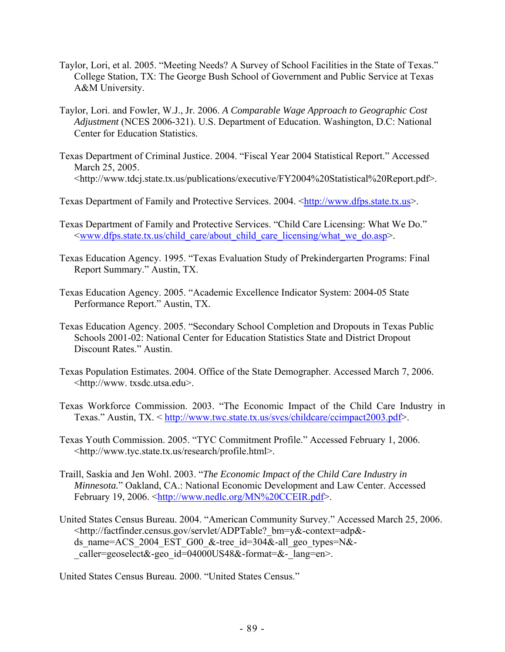- Taylor, Lori, et al. 2005. "Meeting Needs? A Survey of School Facilities in the State of Texas." College Station, TX: The George Bush School of Government and Public Service at Texas A&M University.
- Taylor, Lori. and Fowler, W.J., Jr. 2006. *A Comparable Wage Approach to Geographic Cost Adjustment* (NCES 2006-321). U.S. Department of Education. Washington, D.C: National Center for Education Statistics.
- Texas Department of Criminal Justice. 2004. "Fiscal Year 2004 Statistical Report." Accessed March 25, 2005. <http://www.tdcj.state.tx.us/publications/executive/FY2004%20Statistical%20Report.pdf>.

Texas Department of Family and Protective Services. 2004. <http://www.dfps.state.tx.us>.

- Texas Department of Family and Protective Services. "Child Care Licensing: What We Do." <www.dfps.state.tx.us/child\_care/about\_child\_care\_licensing/what\_we\_do.asp>.
- Texas Education Agency. 1995. "Texas Evaluation Study of Prekindergarten Programs: Final Report Summary." Austin, TX.
- Texas Education Agency. 2005. "Academic Excellence Indicator System: 2004-05 State Performance Report." Austin, TX.
- Texas Education Agency. 2005. "Secondary School Completion and Dropouts in Texas Public Schools 2001-02: National Center for Education Statistics State and District Dropout Discount Rates." Austin.
- Texas Population Estimates. 2004. Office of the State Demographer. Accessed March 7, 2006. <http://www. txsdc.utsa.edu>.
- Texas Workforce Commission. 2003. "The Economic Impact of the Child Care Industry in Texas." Austin, TX. < http://www.twc.state.tx.us/svcs/childcare/ccimpact2003.pdf>.
- Texas Youth Commission. 2005. "TYC Commitment Profile." Accessed February 1, 2006. <http://www.tyc.state.tx.us/research/profile.html>.
- Traill, Saskia and Jen Wohl. 2003. "*The Economic Impact of the Child Care Industry in Minnesota.*" Oakland, CA.: National Economic Development and Law Center. Accessed February 19, 2006. <http://www.nedlc.org/MN%20CCEIR.pdf>.
- United States Census Bureau. 2004. "American Community Survey." Accessed March 25, 2006. <http://factfinder.census.gov/servlet/ADPTable?\_bm=y&-context=adp& ds name=ACS 2004 EST G00 &-tree id=304&-all geo types=N&caller=geoselect&-geo\_id=04000US48&-format=&-\_lang=en>.

United States Census Bureau. 2000. "United States Census."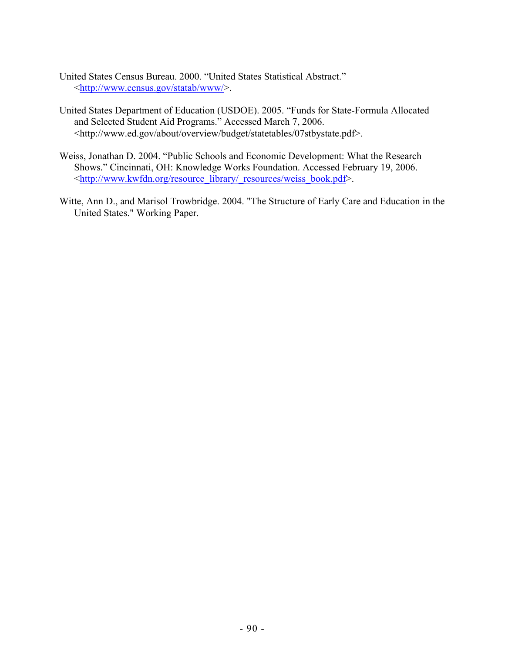United States Census Bureau. 2000. "United States Statistical Abstract." <http://www.census.gov/statab/www/>.

- United States Department of Education (USDOE). 2005. "Funds for State-Formula Allocated and Selected Student Aid Programs." Accessed March 7, 2006. <http://www.ed.gov/about/overview/budget/statetables/07stbystate.pdf>.
- Weiss, Jonathan D. 2004. "Public Schools and Economic Development: What the Research Shows*.*" Cincinnati, OH: Knowledge Works Foundation. Accessed February 19, 2006. <http://www.kwfdn.org/resource\_library/\_resources/weiss\_book.pdf>.
- Witte, Ann D., and Marisol Trowbridge. 2004. "The Structure of Early Care and Education in the United States." Working Paper.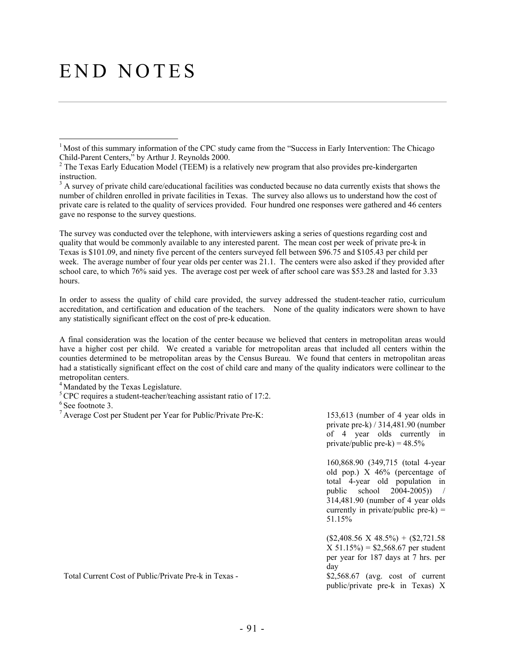# END NOTES

The survey was conducted over the telephone, with interviewers asking a series of questions regarding cost and quality that would be commonly available to any interested parent. The mean cost per week of private pre-k in Texas is \$101.09, and ninety five percent of the centers surveyed fell between \$96.75 and \$105.43 per child per week. The average number of four year olds per center was 21.1. The centers were also asked if they provided after school care, to which 76% said yes. The average cost per week of after school care was \$53.28 and lasted for 3.33 hours.

In order to assess the quality of child care provided, the survey addressed the student-teacher ratio, curriculum accreditation, and certification and education of the teachers. None of the quality indicators were shown to have any statistically significant effect on the cost of pre-k education.

A final consideration was the location of the center because we believed that centers in metropolitan areas would have a higher cost per child. We created a variable for metropolitan areas that included all centers within the counties determined to be metropolitan areas by the Census Bureau. We found that centers in metropolitan areas had a statistically significant effect on the cost of child care and many of the quality indicators were collinear to the metropolitan centers.

<sup>4</sup> Mandated by the Texas Legislature.

<sup>5</sup> CPC requires a student-teacher/teaching assistant ratio of 17:2.

 $6$  See footnote 3.

 $\overline{a}$ 

private pre-k) / 314,481.90 (number of 4 year olds currently in private/public pre-k) =  $48.5\%$ 

160,868.90 (349,715 (total 4-year old pop.) X 46% (percentage of total 4-year old population in public school 2004-2005)) / 314,481.90 (number of 4 year olds currently in private/public pre- $k$ ) = 51.15%

 $($2,408.56 \text{ X } 48.5\%) + ($2,721.58$  $X 51.15\% = $2,568.67$  per student per year for 187 days at 7 hrs. per day

public/private pre-k in Texas) X

Total Current Cost of Public/Private Pre-k in Texas - \$2,568.67 (avg. cost of current

<sup>&</sup>lt;sup>1</sup> Most of this summary information of the CPC study came from the "Success in Early Intervention: The Chicago Child-Parent Centers," by Arthur J. Reynolds 2000.

 $<sup>2</sup>$  The Texas Early Education Model (TEEM) is a relatively new program that also provides pre-kindergarten</sup> instruction.

 $3$  A survey of private child care/educational facilities was conducted because no data currently exists that shows the number of children enrolled in private facilities in Texas. The survey also allows us to understand how the cost of private care is related to the quality of services provided. Four hundred one responses were gathered and 46 centers gave no response to the survey questions.

<sup>&</sup>lt;sup>7</sup> Average Cost per Student per Year for Public/Private Pre-K: 153,613 (number of 4 year olds in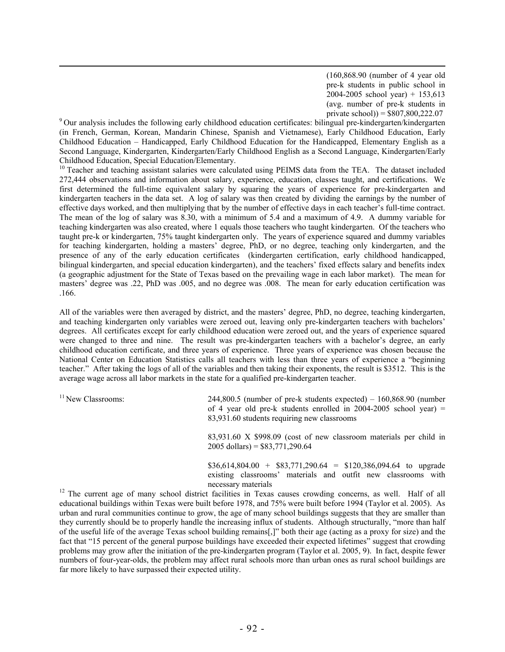(160,868.90 (number of 4 year old pre-k students in public school in  $2004 - 2005$  school year) + 153,613 (avg. number of pre-k students in<br>private school)) =  $$807,800,222.07$ 

 $9$  Our analysis includes the following early childhood education certificates: bilingual pre-kindergarten/kindergarten (in French, German, Korean, Mandarin Chinese, Spanish and Vietnamese), Early Childhood Education, Early Childhood Education – Handicapped, Early Childhood Education for the Handicapped, Elementary English as a Second Language, Kindergarten, Kindergarten/Early Childhood English as a Second Language, Kindergarten/Early

Childhood Education, Special Education/Elementary.<br><sup>10</sup> Teacher and teaching assistant salaries were calculated using PEIMS data from the TEA. The dataset included 272,444 observations and information about salary, experience, education, classes taught, and certifications. We first determined the full-time equivalent salary by squaring the years of experience for pre-kindergarten and kindergarten teachers in the data set. A log of salary was then created by dividing the earnings by the number of effective days worked, and then multiplying that by the number of effective days in each teacher's full-time contract. The mean of the log of salary was 8.30, with a minimum of 5.4 and a maximum of 4.9. A dummy variable for teaching kindergarten was also created, where 1 equals those teachers who taught kindergarten. Of the teachers who taught pre-k or kindergarten, 75% taught kindergarten only. The years of experience squared and dummy variables for teaching kindergarten, holding a masters' degree, PhD, or no degree, teaching only kindergarten, and the presence of any of the early education certificates (kindergarten certification, early childhood handicapped, bilingual kindergarten, and special education kindergarten), and the teachers' fixed effects salary and benefits index (a geographic adjustment for the State of Texas based on the prevailing wage in each labor market). The mean for masters' degree was .22, PhD was .005, and no degree was .008. The mean for early education certification was .166.

All of the variables were then averaged by district, and the masters' degree, PhD, no degree, teaching kindergarten, and teaching kindergarten only variables were zeroed out, leaving only pre-kindergarten teachers with bachelors' degrees. All certificates except for early childhood education were zeroed out, and the years of experience squared were changed to three and nine. The result was pre-kindergarten teachers with a bachelor's degree, an early childhood education certificate, and three years of experience. Three years of experience was chosen because the National Center on Education Statistics calls all teachers with less than three years of experience a "beginning teacher." After taking the logs of all of the variables and then taking their exponents, the result is \$3512. This is the average wage across all labor markets in the state for a qualified pre-kindergarten teacher.

| <sup>11</sup> New Classrooms: | $244,800.5$ (number of pre-k students expected) – 160,868.90 (number<br>of 4 year old pre-k students enrolled in $2004-2005$ school year) =<br>83,931.60 students requiring new classrooms |
|-------------------------------|--------------------------------------------------------------------------------------------------------------------------------------------------------------------------------------------|
|                               | 83,931.60 X \$998.09 (cost of new classroom materials per child in<br>$2005$ dollars) = \$83,771,290.64                                                                                    |
|                               | $$36,614,804.00 + $83,771,290.64 = $120,386,094.64$ to upgrade<br>existing classrooms' materials and outfit new classrooms with<br>necessary materials                                     |

 $12$  The current age of many school district facilities in Texas causes crowding concerns, as well. Half of all educational buildings within Texas were built before 1978, and 75% were built before 1994 (Taylor et al. 2005). As urban and rural communities continue to grow, the age of many school buildings suggests that they are smaller than they currently should be to properly handle the increasing influx of students. Although structurally, "more than half of the useful life of the average Texas school building remains[,]" both their age (acting as a proxy for size) and the fact that "15 percent of the general purpose buildings have exceeded their expected lifetimes" suggest that crowding problems may grow after the initiation of the pre-kindergarten program (Taylor et al. 2005, 9). In fact, despite fewer numbers of four-year-olds, the problem may affect rural schools more than urban ones as rural school buildings are far more likely to have surpassed their expected utility.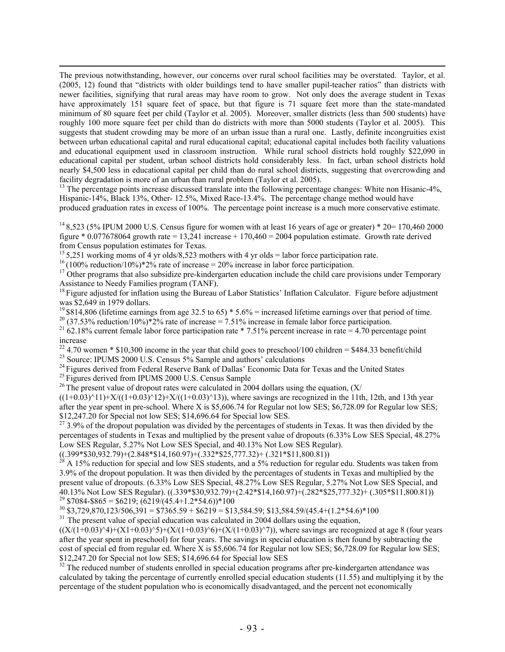The previous notwithstanding, however, our concerns over rural school facilities may be overstated. Taylor, et al. (2005, 12) found that "districts with older buildings tend to have smaller pupil-teacher ratios" than districts with newer facilities, signifying that rural areas may have room to grow. Not only does the average student in Texas have approximately 151 square feet of space, but that figure is 71 square feet more than the state-mandated minimum of 80 square feet per child (Taylor et al. 2005). Moreover, smaller districts (less than 500 students) have roughly 100 more square feet per child than do districts with more than 5000 students (Taylor et al. 2005). This suggests that student crowding may be more of an urban issue than a rural one. Lastly, definite incongruities exist between urban educational capital and rural educational capital; educational capital includes both facility valuations and educational equipment used in classroom instruction. While rural school districts hold roughly \$22,090 in educational capital per student, urban school districts hold considerably less. In fact, urban school districts hold nearly \$4,500 less in educational capital per child than do rural school districts, suggesting that overcrowding and facility degradation is more of an urban than rural problem (Taylor et al. 2005).

<sup>13</sup> The percentage points increase discussed translate into the following percentage changes: White non Hisanic-4%, Hispanic-14%, Black 13%, Other- 12.5%, Mixed Race-13.4%. The percentage change method would have produced graduation rates in excess of 100%. The percentage point increase is a much more conservative estimate.

<sup>14</sup> 8,523 (5% IPUM 2000 U.S. Census figure for women with at least 16 years of age or greater) \* 20= 170,460 2000 figure  $*$  0.077678064 growth rate = 13,241 increase + 170,460 = 2004 population estimate. Growth rate derived from Census population estimates for Texas.<br><sup>15</sup> 5,251 working moms of 4 yr olds/8,523 mothers with 4 yr olds = labor force participation rate.

<sup>16</sup>(100% reduction/10%)\*2% rate of increase = 20% increase in labor force participation.<br><sup>17</sup> Other programs that also subsidize pre-kindergarten education include the child care provisions under Temporary<br>Assistance to

 $^{18}$  Figure adjusted for inflation using the Bureau of Labor Statistics' Inflation Calculator. Figure before adjustment was \$2,649 in 1979 dollars.<br><sup>19</sup> \$814,806 (lifetime earnings from age 32.5 to 65) \* 5.6% = increased lifetime earnings over that period of time.

<sup>20</sup> (37.53% reduction/10%)\*2% rate of increase = 7.51% increase in female labor force participation.<br><sup>21</sup> 62.18% current female labor force participation rate \* 7.51% percent increase in rate = 4.70 percentage point increase

<sup>22</sup> 4.70 women \* \$10,300 income in the year that child goes to preschool/100 children = \$484.33 benefit/child

<sup>23</sup> Source: IPUMS 2000 U.S. Census 5% Sample and authors' calculations

<sup>24</sup> Figures derived from Federal Reserve Bank of Dallas' Economic Data for Texas and the United States <sup>25</sup> Figures derived from IPUMS 2000 U.S. Census Sample <sup>26</sup> The present value of dropout rates were calculated in 20

 $((1+0.03)^{11})+X/((1+0.03)^{12})+X/((1+0.03)^{13})$ , where savings are recognized in the 11th, 12th, and 13th year after the year spent in pre-school. Where X is \$5,606.74 for Regular not low SES; \$6,728.09 for Regular low SES; \$12,247.20 for Special not low SES; \$14,696.64 for Special low SES.

 $27$  3.9% of the dropout population was divided by the percentages of students in Texas. It was then divided by the percentages of students in Texas and multiplied by the present value of dropouts (6.33% Low SES Special, 48.27% Low SES Regular, 5.27% Not Low SES Special, and 40.13% Not Low SES Regular).

 $((.399 * $30,932.79) + (2.848 * $14,160.97) + (.332 * $25,777.32) + (.321 * $11,800.81))$ 

 $^{28}$  A 15% reduction for special and low SES students, and a 5% reduction for regular edu. Students was taken from 3.9% of the dropout population. It was then divided by the percentages of students in Texas and multiplied by the present value of dropouts. (6.33% Low SES Special, 48.27% Low SES Regular, 5.27% Not Low SES Special, and 40.13% Not Low SES Regular). ((.339\*\$30,932.79)+(2.42\*\$14,160.97)+(.282\*\$25,777.32)+ (.305\*\$11,800.81)) <sup>29</sup> \$7084-\$865 = \$6219;  $(6219/(45.4+1.2*54.6))*100$ 

 $30\,$  \$3,729,870,123/506,391 = \$7365.59 + \$6219 = \$13,584.59; \$13,584.59/(45.4+(1.2\*54.6)\*100

<sup>31</sup> The present value of special education was calculated in 2004 dollars using the equation,

 $((X/(1+0.03)^{4})+(X1+0.03)^{5}+(X/(1+0.03)^{6})+(X/(1+0.03)^{7})$ , where savings are recognized at age 8 (four years after the year spent in preschool) for four years. The savings in special education is then found by subtracting the cost of special ed from regular ed. Where X is \$5,606.74 for Regular not low SES; \$6,728.09 for Regular low SES; \$12,247.20 for Special not low SES; \$14,696.64 for Special low SES

 $32$  The reduced number of students enrolled in special education programs after pre-kindergarten attendance was calculated by taking the percentage of currently enrolled special education students (11.55) and multiplying it by the percentage of the student population who is economically disadvantaged, and the percent not economically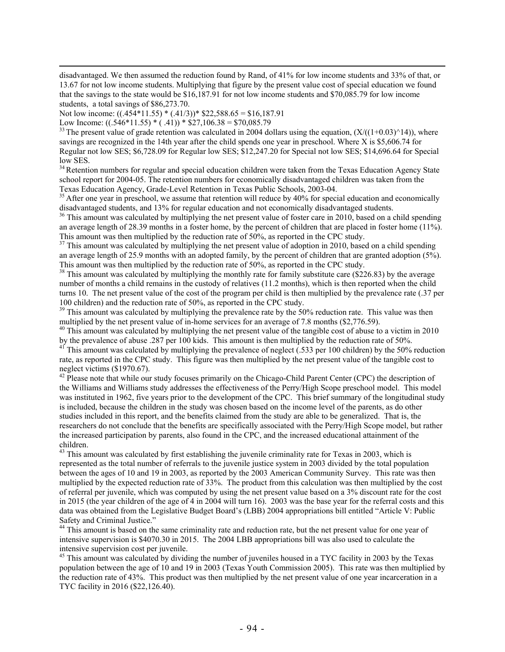disadvantaged. We then assumed the reduction found by Rand, of 41% for low income students and 33% of that, or 13.67 for not low income students. Multiplying that figure by the present value cost of special education we found that the savings to the state would be \$16,187.91 for not low income students and \$70,085.79 for low income students, a total savings of \$86,273.70.

Not low income: ((.454\*11.55) \* (.41/3))\* \$22,588.65 = \$16,187.91

Low Income:  $((0.546*11.55)*(0.41))*\$27,106.38 = \$70,085.79$ 

<sup>33</sup> The present value of grade retention was calculated in 2004 dollars using the equation,  $(X/((1+0.03)^{14}))$ , where savings are recognized in the 14th year after the child spends one year in preschool. Where X is \$5,606.74 for Regular not low SES; \$6,728.09 for Regular low SES; \$12,247.20 for Special not low SES; \$14,696.64 for Special low SES.

<sup>34</sup> Retention numbers for regular and special education children were taken from the Texas Education Agency State school report for 2004-05. The retention numbers for economically disadvantaged children was taken from the

Texas Education Agency, Grade-Level Retention in Texas Public Schools, 2003-04. 35 After one year in preschool, we assume that retention will reduce by 40% for special education and economically disadvantaged students, and 13% for regular education and not economically disadvantaged students.

<sup>36</sup> This amount was calculated by multiplying the net present value of foster care in 2010, based on a child spending an average length of 28.39 months in a foster home, by the percent of children that are placed in foster home (11%). This amount was then multiplied by the reduction rate of 50%, as reported in the CPC study.<br><sup>37</sup> This amount was calculated by multiplying the net present value of adoption in 2010, based on a child spending

an average length of 25.9 months with an adopted family, by the percent of children that are granted adoption (5%).<br>This amount was then multiplied by the reduction rate of 50%, as reported in the CPC study.

 $38$  This amount was calculated by multiplying the monthly rate for family substitute care (\$226.83) by the average number of months a child remains in the custody of relatives (11.2 months), which is then reported when the child turns 10. The net present value of the cost of the program per child is then multiplied by the prevalence rate (.37 per 100 children) and the reduction rate of 50%, as reported in the CPC study.

<sup>39</sup> This amount was calculated by multiplying the prevalence rate by the 50% reduction rate. This value was then multiplied by the net present value of in-home services for an average of 7.8 months (\$2,776.59).

<sup>40</sup> This amount was calculated by multiplying the net present value of the tangible cost of abuse to a victim in 2010 by the prevalence of abuse .287 per 100 kids. This amount is then multiplied by the reduction rate of 50%.

<sup>41</sup> This amount was calculated by multiplying the prevalence of neglect (.533 per 100 children) by the 50% reduction rate, as reported in the CPC study. This figure was then multiplied by the net present value of the tangible cost to neglect victims (\$1970.67).

<sup>42</sup> Please note that while our study focuses primarily on the Chicago-Child Parent Center (CPC) the description of the Williams and Williams study addresses the effectiveness of the Perry/High Scope preschool model. This model was instituted in 1962, five years prior to the development of the CPC. This brief summary of the longitudinal study is included, because the children in the study was chosen based on the income level of the parents, as do other studies included in this report, and the benefits claimed from the study are able to be generalized. That is, the researchers do not conclude that the benefits are specifically associated with the Perry/High Scope model, but rather the increased participation by parents, also found in the CPC, and the increased educational attainment of the children.

<sup>43</sup> This amount was calculated by first establishing the juvenile criminality rate for Texas in 2003, which is represented as the total number of referrals to the juvenile justice system in 2003 divided by the total population between the ages of 10 and 19 in 2003, as reported by the 2003 American Community Survey. This rate was then multiplied by the expected reduction rate of 33%. The product from this calculation was then multiplied by the cost of referral per juvenile, which was computed by using the net present value based on a 3% discount rate for the cost in 2015 (the year children of the age of 4 in 2004 will turn 16). 2003 was the base year for the referral costs and this data was obtained from the Legislative Budget Board's (LBB) 2004 appropriations bill entitled "Article V: Public Safety and Criminal Justice."

<sup>44</sup> This amount is based on the same criminality rate and reduction rate, but the net present value for one year of intensive supervision is \$4070.30 in 2015. The 2004 LBB appropriations bill was also used to calculate the intensive supervision cost per juvenile.

<sup>45</sup> This amount was calculated by dividing the number of juveniles housed in a TYC facility in 2003 by the Texas population between the age of 10 and 19 in 2003 (Texas Youth Commission 2005). This rate was then multiplied by the reduction rate of 43%. This product was then multiplied by the net present value of one year incarceration in a TYC facility in 2016 (\$22,126.40).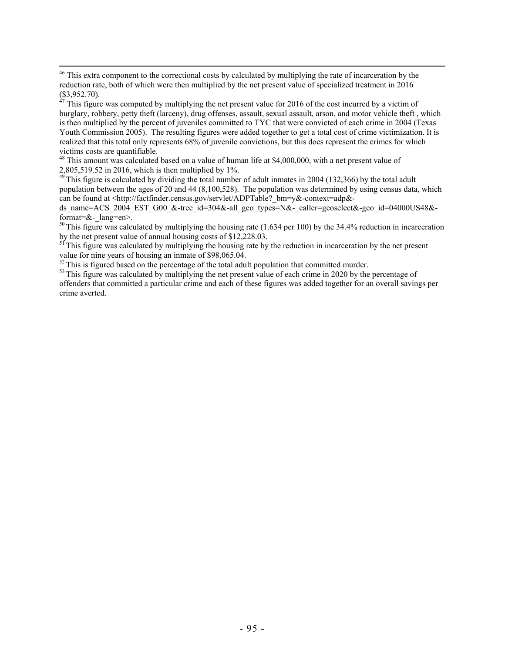$47$  This figure was computed by multiplying the net present value for 2016 of the cost incurred by a victim of burglary, robbery, petty theft (larceny), drug offenses, assault, sexual assault, arson, and motor vehicle theft , which is then multiplied by the percent of juveniles committed to TYC that were convicted of each crime in 2004 (Texas Youth Commission 2005). The resulting figures were added together to get a total cost of crime victimization. It is realized that this total only represents 68% of juvenile convictions, but this does represent the crimes for which victims costs are quantifiable.

<sup>48</sup> This amount was calculated based on a value of human life at \$4,000,000, with a net present value of 2,805,519.52 in 2016, which is then multiplied by 1%.

 $49$  This figure is calculated by dividing the total number of adult inmates in 2004 (132,366) by the total adult population between the ages of 20 and 44 (8,100,528). The population was determined by using census data, which can be found at <http://factfinder.census.gov/servlet/ADPTable? bm=y&-context=adp&-

ds name=ACS 2004 EST G00 &-tree id=304&-all geo types=N&- caller=geoselect&-geo id=04000US48&format= $&$ - lang=en>.

 $50$  This figure was calculated by multiplying the housing rate (1.634 per 100) by the 34.4% reduction in incarceration by the net present value of annual housing costs of \$12,228.03.

<sup>51</sup> This figure was calculated by multiplying the housing rate by the reduction in incarceration by the net present value for nine years of housing an inmate of \$98,065.04.<br><sup>52</sup> This is figured based on the percentage of the total adult population that committed murder.

 $53$  This figure was calculated by multiplying the net present value of each crime in 2020 by the percentage of offenders that committed a particular crime and each of these figures was added together for an overall savings per crime averted.

<sup>&</sup>lt;sup>46</sup> This extra component to the correctional costs by calculated by multiplying the rate of incarceration by the reduction rate, both of which were then multiplied by the net present value of specialized treatment in 2016  $($3,952.70).$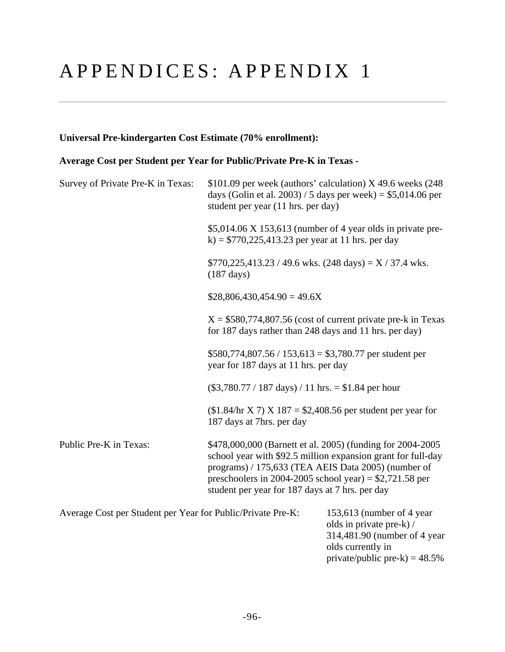# APPENDICES: APPENDIX 1

## **Universal Pre-kindergarten Cost Estimate (70% enrollment):**

## **Average Cost per Student per Year for Public/Private Pre-K in Texas -**

| Survey of Private Pre-K in Texas:                           | student per year (11 hrs. per day)                                                                                                                                 | $$101.09$ per week (authors' calculation) X 49.6 weeks (248)<br>days (Golin et al. 2003) / 5 days per week) = $$5,014.06$ per |
|-------------------------------------------------------------|--------------------------------------------------------------------------------------------------------------------------------------------------------------------|-------------------------------------------------------------------------------------------------------------------------------|
|                                                             | k) = $$770,225,413.23$ per year at 11 hrs. per day                                                                                                                 | $$5,014.06$ X 153,613 (number of 4 year olds in private pre-                                                                  |
|                                                             | $$770,225,413.23 / 49.6 \text{ wks.}$ (248 days) = X / 37.4 wks.<br>$(187 \text{ days})$                                                                           |                                                                                                                               |
|                                                             | $$28,806,430,454.90 = 49.6X$                                                                                                                                       |                                                                                                                               |
|                                                             | for 187 days rather than 248 days and 11 hrs. per day)                                                                                                             | $X = $580,774,807.56$ (cost of current private pre-k in Texas                                                                 |
|                                                             | $$580,774,807.56 / 153,613 = $3,780.77$ per student per<br>year for 187 days at 11 hrs. per day                                                                    |                                                                                                                               |
|                                                             | $(\$3,780.77 / 187 \text{ days}) / 11 \text{ hrs.} = \$1.84 \text{ per hour}$                                                                                      |                                                                                                                               |
|                                                             | $$1.84$ hr X 7) X 187 = \$2,408.56 per student per year for<br>187 days at 7hrs. per day                                                                           |                                                                                                                               |
| Public Pre-K in Texas:                                      | programs) / 175,633 (TEA AEIS Data 2005) (number of<br>preschoolers in 2004-2005 school year) = $$2,721.58$ per<br>student per year for 187 days at 7 hrs. per day | \$478,000,000 (Barnett et al. 2005) (funding for 2004-2005<br>school year with \$92.5 million expansion grant for full-day    |
| Average Cost per Student per Year for Public/Private Pre-K: |                                                                                                                                                                    | 153,613 (number of 4 year<br>olds in private pre-k) /<br>314,481.90 (number of 4 year                                         |

olds currently in

private/public pre-k) =  $48.5%$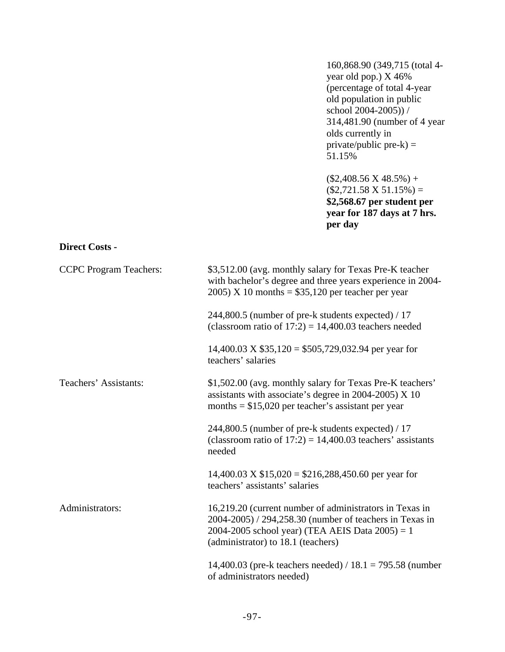160,868.90 (349,715 (total 4 year old pop.) X 46% (percentage of total 4-year old population in public school 2004-2005)) / 314,481.90 (number of 4 year olds currently in  $private/public$  pre- $k$ ) = 51.15%

 $($2,408.56 \text{ X } 48.5\%) +$  $($2,721.58 \text{ X } 51.15\%) =$ **\$2,568.67 per student per year for 187 days at 7 hrs. per day**

#### **Direct Costs -**

| <b>CCPC</b> Program Teachers: | \$3,512.00 (avg. monthly salary for Texas Pre-K teacher<br>with bachelor's degree and three years experience in 2004-<br>$2005$ ) X 10 months = \$35,120 per teacher per year                                  |
|-------------------------------|----------------------------------------------------------------------------------------------------------------------------------------------------------------------------------------------------------------|
|                               | 244,800.5 (number of pre-k students expected) / 17<br>(classroom ratio of $17:2$ ) = 14,400.03 teachers needed                                                                                                 |
|                               | 14,400.03 X $$35,120 = $505,729,032.94$ per year for<br>teachers' salaries                                                                                                                                     |
| Teachers' Assistants:         | \$1,502.00 (avg. monthly salary for Texas Pre-K teachers'<br>assistants with associate's degree in $2004-2005$ ) X 10<br>months $= $15,020$ per teacher's assistant per year                                   |
|                               | 244,800.5 (number of pre-k students expected) / 17<br>(classroom ratio of $17:2$ ) = 14,400.03 teachers' assistants<br>needed                                                                                  |
|                               | 14,400.03 X $$15,020 = $216,288,450.60$ per year for<br>teachers' assistants' salaries                                                                                                                         |
| Administrators:               | 16,219.20 (current number of administrators in Texas in<br>2004-2005) / 294,258.30 (number of teachers in Texas in<br>2004-2005 school year) (TEA AEIS Data $2005$ ) = 1<br>(administrator) to 18.1 (teachers) |
|                               | 14,400.03 (pre-k teachers needed) / $18.1 = 795.58$ (number<br>of administrators needed)                                                                                                                       |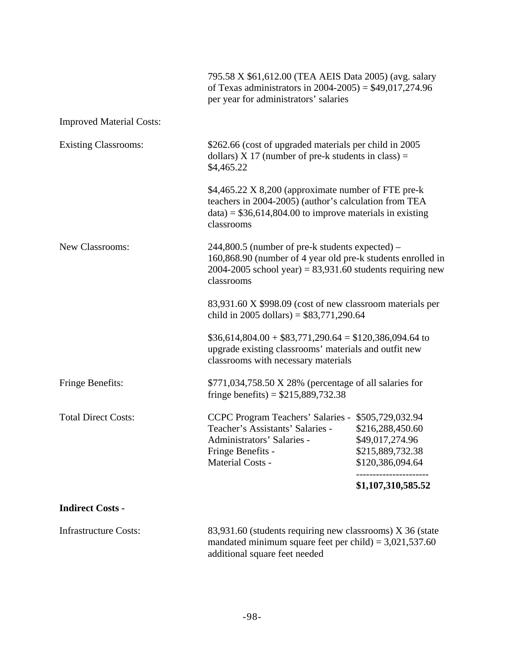|                                 | 795.58 X \$61,612.00 (TEA AEIS Data 2005) (avg. salary<br>of Texas administrators in $2004 - 2005$ ) = \$49,017,274.96<br>per year for administrators' salaries                               |                                                                             |
|---------------------------------|-----------------------------------------------------------------------------------------------------------------------------------------------------------------------------------------------|-----------------------------------------------------------------------------|
| <b>Improved Material Costs:</b> |                                                                                                                                                                                               |                                                                             |
| <b>Existing Classrooms:</b>     | \$262.66 (cost of upgraded materials per child in 2005)<br>dollars) $X$ 17 (number of pre-k students in class) =<br>\$4,465.22                                                                |                                                                             |
|                                 | \$4,465.22 X 8,200 (approximate number of FTE pre-k<br>teachers in 2004-2005) (author's calculation from TEA<br>$data$ = \$36,614,804.00 to improve materials in existing<br>classrooms       |                                                                             |
| <b>New Classrooms:</b>          | $244,800.5$ (number of pre-k students expected) –<br>160,868.90 (number of 4 year old pre-k students enrolled in<br>2004-2005 school year) = $83,931.60$ students requiring new<br>classrooms |                                                                             |
|                                 | 83,931.60 X \$998.09 (cost of new classroom materials per<br>child in 2005 dollars) = $$83,771,290.64$                                                                                        |                                                                             |
|                                 | $$36,614,804.00 + $83,771,290.64 = $120,386,094.64$ to<br>upgrade existing classrooms' materials and outfit new<br>classrooms with necessary materials                                        |                                                                             |
| <b>Fringe Benefits:</b>         | \$771,034,758.50 X 28% (percentage of all salaries for<br>fringe benefits) = $$215,889,732.38$                                                                                                |                                                                             |
| <b>Total Direct Costs:</b>      | CCPC Program Teachers' Salaries - \$505,729,032.94<br>Teacher's Assistants' Salaries -<br>Administrators' Salaries -<br>Fringe Benefits -<br>Material Costs -                                 | \$216,288,450.60<br>\$49,017,274.96<br>\$215,889,732.38<br>\$120,386,094.64 |
|                                 |                                                                                                                                                                                               | \$1,107,310,585.52                                                          |
| <b>Indirect Costs -</b>         |                                                                                                                                                                                               |                                                                             |
| <b>Infrastructure Costs:</b>    | 83,931.60 (students requiring new classrooms) X 36 (state<br>mandated minimum square feet per child) = $3,021,537.60$<br>additional square feet needed                                        |                                                                             |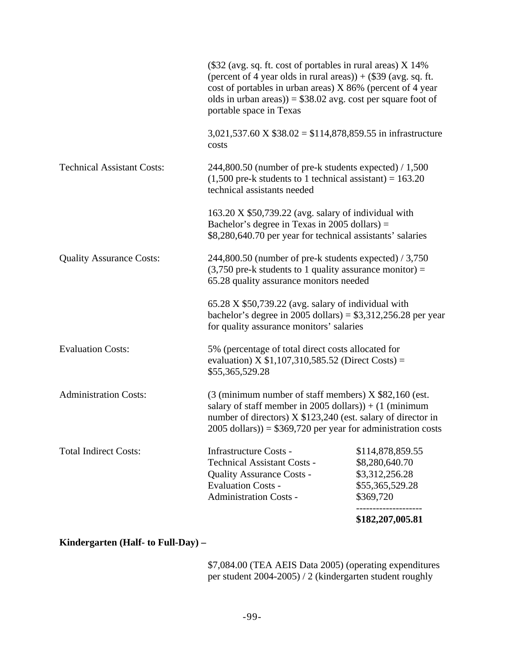|                                   |                                                                                                                                                                                                                                                                                             | \$182,207,005.81                                                                     |
|-----------------------------------|---------------------------------------------------------------------------------------------------------------------------------------------------------------------------------------------------------------------------------------------------------------------------------------------|--------------------------------------------------------------------------------------|
| <b>Total Indirect Costs:</b>      | <b>Infrastructure Costs -</b><br><b>Technical Assistant Costs -</b><br><b>Quality Assurance Costs -</b><br><b>Evaluation Costs -</b><br><b>Administration Costs -</b>                                                                                                                       | \$114,878,859.55<br>\$8,280,640.70<br>\$3,312,256.28<br>\$55,365,529.28<br>\$369,720 |
| <b>Administration Costs:</b>      | $(3 \text{ (minimum number of staff members)} X $82,160 \text{ (est.}$<br>salary of staff member in 2005 dollars)) + $(1 \text{ (minimum)}$<br>number of directors) X \$123,240 (est. salary of director in<br>$2005$ dollars)) = \$369,720 per year for administration costs               |                                                                                      |
| <b>Evaluation Costs:</b>          | 5% (percentage of total direct costs allocated for<br>evaluation) X $$1,107,310,585.52$ (Direct Costs) =<br>\$55,365,529.28                                                                                                                                                                 |                                                                                      |
|                                   | $65.28$ X \$50,739.22 (avg. salary of individual with<br>bachelor's degree in 2005 dollars) = $$3,312,256.28$ per year<br>for quality assurance monitors' salaries                                                                                                                          |                                                                                      |
| <b>Quality Assurance Costs:</b>   | 244,800.50 (number of pre-k students expected) / 3,750<br>$(3,750$ pre-k students to 1 quality assurance monitor) =<br>65.28 quality assurance monitors needed                                                                                                                              |                                                                                      |
|                                   | $163.20 \text{ X } $50,739.22$ (avg. salary of individual with<br>Bachelor's degree in Texas in 2005 dollars) $=$<br>\$8,280,640.70 per year for technical assistants' salaries                                                                                                             |                                                                                      |
| <b>Technical Assistant Costs:</b> | $244,800.50$ (number of pre-k students expected) / 1,500<br>$(1,500$ pre-k students to 1 technical assistant) = 163.20<br>technical assistants needed                                                                                                                                       |                                                                                      |
|                                   | 3,021,537.60 X $$38.02 = $114,878,859.55$ in infrastructure<br>costs                                                                                                                                                                                                                        |                                                                                      |
|                                   | $(\$32$ (avg. sq. ft. cost of portables in rural areas) X 14%<br>(percent of 4 year olds in rural areas)) $+$ (\$39 (avg. sq. ft.<br>cost of portables in urban areas) X 86% (percent of 4 year<br>olds in urban areas)) = $$38.02$ avg. cost per square foot of<br>portable space in Texas |                                                                                      |

# **Kindergarten (Half- to Full-Day) –**

\$7,084.00 (TEA AEIS Data 2005) (operating expenditures per student 2004-2005) / 2 (kindergarten student roughly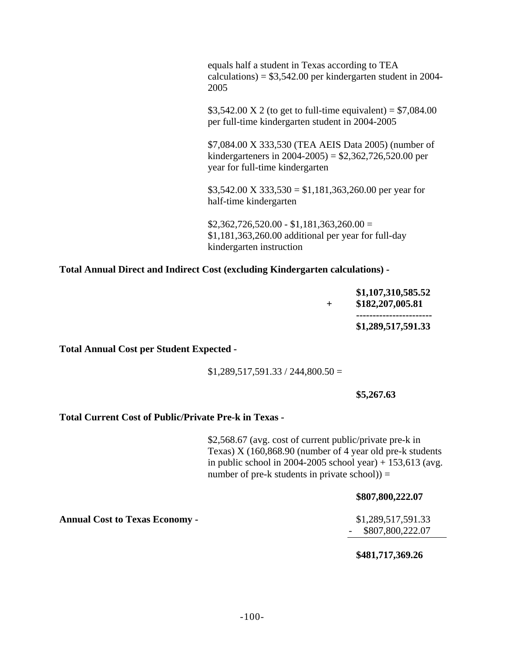| equals half a student in Texas according to TEA<br>calculations) = $$3,542.00$ per kindergarten student in 2004-<br>2005                               |
|--------------------------------------------------------------------------------------------------------------------------------------------------------|
| \$3,542.00 X 2 (to get to full-time equivalent) = $$7,084.00$<br>per full-time kindergarten student in 2004-2005                                       |
| \$7,084.00 X 333,530 (TEA AEIS Data 2005) (number of<br>kindergarteners in $2004 - 2005$ ) = \$2,362,726,520.00 per<br>year for full-time kindergarten |
| $$3,542.00 \text{ X } 333,530 = $1,181,363,260.00 \text{ per year for}$<br>half-time kindergarten                                                      |
| $$2,362,726,520.00 - $1,181,363,260.00 =$<br>$$1,181,363,260.00$ additional per year for full-day                                                      |

**Total Annual Direct and Indirect Cost (excluding Kindergarten calculations) -** 

kindergarten instruction

|  | \$1,107,310,585.52<br>\$182,207,005.81 |
|--|----------------------------------------|
|  | ------------------------               |
|  | \$1,289,517,591.33                     |

**Total Annual Cost per Student Expected -** 

 $$1,289,517,591.33 / 244,800.50 =$ 

#### **\$5,267.63**

#### **Total Current Cost of Public/Private Pre-k in Texas -**

\$2,568.67 (avg. cost of current public/private pre-k in Texas) X (160,868.90 (number of 4 year old pre-k students in public school in 2004-2005 school year) + 153,613 (avg. number of pre-k students in private school) $) =$ 

#### **\$807,800,222.07**

- \$807,800,222.07

#### **\$481,717,369.26**

**Annual Cost to Texas Economy -** \$1,289,517,591.33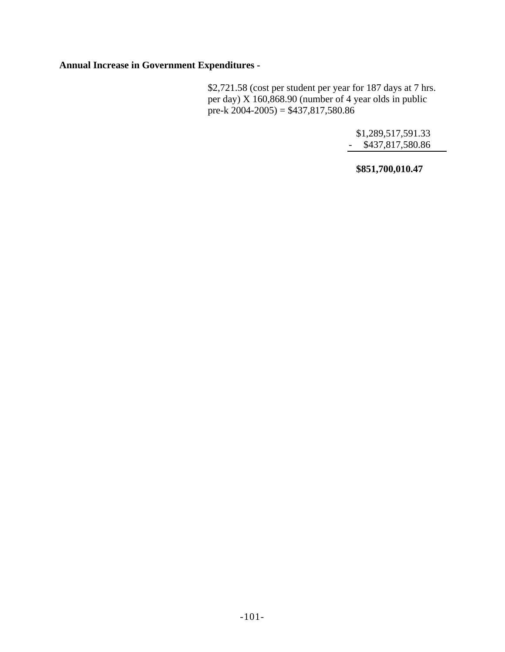**Annual Increase in Government Expenditures -** 

\$2,721.58 (cost per student per year for 187 days at 7 hrs. per day) X 160,868.90 (number of 4 year olds in public pre-k  $2004-2005$ ) = \$437,817,580.86

> \$1,289,517,591.33 - \$437,817,580.86

**\$851,700,010.47**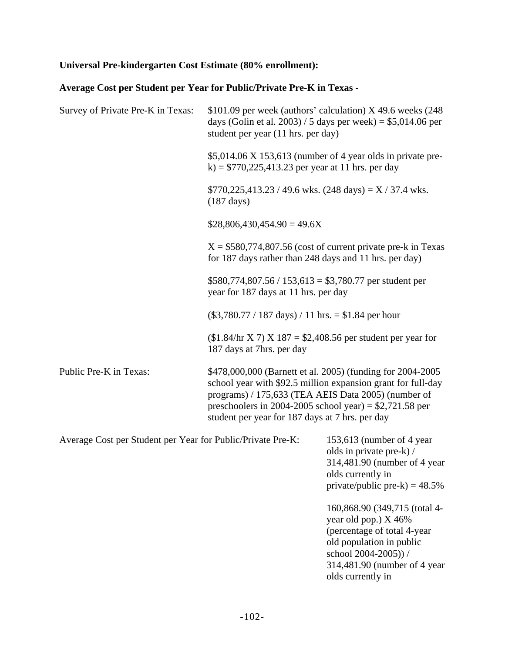# **Universal Pre-kindergarten Cost Estimate (80% enrollment):**

# **Average Cost per Student per Year for Public/Private Pre-K in Texas -**

| Survey of Private Pre-K in Texas:                           | student per year (11 hrs. per day)                                                                                                                                 | \$101.09 per week (authors' calculation) $X$ 49.6 weeks (248)<br>days (Golin et al. 2003) / 5 days per week) = $$5,014.06$ per                 |
|-------------------------------------------------------------|--------------------------------------------------------------------------------------------------------------------------------------------------------------------|------------------------------------------------------------------------------------------------------------------------------------------------|
|                                                             | k) = $$770,225,413.23$ per year at 11 hrs. per day                                                                                                                 | $$5,014.06$ X 153,613 (number of 4 year olds in private pre-                                                                                   |
|                                                             | $$770,225,413.23 / 49.6$ wks. $(248 \text{ days}) = X / 37.4$ wks.<br>$(187 \text{ days})$                                                                         |                                                                                                                                                |
|                                                             | $$28,806,430,454.90 = 49.6X$                                                                                                                                       |                                                                                                                                                |
|                                                             | for 187 days rather than 248 days and 11 hrs. per day)                                                                                                             | $X = $580,774,807.56$ (cost of current private pre-k in Texas)                                                                                 |
|                                                             | $$580,774,807.56 / 153,613 = $3,780.77$ per student per<br>year for 187 days at 11 hrs. per day                                                                    |                                                                                                                                                |
|                                                             | $(\$3,780.77 / 187 \text{ days}) / 11 \text{ hrs.} = \$1.84 \text{ per hour}$                                                                                      |                                                                                                                                                |
|                                                             | $($1.84$ /hr X 7) X 187 = \$2,408.56 per student per year for<br>187 days at 7hrs. per day                                                                         |                                                                                                                                                |
| Public Pre-K in Texas:                                      | programs) / 175,633 (TEA AEIS Data 2005) (number of<br>preschoolers in 2004-2005 school year) = $$2,721.58$ per<br>student per year for 187 days at 7 hrs. per day | \$478,000,000 (Barnett et al. 2005) (funding for 2004-2005<br>school year with \$92.5 million expansion grant for full-day                     |
| Average Cost per Student per Year for Public/Private Pre-K: |                                                                                                                                                                    | 153,613 (number of 4 year<br>olds in private pre-k) /<br>314,481.90 (number of 4 year<br>olds currently in<br>private/public pre-k) = $48.5\%$ |
|                                                             |                                                                                                                                                                    | 160,868.90 (349,715 (total 4-<br>year old pop.) X 46%<br>(percentage of total 4-year<br>old population in public                               |

school 2004-2005)) / 314,481.90 (number of 4 year olds currently in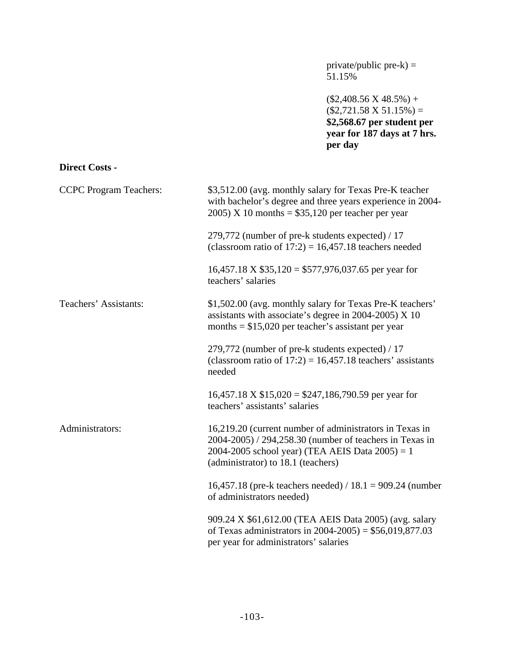private/public pre-k) = 51.15%

 $($2,408.56 \text{ X } 48.5\%) +$  $($2,721.58 \text{ X } 51.15\%) =$ **\$2,568.67 per student per year for 187 days at 7 hrs. per day**

#### **Direct Costs -**

| <b>CCPC</b> Program Teachers: | \$3,512.00 (avg. monthly salary for Texas Pre-K teacher<br>with bachelor's degree and three years experience in 2004-<br>$2005$ ) X 10 months = \$35,120 per teacher per year                                  |
|-------------------------------|----------------------------------------------------------------------------------------------------------------------------------------------------------------------------------------------------------------|
|                               | 279,772 (number of pre-k students expected) / 17<br>(classroom ratio of $17:2$ ) = 16,457.18 teachers needed                                                                                                   |
|                               | $16,457.18 \text{ X } $35,120 = $577,976,037.65$ per year for<br>teachers' salaries                                                                                                                            |
| Teachers' Assistants:         | \$1,502.00 (avg. monthly salary for Texas Pre-K teachers'<br>assistants with associate's degree in 2004-2005) $X$ 10<br>months = $$15,020$ per teacher's assistant per year                                    |
|                               | 279,772 (number of pre-k students expected) / 17<br>(classroom ratio of $17:2$ ) = 16,457.18 teachers' assistants<br>needed                                                                                    |
|                               | $16,457.18 \text{ X } $15,020 = $247,186,790.59 \text{ per year for}$<br>teachers' assistants' salaries                                                                                                        |
| Administrators:               | 16,219.20 (current number of administrators in Texas in<br>2004-2005) / 294,258.30 (number of teachers in Texas in<br>2004-2005 school year) (TEA AEIS Data $2005$ ) = 1<br>(administrator) to 18.1 (teachers) |
|                               | 16,457.18 (pre-k teachers needed) / 18.1 = 909.24 (number<br>of administrators needed)                                                                                                                         |
|                               | 909.24 X \$61,612.00 (TEA AEIS Data 2005) (avg. salary<br>of Texas administrators in $2004 - 2005$ ) = \$56,019,877.03<br>per year for administrators' salaries                                                |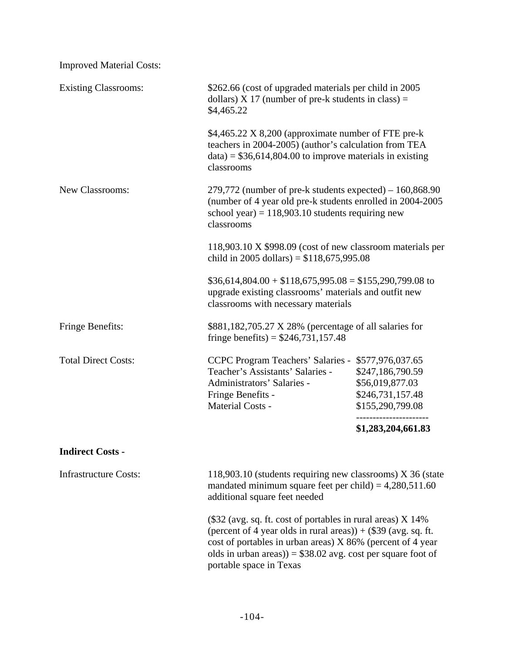| <b>Improved Material Costs:</b> |                                                                                                                                                                                                                                                                                             |                                                                             |  |
|---------------------------------|---------------------------------------------------------------------------------------------------------------------------------------------------------------------------------------------------------------------------------------------------------------------------------------------|-----------------------------------------------------------------------------|--|
| <b>Existing Classrooms:</b>     | \$262.66 (cost of upgraded materials per child in 2005)<br>dollars) $X$ 17 (number of pre-k students in class) =<br>\$4,465.22                                                                                                                                                              |                                                                             |  |
|                                 | \$4,465.22 X 8,200 (approximate number of FTE pre-k<br>teachers in 2004-2005) (author's calculation from TEA<br>$data$ = \$36,614,804.00 to improve materials in existing<br>classrooms                                                                                                     |                                                                             |  |
| New Classrooms:                 | $279,772$ (number of pre-k students expected) – 160,868.90<br>(number of 4 year old pre-k students enrolled in 2004-2005<br>school year) = $118,903.10$ students requiring new<br>classrooms                                                                                                |                                                                             |  |
|                                 | 118,903.10 X \$998.09 (cost of new classroom materials per<br>child in 2005 dollars) = $$118,675,995.08$                                                                                                                                                                                    |                                                                             |  |
|                                 | $$36,614,804.00 + $118,675,995.08 = $155,290,799.08$ to<br>upgrade existing classrooms' materials and outfit new<br>classrooms with necessary materials                                                                                                                                     |                                                                             |  |
| Fringe Benefits:                | \$881,182,705.27 X 28% (percentage of all salaries for<br>fringe benefits) = $$246,731,157.48$                                                                                                                                                                                              |                                                                             |  |
| <b>Total Direct Costs:</b>      | CCPC Program Teachers' Salaries - \$577,976,037.65<br>Teacher's Assistants' Salaries -<br>Administrators' Salaries -<br>Fringe Benefits -<br><b>Material Costs -</b>                                                                                                                        | \$247,186,790.59<br>\$56,019,877.03<br>\$246,731,157.48<br>\$155,290,799.08 |  |
|                                 |                                                                                                                                                                                                                                                                                             | \$1,283,204,661.83                                                          |  |
| <b>Indirect Costs -</b>         |                                                                                                                                                                                                                                                                                             |                                                                             |  |
| <b>Infrastructure Costs:</b>    | 118,903.10 (students requiring new classrooms) X 36 (state<br>mandated minimum square feet per child) = $4,280,511.60$<br>additional square feet needed                                                                                                                                     |                                                                             |  |
|                                 | $(\$32$ (avg. sq. ft. cost of portables in rural areas) X 14%<br>(percent of 4 year olds in rural areas)) + $(\$39$ (avg. sq. ft.<br>cost of portables in urban areas) X 86% (percent of 4 year<br>olds in urban areas)) = $$38.02$ avg. cost per square foot of<br>portable space in Texas |                                                                             |  |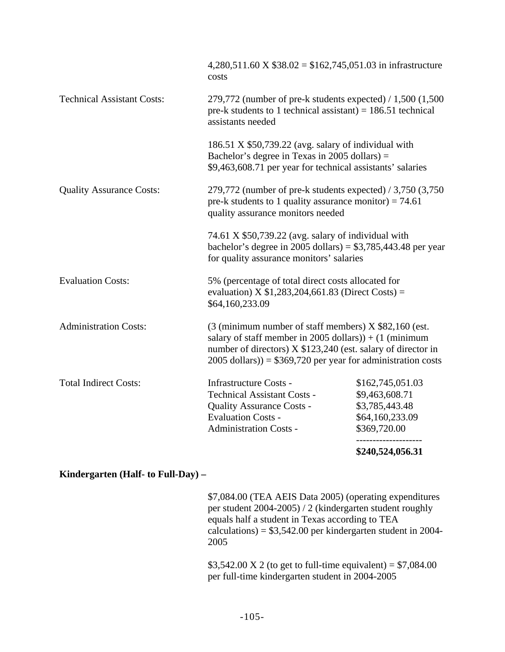|                                   |                                                                                                                                                                                                                                                                               | \$240,524,056.31                                                                                                                                             |  |
|-----------------------------------|-------------------------------------------------------------------------------------------------------------------------------------------------------------------------------------------------------------------------------------------------------------------------------|--------------------------------------------------------------------------------------------------------------------------------------------------------------|--|
|                                   | <b>Administration Costs -</b>                                                                                                                                                                                                                                                 | \$369,720.00                                                                                                                                                 |  |
|                                   | <b>Evaluation Costs -</b>                                                                                                                                                                                                                                                     | \$64,160,233.09                                                                                                                                              |  |
|                                   | <b>Quality Assurance Costs -</b>                                                                                                                                                                                                                                              | \$3,785,443.48                                                                                                                                               |  |
| <b>Total Indirect Costs:</b>      | <b>Infrastructure Costs -</b><br><b>Technical Assistant Costs -</b>                                                                                                                                                                                                           | \$162,745,051.03<br>\$9,463,608.71                                                                                                                           |  |
| <b>Administration Costs:</b>      | $(3 \text{ (minimum number of staff members)} X $82,160 \text{ (est.}$<br>salary of staff member in 2005 dollars)) + $(1 \text{ (minimum)}$<br>number of directors) X \$123,240 (est. salary of director in<br>$2005$ dollars)) = \$369,720 per year for administration costs |                                                                                                                                                              |  |
| <b>Evaluation Costs:</b>          | 5% (percentage of total direct costs allocated for<br>evaluation) X $$1,283,204,661.83$ (Direct Costs) =<br>\$64,160,233.09                                                                                                                                                   |                                                                                                                                                              |  |
|                                   | 74.61 X \$50,739.22 (avg. salary of individual with<br>bachelor's degree in 2005 dollars) = $$3,785,443.48$ per year<br>for quality assurance monitors' salaries                                                                                                              |                                                                                                                                                              |  |
| <b>Quality Assurance Costs:</b>   |                                                                                                                                                                                                                                                                               | 279,772 (number of pre-k students expected) / 3,750 (3,750)<br>pre-k students to 1 quality assurance monitor) = $74.61$<br>quality assurance monitors needed |  |
|                                   | 186.51 $X$ \$50,739.22 (avg. salary of individual with<br>Bachelor's degree in Texas in $2005$ dollars) =<br>\$9,463,608.71 per year for technical assistants' salaries                                                                                                       |                                                                                                                                                              |  |
| <b>Technical Assistant Costs:</b> | 279,772 (number of pre-k students expected) $/ 1,500$ (1,500<br>pre-k students to 1 technical assistant) = $186.51$ technical<br>assistants needed                                                                                                                            |                                                                                                                                                              |  |
|                                   | 4,280,511.60 X $$38.02 = $162,745,051.03$ in infrastructure<br>costs                                                                                                                                                                                                          |                                                                                                                                                              |  |

# **Kindergarten (Half- to Full-Day) –**

\$7,084.00 (TEA AEIS Data 2005) (operating expenditures per student 2004-2005) / 2 (kindergarten student roughly equals half a student in Texas according to TEA calculations) = \$3,542.00 per kindergarten student in 2004- 2005

\$3,542.00 X 2 (to get to full-time equivalent) =  $$7,084.00$ per full-time kindergarten student in 2004-2005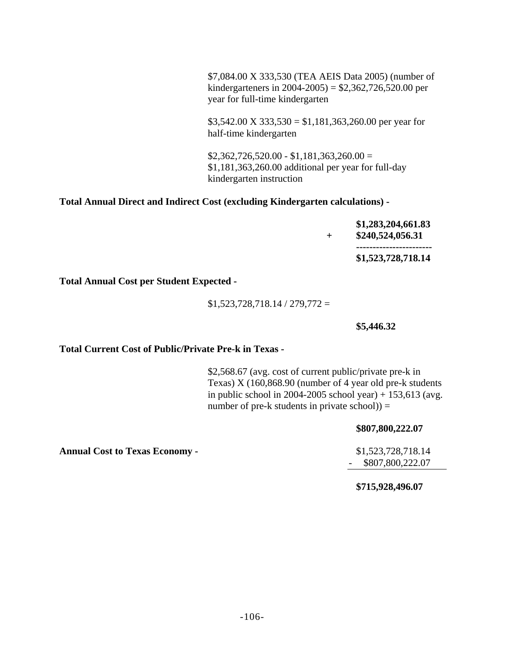\$7,084.00 X 333,530 (TEA AEIS Data 2005) (number of kindergarteners in 2004-2005) = \$2,362,726,520.00 per year for full-time kindergarten

 $$3,542.00 \text{ X } 333,530 = $1,181,363,260.00 \text{ per year for}$ half-time kindergarten

 $$2,362,726,520.00 - $1,181,363,260.00 =$ \$1,181,363,260.00 additional per year for full-day kindergarten instruction

#### **Total Annual Direct and Indirect Cost (excluding Kindergarten calculations) -**

|  | \$1,283,204,661.83<br>\$240,524,056.31 |
|--|----------------------------------------|
|  | -----------------------                |
|  | \$1,523,728,718.14                     |

**Total Annual Cost per Student Expected -** 

 $$1,523,728,718.14 / 279,772 =$ 

**\$5,446.32** 

#### **Total Current Cost of Public/Private Pre-k in Texas -**

\$2,568.67 (avg. cost of current public/private pre-k in Texas) X (160,868.90 (number of 4 year old pre-k students in public school in 2004-2005 school year) +  $153,613$  (avg. number of pre-k students in private  $\rm school$ ) =

#### **\$807,800,222.07**

- \$807,800,222.07

**\$715,928,496.07** 

**Annual Cost to Texas Economy -** \$1,523,728,718.14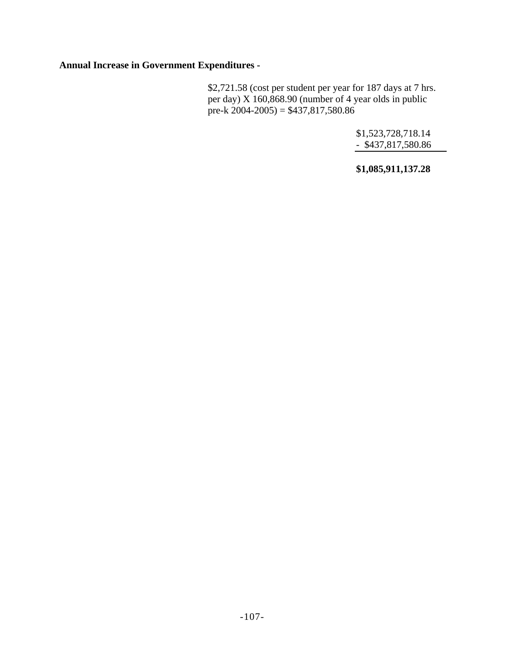**Annual Increase in Government Expenditures -** 

\$2,721.58 (cost per student per year for 187 days at 7 hrs. per day) X 160,868.90 (number of 4 year olds in public pre-k  $2004-2005$ ) = \$437,817,580.86

> \$1,523,728,718.14 - \$437,817,580.86

> **\$1,085,911,137.28**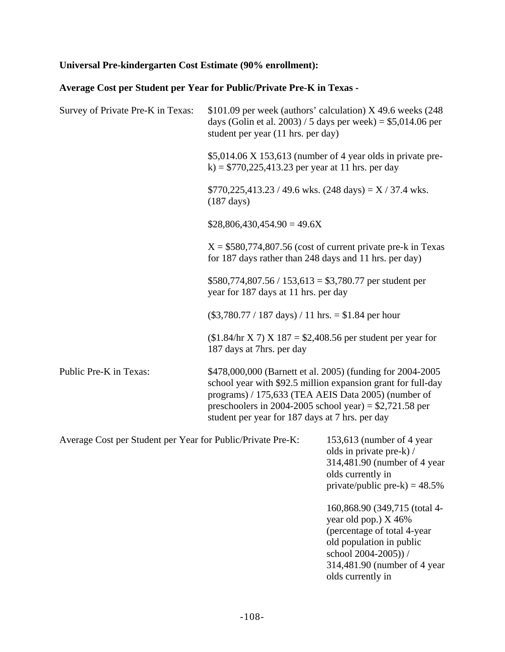# **Universal Pre-kindergarten Cost Estimate (90% enrollment):**

# **Average Cost per Student per Year for Public/Private Pre-K in Texas -**

| Survey of Private Pre-K in Texas:                           | \$101.09 per week (authors' calculation) X 49.6 weeks (248<br>days (Golin et al. 2003) / 5 days per week) = $$5,014.06$ per<br>student per year (11 hrs. per day)                                                                                                                                |                                                                                                                                                |  |
|-------------------------------------------------------------|--------------------------------------------------------------------------------------------------------------------------------------------------------------------------------------------------------------------------------------------------------------------------------------------------|------------------------------------------------------------------------------------------------------------------------------------------------|--|
|                                                             | k) = $$770,225,413.23$ per year at 11 hrs. per day                                                                                                                                                                                                                                               | $$5,014.06$ X 153,613 (number of 4 year olds in private pre-                                                                                   |  |
|                                                             | $$770,225,413.23 / 49.6$ wks. $(248 \text{ days}) = X / 37.4$ wks.<br>$(187 \text{ days})$                                                                                                                                                                                                       |                                                                                                                                                |  |
|                                                             | $$28,806,430,454.90 = 49.6X$                                                                                                                                                                                                                                                                     |                                                                                                                                                |  |
|                                                             | $X = $580,774,807.56$ (cost of current private pre-k in Texas)<br>for 187 days rather than 248 days and 11 hrs. per day)                                                                                                                                                                         |                                                                                                                                                |  |
|                                                             | $$580,774,807.56 / 153,613 = $3,780.77$ per student per<br>year for 187 days at 11 hrs. per day                                                                                                                                                                                                  |                                                                                                                                                |  |
|                                                             | $(\$3,780.77 / 187 \text{ days}) / 11 \text{ hrs.} = \$1.84 \text{ per hour}$                                                                                                                                                                                                                    |                                                                                                                                                |  |
|                                                             | $($1.84$ /hr X 7) X 187 = \$2,408.56 per student per year for<br>187 days at 7hrs. per day                                                                                                                                                                                                       |                                                                                                                                                |  |
| Public Pre-K in Texas:                                      | \$478,000,000 (Barnett et al. 2005) (funding for 2004-2005<br>school year with \$92.5 million expansion grant for full-day<br>programs) / 175,633 (TEA AEIS Data 2005) (number of<br>preschoolers in 2004-2005 school year) = $$2,721.58$ per<br>student per year for 187 days at 7 hrs. per day |                                                                                                                                                |  |
| Average Cost per Student per Year for Public/Private Pre-K: |                                                                                                                                                                                                                                                                                                  | 153,613 (number of 4 year<br>olds in private pre-k) /<br>314,481.90 (number of 4 year<br>olds currently in<br>private/public pre-k) = $48.5\%$ |  |
|                                                             |                                                                                                                                                                                                                                                                                                  | 160,868.90 (349,715 (total 4-<br>year old pop.) X 46%<br>(percentage of total 4-year)                                                          |  |

old population in public school 2004-2005)) / 314,481.90 (number of 4 year olds currently in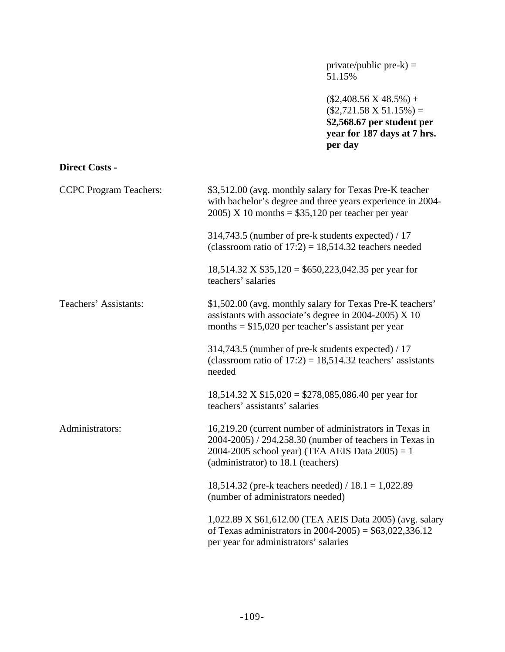private/public pre-k) = 51.15%

 $($2,408.56 \text{ X } 48.5\%) +$  $($2,721.58 \text{ X } 51.15\%) =$ **\$2,568.67 per student per year for 187 days at 7 hrs. per day**

## **Direct Costs -**

| <b>CCPC</b> Program Teachers: | \$3,512.00 (avg. monthly salary for Texas Pre-K teacher<br>with bachelor's degree and three years experience in 2004-<br>$2005$ ) X 10 months = \$35,120 per teacher per year                                  |
|-------------------------------|----------------------------------------------------------------------------------------------------------------------------------------------------------------------------------------------------------------|
|                               | 314,743.5 (number of pre-k students expected) / 17<br>(classroom ratio of $17:2$ ) = 18,514.32 teachers needed                                                                                                 |
|                               | $18,514.32$ X \$35,120 = \$650,223,042.35 per year for<br>teachers' salaries                                                                                                                                   |
| Teachers' Assistants:         | \$1,502.00 (avg. monthly salary for Texas Pre-K teachers'<br>assistants with associate's degree in 2004-2005) $X$ 10<br>months $= $15,020$ per teacher's assistant per year                                    |
|                               | 314,743.5 (number of pre-k students expected) / 17<br>(classroom ratio of $17:2$ ) = 18,514.32 teachers' assistants<br>needed                                                                                  |
|                               | $18,514.32 \text{ X } $15,020 = $278,085,086.40 \text{ per year for}$<br>teachers' assistants' salaries                                                                                                        |
| Administrators:               | 16,219.20 (current number of administrators in Texas in<br>2004-2005) / 294,258.30 (number of teachers in Texas in<br>2004-2005 school year) (TEA AEIS Data $2005$ ) = 1<br>(administrator) to 18.1 (teachers) |
|                               | 18,514.32 (pre-k teachers needed) / $18.1 = 1,022.89$<br>(number of administrators needed)                                                                                                                     |
|                               | 1,022.89 X \$61,612.00 (TEA AEIS Data 2005) (avg. salary<br>of Texas administrators in $2004 - 2005$ ) = \$63,022,336.12<br>per year for administrators' salaries                                              |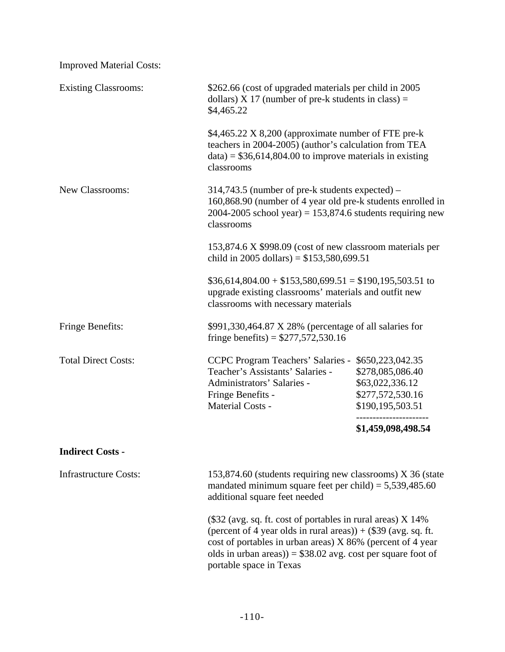| <b>Improved Material Costs:</b> |                                                                                                                                                                                                                                                                                                          |                    |
|---------------------------------|----------------------------------------------------------------------------------------------------------------------------------------------------------------------------------------------------------------------------------------------------------------------------------------------------------|--------------------|
| <b>Existing Classrooms:</b>     | \$262.66 (cost of upgraded materials per child in 2005)<br>dollars) $X$ 17 (number of pre-k students in class) =<br>\$4,465.22                                                                                                                                                                           |                    |
|                                 | \$4,465.22 X 8,200 (approximate number of FTE pre-k<br>teachers in 2004-2005) (author's calculation from TEA<br>$data$ = \$36,614,804.00 to improve materials in existing<br>classrooms                                                                                                                  |                    |
| New Classrooms:                 | $314,743.5$ (number of pre-k students expected) –<br>160,868.90 (number of 4 year old pre-k students enrolled in<br>2004-2005 school year) = $153,874.6$ students requiring new<br>classrooms<br>153,874.6 X \$998.09 (cost of new classroom materials per<br>child in 2005 dollars) = $$153,580,699.51$ |                    |
|                                 |                                                                                                                                                                                                                                                                                                          |                    |
|                                 | $$36,614,804.00 + $153,580,699.51 = $190,195,503.51$ to<br>upgrade existing classrooms' materials and outfit new<br>classrooms with necessary materials                                                                                                                                                  |                    |
| Fringe Benefits:                | \$991,330,464.87 X 28% (percentage of all salaries for<br>fringe benefits) = $$277,572,530.16$                                                                                                                                                                                                           |                    |
| <b>Total Direct Costs:</b>      | <b>CCPC Program Teachers' Salaries -</b><br>\$650,223,042.35<br>Teacher's Assistants' Salaries -<br>\$278,085,086.40<br>Administrators' Salaries -<br>\$63,022,336.12<br>\$277,572,530.16<br>Fringe Benefits -<br>Material Costs -<br>\$190,195,503.51                                                   |                    |
|                                 |                                                                                                                                                                                                                                                                                                          | \$1,459,098,498.54 |
| <b>Indirect Costs -</b>         |                                                                                                                                                                                                                                                                                                          |                    |
| <b>Infrastructure Costs:</b>    | 153,874.60 (students requiring new classrooms) X 36 (state<br>mandated minimum square feet per child) = $5,539,485.60$<br>additional square feet needed                                                                                                                                                  |                    |
|                                 | $(\$32$ (avg. sq. ft. cost of portables in rural areas) X 14%<br>(percent of 4 year olds in rural areas)) + $(\$39$ (avg. sq. ft.<br>cost of portables in urban areas) X 86% (percent of 4 year<br>olds in urban areas)) = $$38.02$ avg. cost per square foot of<br>portable space in Texas              |                    |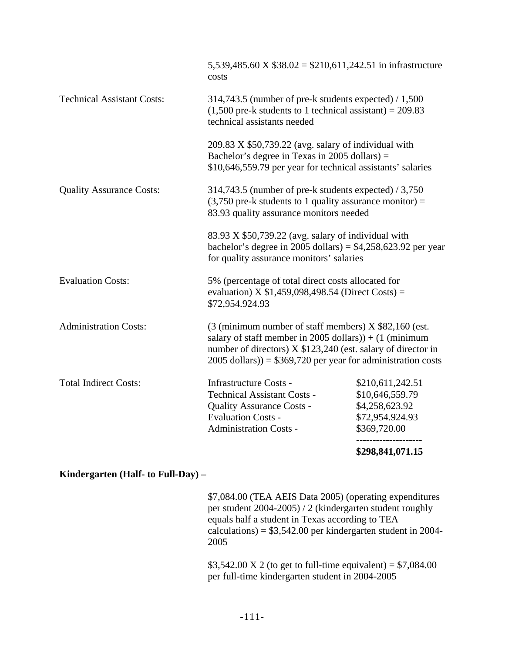|                                   | 5,539,485.60 X $$38.02 = $210,611,242.51$ in infrastructure<br>costs                                                                                                                                                                                                           |                                                                                          |
|-----------------------------------|--------------------------------------------------------------------------------------------------------------------------------------------------------------------------------------------------------------------------------------------------------------------------------|------------------------------------------------------------------------------------------|
| <b>Technical Assistant Costs:</b> | 314,743.5 (number of pre-k students expected) $/ 1,500$<br>$(1,500$ pre-k students to 1 technical assistant) = 209.83<br>technical assistants needed                                                                                                                           |                                                                                          |
|                                   | $209.83$ X \$50,739.22 (avg. salary of individual with<br>Bachelor's degree in Texas in 2005 dollars) $=$<br>\$10,646,559.79 per year for technical assistants' salaries                                                                                                       |                                                                                          |
| <b>Quality Assurance Costs:</b>   | 314,743.5 (number of pre-k students expected) $/ 3,750$<br>$(3,750$ pre-k students to 1 quality assurance monitor) =<br>83.93 quality assurance monitors needed                                                                                                                |                                                                                          |
|                                   | 83.93 X \$50,739.22 (avg. salary of individual with<br>bachelor's degree in 2005 dollars) = $$4,258,623.92$ per year<br>for quality assurance monitors' salaries                                                                                                               |                                                                                          |
| <b>Evaluation Costs:</b>          | 5% (percentage of total direct costs allocated for<br>evaluation) X $$1,459,098,498.54$ (Direct Costs) =<br>\$72,954.924.93                                                                                                                                                    |                                                                                          |
| <b>Administration Costs:</b>      | $(3 \text{ (minimum number of staff members)} X $82,160 \text{ (est.}$<br>salary of staff member in 2005 dollars) $) + (1 \text{ (minimum)}$<br>number of directors) X \$123,240 (est. salary of director in<br>$2005$ dollars)) = \$369,720 per year for administration costs |                                                                                          |
| <b>Total Indirect Costs:</b>      | <b>Infrastructure Costs -</b><br><b>Technical Assistant Costs -</b><br><b>Quality Assurance Costs -</b><br><b>Evaluation Costs -</b><br><b>Administration Costs -</b>                                                                                                          | \$210,611,242.51<br>\$10,646,559.79<br>\$4,258,623.92<br>\$72,954.924.93<br>\$369,720.00 |

## **\$298,841,071.15**

## **Kindergarten (Half- to Full-Day) –**

\$7,084.00 (TEA AEIS Data 2005) (operating expenditures per student 2004-2005) / 2 (kindergarten student roughly equals half a student in Texas according to TEA calculations) = \$3,542.00 per kindergarten student in 2004- 2005

\$3,542.00 X 2 (to get to full-time equivalent) =  $$7,084.00$ per full-time kindergarten student in 2004-2005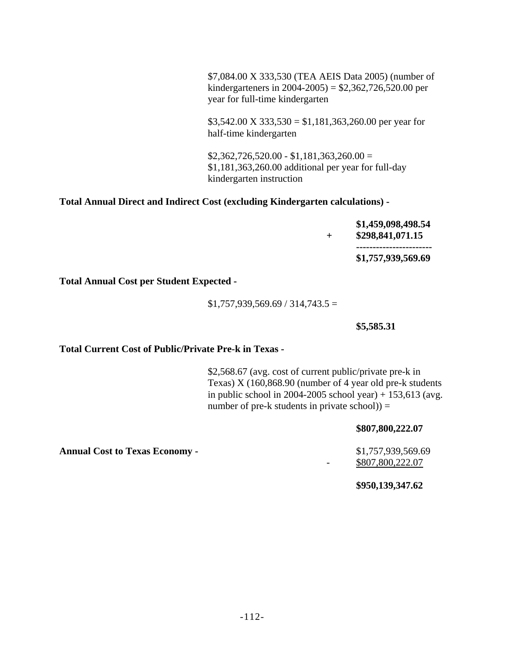\$7,084.00 X 333,530 (TEA AEIS Data 2005) (number of kindergarteners in 2004-2005) = \$2,362,726,520.00 per year for full-time kindergarten

 $$3,542.00 \text{ X } 333,530 = $1,181,363,260.00 \text{ per year for}$ half-time kindergarten

 $$2,362,726,520.00 - $1,181,363,260.00 =$ \$1,181,363,260.00 additional per year for full-day kindergarten instruction

## **Total Annual Direct and Indirect Cost (excluding Kindergarten calculations) -**

|  | \$1,459,098,498.54<br>\$298,841,071.15 |
|--|----------------------------------------|
|  | -----------------------                |
|  | \$1,757,939,569.69                     |

**Total Annual Cost per Student Expected -** 

 $$1,757,939,569.69 / 314,743.5 =$ 

**\$5,585.31** 

## **Total Current Cost of Public/Private Pre-k in Texas -**

\$2,568.67 (avg. cost of current public/private pre-k in Texas) X (160,868.90 (number of 4 year old pre-k students in public school in 2004-2005 school year) +  $153,613$  (avg. number of pre-k students in private  $\rm school$ ) =

### **\$807,800,222.07**

- \$807,800,222.07

**\$950,139,347.62** 

**Annual Cost to Texas Economy -**   $$1,757,939,569.69$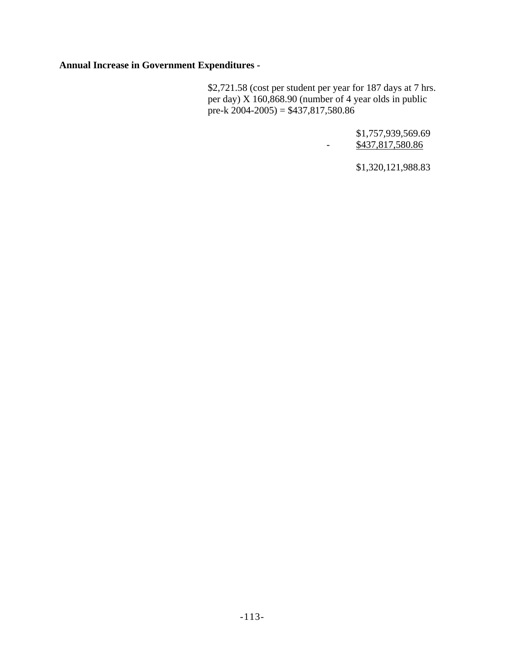**Annual Increase in Government Expenditures -** 

\$2,721.58 (cost per student per year for 187 days at 7 hrs. per day) X 160,868.90 (number of 4 year olds in public pre-k  $2004-2005$ ) = \$437,817,580.86

> \$1,757,939,569.69 - \$437,817,580.86

> > \$1,320,121,988.83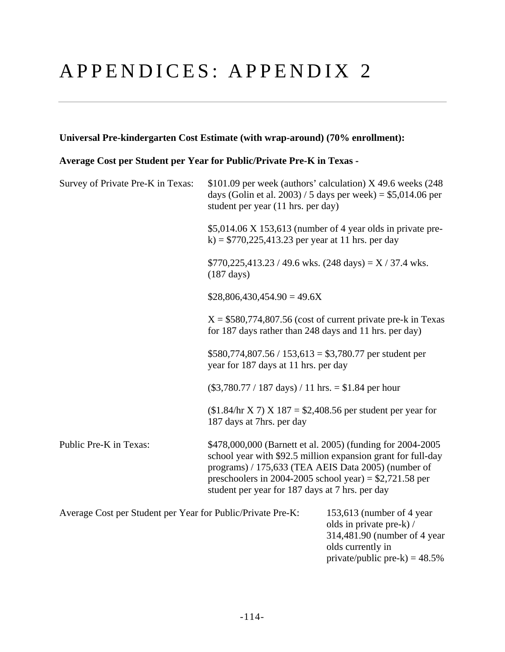## APPENDICES: APPENDIX 2

## **Universal Pre-kindergarten Cost Estimate (with wrap-around) (70% enrollment):**

## **Average Cost per Student per Year for Public/Private Pre-K in Texas -**

| Survey of Private Pre-K in Texas:                           | $$101.09$ per week (authors' calculation) X 49.6 weeks (248)<br>days (Golin et al. 2003) / 5 days per week) = $$5,014.06$ per<br>student per year (11 hrs. per day) |                                                                                                                                                                                                                                               |
|-------------------------------------------------------------|---------------------------------------------------------------------------------------------------------------------------------------------------------------------|-----------------------------------------------------------------------------------------------------------------------------------------------------------------------------------------------------------------------------------------------|
|                                                             | k) = $$770,225,413.23$ per year at 11 hrs. per day                                                                                                                  | $$5,014.06$ X 153,613 (number of 4 year olds in private pre-                                                                                                                                                                                  |
|                                                             | $(187 \text{ days})$                                                                                                                                                | $$770,225,413.23 / 49.6 \text{ wks.}$ (248 days) = X / 37.4 wks.                                                                                                                                                                              |
|                                                             | $$28,806,430,454.90 = 49.6X$                                                                                                                                        |                                                                                                                                                                                                                                               |
|                                                             | for 187 days rather than 248 days and 11 hrs. per day)                                                                                                              | $X = $580,774,807.56$ (cost of current private pre-k in Texas)                                                                                                                                                                                |
|                                                             | $$580,774,807.56 / 153,613 = $3,780.77$ per student per<br>year for 187 days at 11 hrs. per day                                                                     |                                                                                                                                                                                                                                               |
|                                                             | $(\$3,780.77 / 187 \text{ days}) / 11 \text{ hrs.} = \$1.84 \text{ per hour}$                                                                                       |                                                                                                                                                                                                                                               |
|                                                             | 187 days at 7hrs. per day                                                                                                                                           | $($1.84/hr X 7) X 187 = $2,408.56$ per student per year for                                                                                                                                                                                   |
| Public Pre-K in Texas:                                      | student per year for 187 days at 7 hrs. per day                                                                                                                     | \$478,000,000 (Barnett et al. 2005) (funding for 2004-2005<br>school year with \$92.5 million expansion grant for full-day<br>programs) / 175,633 (TEA AEIS Data 2005) (number of<br>preschoolers in 2004-2005 school year) = $$2,721.58$ per |
| Average Cost per Student per Year for Public/Private Pre-K: |                                                                                                                                                                     | 153,613 (number of 4 year<br>olds in private pre-k) /<br>314,481.90 (number of 4 year                                                                                                                                                         |

olds currently in

private/public pre-k) =  $48.5%$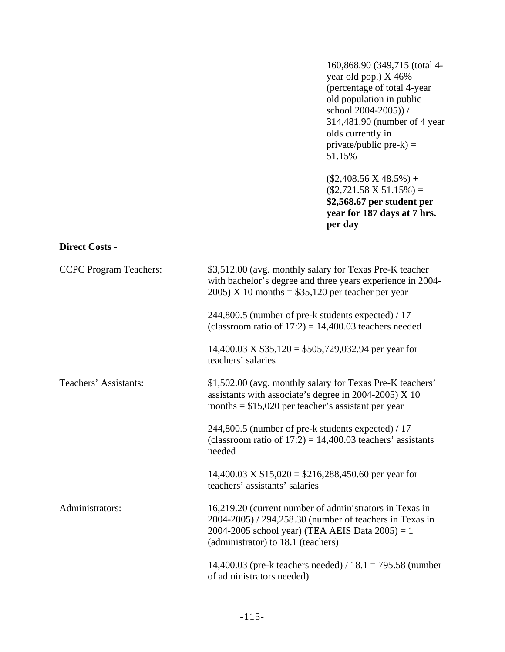160,868.90 (349,715 (total 4 year old pop.) X 46% (percentage of total 4-year old population in public school 2004-2005)) / 314,481.90 (number of 4 year olds currently in  $private/public$  pre- $k$ ) = 51.15%

 $($2,408.56 \text{ X } 48.5\%) +$  $($2,721.58 \text{ X } 51.15\%) =$ **\$2,568.67 per student per year for 187 days at 7 hrs. per day**

#### **Direct Costs -**

| <b>CCPC</b> Program Teachers: | \$3,512.00 (avg. monthly salary for Texas Pre-K teacher<br>with bachelor's degree and three years experience in 2004-<br>$2005$ ) X 10 months = \$35,120 per teacher per year                                  |
|-------------------------------|----------------------------------------------------------------------------------------------------------------------------------------------------------------------------------------------------------------|
|                               | 244,800.5 (number of pre-k students expected) / 17<br>(classroom ratio of $17:2$ ) = 14,400.03 teachers needed                                                                                                 |
|                               | $14,400.03$ X \$35,120 = \$505,729,032.94 per year for<br>teachers' salaries                                                                                                                                   |
| Teachers' Assistants:         | \$1,502.00 (avg. monthly salary for Texas Pre-K teachers'<br>assistants with associate's degree in 2004-2005) $X$ 10<br>months = $$15,020$ per teacher's assistant per year                                    |
|                               | 244,800.5 (number of pre-k students expected) / 17<br>(classroom ratio of $17:2$ ) = 14,400.03 teachers' assistants<br>needed                                                                                  |
|                               | $14,400.03$ X \$15,020 = \$216,288,450.60 per year for<br>teachers' assistants' salaries                                                                                                                       |
| Administrators:               | 16,219.20 (current number of administrators in Texas in<br>2004-2005) / 294,258.30 (number of teachers in Texas in<br>2004-2005 school year) (TEA AEIS Data $2005$ ) = 1<br>(administrator) to 18.1 (teachers) |
|                               | 14,400.03 (pre-k teachers needed) / $18.1 = 795.58$ (number<br>of administrators needed)                                                                                                                       |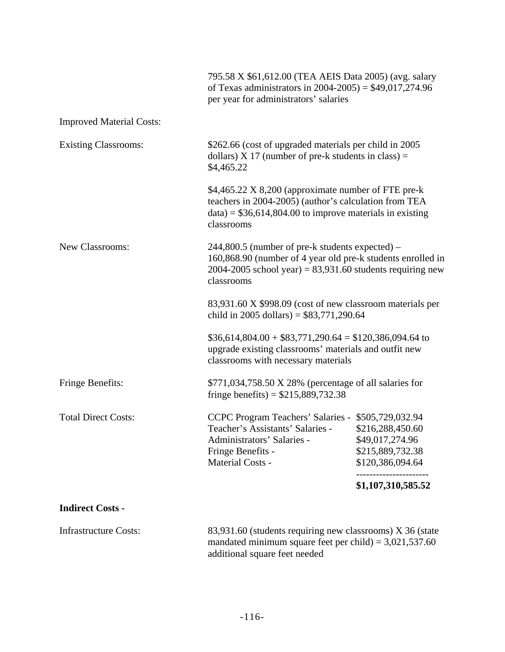|                                 | 795.58 X \$61,612.00 (TEA AEIS Data 2005) (avg. salary<br>of Texas administrators in $2004 - 2005$ ) = \$49,017,274.96<br>per year for administrators' salaries                                                                                                                                         |                                                                             |
|---------------------------------|---------------------------------------------------------------------------------------------------------------------------------------------------------------------------------------------------------------------------------------------------------------------------------------------------------|-----------------------------------------------------------------------------|
| <b>Improved Material Costs:</b> |                                                                                                                                                                                                                                                                                                         |                                                                             |
| <b>Existing Classrooms:</b>     | \$262.66 (cost of upgraded materials per child in 2005)<br>dollars) $X$ 17 (number of pre-k students in class) =<br>\$4,465.22                                                                                                                                                                          |                                                                             |
|                                 | \$4,465.22 X 8,200 (approximate number of FTE pre-k<br>teachers in 2004-2005) (author's calculation from TEA<br>$data$ = \$36,614,804.00 to improve materials in existing<br>classrooms                                                                                                                 |                                                                             |
| New Classrooms:                 | 244,800.5 (number of pre-k students expected) –<br>160,868.90 (number of 4 year old pre-k students enrolled in<br>$2004 - 2005$ school year) = 83,931.60 students requiring new<br>classrooms<br>83,931.60 X \$998.09 (cost of new classroom materials per<br>child in 2005 dollars) = $$83,771,290.64$ |                                                                             |
|                                 |                                                                                                                                                                                                                                                                                                         |                                                                             |
|                                 | $$36,614,804.00 + $83,771,290.64 = $120,386,094.64$ to<br>upgrade existing classrooms' materials and outfit new<br>classrooms with necessary materials                                                                                                                                                  |                                                                             |
| <b>Fringe Benefits:</b>         | \$771,034,758.50 X 28% (percentage of all salaries for<br>fringe benefits) = $$215,889,732.38$                                                                                                                                                                                                          |                                                                             |
| <b>Total Direct Costs:</b>      | CCPC Program Teachers' Salaries - \$505,729,032.94<br>Teacher's Assistants' Salaries -<br>Administrators' Salaries -<br>Fringe Benefits -<br>Material Costs -                                                                                                                                           | \$216,288,450.60<br>\$49,017,274.96<br>\$215,889,732.38<br>\$120,386,094.64 |
|                                 |                                                                                                                                                                                                                                                                                                         | \$1,107,310,585.52                                                          |
| <b>Indirect Costs -</b>         |                                                                                                                                                                                                                                                                                                         |                                                                             |
| <b>Infrastructure Costs:</b>    | 83,931.60 (students requiring new classrooms) X 36 (state<br>mandated minimum square feet per child) = $3,021,537.60$<br>additional square feet needed                                                                                                                                                  |                                                                             |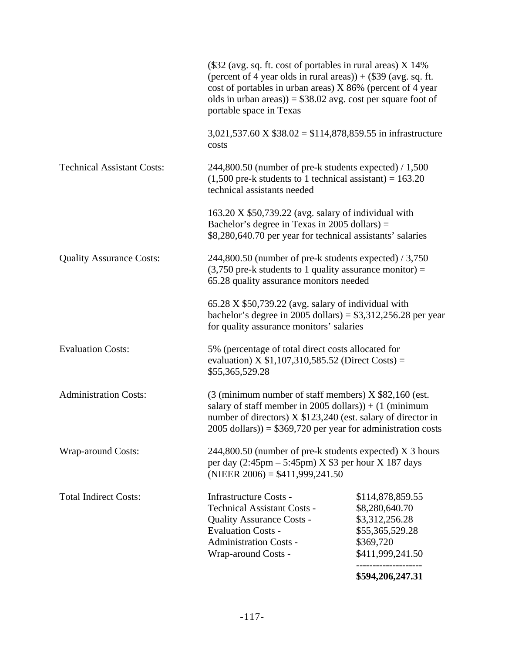|                                   |                                                                                                                                                                                                                                                                                             | \$594,206,247.31                                                                                         |
|-----------------------------------|---------------------------------------------------------------------------------------------------------------------------------------------------------------------------------------------------------------------------------------------------------------------------------------------|----------------------------------------------------------------------------------------------------------|
| <b>Total Indirect Costs:</b>      | <b>Infrastructure Costs -</b><br><b>Technical Assistant Costs -</b><br><b>Quality Assurance Costs -</b><br><b>Evaluation Costs -</b><br><b>Administration Costs -</b><br>Wrap-around Costs -                                                                                                | \$114,878,859.55<br>\$8,280,640.70<br>\$3,312,256.28<br>\$55,365,529.28<br>\$369,720<br>\$411,999,241.50 |
| <b>Wrap-around Costs:</b>         | 244,800.50 (number of pre-k students expected) X 3 hours<br>per day $(2:45 \text{pm} - 5:45 \text{pm})$ X \$3 per hour X 187 days<br>(NIEER $2006$ ) = \$411,999,241.50                                                                                                                     |                                                                                                          |
| <b>Administration Costs:</b>      | $(3 \text{ (minimum number of staff members)} X $82,160 \text{ (est.}$<br>salary of staff member in 2005 dollars) $) + (1 \text{ (minimum)}$<br>number of directors) X \$123,240 (est. salary of director in<br>$2005$ dollars)) = \$369,720 per year for administration costs              |                                                                                                          |
| <b>Evaluation Costs:</b>          | 5% (percentage of total direct costs allocated for<br>evaluation) X $$1,107,310,585.52$ (Direct Costs) =<br>\$55,365,529.28                                                                                                                                                                 |                                                                                                          |
|                                   | $65.28$ X \$50,739.22 (avg. salary of individual with<br>bachelor's degree in 2005 dollars) = $$3,312,256.28$ per year<br>for quality assurance monitors' salaries                                                                                                                          |                                                                                                          |
| <b>Quality Assurance Costs:</b>   | 244,800.50 (number of pre-k students expected) / 3,750<br>$(3,750$ pre-k students to 1 quality assurance monitor) =<br>65.28 quality assurance monitors needed                                                                                                                              |                                                                                                          |
|                                   | $163.20 \text{ X } $50,739.22$ (avg. salary of individual with<br>Bachelor's degree in Texas in 2005 dollars) $=$<br>\$8,280,640.70 per year for technical assistants' salaries                                                                                                             |                                                                                                          |
| <b>Technical Assistant Costs:</b> | $244,800.50$ (number of pre-k students expected) / 1,500<br>$(1,500$ pre-k students to 1 technical assistant) = 163.20<br>technical assistants needed                                                                                                                                       |                                                                                                          |
|                                   | $3,021,537.60 \text{ X } $38.02 = $114,878,859.55 \text{ in infrastructure}$<br>costs                                                                                                                                                                                                       |                                                                                                          |
|                                   | $(\$32$ (avg. sq. ft. cost of portables in rural areas) X 14%<br>(percent of 4 year olds in rural areas)) $+$ (\$39 (avg. sq. ft.<br>cost of portables in urban areas) X 86% (percent of 4 year<br>olds in urban areas)) = $$38.02$ avg. cost per square foot of<br>portable space in Texas |                                                                                                          |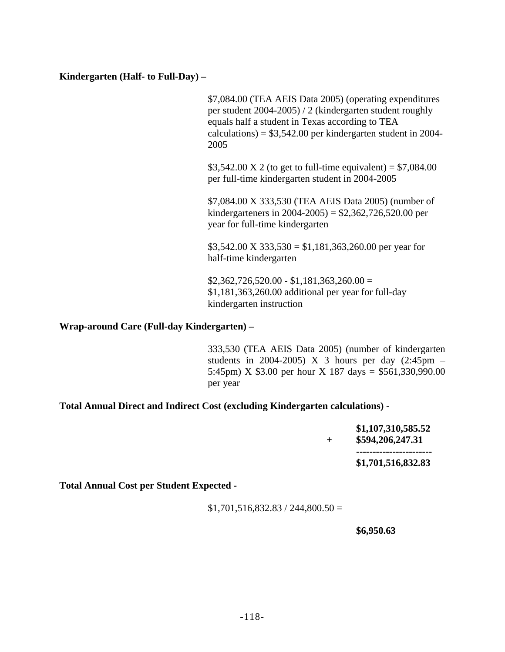### **Kindergarten (Half- to Full-Day) –**

\$7,084.00 (TEA AEIS Data 2005) (operating expenditures per student 2004-2005) / 2 (kindergarten student roughly equals half a student in Texas according to TEA  $caliculations$  = \$3,542.00 per kindergarten student in 2004-2005

\$3,542.00 X 2 (to get to full-time equivalent) =  $$7,084.00$ per full-time kindergarten student in 2004-2005

\$7,084.00 X 333,530 (TEA AEIS Data 2005) (number of kindergarteners in 2004-2005) = \$2,362,726,520.00 per year for full-time kindergarten

 $$3,542.00 \text{ X } 333,530 = $1,181,363,260.00 \text{ per year for}$ half-time kindergarten

 $$2,362,726,520.00 - $1,181,363,260.00 =$ \$1,181,363,260.00 additional per year for full-day kindergarten instruction

### **Wrap-around Care (Full-day Kindergarten) –**

333,530 (TEA AEIS Data 2005) (number of kindergarten students in 2004-2005) X 3 hours per day  $(2:45 \text{pm} -$ 5:45pm) X \$3.00 per hour X 187 days = \$561,330,990.00 per year

### **Total Annual Direct and Indirect Cost (excluding Kindergarten calculations) -**

**\$1,107,310,585.52 + \$594,206,247.31 ----------------------- \$1,701,516,832.83** 

**Total Annual Cost per Student Expected -** 

 $$1,701,516,832.83 / 244,800.50 =$ 

#### **\$6,950.63**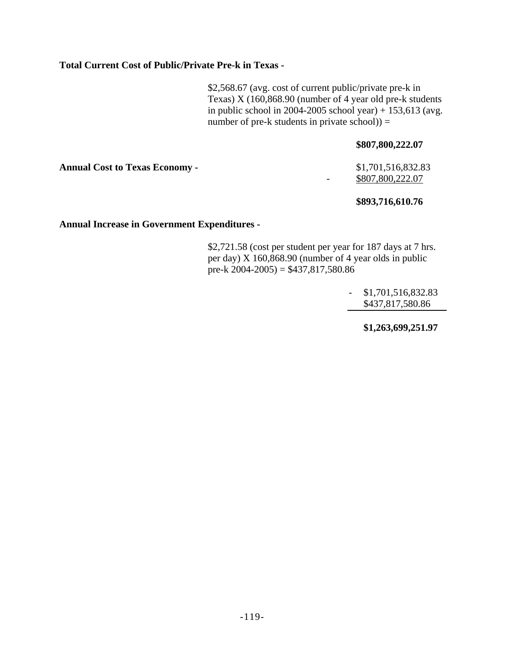### **Total Current Cost of Public/Private Pre-k in Texas -**

\$2,568.67 (avg. cost of current public/private pre-k in Texas) X (160,868.90 (number of 4 year old pre-k students in public school in 2004-2005 school year) + 153,613 (avg. number of pre-k students in private school)) =

#### **\$807,800,222.07**

**Annual Cost to Texas Economy -** \$1,701,516,832.83

## $-$  \$807,800,222.07

### **\$893,716,610.76**

#### **Annual Increase in Government Expenditures -**

\$2,721.58 (cost per student per year for 187 days at 7 hrs. per day) X 160,868.90 (number of 4 year olds in public pre-k  $2004-2005$ ) = \$437,817,580.86

> - \$1,701,516,832.83 \$437,817,580.86

> > **\$1,263,699,251.97**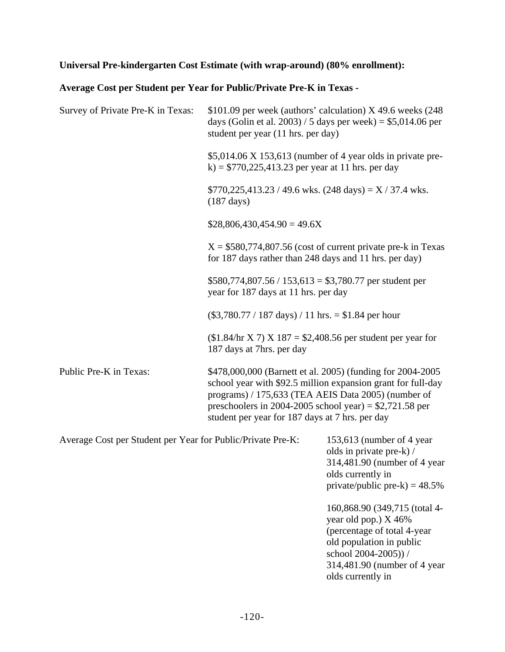## **Universal Pre-kindergarten Cost Estimate (with wrap-around) (80% enrollment):**

## **Average Cost per Student per Year for Public/Private Pre-K in Texas -**

| Survey of Private Pre-K in Texas:                           | \$101.09 per week (authors' calculation) $X$ 49.6 weeks (248)<br>days (Golin et al. 2003) / 5 days per week) = $$5,014.06$ per<br>student per year (11 hrs. per day) |                                                                                                                                                |
|-------------------------------------------------------------|----------------------------------------------------------------------------------------------------------------------------------------------------------------------|------------------------------------------------------------------------------------------------------------------------------------------------|
|                                                             | k) = $$770,225,413.23$ per year at 11 hrs. per day                                                                                                                   | $$5,014.06 \times 153,613$ (number of 4 year olds in private pre-                                                                              |
|                                                             | $$770,225,413.23 / 49.6$ wks. $(248 \text{ days}) = X / 37.4$ wks.<br>$(187 \text{ days})$                                                                           |                                                                                                                                                |
|                                                             | $$28,806,430,454.90 = 49.6X$                                                                                                                                         |                                                                                                                                                |
|                                                             | for 187 days rather than 248 days and 11 hrs. per day)                                                                                                               | $X = $580,774,807.56$ (cost of current private pre-k in Texas                                                                                  |
|                                                             | $$580,774,807.56 / 153,613 = $3,780.77$ per student per<br>year for 187 days at 11 hrs. per day                                                                      |                                                                                                                                                |
|                                                             | $(\$3,780.77 / 187 \text{ days}) / 11 \text{ hrs.} = \$1.84 \text{ per hour}$                                                                                        |                                                                                                                                                |
|                                                             | 187 days at 7hrs. per day                                                                                                                                            | $($1.84/hr X 7) X 187 = $2,408.56$ per student per year for                                                                                    |
| Public Pre-K in Texas:                                      | programs) / 175,633 (TEA AEIS Data 2005) (number of<br>preschoolers in 2004-2005 school year) = $$2,721.58$ per<br>student per year for 187 days at 7 hrs. per day   | \$478,000,000 (Barnett et al. 2005) (funding for 2004-2005<br>school year with \$92.5 million expansion grant for full-day                     |
| Average Cost per Student per Year for Public/Private Pre-K: |                                                                                                                                                                      | 153,613 (number of 4 year<br>olds in private pre-k) /<br>314,481.90 (number of 4 year<br>olds currently in<br>private/public pre-k) = $48.5\%$ |
|                                                             |                                                                                                                                                                      | 160,868.90 (349,715 (total 4-<br>year old pop.) X 46%<br>(percentage of total 4-year                                                           |

old population in public school 2004-2005)) /

olds currently in

314,481.90 (number of 4 year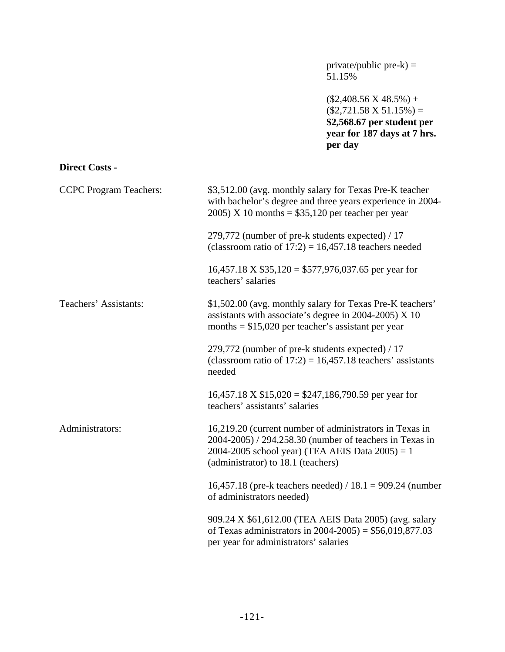private/public pre- $k$ ) = 51.15%

 $($2,408.56 \text{ X } 48.5\%) +$  $($2,721.58 \text{ X } 51.15\%) =$ **\$2,568.67 per student per year for 187 days at 7 hrs. per day**

## **Direct Costs -**

| <b>CCPC</b> Program Teachers: | \$3,512.00 (avg. monthly salary for Texas Pre-K teacher<br>with bachelor's degree and three years experience in 2004-<br>$2005$ ) X 10 months = \$35,120 per teacher per year                                  |
|-------------------------------|----------------------------------------------------------------------------------------------------------------------------------------------------------------------------------------------------------------|
|                               | 279,772 (number of pre-k students expected) / 17<br>(classroom ratio of $17:2$ ) = 16,457.18 teachers needed                                                                                                   |
|                               | $16,457.18 \text{ X } $35,120 = $577,976,037.65$ per year for<br>teachers' salaries                                                                                                                            |
| Teachers' Assistants:         | \$1,502.00 (avg. monthly salary for Texas Pre-K teachers'<br>assistants with associate's degree in 2004-2005) $X$ 10<br>months = $$15,020$ per teacher's assistant per year                                    |
|                               | 279,772 (number of pre-k students expected) / 17<br>(classroom ratio of $17:2$ ) = 16,457.18 teachers' assistants<br>needed                                                                                    |
|                               | $16,457.18 \text{ X } $15,020 = $247,186,790.59$ per year for<br>teachers' assistants' salaries                                                                                                                |
| Administrators:               | 16,219.20 (current number of administrators in Texas in<br>2004-2005) / 294,258.30 (number of teachers in Texas in<br>2004-2005 school year) (TEA AEIS Data $2005$ ) = 1<br>(administrator) to 18.1 (teachers) |
|                               | 16,457.18 (pre-k teachers needed) / 18.1 = 909.24 (number<br>of administrators needed)                                                                                                                         |
|                               | 909.24 X \$61,612.00 (TEA AEIS Data 2005) (avg. salary<br>of Texas administrators in $2004 - 2005$ ) = \$56,019,877.03<br>per year for administrators' salaries                                                |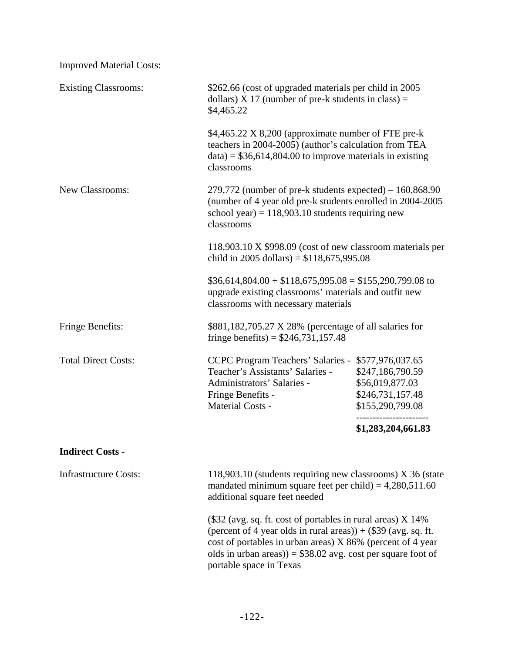| <b>Improved Material Costs:</b> |                                                                                                                                                                                                                                                                                                          |                    |
|---------------------------------|----------------------------------------------------------------------------------------------------------------------------------------------------------------------------------------------------------------------------------------------------------------------------------------------------------|--------------------|
| <b>Existing Classrooms:</b>     | \$262.66 (cost of upgraded materials per child in 2005)<br>dollars) $X$ 17 (number of pre-k students in class) =<br>\$4,465.22                                                                                                                                                                           |                    |
|                                 | \$4,465.22 X 8,200 (approximate number of FTE pre-k<br>teachers in 2004-2005) (author's calculation from TEA<br>$data$ = \$36,614,804.00 to improve materials in existing<br>classrooms                                                                                                                  |                    |
| New Classrooms:                 | $279,772$ (number of pre-k students expected) – 160,868.90<br>(number of 4 year old pre-k students enrolled in 2004-2005<br>school year) = $118,903.10$ students requiring new<br>classrooms<br>118,903.10 X \$998.09 (cost of new classroom materials per<br>child in 2005 dollars) = $$118,675,995.08$ |                    |
|                                 |                                                                                                                                                                                                                                                                                                          |                    |
|                                 | $$36,614,804.00 + $118,675,995.08 = $155,290,799.08$ to<br>upgrade existing classrooms' materials and outfit new<br>classrooms with necessary materials                                                                                                                                                  |                    |
| Fringe Benefits:                | \$881,182,705.27 X 28% (percentage of all salaries for<br>fringe benefits) = $$246,731,157.48$                                                                                                                                                                                                           |                    |
| <b>Total Direct Costs:</b>      | CCPC Program Teachers' Salaries - \$577,976,037.65<br>Teacher's Assistants' Salaries -<br>\$247,186,790.59<br>Administrators' Salaries -<br>\$56,019,877.03<br>\$246,731,157.48<br>Fringe Benefits -<br><b>Material Costs -</b><br>\$155,290,799.08                                                      |                    |
|                                 |                                                                                                                                                                                                                                                                                                          | \$1,283,204,661.83 |
| <b>Indirect Costs -</b>         |                                                                                                                                                                                                                                                                                                          |                    |
| <b>Infrastructure Costs:</b>    | 118,903.10 (students requiring new classrooms) X 36 (state<br>mandated minimum square feet per child) = $4,280,511.60$<br>additional square feet needed                                                                                                                                                  |                    |
|                                 | $(\$32$ (avg. sq. ft. cost of portables in rural areas) X 14%<br>(percent of 4 year olds in rural areas)) + $(\$39$ (avg. sq. ft.<br>cost of portables in urban areas) X 86% (percent of 4 year<br>olds in urban areas)) = $$38.02$ avg. cost per square foot of<br>portable space in Texas              |                    |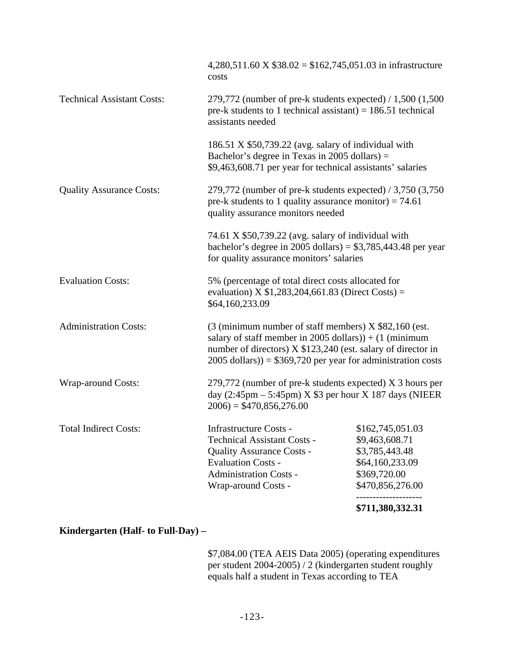|                                   |                                                                                                                                                                                                                                                                                | \$711,380,332.31                                                                                                              |  |
|-----------------------------------|--------------------------------------------------------------------------------------------------------------------------------------------------------------------------------------------------------------------------------------------------------------------------------|-------------------------------------------------------------------------------------------------------------------------------|--|
| <b>Total Indirect Costs:</b>      | Infrastructure Costs -<br><b>Technical Assistant Costs -</b><br><b>Quality Assurance Costs -</b><br><b>Evaluation Costs -</b><br><b>Administration Costs -</b><br>Wrap-around Costs -                                                                                          | \$162,745,051.03<br>\$9,463,608.71<br>\$3,785,443.48<br>\$64,160,233.09<br>\$369,720.00<br>\$470,856,276.00                   |  |
| <b>Wrap-around Costs:</b>         | 279,772 (number of pre-k students expected) X 3 hours per<br>day $(2:45 \text{pm} - 5:45 \text{pm})$ X \$3 per hour X 187 days (NIEER<br>$2006$ ) = \$470,856,276.00                                                                                                           |                                                                                                                               |  |
| <b>Administration Costs:</b>      | $(3 \text{ (minimum number of staff members)} X $82,160 \text{ (est.}$<br>salary of staff member in 2005 dollars) $) + (1 \text{ (minimum)}$<br>number of directors) X \$123,240 (est. salary of director in<br>$2005$ dollars)) = \$369,720 per year for administration costs |                                                                                                                               |  |
| <b>Evaluation Costs:</b>          | 5% (percentage of total direct costs allocated for<br>evaluation) X $$1,283,204,661.83$ (Direct Costs) =<br>\$64,160,233.09                                                                                                                                                    |                                                                                                                               |  |
|                                   | 74.61 X \$50,739.22 (avg. salary of individual with<br>bachelor's degree in 2005 dollars) = $$3,785,443.48$ per year<br>for quality assurance monitors' salaries                                                                                                               |                                                                                                                               |  |
| <b>Quality Assurance Costs:</b>   | 279,772 (number of pre-k students expected) $/$ 3,750 (3,750)<br>pre-k students to 1 quality assurance monitor) = $74.61$<br>quality assurance monitors needed                                                                                                                 |                                                                                                                               |  |
|                                   | $186.51$ X \$50,739.22 (avg. salary of individual with<br>Bachelor's degree in Texas in 2005 dollars) $=$<br>\$9,463,608.71 per year for technical assistants' salaries                                                                                                        |                                                                                                                               |  |
| <b>Technical Assistant Costs:</b> | assistants needed                                                                                                                                                                                                                                                              | 279,772 (number of pre-k students expected) $/ 1,500$ (1,500<br>pre-k students to 1 technical assistant) = $186.51$ technical |  |
|                                   | 4,280,511.60 X $$38.02 = $162,745,051.03$ in infrastructure<br>costs                                                                                                                                                                                                           |                                                                                                                               |  |

## **Kindergarten (Half- to Full-Day) –**

\$7,084.00 (TEA AEIS Data 2005) (operating expenditures per student 2004-2005) / 2 (kindergarten student roughly equals half a student in Texas according to TEA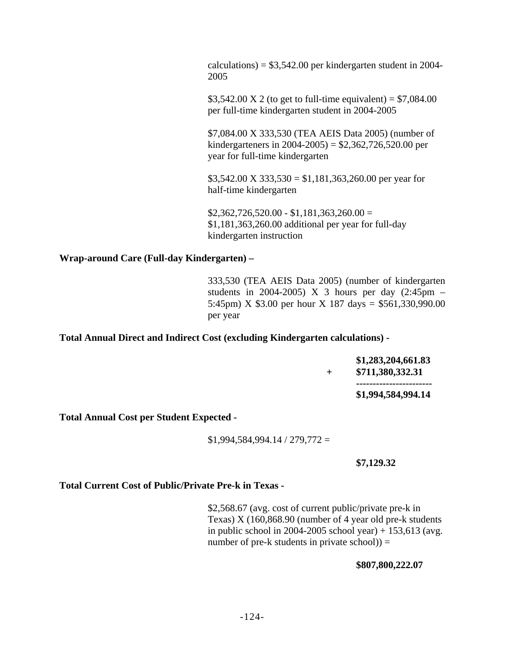$calculations = $3,542.00$  per kindergarten student in 2004-2005

\$3,542.00 X 2 (to get to full-time equivalent) =  $$7,084.00$ per full-time kindergarten student in 2004-2005

\$7,084.00 X 333,530 (TEA AEIS Data 2005) (number of kindergarteners in 2004-2005) = \$2,362,726,520.00 per year for full-time kindergarten

 $$3,542.00 \text{ X } 333,530 = $1,181,363,260.00 \text{ per year for}$ half-time kindergarten

 $$2,362,726,520.00 - $1,181,363,260.00 =$ \$1,181,363,260.00 additional per year for full-day kindergarten instruction

### **Wrap-around Care (Full-day Kindergarten) –**

333,530 (TEA AEIS Data 2005) (number of kindergarten students in 2004-2005) X 3 hours per day  $(2:45 \text{pm} -$ 5:45pm) X \$3.00 per hour X 187 days = \$561,330,990.00 per year

**Total Annual Direct and Indirect Cost (excluding Kindergarten calculations) -** 

|  | \$1,283,204,661.83<br>\$711,380,332.31 |
|--|----------------------------------------|
|  | ------------------------               |
|  | \$1,994,584,994.14                     |

**Total Annual Cost per Student Expected -** 

 $$1,994,584,994.14 / 279,772 =$ 

#### **\$7,129.32**

**Total Current Cost of Public/Private Pre-k in Texas -** 

\$2,568.67 (avg. cost of current public/private pre-k in Texas) X (160,868.90 (number of 4 year old pre-k students in public school in 2004-2005 school year)  $+ 153,613$  (avg. number of pre-k students in private  $\rm{school}() =$ 

**\$807,800,222.07**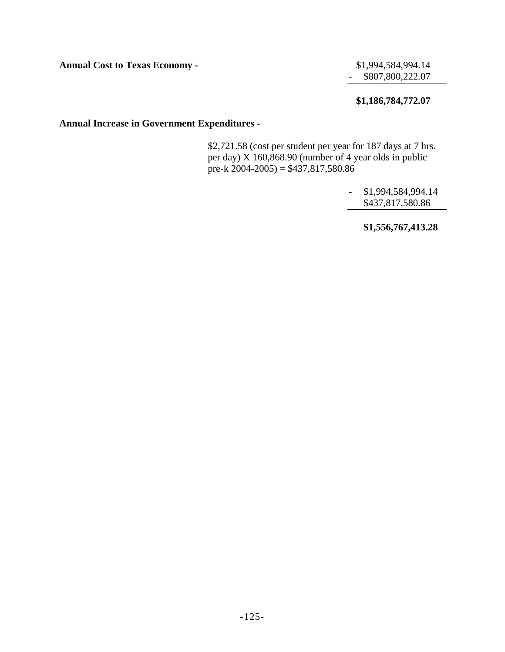**Annual Cost to Texas Economy -**   $$1,994,584,994.14$ 

- \$807,800,222.07

## **\$1,186,784,772.07**

## **Annual Increase in Government Expenditures -**

\$2,721.58 (cost per student per year for 187 days at 7 hrs. per day) X 160,868.90 (number of 4 year olds in public pre-k  $2004-2005$ ) = \$437,817,580.86

> - \$1,994,584,994.14 \$437,817,580.86

> > **\$1,556,767,413.28**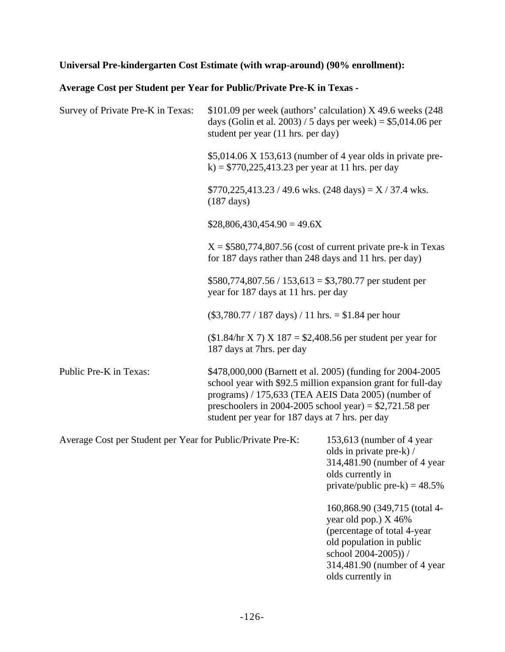## **Universal Pre-kindergarten Cost Estimate (with wrap-around) (90% enrollment):**

## **Average Cost per Student per Year for Public/Private Pre-K in Texas -**

| Survey of Private Pre-K in Texas:                                                                                                                                                                                                                                                                                          | \$101.09 per week (authors' calculation) X 49.6 weeks (248<br>days (Golin et al. 2003) / 5 days per week) = $$5,014.06$ per<br>student per year (11 hrs. per day) |                                                                                                                                                |  |  |  |  |
|----------------------------------------------------------------------------------------------------------------------------------------------------------------------------------------------------------------------------------------------------------------------------------------------------------------------------|-------------------------------------------------------------------------------------------------------------------------------------------------------------------|------------------------------------------------------------------------------------------------------------------------------------------------|--|--|--|--|
|                                                                                                                                                                                                                                                                                                                            | k) = $$770,225,413.23$ per year at 11 hrs. per day                                                                                                                | $$5,014.06 \times 153,613$ (number of 4 year olds in private pre-                                                                              |  |  |  |  |
|                                                                                                                                                                                                                                                                                                                            | $$770,225,413.23 / 49.6 \text{ wks.}$ (248 days) = X / 37.4 wks.<br>$(187 \text{ days})$                                                                          |                                                                                                                                                |  |  |  |  |
|                                                                                                                                                                                                                                                                                                                            | $$28,806,430,454.90 = 49.6X$                                                                                                                                      |                                                                                                                                                |  |  |  |  |
|                                                                                                                                                                                                                                                                                                                            | for 187 days rather than 248 days and 11 hrs. per day)                                                                                                            | $X = $580,774,807.56$ (cost of current private pre-k in Texas                                                                                  |  |  |  |  |
|                                                                                                                                                                                                                                                                                                                            | $$580,774,807.56 / 153,613 = $3,780.77$ per student per<br>year for 187 days at 11 hrs. per day                                                                   |                                                                                                                                                |  |  |  |  |
|                                                                                                                                                                                                                                                                                                                            | $(\$3,780.77 / 187 \text{ days}) / 11 \text{ hrs.} = \$1.84 \text{ per hour}$                                                                                     |                                                                                                                                                |  |  |  |  |
|                                                                                                                                                                                                                                                                                                                            | $($1.84/hr X 7) X 187 = $2,408.56$ per student per year for<br>187 days at 7hrs. per day                                                                          |                                                                                                                                                |  |  |  |  |
| Public Pre-K in Texas:<br>\$478,000,000 (Barnett et al. 2005) (funding for 2004-2005<br>school year with \$92.5 million expansion grant for full-day<br>programs) / 175,633 (TEA AEIS Data 2005) (number of<br>preschoolers in 2004-2005 school year) = $$2,721.58$ per<br>student per year for 187 days at 7 hrs. per day |                                                                                                                                                                   |                                                                                                                                                |  |  |  |  |
| Average Cost per Student per Year for Public/Private Pre-K:                                                                                                                                                                                                                                                                |                                                                                                                                                                   | 153,613 (number of 4 year<br>olds in private pre-k) /<br>314,481.90 (number of 4 year<br>olds currently in<br>private/public pre-k) = $48.5\%$ |  |  |  |  |
|                                                                                                                                                                                                                                                                                                                            |                                                                                                                                                                   | 160,868.90 (349,715 (total 4-<br>year old pop.) X 46%<br>(percentage of total 4-year)                                                          |  |  |  |  |

old population in public school 2004-2005)) /

olds currently in

314,481.90 (number of 4 year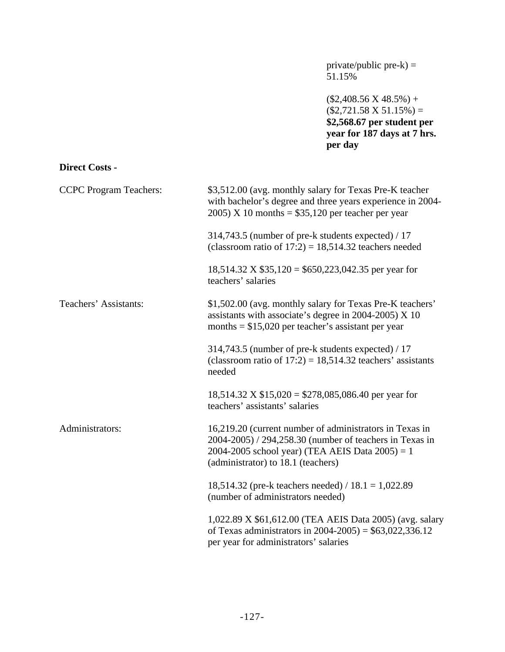private/public pre-k) = 51.15%

 $($2,408.56 \text{ X } 48.5\%) +$  $($2,721.58 \text{ X } 51.15\%) =$ **\$2,568.67 per student per year for 187 days at 7 hrs. per day**

## **Direct Costs -**

| <b>CCPC</b> Program Teachers: | \$3,512.00 (avg. monthly salary for Texas Pre-K teacher<br>with bachelor's degree and three years experience in 2004-<br>$2005$ ) X 10 months = \$35,120 per teacher per year                                  |  |  |  |  |
|-------------------------------|----------------------------------------------------------------------------------------------------------------------------------------------------------------------------------------------------------------|--|--|--|--|
|                               | 314,743.5 (number of pre-k students expected) / 17<br>(classroom ratio of $17:2$ ) = 18,514.32 teachers needed                                                                                                 |  |  |  |  |
|                               | $18,514.32$ X \$35,120 = \$650,223,042.35 per year for<br>teachers' salaries                                                                                                                                   |  |  |  |  |
| Teachers' Assistants:         | \$1,502.00 (avg. monthly salary for Texas Pre-K teachers'<br>assistants with associate's degree in 2004-2005) $X$ 10<br>months $= $15,020$ per teacher's assistant per year                                    |  |  |  |  |
|                               | 314,743.5 (number of pre-k students expected) / 17<br>(classroom ratio of $17:2$ ) = 18,514.32 teachers' assistants<br>needed                                                                                  |  |  |  |  |
|                               | $18,514.32 \text{ X } $15,020 = $278,085,086.40 \text{ per year for}$<br>teachers' assistants' salaries                                                                                                        |  |  |  |  |
| Administrators:               | 16,219.20 (current number of administrators in Texas in<br>2004-2005) / 294,258.30 (number of teachers in Texas in<br>2004-2005 school year) (TEA AEIS Data $2005$ ) = 1<br>(administrator) to 18.1 (teachers) |  |  |  |  |
|                               | 18,514.32 (pre-k teachers needed) / $18.1 = 1,022.89$<br>(number of administrators needed)                                                                                                                     |  |  |  |  |
|                               | 1,022.89 X \$61,612.00 (TEA AEIS Data 2005) (avg. salary<br>of Texas administrators in $2004 - 2005$ ) = \$63,022,336.12<br>per year for administrators' salaries                                              |  |  |  |  |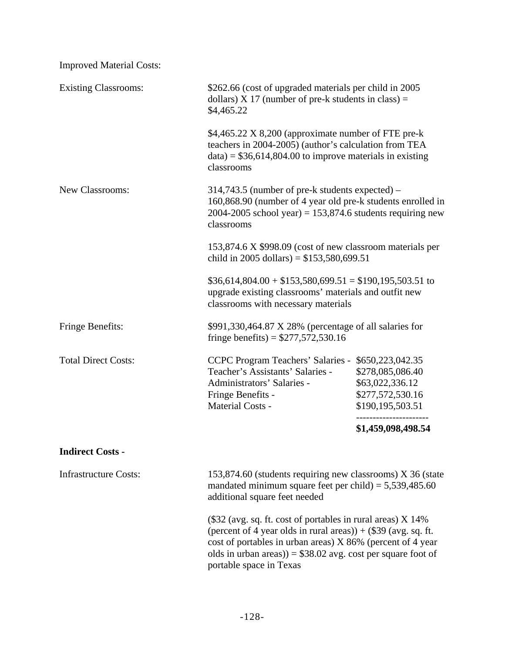| <b>Improved Material Costs:</b> |                                                                                                                                                                                                                                                                                             |                                                                                                 |  |  |  |  |  |
|---------------------------------|---------------------------------------------------------------------------------------------------------------------------------------------------------------------------------------------------------------------------------------------------------------------------------------------|-------------------------------------------------------------------------------------------------|--|--|--|--|--|
| <b>Existing Classrooms:</b>     | \$262.66 (cost of upgraded materials per child in 2005)<br>dollars) $X$ 17 (number of pre-k students in class) =<br>\$4,465.22                                                                                                                                                              |                                                                                                 |  |  |  |  |  |
|                                 | \$4,465.22 X 8,200 (approximate number of FTE pre-k<br>teachers in 2004-2005) (author's calculation from TEA<br>$data$ = \$36,614,804.00 to improve materials in existing<br>classrooms                                                                                                     |                                                                                                 |  |  |  |  |  |
| New Classrooms:                 | $314,743.5$ (number of pre-k students expected) –<br>160,868.90 (number of 4 year old pre-k students enrolled in<br>2004-2005 school year) = $153,874.6$ students requiring new<br>classrooms                                                                                               |                                                                                                 |  |  |  |  |  |
|                                 | 153,874.6 X \$998.09 (cost of new classroom materials per<br>child in 2005 dollars) = $$153,580,699.51$                                                                                                                                                                                     |                                                                                                 |  |  |  |  |  |
|                                 | $$36,614,804.00 + $153,580,699.51 = $190,195,503.51$ to<br>upgrade existing classrooms' materials and outfit new<br>classrooms with necessary materials                                                                                                                                     |                                                                                                 |  |  |  |  |  |
| Fringe Benefits:                | \$991,330,464.87 X 28% (percentage of all salaries for<br>fringe benefits) = $$277,572,530.16$                                                                                                                                                                                              |                                                                                                 |  |  |  |  |  |
| <b>Total Direct Costs:</b>      | <b>CCPC Program Teachers' Salaries -</b><br>Teacher's Assistants' Salaries -<br>Administrators' Salaries -<br>Fringe Benefits -<br>Material Costs -                                                                                                                                         | \$650,223,042.35<br>\$278,085,086.40<br>\$63,022,336.12<br>\$277,572,530.16<br>\$190,195,503.51 |  |  |  |  |  |
|                                 |                                                                                                                                                                                                                                                                                             | \$1,459,098,498.54                                                                              |  |  |  |  |  |
| <b>Indirect Costs -</b>         |                                                                                                                                                                                                                                                                                             |                                                                                                 |  |  |  |  |  |
| <b>Infrastructure Costs:</b>    | 153,874.60 (students requiring new classrooms) X 36 (state<br>mandated minimum square feet per child) = $5,539,485.60$<br>additional square feet needed                                                                                                                                     |                                                                                                 |  |  |  |  |  |
|                                 | $(\$32$ (avg. sq. ft. cost of portables in rural areas) X 14%<br>(percent of 4 year olds in rural areas)) + $(\$39$ (avg. sq. ft.<br>cost of portables in urban areas) X 86% (percent of 4 year<br>olds in urban areas)) = $$38.02$ avg. cost per square foot of<br>portable space in Texas |                                                                                                 |  |  |  |  |  |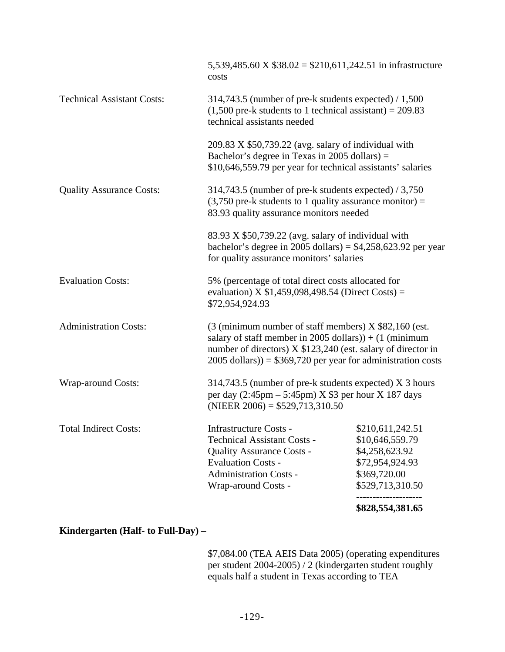|                                   |                                                                                                                                                                                                                                                                                | \$828,554,381.65                                                                                                                                                |  |  |  |  |  |
|-----------------------------------|--------------------------------------------------------------------------------------------------------------------------------------------------------------------------------------------------------------------------------------------------------------------------------|-----------------------------------------------------------------------------------------------------------------------------------------------------------------|--|--|--|--|--|
| <b>Total Indirect Costs:</b>      | <b>Infrastructure Costs -</b><br><b>Technical Assistant Costs -</b><br><b>Quality Assurance Costs -</b><br><b>Evaluation Costs -</b><br><b>Administration Costs -</b><br>Wrap-around Costs -                                                                                   | \$210,611,242.51<br>\$10,646,559.79<br>\$4,258,623.92<br>\$72,954,924.93<br>\$369,720.00<br>\$529,713,310.50                                                    |  |  |  |  |  |
| <b>Wrap-around Costs:</b>         | 314,743.5 (number of pre-k students expected) X 3 hours<br>per day $(2:45 \text{pm} - 5:45 \text{pm})$ X \$3 per hour X 187 days<br>(NIEER $2006$ ) = \$529,713,310.50                                                                                                         |                                                                                                                                                                 |  |  |  |  |  |
| <b>Administration Costs:</b>      | $(3 \text{ (minimum number of staff members)} X $82,160 \text{ (est.}$<br>salary of staff member in 2005 dollars) $) + (1 \text{ (minimum)}$<br>number of directors) X \$123,240 (est. salary of director in<br>$2005$ dollars)) = \$369,720 per year for administration costs |                                                                                                                                                                 |  |  |  |  |  |
| <b>Evaluation Costs:</b>          | 5% (percentage of total direct costs allocated for<br>evaluation) X $$1,459,098,498.54$ (Direct Costs) =<br>\$72,954,924.93                                                                                                                                                    |                                                                                                                                                                 |  |  |  |  |  |
|                                   | 83.93 X \$50,739.22 (avg. salary of individual with<br>bachelor's degree in 2005 dollars) = $$4,258,623.92$ per year<br>for quality assurance monitors' salaries                                                                                                               |                                                                                                                                                                 |  |  |  |  |  |
| <b>Quality Assurance Costs:</b>   |                                                                                                                                                                                                                                                                                | 314,743.5 (number of pre-k students expected) $/ 3,750$<br>$(3,750$ pre-k students to 1 quality assurance monitor) =<br>83.93 quality assurance monitors needed |  |  |  |  |  |
|                                   | $209.83$ X \$50,739.22 (avg. salary of individual with<br>Bachelor's degree in Texas in 2005 dollars) $=$<br>\$10,646,559.79 per year for technical assistants' salaries                                                                                                       |                                                                                                                                                                 |  |  |  |  |  |
| <b>Technical Assistant Costs:</b> | technical assistants needed                                                                                                                                                                                                                                                    | $314,743.5$ (number of pre-k students expected) / 1,500<br>$(1,500$ pre-k students to 1 technical assistant) = 209.83                                           |  |  |  |  |  |
|                                   | 5,539,485.60 X $$38.02 = $210,611,242.51$ in infrastructure<br>costs                                                                                                                                                                                                           |                                                                                                                                                                 |  |  |  |  |  |

## **Kindergarten (Half- to Full-Day) –**

\$7,084.00 (TEA AEIS Data 2005) (operating expenditures per student 2004-2005) / 2 (kindergarten student roughly equals half a student in Texas according to TEA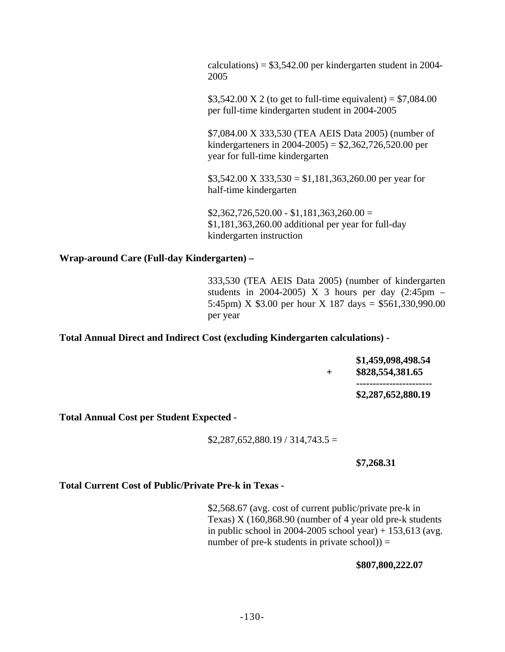$calculations = $3,542.00$  per kindergarten student in 2004-2005

\$3,542.00 X 2 (to get to full-time equivalent) =  $$7,084.00$ per full-time kindergarten student in 2004-2005

\$7,084.00 X 333,530 (TEA AEIS Data 2005) (number of kindergarteners in 2004-2005) = \$2,362,726,520.00 per year for full-time kindergarten

 $$3,542.00 \text{ X } 333,530 = $1,181,363,260.00 \text{ per year for}$ half-time kindergarten

 $$2,362,726,520.00 - $1,181,363,260.00 =$ \$1,181,363,260.00 additional per year for full-day kindergarten instruction

**Wrap-around Care (Full-day Kindergarten) –** 

333,530 (TEA AEIS Data 2005) (number of kindergarten students in 2004-2005) X 3 hours per day  $(2:45 \text{pm} -$ 5:45pm) X \$3.00 per hour X 187 days = \$561,330,990.00 per year

**Total Annual Direct and Indirect Cost (excluding Kindergarten calculations) -** 

|  | \$1,459,098,498.54<br>\$828,554,381.65 |
|--|----------------------------------------|
|  | -----------------------                |
|  | \$2,287,652,880.19                     |

**Total Annual Cost per Student Expected -** 

 $$2,287,652,880.19 / 314,743.5 =$ 

#### **\$7,268.31**

**Total Current Cost of Public/Private Pre-k in Texas -** 

\$2,568.67 (avg. cost of current public/private pre-k in Texas) X (160,868.90 (number of 4 year old pre-k students in public school in 2004-2005 school year)  $+ 153,613$  (avg. number of pre-k students in private  $\rm{school}() =$ 

**\$807,800,222.07**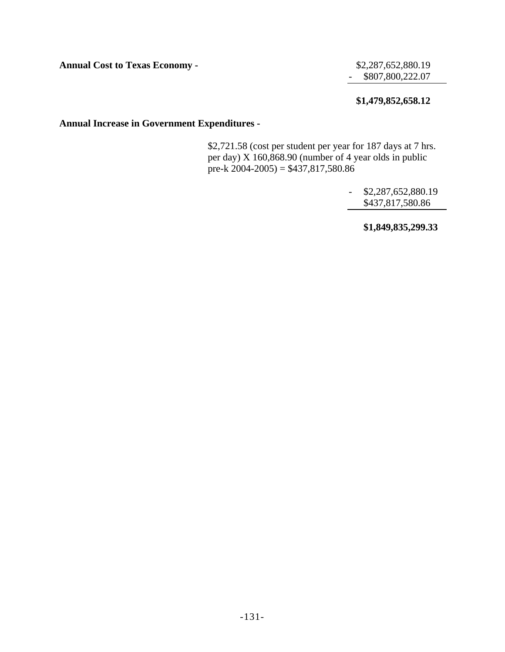**Annual Cost to Texas Economy -**   $$2,287,652,880.19$ 

- \$807,800,222.07

## **\$1,479,852,658.12**

## **Annual Increase in Government Expenditures -**

\$2,721.58 (cost per student per year for 187 days at 7 hrs. per day) X 160,868.90 (number of 4 year olds in public pre-k  $2004-2005$ ) = \$437,817,580.86

> - \$2,287,652,880.19 \$437,817,580.86

> > **\$1,849,835,299.33**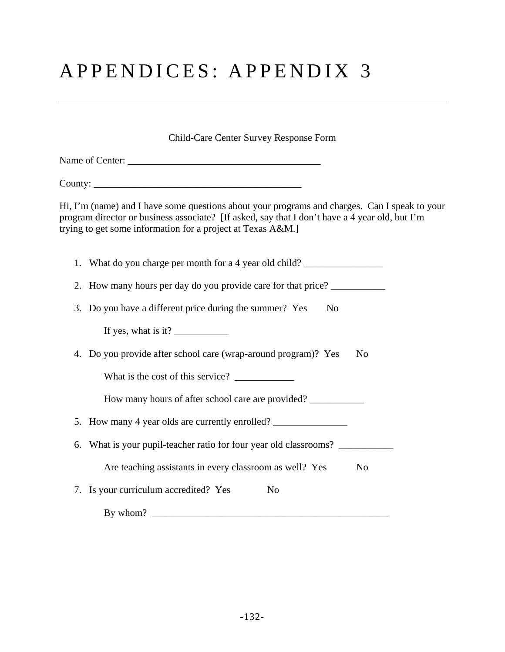# APPENDICES: APPENDIX 3

Child-Care Center Survey Response Form

| Name of Center: |  |
|-----------------|--|
|-----------------|--|

County: \_\_\_\_\_\_\_\_\_\_\_\_\_\_\_\_\_\_\_\_\_\_\_\_\_\_\_\_\_\_\_\_\_\_\_\_\_\_\_\_\_\_

Hi, I'm (name) and I have some questions about your programs and charges. Can I speak to your program director or business associate? [If asked, say that I don't have a 4 year old, but I'm trying to get some information for a project at Texas A&M.]

| 1. What do you charge per month for a 4 year old child? ________________________                                                                                                                                                                                                                                                                                                                                  |
|-------------------------------------------------------------------------------------------------------------------------------------------------------------------------------------------------------------------------------------------------------------------------------------------------------------------------------------------------------------------------------------------------------------------|
| 2. How many hours per day do you provide care for that price?                                                                                                                                                                                                                                                                                                                                                     |
| 3. Do you have a different price during the summer? Yes<br>N <sub>0</sub>                                                                                                                                                                                                                                                                                                                                         |
| If yes, what is it? $\frac{1}{\sqrt{1-\frac{1}{\sqrt{1-\frac{1}{\sqrt{1-\frac{1}{\sqrt{1-\frac{1}{\sqrt{1-\frac{1}{\sqrt{1-\frac{1}{\sqrt{1-\frac{1}{\sqrt{1-\frac{1}{\sqrt{1-\frac{1}{\sqrt{1-\frac{1}{\sqrt{1-\frac{1}{\sqrt{1-\frac{1}{\sqrt{1-\frac{1}{\sqrt{1-\frac{1}{\sqrt{1-\frac{1}{\sqrt{1-\frac{1}{\sqrt{1-\frac{1}{\sqrt{1-\frac{1}{\sqrt{1-\frac{1}{\sqrt{1-\frac{1}{\sqrt{1-\frac{1}{\sqrt{1-\frac$ |
| 4. Do you provide after school care (wrap-around program)? Yes<br>N <sub>0</sub>                                                                                                                                                                                                                                                                                                                                  |
| What is the cost of this service?                                                                                                                                                                                                                                                                                                                                                                                 |
| How many hours of after school care are provided?                                                                                                                                                                                                                                                                                                                                                                 |
| 5. How many 4 year olds are currently enrolled?                                                                                                                                                                                                                                                                                                                                                                   |
| 6. What is your pupil-teacher ratio for four year old classrooms?                                                                                                                                                                                                                                                                                                                                                 |
| Are teaching assistants in every classroom as well? Yes<br>N <sub>0</sub>                                                                                                                                                                                                                                                                                                                                         |
| 7. Is your curriculum accredited? Yes<br>N <sub>0</sub>                                                                                                                                                                                                                                                                                                                                                           |
| By whom? $\qquad \qquad$                                                                                                                                                                                                                                                                                                                                                                                          |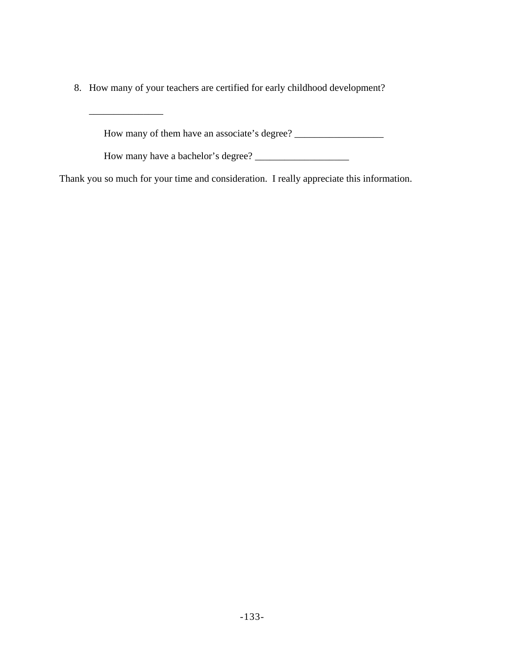8. How many of your teachers are certified for early childhood development?

 $\mathcal{L}=\mathcal{L}=\mathcal{L}=\mathcal{L}=\mathcal{L}=\mathcal{L}$ 

How many of them have an associate's degree? \_\_\_\_\_\_\_\_\_\_\_\_\_\_\_\_\_\_

How many have a bachelor's degree? \_\_\_\_\_\_\_\_\_\_\_\_\_\_\_\_\_\_\_

Thank you so much for your time and consideration. I really appreciate this information.